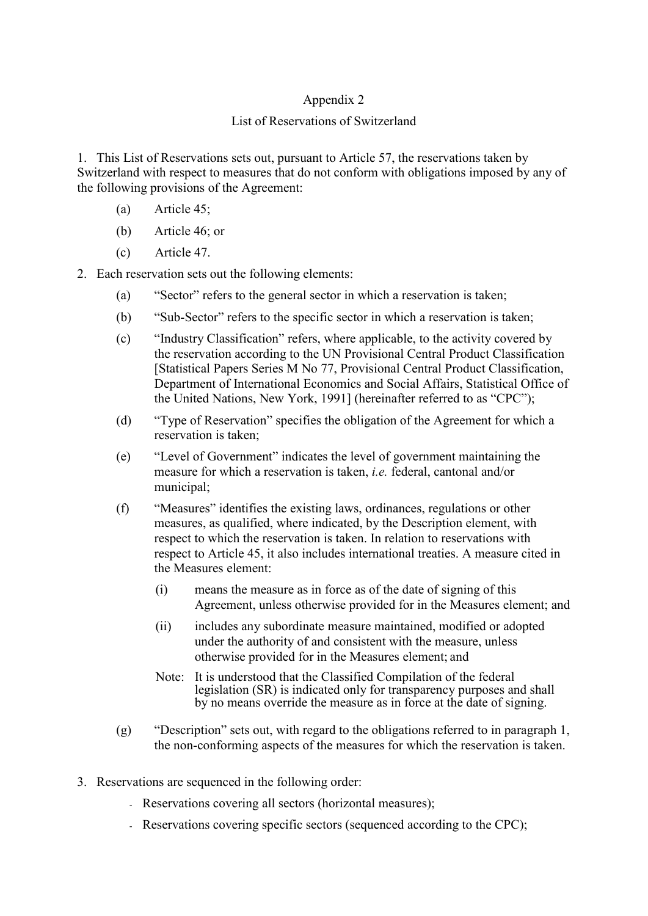## Appendix 2

## List of Reservations of Switzerland

1. This List of Reservations sets out, pursuant to Article 57, the reservations taken by Switzerland with respect to measures that do not conform with obligations imposed by any of the following provisions of the Agreement:

- (a) Article 45;
- (b) Article 46; or
- (c) Article 47.

2. Each reservation sets out the following elements:

- (a) "Sector" refers to the general sector in which a reservation is taken;
- (b) "Sub-Sector" refers to the specific sector in which a reservation is taken;
- (c) "Industry Classification" refers, where applicable, to the activity covered by the reservation according to the UN Provisional Central Product Classification [Statistical Papers Series M No 77, Provisional Central Product Classification, Department of International Economics and Social Affairs, Statistical Office of the United Nations, New York, 1991] (hereinafter referred to as "CPC");
- (d) "Type of Reservation" specifies the obligation of the Agreement for which a reservation is taken;
- (e) "Level of Government" indicates the level of government maintaining the measure for which a reservation is taken, *i.e.* federal, cantonal and/or municipal;
- (f) "Measures" identifies the existing laws, ordinances, regulations or other measures, as qualified, where indicated, by the Description element, with respect to which the reservation is taken. In relation to reservations with respect to Article 45, it also includes international treaties. A measure cited in the Measures element:
	- (i) means the measure as in force as of the date of signing of this Agreement, unless otherwise provided for in the Measures element; and
	- (ii) includes any subordinate measure maintained, modified or adopted under the authority of and consistent with the measure, unless otherwise provided for in the Measures element; and
	- Note: It is understood that the Classified Compilation of the federal legislation (SR) is indicated only for transparency purposes and shall by no means override the measure as in force at the date of signing.
- (g) "Description" sets out, with regard to the obligations referred to in paragraph 1, the non-conforming aspects of the measures for which the reservation is taken.
- 3. Reservations are sequenced in the following order:
	- Reservations covering all sectors (horizontal measures);
	- Reservations covering specific sectors (sequenced according to the CPC);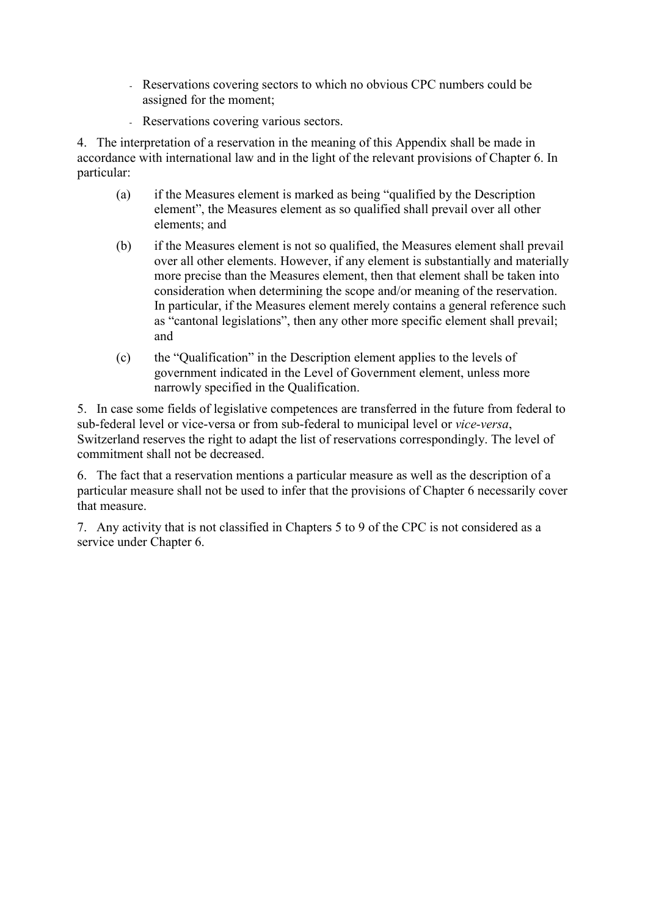- Reservations covering sectors to which no obvious CPC numbers could be assigned for the moment;
- Reservations covering various sectors.

4. The interpretation of a reservation in the meaning of this Appendix shall be made in accordance with international law and in the light of the relevant provisions of Chapter 6. In particular:

- (a) if the Measures element is marked as being "qualified by the Description element", the Measures element as so qualified shall prevail over all other elements; and
- (b) if the Measures element is not so qualified, the Measures element shall prevail over all other elements. However, if any element is substantially and materially more precise than the Measures element, then that element shall be taken into consideration when determining the scope and/or meaning of the reservation. In particular, if the Measures element merely contains a general reference such as "cantonal legislations", then any other more specific element shall prevail; and
- (c) the "Qualification" in the Description element applies to the levels of government indicated in the Level of Government element, unless more narrowly specified in the Qualification.

5. In case some fields of legislative competences are transferred in the future from federal to sub-federal level or vice-versa or from sub-federal to municipal level or *vice-versa*, Switzerland reserves the right to adapt the list of reservations correspondingly. The level of commitment shall not be decreased.

6. The fact that a reservation mentions a particular measure as well as the description of a particular measure shall not be used to infer that the provisions of Chapter 6 necessarily cover that measure.

7. Any activity that is not classified in Chapters 5 to 9 of the CPC is not considered as a service under Chapter 6.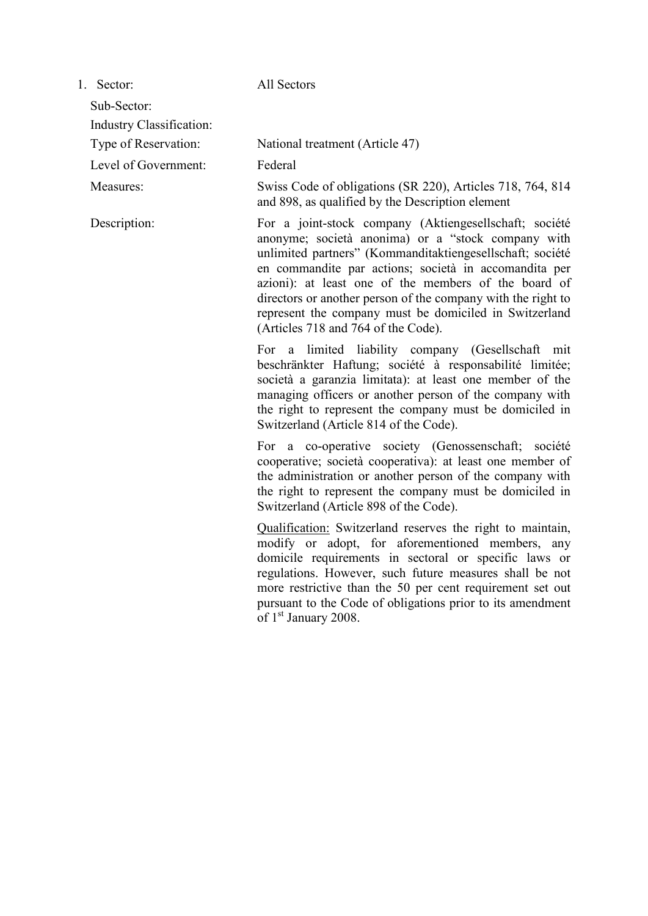1. Sector: All Sectors

Industry Classification:

Level of Government: Federal

Sub-Sector:

Type of Reservation: National treatment (Article 47)

Measures: Swiss Code of obligations (SR 220), Articles 718, 764, 814 and 898, as qualified by the Description element

Description: For a joint-stock company (Aktiengesellschaft; société anonyme; società anonima) or a "stock company with unlimited partners" (Kommanditaktiengesellschaft; société en commandite par actions; società in accomandita per azioni): at least one of the members of the board of directors or another person of the company with the right to represent the company must be domiciled in Switzerland (Articles 718 and 764 of the Code).

> For a limited liability company (Gesellschaft mit beschränkter Haftung; société à responsabilité limitée; società a garanzia limitata): at least one member of the managing officers or another person of the company with the right to represent the company must be domiciled in Switzerland (Article 814 of the Code).

> For a co-operative society (Genossenschaft; société cooperative; società cooperativa): at least one member of the administration or another person of the company with the right to represent the company must be domiciled in Switzerland (Article 898 of the Code).

> Qualification: Switzerland reserves the right to maintain, modify or adopt, for aforementioned members, any domicile requirements in sectoral or specific laws or regulations. However, such future measures shall be not more restrictive than the 50 per cent requirement set out pursuant to the Code of obligations prior to its amendment of 1<sup>st</sup> January 2008.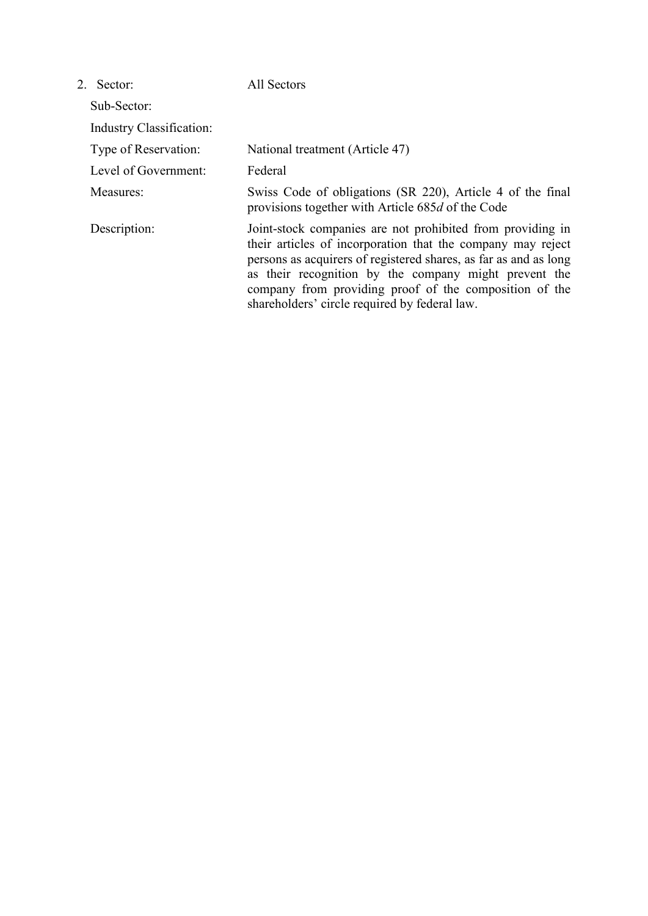| 2 Sector                 | All Sectors                                                                                                                                                                                                                                                                                                                                                       |
|--------------------------|-------------------------------------------------------------------------------------------------------------------------------------------------------------------------------------------------------------------------------------------------------------------------------------------------------------------------------------------------------------------|
| Sub-Sector:              |                                                                                                                                                                                                                                                                                                                                                                   |
| Industry Classification: |                                                                                                                                                                                                                                                                                                                                                                   |
| Type of Reservation:     | National treatment (Article 47)                                                                                                                                                                                                                                                                                                                                   |
| Level of Government:     | Federal                                                                                                                                                                                                                                                                                                                                                           |
| Measures:                | Swiss Code of obligations (SR 220), Article 4 of the final<br>provisions together with Article 685d of the Code                                                                                                                                                                                                                                                   |
| Description:             | Joint-stock companies are not prohibited from providing in<br>their articles of incorporation that the company may reject<br>persons as acquirers of registered shares, as far as and as long<br>as their recognition by the company might prevent the<br>company from providing proof of the composition of the<br>shareholders' circle required by federal law. |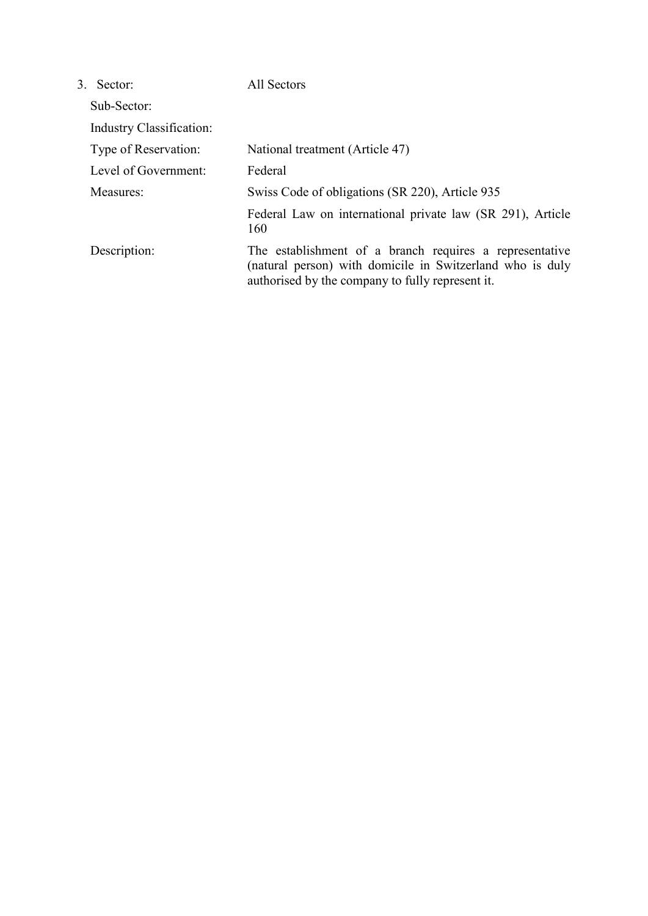| Sector:<br>3             | All Sectors                                                                                                                                                              |
|--------------------------|--------------------------------------------------------------------------------------------------------------------------------------------------------------------------|
| Sub-Sector:              |                                                                                                                                                                          |
| Industry Classification: |                                                                                                                                                                          |
| Type of Reservation:     | National treatment (Article 47)                                                                                                                                          |
| Level of Government:     | Federal                                                                                                                                                                  |
| Measures:                | Swiss Code of obligations (SR 220), Article 935                                                                                                                          |
|                          | Federal Law on international private law (SR 291), Article<br>160                                                                                                        |
| Description:             | The establishment of a branch requires a representative<br>(natural person) with domicile in Switzerland who is duly<br>authorised by the company to fully represent it. |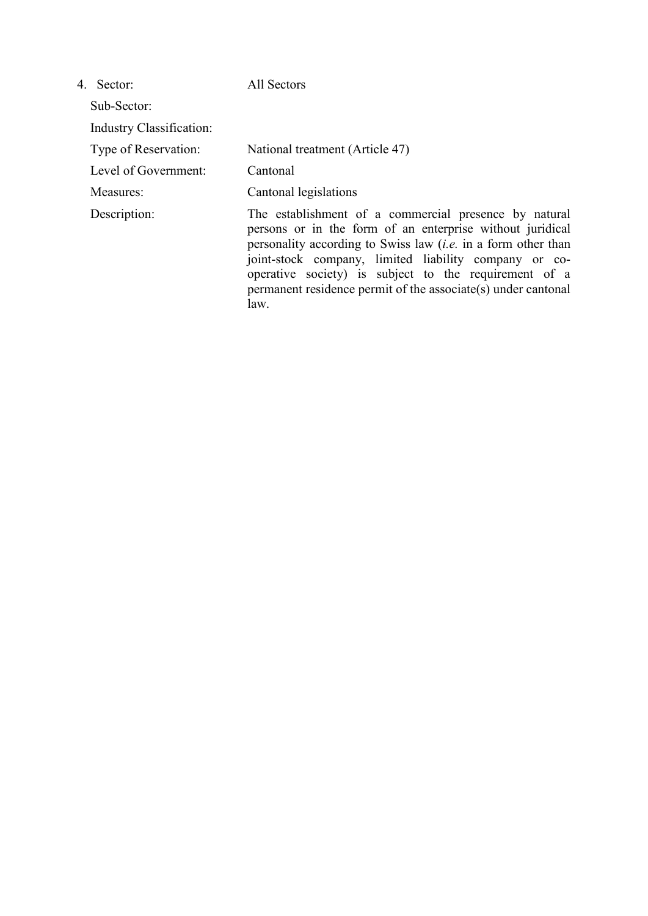| 4. Sector:                      | All Sectors                                                                                                                                                                                                                                                                                                                                                                           |
|---------------------------------|---------------------------------------------------------------------------------------------------------------------------------------------------------------------------------------------------------------------------------------------------------------------------------------------------------------------------------------------------------------------------------------|
| Sub-Sector:                     |                                                                                                                                                                                                                                                                                                                                                                                       |
| <b>Industry Classification:</b> |                                                                                                                                                                                                                                                                                                                                                                                       |
| Type of Reservation:            | National treatment (Article 47)                                                                                                                                                                                                                                                                                                                                                       |
| Level of Government:            | Cantonal                                                                                                                                                                                                                                                                                                                                                                              |
| Measures:                       | Cantonal legislations                                                                                                                                                                                                                                                                                                                                                                 |
| Description:                    | The establishment of a commercial presence by natural<br>persons or in the form of an enterprise without juridical<br>personality according to Swiss law <i>(i.e.</i> in a form other than<br>joint-stock company, limited liability company or co-<br>operative society) is subject to the requirement of a<br>permanent residence permit of the associate(s) under cantonal<br>law. |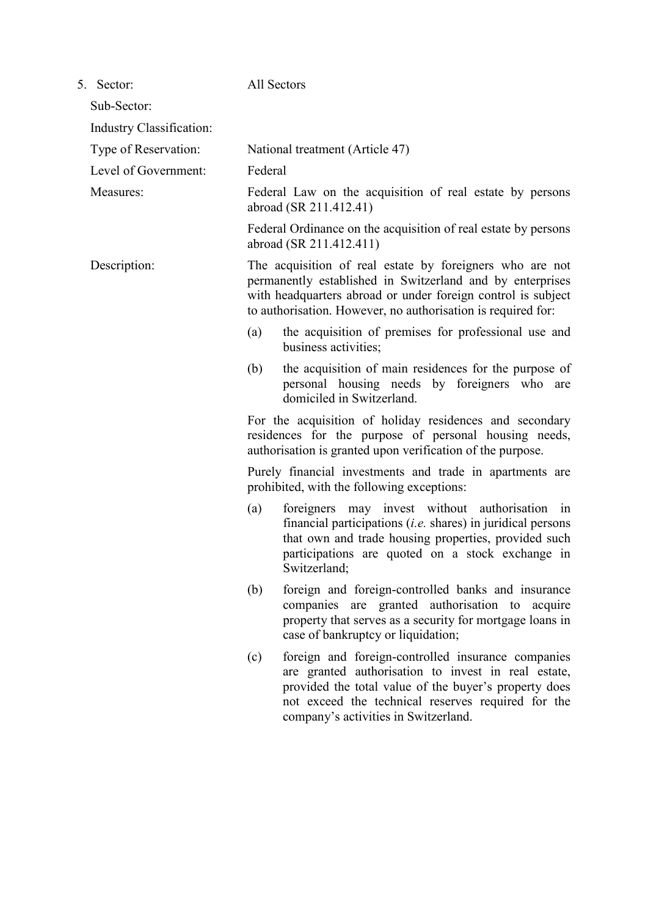| 5. Sector:               | All Sectors                                                                                                                                                                                                                                                                                                                                                                                                                                                                                                                                                                                                                                                                                                                                       |  |  |  |
|--------------------------|---------------------------------------------------------------------------------------------------------------------------------------------------------------------------------------------------------------------------------------------------------------------------------------------------------------------------------------------------------------------------------------------------------------------------------------------------------------------------------------------------------------------------------------------------------------------------------------------------------------------------------------------------------------------------------------------------------------------------------------------------|--|--|--|
| Sub-Sector:              |                                                                                                                                                                                                                                                                                                                                                                                                                                                                                                                                                                                                                                                                                                                                                   |  |  |  |
| Industry Classification: |                                                                                                                                                                                                                                                                                                                                                                                                                                                                                                                                                                                                                                                                                                                                                   |  |  |  |
| Type of Reservation:     | National treatment (Article 47)<br>Federal                                                                                                                                                                                                                                                                                                                                                                                                                                                                                                                                                                                                                                                                                                        |  |  |  |
| Level of Government:     |                                                                                                                                                                                                                                                                                                                                                                                                                                                                                                                                                                                                                                                                                                                                                   |  |  |  |
| Measures:                | Federal Law on the acquisition of real estate by persons<br>abroad (SR 211.412.41)                                                                                                                                                                                                                                                                                                                                                                                                                                                                                                                                                                                                                                                                |  |  |  |
|                          | Federal Ordinance on the acquisition of real estate by persons<br>abroad (SR 211.412.411)                                                                                                                                                                                                                                                                                                                                                                                                                                                                                                                                                                                                                                                         |  |  |  |
| Description:             | The acquisition of real estate by foreigners who are not<br>permanently established in Switzerland and by enterprises<br>with headquarters abroad or under foreign control is subject<br>to authorisation. However, no authorisation is required for:                                                                                                                                                                                                                                                                                                                                                                                                                                                                                             |  |  |  |
|                          | (a)<br>the acquisition of premises for professional use and<br>business activities;                                                                                                                                                                                                                                                                                                                                                                                                                                                                                                                                                                                                                                                               |  |  |  |
|                          | the acquisition of main residences for the purpose of<br>(b)<br>personal housing needs by foreigners who are<br>domiciled in Switzerland.                                                                                                                                                                                                                                                                                                                                                                                                                                                                                                                                                                                                         |  |  |  |
|                          | For the acquisition of holiday residences and secondary<br>residences for the purpose of personal housing needs,<br>authorisation is granted upon verification of the purpose.                                                                                                                                                                                                                                                                                                                                                                                                                                                                                                                                                                    |  |  |  |
|                          | Purely financial investments and trade in apartments are<br>prohibited, with the following exceptions:                                                                                                                                                                                                                                                                                                                                                                                                                                                                                                                                                                                                                                            |  |  |  |
|                          | foreigners may invest without authorisation<br>(a)<br>1n<br>financial participations $(i.e.$ shares) in juridical persons<br>that own and trade housing properties, provided such<br>participations are quoted on a stock exchange in<br>Switzerland;<br>foreign and foreign-controlled banks and insurance<br>(b)<br>companies are granted authorisation to acquire<br>property that serves as a security for mortgage loans in<br>case of bankruptcy or liquidation;<br>foreign and foreign-controlled insurance companies<br>(c)<br>are granted authorisation to invest in real estate,<br>provided the total value of the buyer's property does<br>not exceed the technical reserves required for the<br>company's activities in Switzerland. |  |  |  |
|                          |                                                                                                                                                                                                                                                                                                                                                                                                                                                                                                                                                                                                                                                                                                                                                   |  |  |  |
|                          |                                                                                                                                                                                                                                                                                                                                                                                                                                                                                                                                                                                                                                                                                                                                                   |  |  |  |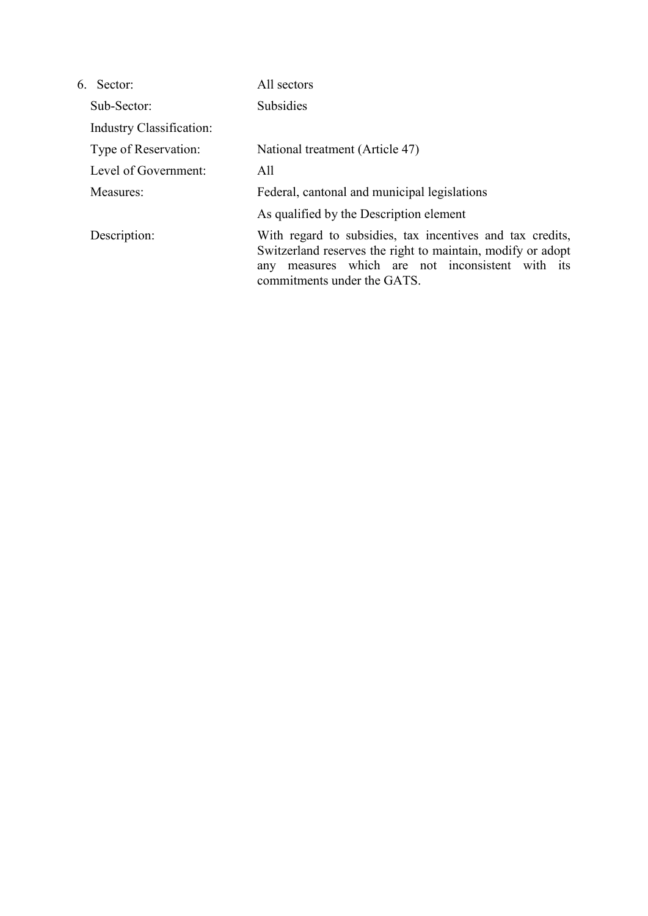| 6 Sector                        | All sectors                                                                                                                                                                                                    |
|---------------------------------|----------------------------------------------------------------------------------------------------------------------------------------------------------------------------------------------------------------|
| Sub-Sector:                     | <b>Subsidies</b>                                                                                                                                                                                               |
| <b>Industry Classification:</b> |                                                                                                                                                                                                                |
| Type of Reservation:            | National treatment (Article 47)                                                                                                                                                                                |
| Level of Government:            | All                                                                                                                                                                                                            |
| Measures:                       | Federal, cantonal and municipal legislations                                                                                                                                                                   |
|                                 | As qualified by the Description element                                                                                                                                                                        |
| Description:                    | With regard to subsidies, tax incentives and tax credits,<br>Switzerland reserves the right to maintain, modify or adopt<br>measures which are not inconsistent with its<br>any<br>commitments under the GATS. |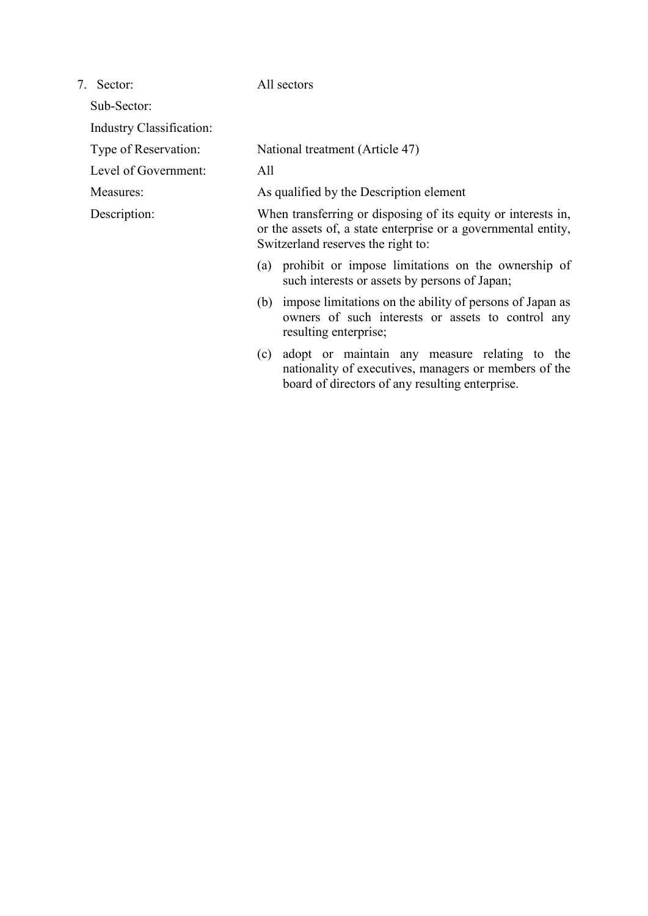7. Sector: All sectors

Sub-Sector:

Industry Classification:

Level of Government: All

Type of Reservation: National treatment (Article 47)

Measures: As qualified by the Description element

Description: When transferring or disposing of its equity or interests in, or the assets of, a state enterprise or a governmental entity, Switzerland reserves the right to:

- (a) prohibit or impose limitations on the ownership of such interests or assets by persons of Japan;
- (b) impose limitations on the ability of persons of Japan as owners of such interests or assets to control any resulting enterprise;
- (c) adopt or maintain any measure relating to the nationality of executives, managers or members of the board of directors of any resulting enterprise.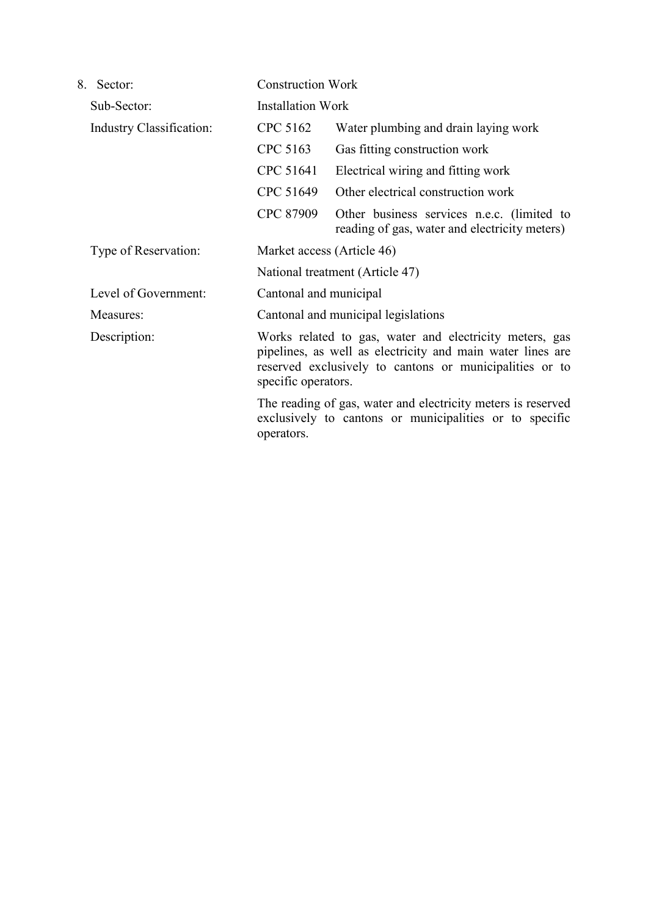| 8.<br>Sector:            |           | <b>Construction Work</b>                                                                                                                                                                                                                                                                                                                         |  |  |
|--------------------------|-----------|--------------------------------------------------------------------------------------------------------------------------------------------------------------------------------------------------------------------------------------------------------------------------------------------------------------------------------------------------|--|--|
| Sub-Sector:              |           | <b>Installation Work</b>                                                                                                                                                                                                                                                                                                                         |  |  |
| Industry Classification: | CPC 5162  | Water plumbing and drain laying work                                                                                                                                                                                                                                                                                                             |  |  |
|                          | CPC 5163  | Gas fitting construction work                                                                                                                                                                                                                                                                                                                    |  |  |
|                          | CPC 51641 | Electrical wiring and fitting work                                                                                                                                                                                                                                                                                                               |  |  |
|                          | CPC 51649 | Other electrical construction work                                                                                                                                                                                                                                                                                                               |  |  |
|                          | CPC 87909 | Other business services n.e.c. (limited to<br>reading of gas, water and electricity meters)                                                                                                                                                                                                                                                      |  |  |
| Type of Reservation:     |           | Market access (Article 46)                                                                                                                                                                                                                                                                                                                       |  |  |
|                          |           | National treatment (Article 47)                                                                                                                                                                                                                                                                                                                  |  |  |
| Level of Government:     |           | Cantonal and municipal                                                                                                                                                                                                                                                                                                                           |  |  |
| Measures:                |           | Cantonal and municipal legislations                                                                                                                                                                                                                                                                                                              |  |  |
| Description:             |           | Works related to gas, water and electricity meters, gas<br>pipelines, as well as electricity and main water lines are<br>reserved exclusively to cantons or municipalities or to<br>specific operators.<br>The reading of gas, water and electricity meters is reserved<br>exclusively to cantons or municipalities or to specific<br>operators. |  |  |
|                          |           |                                                                                                                                                                                                                                                                                                                                                  |  |  |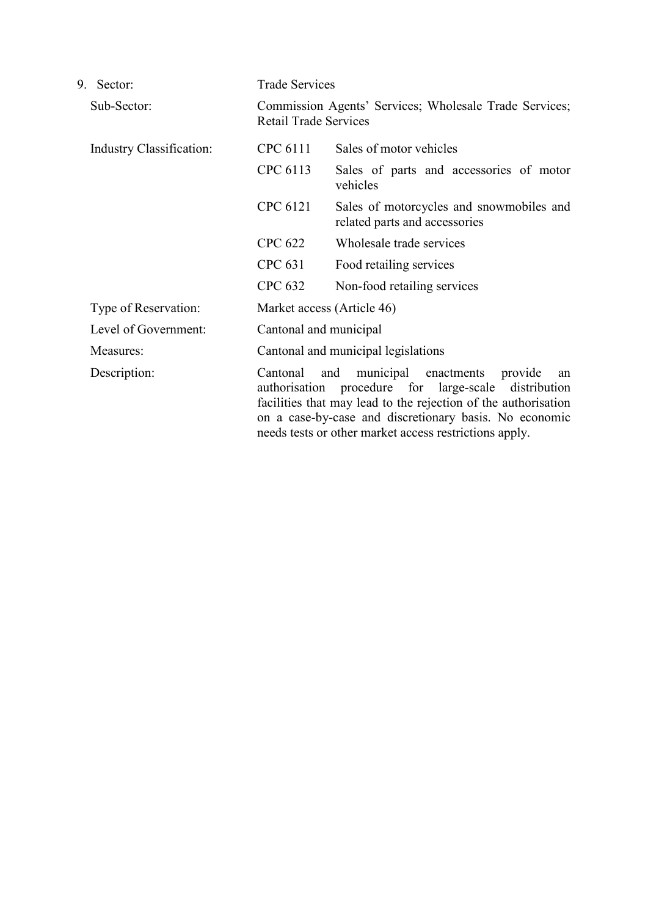| 9. | Sector:                         | <b>Trade Services</b>                                                                                                                                                                                                                                                                                                                                                                                 |                                                                           |  |
|----|---------------------------------|-------------------------------------------------------------------------------------------------------------------------------------------------------------------------------------------------------------------------------------------------------------------------------------------------------------------------------------------------------------------------------------------------------|---------------------------------------------------------------------------|--|
|    | Sub-Sector:                     | Commission Agents' Services; Wholesale Trade Services;<br><b>Retail Trade Services</b>                                                                                                                                                                                                                                                                                                                |                                                                           |  |
|    | <b>Industry Classification:</b> | CPC 6111                                                                                                                                                                                                                                                                                                                                                                                              | Sales of motor vehicles                                                   |  |
|    |                                 | CPC 6113                                                                                                                                                                                                                                                                                                                                                                                              | Sales of parts and accessories of motor<br>vehicles                       |  |
|    |                                 | CPC 6121                                                                                                                                                                                                                                                                                                                                                                                              | Sales of motorcycles and snowmobiles and<br>related parts and accessories |  |
|    |                                 | <b>CPC 622</b>                                                                                                                                                                                                                                                                                                                                                                                        | Wholesale trade services                                                  |  |
|    |                                 | <b>CPC 631</b>                                                                                                                                                                                                                                                                                                                                                                                        | Food retailing services                                                   |  |
|    |                                 | <b>CPC 632</b>                                                                                                                                                                                                                                                                                                                                                                                        | Non-food retailing services                                               |  |
|    | Type of Reservation:            | Market access (Article 46)<br>Cantonal and municipal<br>Cantonal and municipal legislations<br>municipal enactments<br>Cantonal<br>and<br>provide<br>an<br>authorisation procedure for large-scale distribution<br>facilities that may lead to the rejection of the authorisation<br>on a case-by-case and discretionary basis. No economic<br>needs tests or other market access restrictions apply. |                                                                           |  |
|    | Level of Government:            |                                                                                                                                                                                                                                                                                                                                                                                                       |                                                                           |  |
|    | Measures:                       |                                                                                                                                                                                                                                                                                                                                                                                                       |                                                                           |  |
|    | Description:                    |                                                                                                                                                                                                                                                                                                                                                                                                       |                                                                           |  |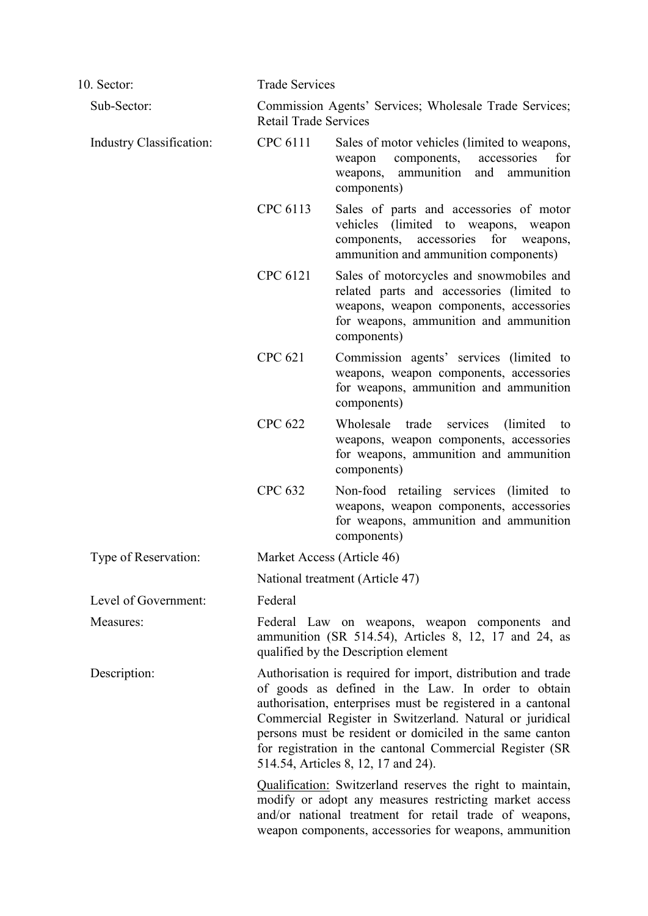| 10. Sector:              | <b>Trade Services</b> |                                                                                                                                                                                                                                                                                                                                                                                                              |  |  |
|--------------------------|-----------------------|--------------------------------------------------------------------------------------------------------------------------------------------------------------------------------------------------------------------------------------------------------------------------------------------------------------------------------------------------------------------------------------------------------------|--|--|
| Sub-Sector:              |                       | Commission Agents' Services; Wholesale Trade Services;<br><b>Retail Trade Services</b>                                                                                                                                                                                                                                                                                                                       |  |  |
| Industry Classification: | CPC 6111              | Sales of motor vehicles (limited to weapons,<br>components,<br>accessories<br>for<br>weapon<br>ammunition<br>and<br>ammunition<br>weapons,<br>components)                                                                                                                                                                                                                                                    |  |  |
|                          | CPC 6113              | Sales of parts and accessories of motor<br>vehicles (limited to weapons, weapon<br>for<br>components, accessories<br>weapons,<br>ammunition and ammunition components)                                                                                                                                                                                                                                       |  |  |
|                          | CPC 6121              | Sales of motorcycles and snowmobiles and<br>related parts and accessories (limited to<br>weapons, weapon components, accessories<br>for weapons, ammunition and ammunition<br>components)                                                                                                                                                                                                                    |  |  |
|                          | <b>CPC 621</b>        | Commission agents' services (limited to<br>weapons, weapon components, accessories<br>for weapons, ammunition and ammunition<br>components)                                                                                                                                                                                                                                                                  |  |  |
|                          | <b>CPC 622</b>        | Wholesale<br>trade<br>services<br>(limited)<br>to<br>weapons, weapon components, accessories<br>for weapons, ammunition and ammunition<br>components)                                                                                                                                                                                                                                                        |  |  |
|                          | <b>CPC 632</b>        | Non-food retailing services (limited to<br>weapons, weapon components, accessories<br>for weapons, ammunition and ammunition<br>components)                                                                                                                                                                                                                                                                  |  |  |
| Type of Reservation:     |                       | Market Access (Article 46)                                                                                                                                                                                                                                                                                                                                                                                   |  |  |
|                          |                       | National treatment (Article 47)                                                                                                                                                                                                                                                                                                                                                                              |  |  |
| Level of Government:     | Federal               |                                                                                                                                                                                                                                                                                                                                                                                                              |  |  |
| Measures:                |                       | Federal Law on weapons, weapon components and<br>ammunition (SR 514.54), Articles 8, 12, 17 and 24, as<br>qualified by the Description element                                                                                                                                                                                                                                                               |  |  |
| Description:             |                       | Authorisation is required for import, distribution and trade<br>of goods as defined in the Law. In order to obtain<br>authorisation, enterprises must be registered in a cantonal<br>Commercial Register in Switzerland. Natural or juridical<br>persons must be resident or domiciled in the same canton<br>for registration in the cantonal Commercial Register (SR<br>514.54, Articles 8, 12, 17 and 24). |  |  |
|                          |                       | <b>Qualification:</b> Switzerland reserves the right to maintain,<br>modify or adopt any measures restricting market access<br>and/or national treatment for retail trade of weapons,<br>weapon components, accessories for weapons, ammunition                                                                                                                                                              |  |  |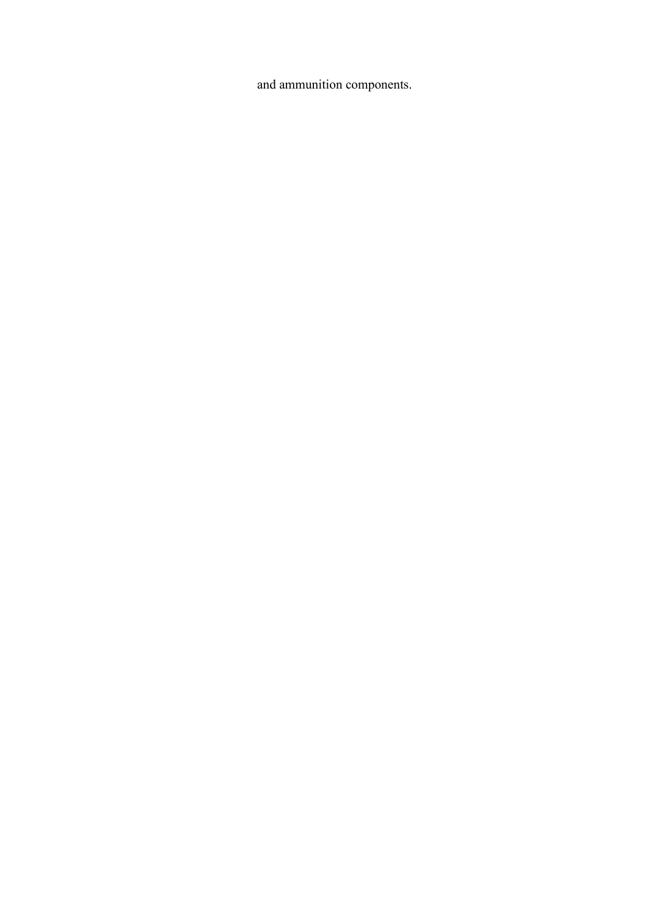and ammunition components.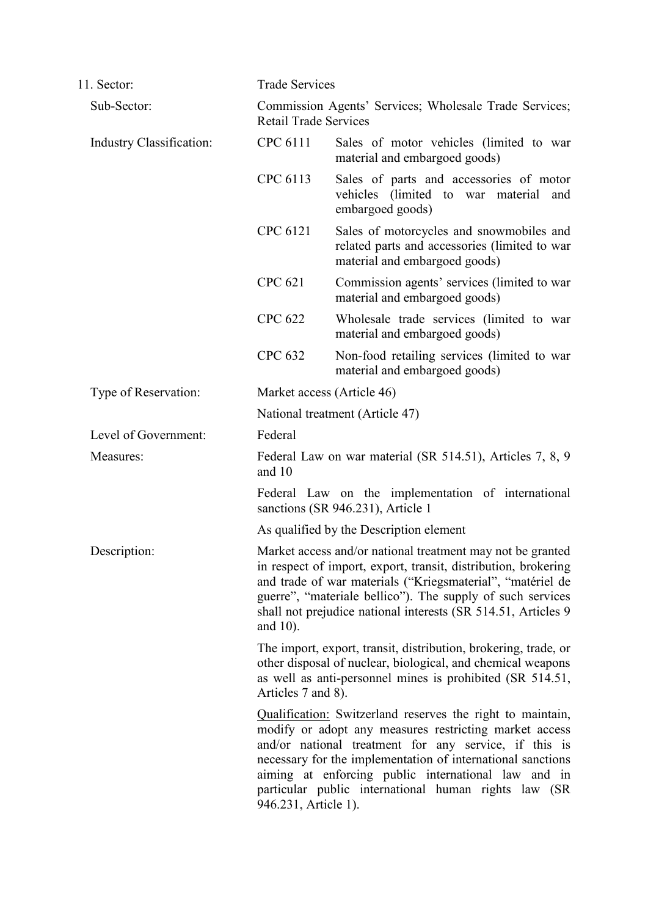| 11. Sector:              | <b>Trade Services</b>                                                                                                                                                                                                                                                                                                                                                                                                                                                                                                                                                                                                                                                                                                                                                                                                                                                                                                                              |                                                                                                                            |  |
|--------------------------|----------------------------------------------------------------------------------------------------------------------------------------------------------------------------------------------------------------------------------------------------------------------------------------------------------------------------------------------------------------------------------------------------------------------------------------------------------------------------------------------------------------------------------------------------------------------------------------------------------------------------------------------------------------------------------------------------------------------------------------------------------------------------------------------------------------------------------------------------------------------------------------------------------------------------------------------------|----------------------------------------------------------------------------------------------------------------------------|--|
| Sub-Sector:              | Commission Agents' Services; Wholesale Trade Services;<br><b>Retail Trade Services</b>                                                                                                                                                                                                                                                                                                                                                                                                                                                                                                                                                                                                                                                                                                                                                                                                                                                             |                                                                                                                            |  |
| Industry Classification: | CPC 6111                                                                                                                                                                                                                                                                                                                                                                                                                                                                                                                                                                                                                                                                                                                                                                                                                                                                                                                                           | Sales of motor vehicles (limited to war<br>material and embargoed goods)                                                   |  |
|                          | CPC 6113                                                                                                                                                                                                                                                                                                                                                                                                                                                                                                                                                                                                                                                                                                                                                                                                                                                                                                                                           | Sales of parts and accessories of motor<br>vehicles (limited to war material<br>and<br>embargoed goods)                    |  |
|                          | CPC 6121                                                                                                                                                                                                                                                                                                                                                                                                                                                                                                                                                                                                                                                                                                                                                                                                                                                                                                                                           | Sales of motorcycles and snowmobiles and<br>related parts and accessories (limited to war<br>material and embargoed goods) |  |
|                          | <b>CPC 621</b>                                                                                                                                                                                                                                                                                                                                                                                                                                                                                                                                                                                                                                                                                                                                                                                                                                                                                                                                     | Commission agents' services (limited to war<br>material and embargoed goods)                                               |  |
|                          | <b>CPC 622</b>                                                                                                                                                                                                                                                                                                                                                                                                                                                                                                                                                                                                                                                                                                                                                                                                                                                                                                                                     | Wholesale trade services (limited to war<br>material and embargoed goods)                                                  |  |
|                          | <b>CPC 632</b>                                                                                                                                                                                                                                                                                                                                                                                                                                                                                                                                                                                                                                                                                                                                                                                                                                                                                                                                     | Non-food retailing services (limited to war<br>material and embargoed goods)                                               |  |
| Type of Reservation:     |                                                                                                                                                                                                                                                                                                                                                                                                                                                                                                                                                                                                                                                                                                                                                                                                                                                                                                                                                    | Market access (Article 46)                                                                                                 |  |
|                          | National treatment (Article 47)                                                                                                                                                                                                                                                                                                                                                                                                                                                                                                                                                                                                                                                                                                                                                                                                                                                                                                                    |                                                                                                                            |  |
| Level of Government:     | Federal                                                                                                                                                                                                                                                                                                                                                                                                                                                                                                                                                                                                                                                                                                                                                                                                                                                                                                                                            |                                                                                                                            |  |
| Measures:                | and 10                                                                                                                                                                                                                                                                                                                                                                                                                                                                                                                                                                                                                                                                                                                                                                                                                                                                                                                                             | Federal Law on war material (SR 514.51), Articles 7, 8, 9                                                                  |  |
|                          | Federal Law on the implementation of international<br>sanctions (SR 946.231), Article 1                                                                                                                                                                                                                                                                                                                                                                                                                                                                                                                                                                                                                                                                                                                                                                                                                                                            |                                                                                                                            |  |
|                          |                                                                                                                                                                                                                                                                                                                                                                                                                                                                                                                                                                                                                                                                                                                                                                                                                                                                                                                                                    | As qualified by the Description element                                                                                    |  |
| Description:             | Market access and/or national treatment may not be granted<br>in respect of import, export, transit, distribution, brokering<br>and trade of war materials ("Kriegsmaterial", "matériel de<br>guerre", "materiale bellico"). The supply of such services<br>shall not prejudice national interests (SR 514.51, Articles 9)<br>and 10).<br>The import, export, transit, distribution, brokering, trade, or<br>other disposal of nuclear, biological, and chemical weapons<br>as well as anti-personnel mines is prohibited (SR 514.51,<br>Articles 7 and 8).<br>Qualification: Switzerland reserves the right to maintain,<br>modify or adopt any measures restricting market access<br>and/or national treatment for any service, if this is<br>necessary for the implementation of international sanctions<br>aiming at enforcing public international law and in<br>particular public international human rights law (SR<br>946.231, Article 1). |                                                                                                                            |  |
|                          |                                                                                                                                                                                                                                                                                                                                                                                                                                                                                                                                                                                                                                                                                                                                                                                                                                                                                                                                                    |                                                                                                                            |  |
|                          |                                                                                                                                                                                                                                                                                                                                                                                                                                                                                                                                                                                                                                                                                                                                                                                                                                                                                                                                                    |                                                                                                                            |  |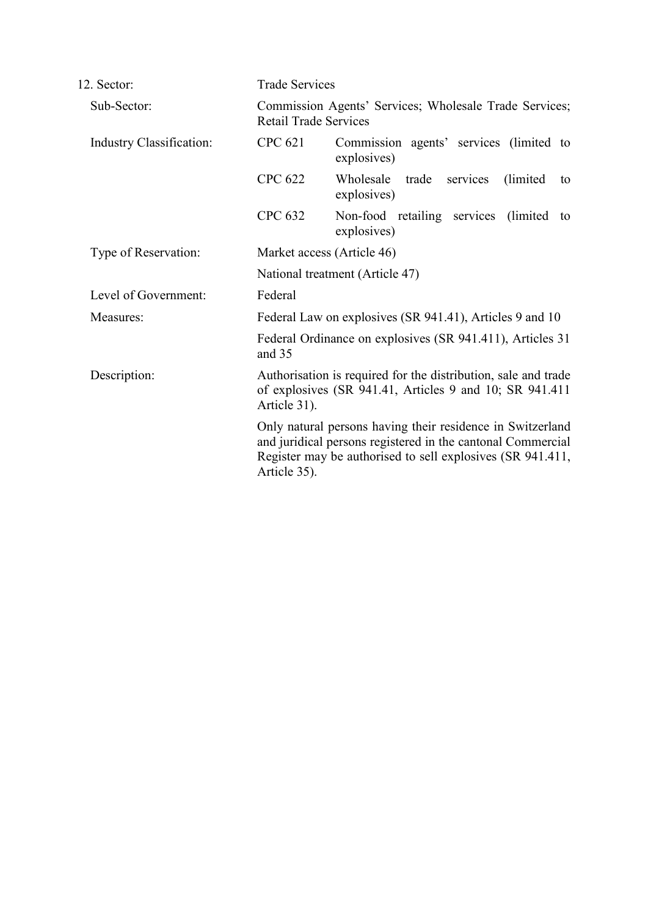| 12. Sector:                     |                                                               | <b>Trade Services</b>                                                                                                                                                                                                                                                                                                                |  |  |
|---------------------------------|---------------------------------------------------------------|--------------------------------------------------------------------------------------------------------------------------------------------------------------------------------------------------------------------------------------------------------------------------------------------------------------------------------------|--|--|
| Sub-Sector:                     |                                                               | Commission Agents' Services; Wholesale Trade Services;<br><b>Retail Trade Services</b>                                                                                                                                                                                                                                               |  |  |
| <b>Industry Classification:</b> | <b>CPC 621</b>                                                | Commission agents' services (limited to<br>explosives)                                                                                                                                                                                                                                                                               |  |  |
|                                 | <b>CPC 622</b>                                                | Wholesale<br>trade<br>services<br>(limited)<br>to<br>explosives)                                                                                                                                                                                                                                                                     |  |  |
|                                 | <b>CPC 632</b>                                                | Non-food retailing services (limited)<br>to<br>explosives)                                                                                                                                                                                                                                                                           |  |  |
| Type of Reservation:            | Market access (Article 46)<br>National treatment (Article 47) |                                                                                                                                                                                                                                                                                                                                      |  |  |
|                                 |                                                               |                                                                                                                                                                                                                                                                                                                                      |  |  |
| Level of Government:            | Federal                                                       |                                                                                                                                                                                                                                                                                                                                      |  |  |
| Measures:                       |                                                               | Federal Law on explosives (SR 941.41), Articles 9 and 10                                                                                                                                                                                                                                                                             |  |  |
|                                 | and 35                                                        | Federal Ordinance on explosives (SR 941.411), Articles 31                                                                                                                                                                                                                                                                            |  |  |
| Description:                    | Article 31).                                                  | Authorisation is required for the distribution, sale and trade<br>of explosives (SR 941.41, Articles 9 and 10; SR 941.411<br>Only natural persons having their residence in Switzerland<br>and juridical persons registered in the cantonal Commercial<br>Register may be authorised to sell explosives (SR 941.411,<br>Article 35). |  |  |
|                                 |                                                               |                                                                                                                                                                                                                                                                                                                                      |  |  |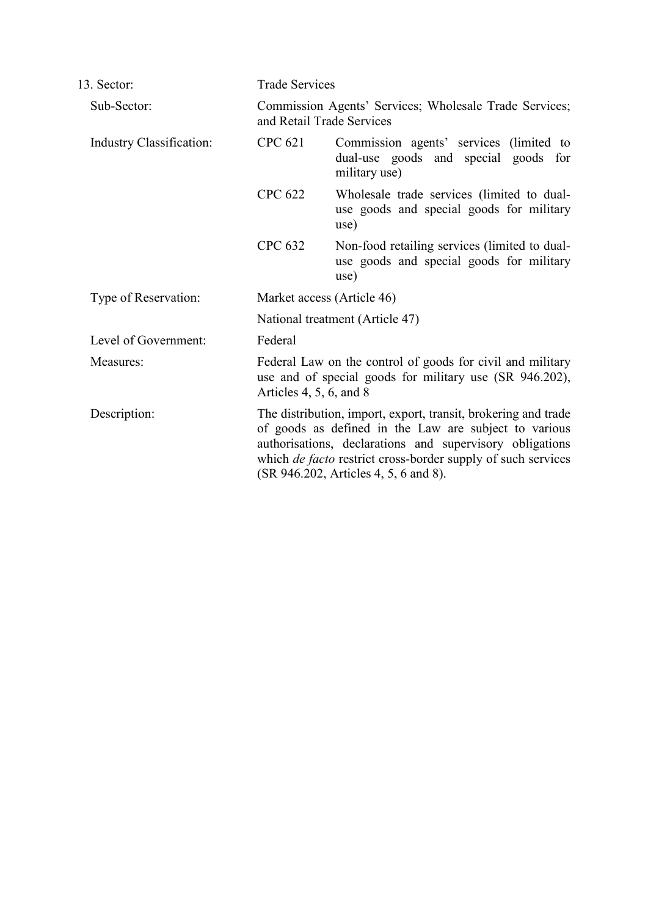| 13. Sector:                     | <b>Trade Services</b>                                                                                                                                                                                                                                                                               |                                                                                                   |
|---------------------------------|-----------------------------------------------------------------------------------------------------------------------------------------------------------------------------------------------------------------------------------------------------------------------------------------------------|---------------------------------------------------------------------------------------------------|
| Sub-Sector:                     | Commission Agents' Services; Wholesale Trade Services;<br>and Retail Trade Services                                                                                                                                                                                                                 |                                                                                                   |
| <b>Industry Classification:</b> | <b>CPC 621</b>                                                                                                                                                                                                                                                                                      | Commission agents' services (limited to<br>dual-use goods and special goods for<br>military use)  |
|                                 | <b>CPC 622</b>                                                                                                                                                                                                                                                                                      | Wholesale trade services (limited to dual-<br>use goods and special goods for military<br>use)    |
|                                 | <b>CPC 632</b>                                                                                                                                                                                                                                                                                      | Non-food retailing services (limited to dual-<br>use goods and special goods for military<br>use) |
| Type of Reservation:            | Market access (Article 46)                                                                                                                                                                                                                                                                          |                                                                                                   |
|                                 | National treatment (Article 47)                                                                                                                                                                                                                                                                     |                                                                                                   |
| Level of Government:            | Federal                                                                                                                                                                                                                                                                                             |                                                                                                   |
| Measures:                       | Federal Law on the control of goods for civil and military<br>use and of special goods for military use (SR 946.202),<br>Articles $4, 5, 6,$ and $8$                                                                                                                                                |                                                                                                   |
| Description:                    | The distribution, import, export, transit, brokering and trade<br>of goods as defined in the Law are subject to various<br>authorisations, declarations and supervisory obligations<br>which <i>de facto</i> restrict cross-border supply of such services<br>(SR 946.202, Articles 4, 5, 6 and 8). |                                                                                                   |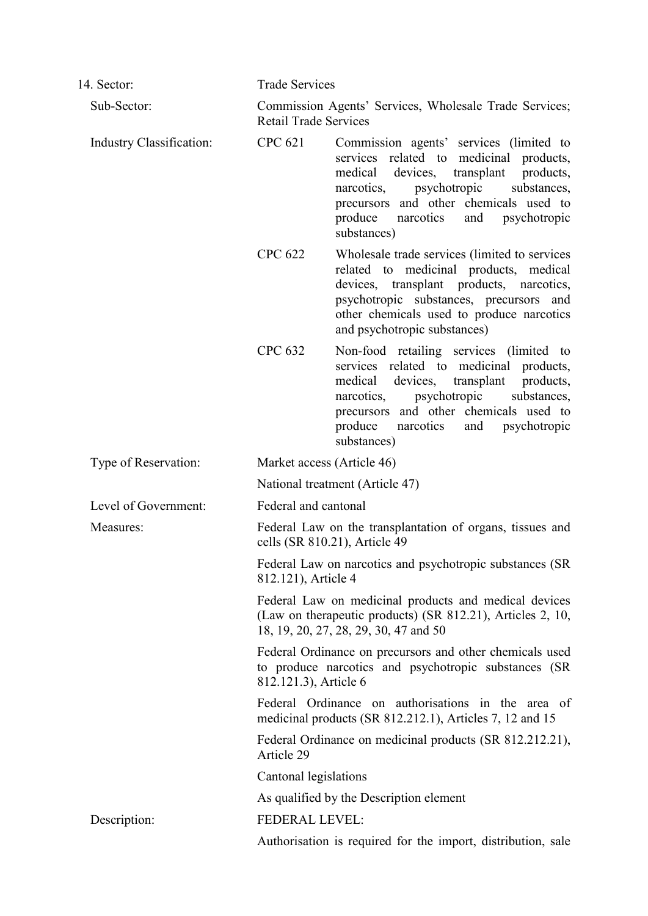| 14. Sector:                     | <b>Trade Services</b>                                                                                          |                                                                                                                                                                                                                                                                                  |  |
|---------------------------------|----------------------------------------------------------------------------------------------------------------|----------------------------------------------------------------------------------------------------------------------------------------------------------------------------------------------------------------------------------------------------------------------------------|--|
| Sub-Sector:                     | Commission Agents' Services, Wholesale Trade Services;<br><b>Retail Trade Services</b>                         |                                                                                                                                                                                                                                                                                  |  |
| <b>Industry Classification:</b> | <b>CPC 621</b>                                                                                                 | Commission agents' services (limited to<br>services related to medicinal products,<br>medical devices, transplant<br>products,<br>psychotropic<br>substances,<br>narcotics,<br>precursors and other chemicals used to<br>produce<br>narcotics<br>and psychotropic<br>substances) |  |
|                                 | <b>CPC 622</b>                                                                                                 | Wholesale trade services (limited to services<br>related to medicinal products, medical<br>devices, transplant products, narcotics,<br>psychotropic substances, precursors and<br>other chemicals used to produce narcotics<br>and psychotropic substances)                      |  |
|                                 | <b>CPC 632</b>                                                                                                 | Non-food retailing services (limited to<br>services related to medicinal products,<br>medical devices, transplant<br>products,<br>psychotropic<br>narcotics,<br>substances,<br>precursors and other chemicals used to<br>produce<br>and psychotropic<br>narcotics<br>substances) |  |
| Type of Reservation:            | Market access (Article 46)                                                                                     |                                                                                                                                                                                                                                                                                  |  |
|                                 | National treatment (Article 47)<br>Federal and cantonal                                                        |                                                                                                                                                                                                                                                                                  |  |
| Level of Government:            |                                                                                                                |                                                                                                                                                                                                                                                                                  |  |
| Measures:                       | Federal Law on the transplantation of organs, tissues and<br>cells (SR 810.21), Article 49                     |                                                                                                                                                                                                                                                                                  |  |
|                                 | Federal Law on narcotics and psychotropic substances (SR<br>812.121), Article 4                                |                                                                                                                                                                                                                                                                                  |  |
|                                 |                                                                                                                | Federal Law on medicinal products and medical devices<br>(Law on therapeutic products) (SR 812.21), Articles 2, 10,<br>18, 19, 20, 27, 28, 29, 30, 47 and 50                                                                                                                     |  |
|                                 | 812.121.3), Article 6                                                                                          | Federal Ordinance on precursors and other chemicals used<br>to produce narcotics and psychotropic substances (SR                                                                                                                                                                 |  |
|                                 | Federal Ordinance on authorisations in the area of<br>medicinal products (SR 812.212.1), Articles 7, 12 and 15 |                                                                                                                                                                                                                                                                                  |  |
|                                 | Federal Ordinance on medicinal products (SR 812.212.21),<br>Article 29                                         |                                                                                                                                                                                                                                                                                  |  |
|                                 | Cantonal legislations                                                                                          |                                                                                                                                                                                                                                                                                  |  |
|                                 |                                                                                                                | As qualified by the Description element                                                                                                                                                                                                                                          |  |
| Description:                    | <b>FEDERAL LEVEL:</b>                                                                                          |                                                                                                                                                                                                                                                                                  |  |
|                                 | Authorisation is required for the import, distribution, sale                                                   |                                                                                                                                                                                                                                                                                  |  |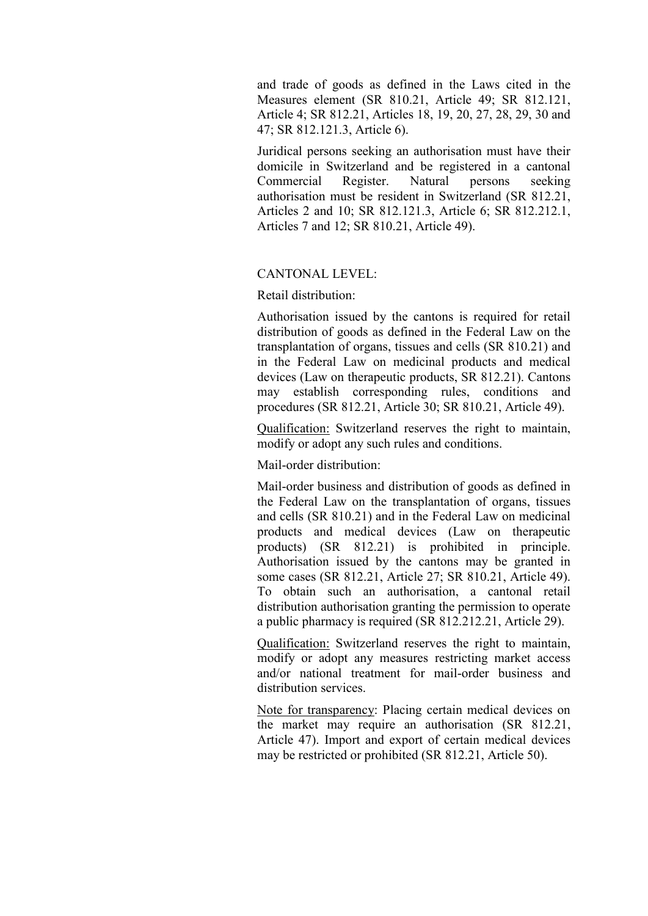and trade of goods as defined in the Laws cited in the Measures element (SR 810.21, Article 49; SR 812.121, Article 4; SR 812.21, Articles 18, 19, 20, 27, 28, 29, 30 and 47; SR 812.121.3, Article 6).

Juridical persons seeking an authorisation must have their domicile in Switzerland and be registered in a cantonal Commercial Register. Natural persons seeking authorisation must be resident in Switzerland (SR 812.21, Articles 2 and 10; SR 812.121.3, Article 6; SR 812.212.1, Articles 7 and 12; SR 810.21, Article 49).

## CANTONAL LEVEL:

Retail distribution:

Authorisation issued by the cantons is required for retail distribution of goods as defined in the Federal Law on the transplantation of organs, tissues and cells (SR 810.21) and in the Federal Law on medicinal products and medical devices (Law on therapeutic products, SR 812.21). Cantons may establish corresponding rules, conditions and procedures (SR 812.21, Article 30; SR 810.21, Article 49).

Qualification: Switzerland reserves the right to maintain, modify or adopt any such rules and conditions.

Mail-order distribution:

Mail-order business and distribution of goods as defined in the Federal Law on the transplantation of organs, tissues and cells (SR 810.21) and in the Federal Law on medicinal products and medical devices (Law on therapeutic products) (SR 812.21) is prohibited in principle. Authorisation issued by the cantons may be granted in some cases (SR 812.21, Article 27; SR 810.21, Article 49). To obtain such an authorisation, a cantonal retail distribution authorisation granting the permission to operate a public pharmacy is required (SR 812.212.21, Article 29).

Qualification: Switzerland reserves the right to maintain, modify or adopt any measures restricting market access and/or national treatment for mail-order business and distribution services.

Note for transparency: Placing certain medical devices on the market may require an authorisation (SR 812.21, Article 47). Import and export of certain medical devices may be restricted or prohibited (SR 812.21, Article 50).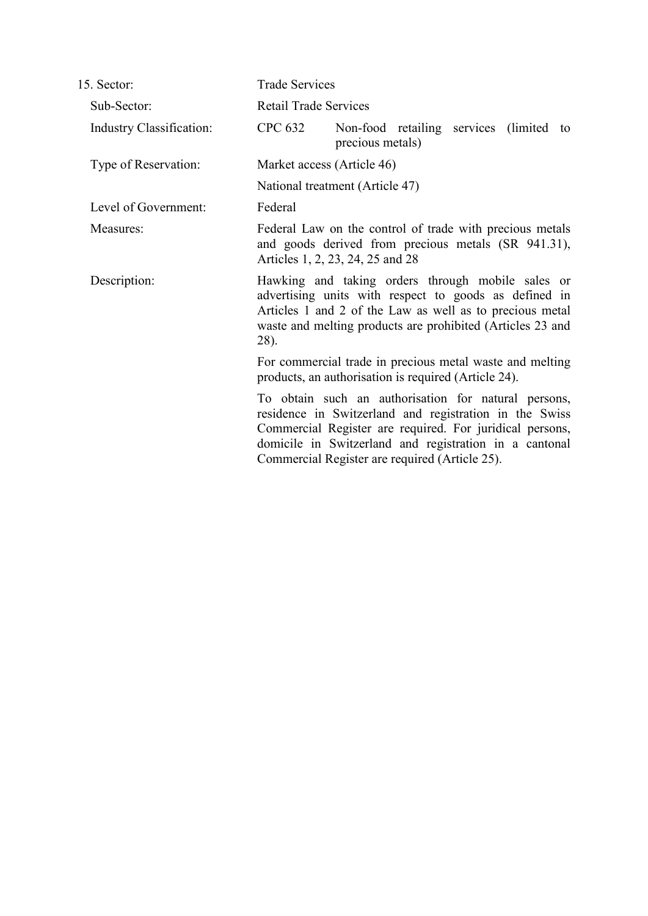| 15. Sector:                     | <b>Trade Services</b>                                                                                                                                                                                                                                                                  |  |  |  |
|---------------------------------|----------------------------------------------------------------------------------------------------------------------------------------------------------------------------------------------------------------------------------------------------------------------------------------|--|--|--|
| Sub-Sector:                     | <b>Retail Trade Services</b>                                                                                                                                                                                                                                                           |  |  |  |
| <b>Industry Classification:</b> | <b>CPC 632</b><br>Non-food retailing services (limited to<br>precious metals)                                                                                                                                                                                                          |  |  |  |
| Type of Reservation:            | Market access (Article 46)                                                                                                                                                                                                                                                             |  |  |  |
|                                 | National treatment (Article 47)                                                                                                                                                                                                                                                        |  |  |  |
| Level of Government:            | Federal                                                                                                                                                                                                                                                                                |  |  |  |
| Measures:                       | Federal Law on the control of trade with precious metals<br>and goods derived from precious metals (SR 941.31),<br>Articles 1, 2, 23, 24, 25 and 28                                                                                                                                    |  |  |  |
| Description:                    | Hawking and taking orders through mobile sales or<br>advertising units with respect to goods as defined in<br>Articles 1 and 2 of the Law as well as to precious metal<br>waste and melting products are prohibited (Articles 23 and<br>28).                                           |  |  |  |
|                                 | For commercial trade in precious metal waste and melting<br>products, an authorisation is required (Article 24).                                                                                                                                                                       |  |  |  |
|                                 | To obtain such an authorisation for natural persons,<br>residence in Switzerland and registration in the Swiss<br>Commercial Register are required. For juridical persons,<br>domicile in Switzerland and registration in a cantonal<br>Commercial Register are required (Article 25). |  |  |  |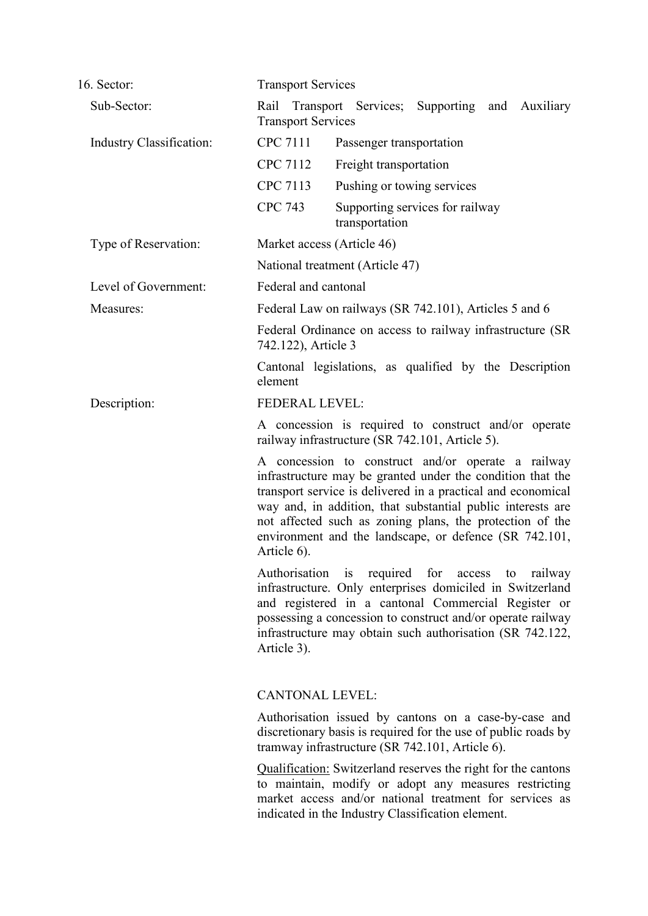| 16. Sector:                     | <b>Transport Services</b>                                                                                                                                                                                                                                                                                                                                                            |                                                                                                                                                                                                                                                                                                 |  |  |
|---------------------------------|--------------------------------------------------------------------------------------------------------------------------------------------------------------------------------------------------------------------------------------------------------------------------------------------------------------------------------------------------------------------------------------|-------------------------------------------------------------------------------------------------------------------------------------------------------------------------------------------------------------------------------------------------------------------------------------------------|--|--|
| Sub-Sector:                     | <b>Transport Services</b>                                                                                                                                                                                                                                                                                                                                                            | Rail Transport Services; Supporting and<br>Auxiliary                                                                                                                                                                                                                                            |  |  |
| <b>Industry Classification:</b> | <b>CPC 7111</b>                                                                                                                                                                                                                                                                                                                                                                      | Passenger transportation                                                                                                                                                                                                                                                                        |  |  |
|                                 | CPC 7112                                                                                                                                                                                                                                                                                                                                                                             | Freight transportation                                                                                                                                                                                                                                                                          |  |  |
|                                 | CPC 7113                                                                                                                                                                                                                                                                                                                                                                             | Pushing or towing services                                                                                                                                                                                                                                                                      |  |  |
|                                 | <b>CPC 743</b>                                                                                                                                                                                                                                                                                                                                                                       | Supporting services for railway<br>transportation                                                                                                                                                                                                                                               |  |  |
| Type of Reservation:            | Market access (Article 46)                                                                                                                                                                                                                                                                                                                                                           |                                                                                                                                                                                                                                                                                                 |  |  |
|                                 |                                                                                                                                                                                                                                                                                                                                                                                      | National treatment (Article 47)                                                                                                                                                                                                                                                                 |  |  |
| Level of Government:            | Federal and cantonal                                                                                                                                                                                                                                                                                                                                                                 |                                                                                                                                                                                                                                                                                                 |  |  |
| Measures:                       | Federal Law on railways (SR 742.101), Articles 5 and 6<br>Federal Ordinance on access to railway infrastructure (SR<br>742.122), Article 3                                                                                                                                                                                                                                           |                                                                                                                                                                                                                                                                                                 |  |  |
|                                 |                                                                                                                                                                                                                                                                                                                                                                                      |                                                                                                                                                                                                                                                                                                 |  |  |
|                                 | element                                                                                                                                                                                                                                                                                                                                                                              | Cantonal legislations, as qualified by the Description                                                                                                                                                                                                                                          |  |  |
| Description:                    | <b>FEDERAL LEVEL:</b>                                                                                                                                                                                                                                                                                                                                                                |                                                                                                                                                                                                                                                                                                 |  |  |
|                                 | A concession is required to construct and/or operate<br>railway infrastructure (SR 742.101, Article 5).                                                                                                                                                                                                                                                                              |                                                                                                                                                                                                                                                                                                 |  |  |
|                                 | A concession to construct and/or operate a railway<br>infrastructure may be granted under the condition that the<br>transport service is delivered in a practical and economical<br>way and, in addition, that substantial public interests are<br>not affected such as zoning plans, the protection of the<br>environment and the landscape, or defence (SR 742.101,<br>Article 6). |                                                                                                                                                                                                                                                                                                 |  |  |
|                                 | Article 3).                                                                                                                                                                                                                                                                                                                                                                          | Authorisation is required for access to railway<br>infrastructure. Only enterprises domiciled in Switzerland<br>and registered in a cantonal Commercial Register or<br>possessing a concession to construct and/or operate railway<br>infrastructure may obtain such authorisation (SR 742.122, |  |  |
|                                 | <b>CANTONAL LEVEL:</b>                                                                                                                                                                                                                                                                                                                                                               |                                                                                                                                                                                                                                                                                                 |  |  |
|                                 |                                                                                                                                                                                                                                                                                                                                                                                      | Authorisation issued by cantons on a case-by-case and<br>discretionary basis is required for the use of public roads by<br>tramway infrastructure (SR 742.101, Article 6).                                                                                                                      |  |  |
|                                 |                                                                                                                                                                                                                                                                                                                                                                                      | <b>Qualification:</b> Switzerland reserves the right for the cantons<br>to maintain, modify or adopt any measures restricting<br>market access and/or national treatment for services as<br>indicated in the Industry Classification element.                                                   |  |  |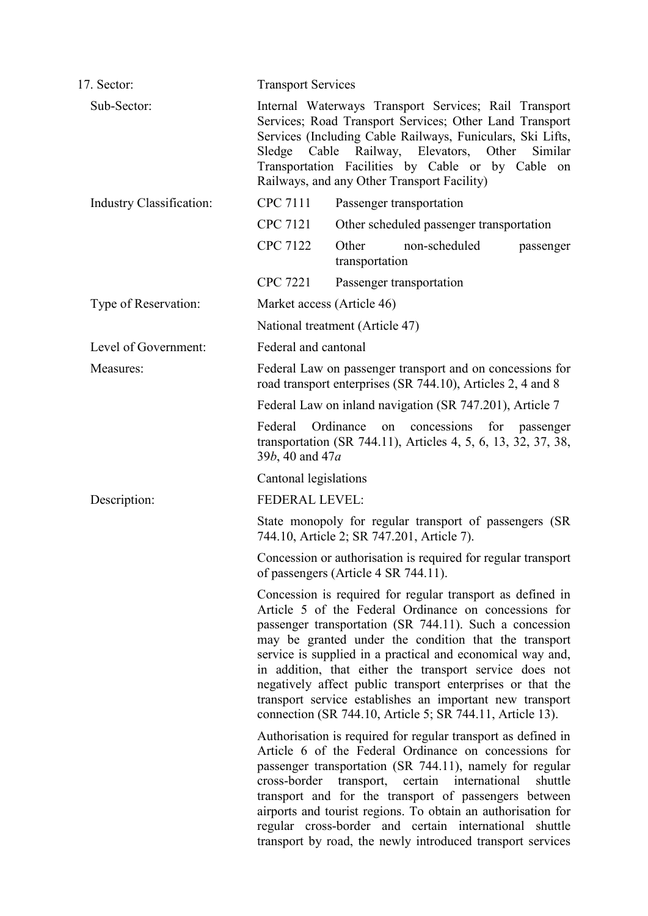| 17. Sector:                     | <b>Transport Services</b>                                                                                                                                                                                                                                                                                                                                                                                                                                                                                                                               |  |  |
|---------------------------------|---------------------------------------------------------------------------------------------------------------------------------------------------------------------------------------------------------------------------------------------------------------------------------------------------------------------------------------------------------------------------------------------------------------------------------------------------------------------------------------------------------------------------------------------------------|--|--|
| Sub-Sector:                     | Internal Waterways Transport Services; Rail Transport<br>Services; Road Transport Services; Other Land Transport<br>Services (Including Cable Railways, Funiculars, Ski Lifts,<br>Railway, Elevators,<br>Other<br>Similar<br>Sledge<br>Cable<br>Transportation Facilities by Cable or by Cable on<br>Railways, and any Other Transport Facility)                                                                                                                                                                                                        |  |  |
| <b>Industry Classification:</b> | <b>CPC 7111</b><br>Passenger transportation                                                                                                                                                                                                                                                                                                                                                                                                                                                                                                             |  |  |
|                                 | <b>CPC 7121</b><br>Other scheduled passenger transportation                                                                                                                                                                                                                                                                                                                                                                                                                                                                                             |  |  |
|                                 | <b>CPC 7122</b><br>Other<br>non-scheduled<br>passenger<br>transportation                                                                                                                                                                                                                                                                                                                                                                                                                                                                                |  |  |
|                                 | <b>CPC 7221</b><br>Passenger transportation                                                                                                                                                                                                                                                                                                                                                                                                                                                                                                             |  |  |
| Type of Reservation:            | Market access (Article 46)                                                                                                                                                                                                                                                                                                                                                                                                                                                                                                                              |  |  |
|                                 | National treatment (Article 47)                                                                                                                                                                                                                                                                                                                                                                                                                                                                                                                         |  |  |
| Level of Government:            | Federal and cantonal                                                                                                                                                                                                                                                                                                                                                                                                                                                                                                                                    |  |  |
| Measures:                       | Federal Law on passenger transport and on concessions for<br>road transport enterprises (SR 744.10), Articles 2, 4 and 8                                                                                                                                                                                                                                                                                                                                                                                                                                |  |  |
|                                 | Federal Law on inland navigation (SR 747.201), Article 7                                                                                                                                                                                                                                                                                                                                                                                                                                                                                                |  |  |
|                                 | Federal<br>Ordinance<br>concessions for<br>on<br>passenger<br>transportation (SR 744.11), Articles 4, 5, 6, 13, 32, 37, 38,<br>39b, 40 and 47a                                                                                                                                                                                                                                                                                                                                                                                                          |  |  |
|                                 | Cantonal legislations                                                                                                                                                                                                                                                                                                                                                                                                                                                                                                                                   |  |  |
| Description:                    | <b>FEDERAL LEVEL:</b>                                                                                                                                                                                                                                                                                                                                                                                                                                                                                                                                   |  |  |
|                                 | State monopoly for regular transport of passengers (SR<br>744.10, Article 2; SR 747.201, Article 7).                                                                                                                                                                                                                                                                                                                                                                                                                                                    |  |  |
|                                 | Concession or authorisation is required for regular transport<br>of passengers (Article 4 SR 744.11).                                                                                                                                                                                                                                                                                                                                                                                                                                                   |  |  |
|                                 | Concession is required for regular transport as defined in<br>Article 5 of the Federal Ordinance on concessions for<br>passenger transportation (SR 744.11). Such a concession<br>may be granted under the condition that the transport<br>service is supplied in a practical and economical way and,<br>in addition, that either the transport service does not<br>negatively affect public transport enterprises or that the<br>transport service establishes an important new transport<br>connection (SR 744.10, Article 5; SR 744.11, Article 13). |  |  |
|                                 | Authorisation is required for regular transport as defined in<br>Article 6 of the Federal Ordinance on concessions for<br>passenger transportation (SR 744.11), namely for regular<br>cross-border transport,<br>certain international<br>shuttle<br>transport and for the transport of passengers between<br>airports and tourist regions. To obtain an authorisation for<br>regular cross-border and certain international shuttle<br>transport by road, the newly introduced transport services                                                      |  |  |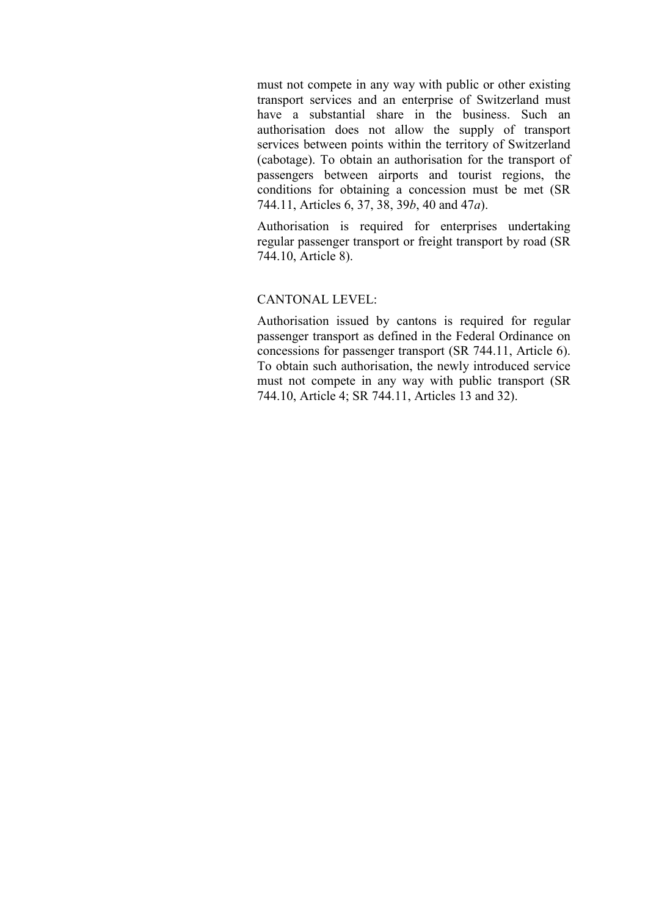must not compete in any way with public or other existing transport services and an enterprise of Switzerland must have a substantial share in the business. Such an authorisation does not allow the supply of transport services between points within the territory of Switzerland (cabotage). To obtain an authorisation for the transport of passengers between airports and tourist regions, the conditions for obtaining a concession must be met (SR 744.11, Articles 6, 37, 38, 39*b*, 40 and 47*a*).

Authorisation is required for enterprises undertaking regular passenger transport or freight transport by road (SR 744.10, Article 8).

## CANTONAL LEVEL:

Authorisation issued by cantons is required for regular passenger transport as defined in the Federal Ordinance on concessions for passenger transport (SR 744.11, Article 6). To obtain such authorisation, the newly introduced service must not compete in any way with public transport (SR 744.10, Article 4; SR 744.11, Articles 13 and 32).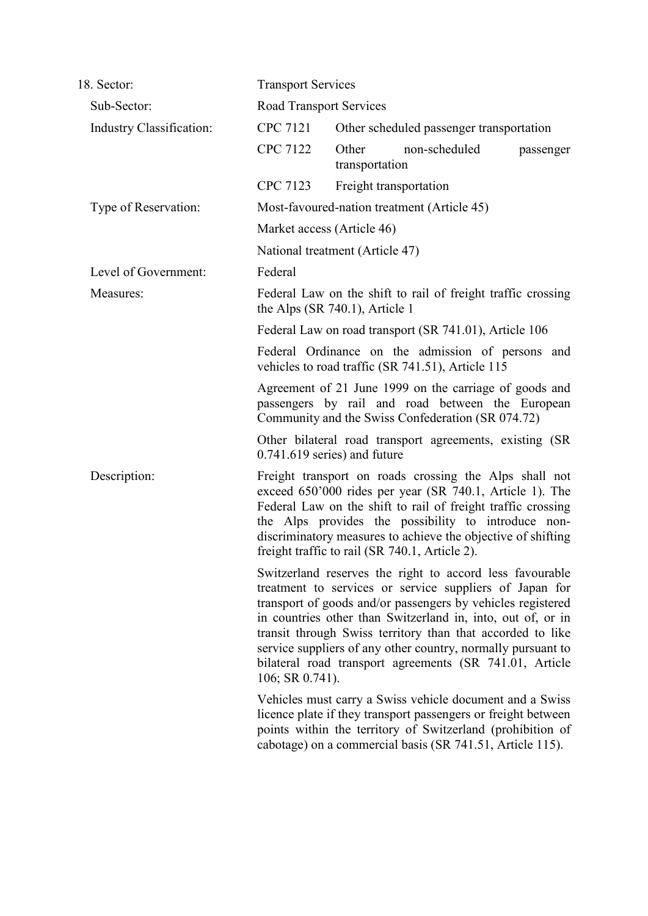| 18. Sector:                     | <b>Transport Services</b>                                                                                                                                                                                                                                                                                                                                                                                                                                     |  |  |  |  |
|---------------------------------|---------------------------------------------------------------------------------------------------------------------------------------------------------------------------------------------------------------------------------------------------------------------------------------------------------------------------------------------------------------------------------------------------------------------------------------------------------------|--|--|--|--|
| Sub-Sector:                     | <b>Road Transport Services</b>                                                                                                                                                                                                                                                                                                                                                                                                                                |  |  |  |  |
| <b>Industry Classification:</b> | <b>CPC 7121</b><br>Other scheduled passenger transportation                                                                                                                                                                                                                                                                                                                                                                                                   |  |  |  |  |
|                                 | <b>CPC 7122</b><br>Other<br>non-scheduled<br>passenger<br>transportation                                                                                                                                                                                                                                                                                                                                                                                      |  |  |  |  |
|                                 | CPC 7123<br>Freight transportation                                                                                                                                                                                                                                                                                                                                                                                                                            |  |  |  |  |
| Type of Reservation:            | Most-favoured-nation treatment (Article 45)                                                                                                                                                                                                                                                                                                                                                                                                                   |  |  |  |  |
|                                 | Market access (Article 46)                                                                                                                                                                                                                                                                                                                                                                                                                                    |  |  |  |  |
|                                 | National treatment (Article 47)                                                                                                                                                                                                                                                                                                                                                                                                                               |  |  |  |  |
| Level of Government:            | Federal                                                                                                                                                                                                                                                                                                                                                                                                                                                       |  |  |  |  |
| Measures:                       | Federal Law on the shift to rail of freight traffic crossing<br>the Alps $(SR 740.1)$ , Article 1                                                                                                                                                                                                                                                                                                                                                             |  |  |  |  |
|                                 | Federal Law on road transport (SR 741.01), Article 106                                                                                                                                                                                                                                                                                                                                                                                                        |  |  |  |  |
|                                 | Federal Ordinance on the admission of persons and<br>vehicles to road traffic (SR 741.51), Article 115                                                                                                                                                                                                                                                                                                                                                        |  |  |  |  |
|                                 | Agreement of 21 June 1999 on the carriage of goods and<br>passengers by rail and road between the European<br>Community and the Swiss Confederation (SR 074.72)                                                                                                                                                                                                                                                                                               |  |  |  |  |
|                                 | Other bilateral road transport agreements, existing (SR)<br>$0.741.619$ series) and future                                                                                                                                                                                                                                                                                                                                                                    |  |  |  |  |
| Description:                    | Freight transport on roads crossing the Alps shall not<br>exceed 650'000 rides per year (SR 740.1, Article 1). The<br>Federal Law on the shift to rail of freight traffic crossing<br>the Alps provides the possibility to introduce non-<br>discriminatory measures to achieve the objective of shifting<br>freight traffic to rail (SR 740.1, Article 2).                                                                                                   |  |  |  |  |
|                                 | Switzerland reserves the right to accord less favourable<br>treatment to services or service suppliers of Japan for<br>transport of goods and/or passengers by vehicles registered<br>in countries other than Switzerland in, into, out of, or in<br>transit through Swiss territory than that accorded to like<br>service suppliers of any other country, normally pursuant to<br>bilateral road transport agreements (SR 741.01, Article<br>106; SR 0.741). |  |  |  |  |
|                                 | Vehicles must carry a Swiss vehicle document and a Swiss<br>licence plate if they transport passengers or freight between<br>points within the territory of Switzerland (prohibition of<br>cabotage) on a commercial basis (SR 741.51, Article 115).                                                                                                                                                                                                          |  |  |  |  |
|                                 |                                                                                                                                                                                                                                                                                                                                                                                                                                                               |  |  |  |  |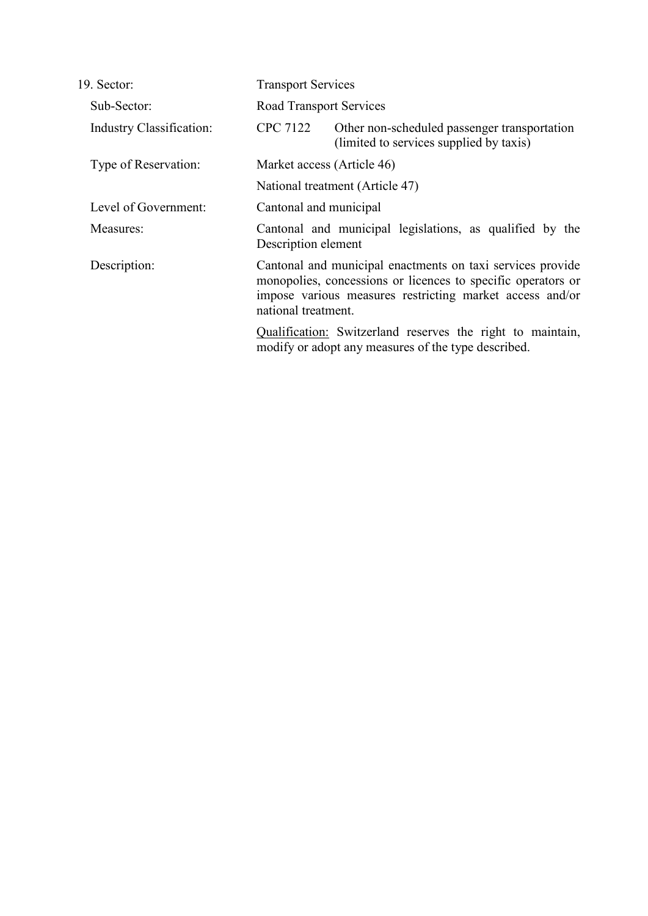| 19. Sector:                     | <b>Transport Services</b>                                                                                                                                                                                     |                                                                                                                   |  |
|---------------------------------|---------------------------------------------------------------------------------------------------------------------------------------------------------------------------------------------------------------|-------------------------------------------------------------------------------------------------------------------|--|
| Sub-Sector:                     | <b>Road Transport Services</b>                                                                                                                                                                                |                                                                                                                   |  |
| <b>Industry Classification:</b> | CPC 7122                                                                                                                                                                                                      | Other non-scheduled passenger transportation<br>(limited to services supplied by taxis)                           |  |
| Type of Reservation:            | Market access (Article 46)                                                                                                                                                                                    |                                                                                                                   |  |
|                                 | National treatment (Article 47)                                                                                                                                                                               |                                                                                                                   |  |
| Level of Government:            | Cantonal and municipal                                                                                                                                                                                        |                                                                                                                   |  |
| Measures:                       | Cantonal and municipal legislations, as qualified by the<br>Description element                                                                                                                               |                                                                                                                   |  |
| Description:                    | Cantonal and municipal enactments on taxi services provide<br>monopolies, concessions or licences to specific operators or<br>impose various measures restricting market access and/or<br>national treatment. |                                                                                                                   |  |
|                                 |                                                                                                                                                                                                               | Qualification: Switzerland reserves the right to maintain,<br>modify or adopt any measures of the type described. |  |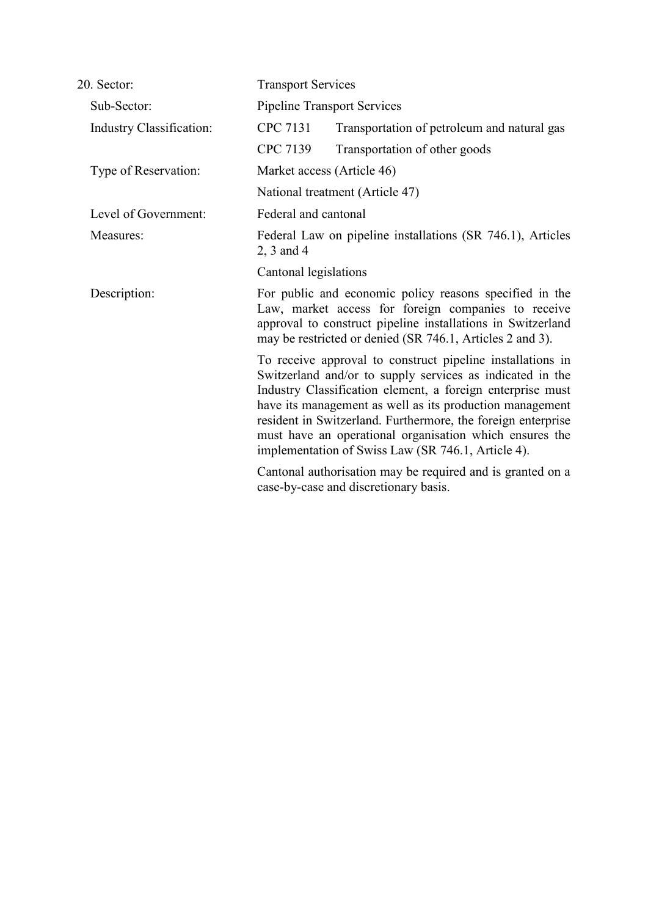| 20. Sector:                     |                                                                          | <b>Transport Services</b>                                                                                                                                                                                                                                                                                                                                                                                                          |  |  |
|---------------------------------|--------------------------------------------------------------------------|------------------------------------------------------------------------------------------------------------------------------------------------------------------------------------------------------------------------------------------------------------------------------------------------------------------------------------------------------------------------------------------------------------------------------------|--|--|
| Sub-Sector:                     |                                                                          | <b>Pipeline Transport Services</b>                                                                                                                                                                                                                                                                                                                                                                                                 |  |  |
| <b>Industry Classification:</b> | <b>CPC 7131</b>                                                          | Transportation of petroleum and natural gas                                                                                                                                                                                                                                                                                                                                                                                        |  |  |
|                                 | CPC 7139                                                                 | Transportation of other goods                                                                                                                                                                                                                                                                                                                                                                                                      |  |  |
| Type of Reservation:            |                                                                          | Market access (Article 46)                                                                                                                                                                                                                                                                                                                                                                                                         |  |  |
|                                 |                                                                          | National treatment (Article 47)                                                                                                                                                                                                                                                                                                                                                                                                    |  |  |
| Level of Government:            |                                                                          | Federal and cantonal                                                                                                                                                                                                                                                                                                                                                                                                               |  |  |
| Measures:                       | Federal Law on pipeline installations (SR 746.1), Articles<br>2, 3 and 4 |                                                                                                                                                                                                                                                                                                                                                                                                                                    |  |  |
|                                 | Cantonal legislations                                                    |                                                                                                                                                                                                                                                                                                                                                                                                                                    |  |  |
| Description:                    |                                                                          | For public and economic policy reasons specified in the<br>Law, market access for foreign companies to receive<br>approval to construct pipeline installations in Switzerland<br>may be restricted or denied (SR 746.1, Articles 2 and 3).                                                                                                                                                                                         |  |  |
|                                 |                                                                          | To receive approval to construct pipeline installations in<br>Switzerland and/or to supply services as indicated in the<br>Industry Classification element, a foreign enterprise must<br>have its management as well as its production management<br>resident in Switzerland. Furthermore, the foreign enterprise<br>must have an operational organisation which ensures the<br>implementation of Swiss Law (SR 746.1, Article 4). |  |  |
|                                 |                                                                          | Cantonal authorisation may be required and is granted on a<br>case-by-case and discretionary basis.                                                                                                                                                                                                                                                                                                                                |  |  |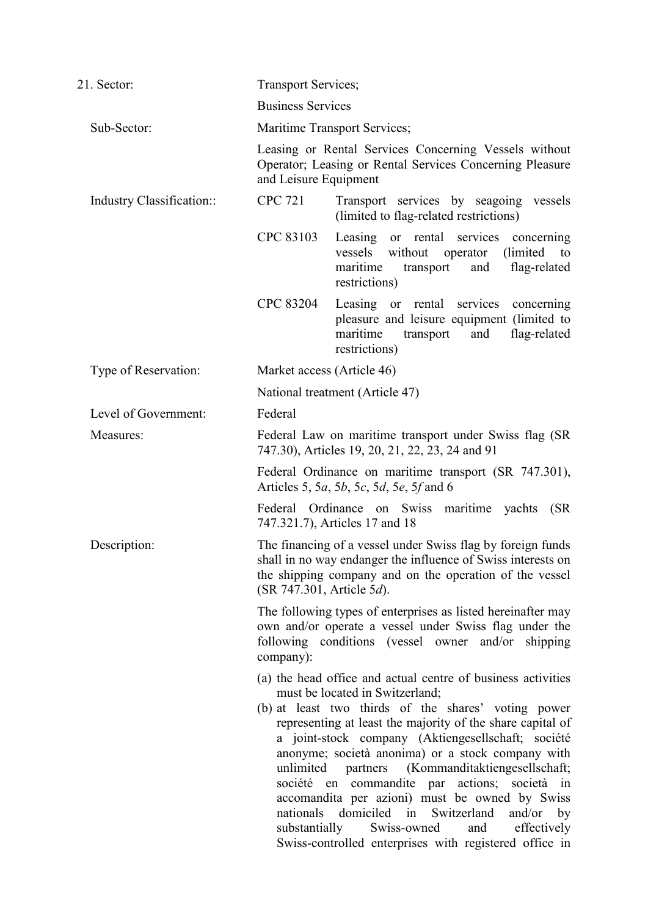| 21. Sector:               | <b>Transport Services;</b>                                                                                                                                                                                                                                                                                                                                                                                       |                                                                                                                                                                                                                                                                                                                                                                                                                                                                                                                                                                                                                                      |  |
|---------------------------|------------------------------------------------------------------------------------------------------------------------------------------------------------------------------------------------------------------------------------------------------------------------------------------------------------------------------------------------------------------------------------------------------------------|--------------------------------------------------------------------------------------------------------------------------------------------------------------------------------------------------------------------------------------------------------------------------------------------------------------------------------------------------------------------------------------------------------------------------------------------------------------------------------------------------------------------------------------------------------------------------------------------------------------------------------------|--|
|                           | <b>Business Services</b>                                                                                                                                                                                                                                                                                                                                                                                         |                                                                                                                                                                                                                                                                                                                                                                                                                                                                                                                                                                                                                                      |  |
| Sub-Sector:               | Maritime Transport Services;<br>Leasing or Rental Services Concerning Vessels without<br>Operator; Leasing or Rental Services Concerning Pleasure<br>and Leisure Equipment                                                                                                                                                                                                                                       |                                                                                                                                                                                                                                                                                                                                                                                                                                                                                                                                                                                                                                      |  |
|                           |                                                                                                                                                                                                                                                                                                                                                                                                                  |                                                                                                                                                                                                                                                                                                                                                                                                                                                                                                                                                                                                                                      |  |
| Industry Classification:: | <b>CPC 721</b>                                                                                                                                                                                                                                                                                                                                                                                                   | Transport services by seagoing vessels<br>(limited to flag-related restrictions)                                                                                                                                                                                                                                                                                                                                                                                                                                                                                                                                                     |  |
|                           | CPC 83103                                                                                                                                                                                                                                                                                                                                                                                                        | Leasing or rental services<br>concerning<br>vessels without<br>(limited)<br>operator<br>to<br>maritime<br>flag-related<br>transport<br>and<br>restrictions)                                                                                                                                                                                                                                                                                                                                                                                                                                                                          |  |
|                           | CPC 83204                                                                                                                                                                                                                                                                                                                                                                                                        | Leasing or rental services<br>concerning<br>pleasure and leisure equipment (limited to<br>and<br>flag-related<br>maritime<br>transport<br>restrictions)                                                                                                                                                                                                                                                                                                                                                                                                                                                                              |  |
| Type of Reservation:      | Market access (Article 46)                                                                                                                                                                                                                                                                                                                                                                                       |                                                                                                                                                                                                                                                                                                                                                                                                                                                                                                                                                                                                                                      |  |
|                           | National treatment (Article 47)                                                                                                                                                                                                                                                                                                                                                                                  |                                                                                                                                                                                                                                                                                                                                                                                                                                                                                                                                                                                                                                      |  |
| Level of Government:      | Federal                                                                                                                                                                                                                                                                                                                                                                                                          |                                                                                                                                                                                                                                                                                                                                                                                                                                                                                                                                                                                                                                      |  |
| Measures:                 | Federal Law on maritime transport under Swiss flag (SR<br>747.30), Articles 19, 20, 21, 22, 23, 24 and 91<br>Federal Ordinance on maritime transport (SR 747.301),<br>Articles 5, 5 <i>a</i> , 5 <i>b</i> , 5 <i>c</i> , 5 <i>d</i> , 5 <i>e</i> , 5 <i>f</i> and 6                                                                                                                                              |                                                                                                                                                                                                                                                                                                                                                                                                                                                                                                                                                                                                                                      |  |
|                           |                                                                                                                                                                                                                                                                                                                                                                                                                  |                                                                                                                                                                                                                                                                                                                                                                                                                                                                                                                                                                                                                                      |  |
|                           |                                                                                                                                                                                                                                                                                                                                                                                                                  | Federal Ordinance on Swiss maritime yachts<br>(SR)<br>747.321.7), Articles 17 and 18                                                                                                                                                                                                                                                                                                                                                                                                                                                                                                                                                 |  |
| Description:              | The financing of a vessel under Swiss flag by foreign funds<br>shall in no way endanger the influence of Swiss interests on<br>the shipping company and on the operation of the vessel<br>(SR 747.301, Article 5d).<br>The following types of enterprises as listed hereinafter may<br>own and/or operate a vessel under Swiss flag under the<br>following conditions (vessel owner and/or shipping<br>company): |                                                                                                                                                                                                                                                                                                                                                                                                                                                                                                                                                                                                                                      |  |
|                           |                                                                                                                                                                                                                                                                                                                                                                                                                  |                                                                                                                                                                                                                                                                                                                                                                                                                                                                                                                                                                                                                                      |  |
|                           | unlimited<br>nationals                                                                                                                                                                                                                                                                                                                                                                                           | (a) the head office and actual centre of business activities<br>must be located in Switzerland;<br>(b) at least two thirds of the shares' voting power<br>representing at least the majority of the share capital of<br>a joint-stock company (Aktiengesellschaft; société<br>anonyme; società anonima) or a stock company with<br>partners (Kommanditaktiengesellschaft;<br>société en commandite par actions; società in<br>accomandita per azioni) must be owned by Swiss<br>domiciled in<br>Switzerland<br>and/or $by$<br>and effectively<br>substantially Swiss-owned<br>Swiss-controlled enterprises with registered office in |  |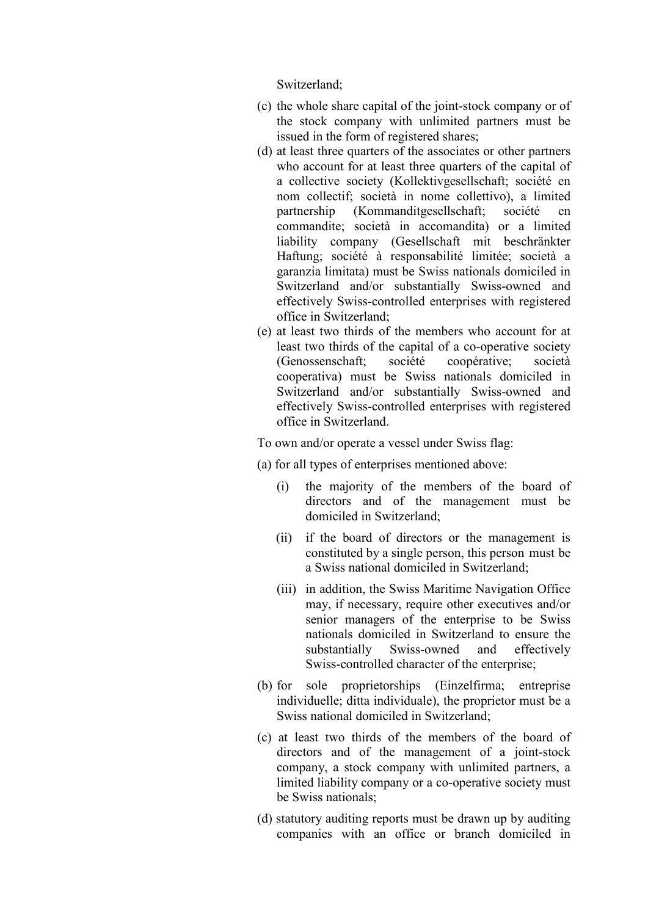Switzerland;

- (c) the whole share capital of the joint-stock company or of the stock company with unlimited partners must be issued in the form of registered shares;
- (d) at least three quarters of the associates or other partners who account for at least three quarters of the capital of a collective society (Kollektivgesellschaft; société en nom collectif; società in nome collettivo), a limited partnership (Kommanditgesellschaft; société en commandite; società in accomandita) or a limited liability company (Gesellschaft mit beschränkter Haftung; société à responsabilité limitée; società a garanzia limitata) must be Swiss nationals domiciled in Switzerland and/or substantially Swiss-owned and effectively Swiss-controlled enterprises with registered office in Switzerland;
- (e) at least two thirds of the members who account for at least two thirds of the capital of a co-operative society (Genossenschaft; société coopérative; società cooperativa) must be Swiss nationals domiciled in Switzerland and/or substantially Swiss-owned and effectively Swiss-controlled enterprises with registered office in Switzerland.

To own and/or operate a vessel under Swiss flag:

- (a) for all types of enterprises mentioned above:
	- (i) the majority of the members of the board of directors and of the management must be domiciled in Switzerland;
	- (ii) if the board of directors or the management is constituted by a single person, this person must be a Swiss national domiciled in Switzerland;
	- (iii) in addition, the Swiss Maritime Navigation Office may, if necessary, require other executives and/or senior managers of the enterprise to be Swiss nationals domiciled in Switzerland to ensure the substantially Swiss-owned and effectively Swiss-controlled character of the enterprise;
- (b) for sole proprietorships (Einzelfirma; entreprise individuelle; ditta individuale), the proprietor must be a Swiss national domiciled in Switzerland;
- (c) at least two thirds of the members of the board of directors and of the management of a joint-stock company, a stock company with unlimited partners, a limited liability company or a co-operative society must be Swiss nationals;
- (d) statutory auditing reports must be drawn up by auditing companies with an office or branch domiciled in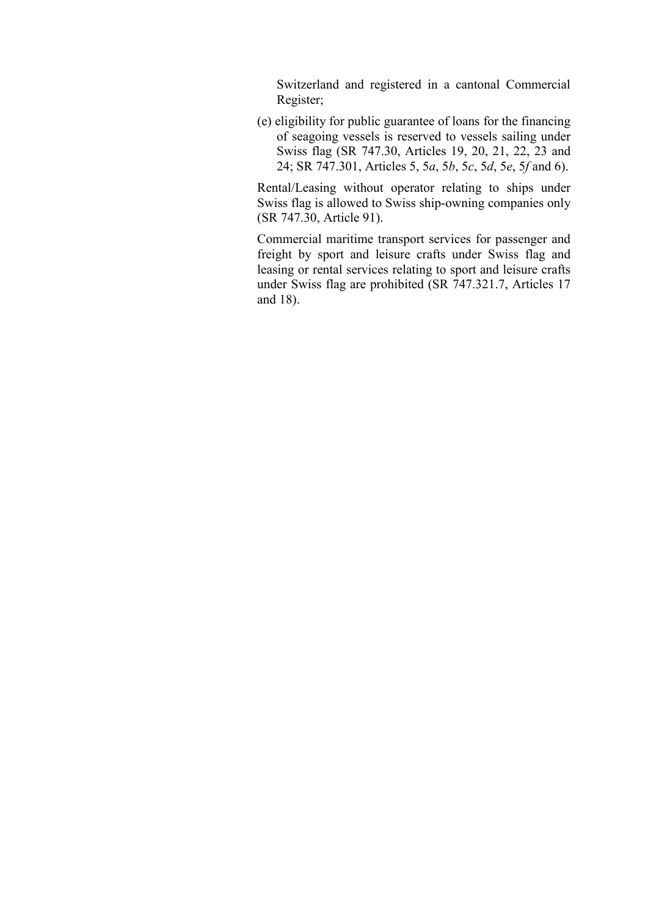Switzerland and registered in a cantonal Commercial Register;

(e) eligibility for public guarantee of loans for the financing of seagoing vessels is reserved to vessels sailing under Swiss flag (SR 747.30, Articles 19, 20, 21, 22, 23 and 24; SR 747.301, Articles 5, 5*a*, 5*b*, 5*c*, 5*d*, 5*e*, 5*f* and 6).

Rental/Leasing without operator relating to ships under Swiss flag is allowed to Swiss ship-owning companies only (SR 747.30, Article 91).

Commercial maritime transport services for passenger and freight by sport and leisure crafts under Swiss flag and leasing or rental services relating to sport and leisure crafts under Swiss flag are prohibited (SR 747.321.7, Articles 17 and 18).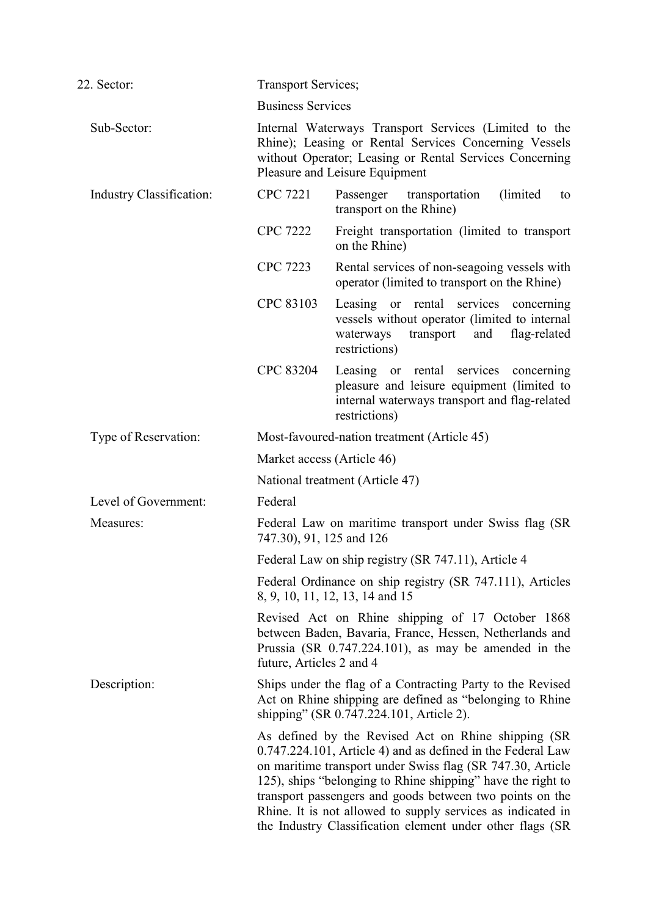| 22. Sector:              | <b>Transport Services;</b>                                                          |                                                                                                                                                                                                                                                                                                                                                                                                                                          |  |  |  |
|--------------------------|-------------------------------------------------------------------------------------|------------------------------------------------------------------------------------------------------------------------------------------------------------------------------------------------------------------------------------------------------------------------------------------------------------------------------------------------------------------------------------------------------------------------------------------|--|--|--|
|                          | <b>Business Services</b>                                                            |                                                                                                                                                                                                                                                                                                                                                                                                                                          |  |  |  |
| Sub-Sector:              |                                                                                     | Internal Waterways Transport Services (Limited to the<br>Rhine); Leasing or Rental Services Concerning Vessels<br>without Operator; Leasing or Rental Services Concerning<br>Pleasure and Leisure Equipment                                                                                                                                                                                                                              |  |  |  |
| Industry Classification: | <b>CPC 7221</b>                                                                     | (limited)<br>Passenger transportation<br>to<br>transport on the Rhine)                                                                                                                                                                                                                                                                                                                                                                   |  |  |  |
|                          | <b>CPC 7222</b>                                                                     | Freight transportation (limited to transport)<br>on the Rhine)                                                                                                                                                                                                                                                                                                                                                                           |  |  |  |
|                          | <b>CPC 7223</b>                                                                     | Rental services of non-seagoing vessels with<br>operator (limited to transport on the Rhine)                                                                                                                                                                                                                                                                                                                                             |  |  |  |
|                          | CPC 83103                                                                           | Leasing or rental services concerning<br>vessels without operator (limited to internal<br>transport<br>and<br>flag-related<br>waterways<br>restrictions)                                                                                                                                                                                                                                                                                 |  |  |  |
|                          | CPC 83204                                                                           | Leasing or rental services concerning<br>pleasure and leisure equipment (limited to<br>internal waterways transport and flag-related<br>restrictions)                                                                                                                                                                                                                                                                                    |  |  |  |
| Type of Reservation:     |                                                                                     | Most-favoured-nation treatment (Article 45)                                                                                                                                                                                                                                                                                                                                                                                              |  |  |  |
|                          |                                                                                     | Market access (Article 46)                                                                                                                                                                                                                                                                                                                                                                                                               |  |  |  |
|                          | National treatment (Article 47)                                                     |                                                                                                                                                                                                                                                                                                                                                                                                                                          |  |  |  |
| Level of Government:     | Federal                                                                             |                                                                                                                                                                                                                                                                                                                                                                                                                                          |  |  |  |
| Measures:                | Federal Law on maritime transport under Swiss flag (SR)<br>747.30), 91, 125 and 126 |                                                                                                                                                                                                                                                                                                                                                                                                                                          |  |  |  |
|                          |                                                                                     | Federal Law on ship registry (SR 747.11), Article 4                                                                                                                                                                                                                                                                                                                                                                                      |  |  |  |
|                          |                                                                                     | Federal Ordinance on ship registry (SR 747.111), Articles<br>8, 9, 10, 11, 12, 13, 14 and 15                                                                                                                                                                                                                                                                                                                                             |  |  |  |
|                          | future, Articles 2 and 4                                                            | Revised Act on Rhine shipping of 17 October 1868<br>between Baden, Bavaria, France, Hessen, Netherlands and<br>Prussia (SR $0.747.224.101$ ), as may be amended in the                                                                                                                                                                                                                                                                   |  |  |  |
| Description:             |                                                                                     | Ships under the flag of a Contracting Party to the Revised<br>Act on Rhine shipping are defined as "belonging to Rhine<br>shipping" (SR 0.747.224.101, Article 2).                                                                                                                                                                                                                                                                       |  |  |  |
|                          |                                                                                     | As defined by the Revised Act on Rhine shipping (SR)<br>0.747.224.101, Article 4) and as defined in the Federal Law<br>on maritime transport under Swiss flag (SR 747.30, Article<br>125), ships "belonging to Rhine shipping" have the right to<br>transport passengers and goods between two points on the<br>Rhine. It is not allowed to supply services as indicated in<br>the Industry Classification element under other flags (SR |  |  |  |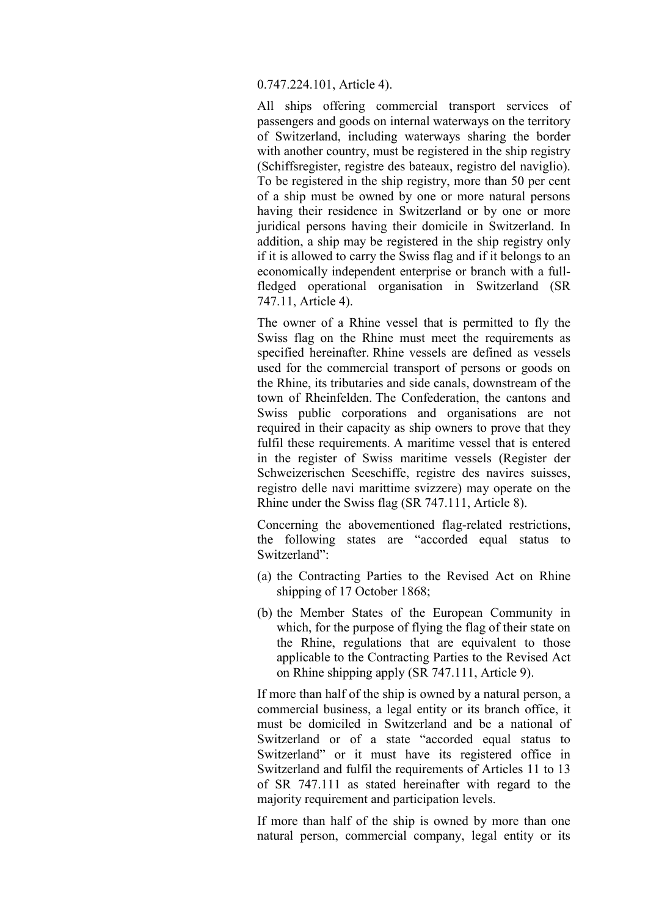0.747.224.101, Article 4).

All ships offering commercial transport services of passengers and goods on internal waterways on the territory of Switzerland, including waterways sharing the border with another country, must be registered in the ship registry (Schiffsregister, registre des bateaux, registro del naviglio). To be registered in the ship registry, more than 50 per cent of a ship must be owned by one or more natural persons having their residence in Switzerland or by one or more juridical persons having their domicile in Switzerland. In addition, a ship may be registered in the ship registry only if it is allowed to carry the Swiss flag and if it belongs to an economically independent enterprise or branch with a fullfledged operational organisation in Switzerland (SR 747.11, Article 4).

The owner of a Rhine vessel that is permitted to fly the Swiss flag on the Rhine must meet the requirements as specified hereinafter. Rhine vessels are defined as vessels used for the commercial transport of persons or goods on the Rhine, its tributaries and side canals, downstream of the town of Rheinfelden. The Confederation, the cantons and Swiss public corporations and organisations are not required in their capacity as ship owners to prove that they fulfil these requirements. A maritime vessel that is entered in the register of Swiss maritime vessels (Register der Schweizerischen Seeschiffe, registre des navires suisses, registro delle navi marittime svizzere) may operate on the Rhine under the Swiss flag (SR 747.111, Article 8).

Concerning the abovementioned flag-related restrictions, the following states are "accorded equal status to Switzerland":

- (a) the Contracting Parties to the Revised Act on Rhine shipping of 17 October 1868;
- (b) the Member States of the European Community in which, for the purpose of flying the flag of their state on the Rhine, regulations that are equivalent to those applicable to the Contracting Parties to the Revised Act on Rhine shipping apply (SR 747.111, Article 9).

If more than half of the ship is owned by a natural person, a commercial business, a legal entity or its branch office, it must be domiciled in Switzerland and be a national of Switzerland or of a state "accorded equal status to Switzerland" or it must have its registered office in Switzerland and fulfil the requirements of Articles 11 to 13 of SR 747.111 as stated hereinafter with regard to the majority requirement and participation levels.

If more than half of the ship is owned by more than one natural person, commercial company, legal entity or its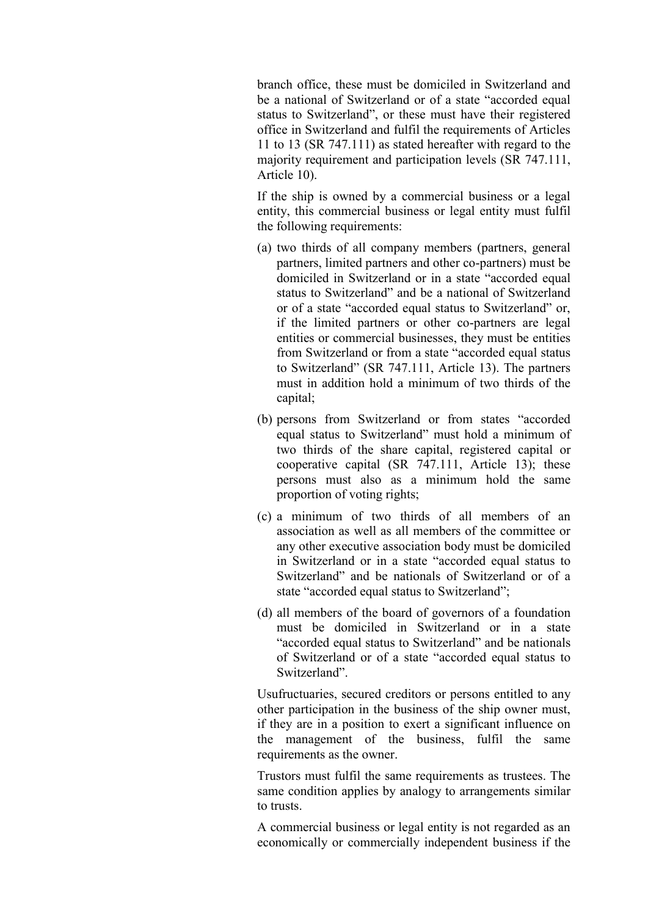branch office, these must be domiciled in Switzerland and be a national of Switzerland or of a state "accorded equal status to Switzerland", or these must have their registered office in Switzerland and fulfil the requirements of Articles 11 to 13 (SR 747.111) as stated hereafter with regard to the majority requirement and participation levels (SR 747.111, Article 10).

If the ship is owned by a commercial business or a legal entity, this commercial business or legal entity must fulfil the following requirements:

- (a) two thirds of all company members (partners, general partners, limited partners and other co-partners) must be domiciled in Switzerland or in a state "accorded equal status to Switzerland" and be a national of Switzerland or of a state "accorded equal status to Switzerland" or, if the limited partners or other co-partners are legal entities or commercial businesses, they must be entities from Switzerland or from a state "accorded equal status to Switzerland" (SR 747.111, Article 13). The partners must in addition hold a minimum of two thirds of the capital;
- (b) persons from Switzerland or from states "accorded equal status to Switzerland" must hold a minimum of two thirds of the share capital, registered capital or cooperative capital (SR 747.111, Article 13); these persons must also as a minimum hold the same proportion of voting rights;
- (c) a minimum of two thirds of all members of an association as well as all members of the committee or any other executive association body must be domiciled in Switzerland or in a state "accorded equal status to Switzerland" and be nationals of Switzerland or of a state "accorded equal status to Switzerland";
- (d) all members of the board of governors of a foundation must be domiciled in Switzerland or in a state "accorded equal status to Switzerland" and be nationals of Switzerland or of a state "accorded equal status to Switzerland".

Usufructuaries, secured creditors or persons entitled to any other participation in the business of the ship owner must, if they are in a position to exert a significant influence on the management of the business, fulfil the same requirements as the owner.

Trustors must fulfil the same requirements as trustees. The same condition applies by analogy to arrangements similar to trusts.

A commercial business or legal entity is not regarded as an economically or commercially independent business if the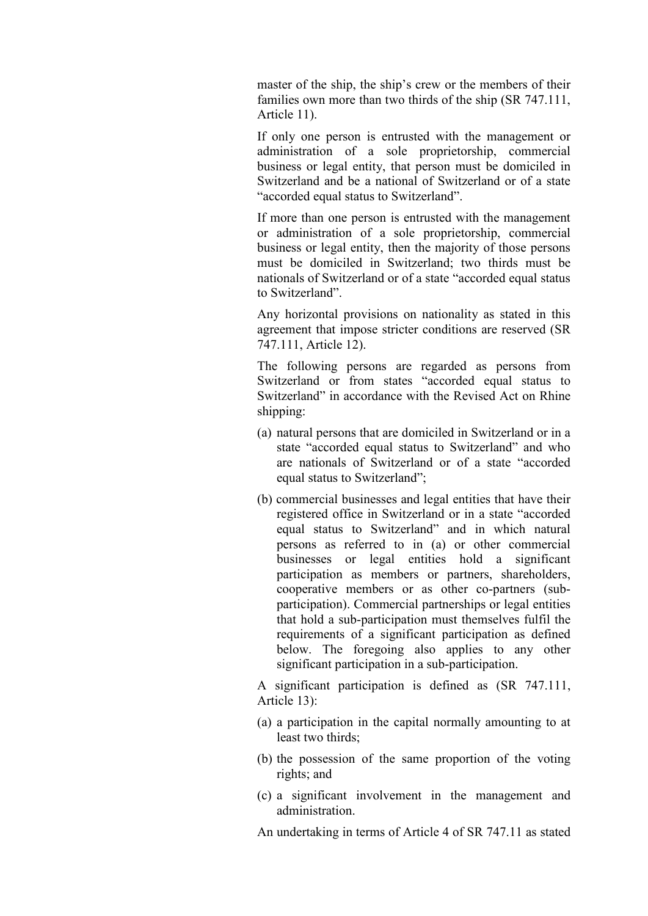master of the ship, the ship's crew or the members of their families own more than two thirds of the ship (SR 747.111, Article 11).

If only one person is entrusted with the management or administration of a sole proprietorship, commercial business or legal entity, that person must be domiciled in Switzerland and be a national of Switzerland or of a state "accorded equal status to Switzerland".

If more than one person is entrusted with the management or administration of a sole proprietorship, commercial business or legal entity, then the majority of those persons must be domiciled in Switzerland; two thirds must be nationals of Switzerland or of a state "accorded equal status to Switzerland".

Any horizontal provisions on nationality as stated in this agreement that impose stricter conditions are reserved (SR 747.111, Article 12).

The following persons are regarded as persons from Switzerland or from states "accorded equal status to Switzerland" in accordance with the Revised Act on Rhine shipping:

- (a) natural persons that are domiciled in Switzerland or in a state "accorded equal status to Switzerland" and who are nationals of Switzerland or of a state "accorded equal status to Switzerland";
- (b) commercial businesses and legal entities that have their registered office in Switzerland or in a state "accorded equal status to Switzerland" and in which natural persons as referred to in (a) or other commercial businesses or legal entities hold a significant participation as members or partners, shareholders, cooperative members or as other co-partners (subparticipation). Commercial partnerships or legal entities that hold a sub-participation must themselves fulfil the requirements of a significant participation as defined below. The foregoing also applies to any other significant participation in a sub-participation.

A significant participation is defined as (SR 747.111, Article 13):

- (a) a participation in the capital normally amounting to at least two thirds;
- (b) the possession of the same proportion of the voting rights; and
- (c) a significant involvement in the management and administration.

An undertaking in terms of Article 4 of SR 747.11 as stated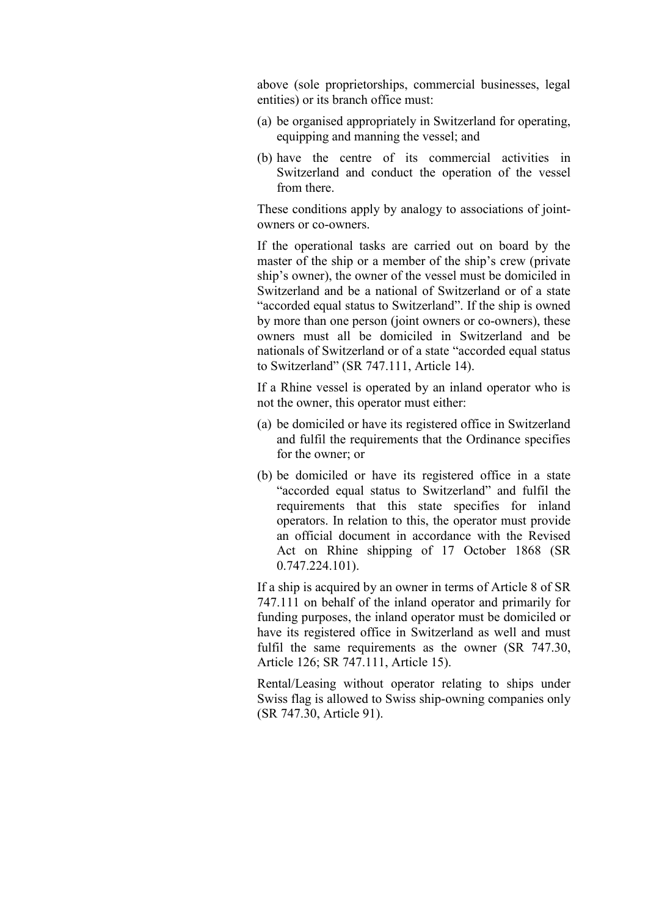above (sole proprietorships, commercial businesses, legal entities) or its branch office must:

- (a) be organised appropriately in Switzerland for operating, equipping and manning the vessel; and
- (b) have the centre of its commercial activities in Switzerland and conduct the operation of the vessel from there.

These conditions apply by analogy to associations of jointowners or co-owners.

If the operational tasks are carried out on board by the master of the ship or a member of the ship's crew (private ship's owner), the owner of the vessel must be domiciled in Switzerland and be a national of Switzerland or of a state "accorded equal status to Switzerland". If the ship is owned by more than one person (joint owners or co-owners), these owners must all be domiciled in Switzerland and be nationals of Switzerland or of a state "accorded equal status to Switzerland" (SR 747.111, Article 14).

If a Rhine vessel is operated by an inland operator who is not the owner, this operator must either:

- (a) be domiciled or have its registered office in Switzerland and fulfil the requirements that the Ordinance specifies for the owner; or
- (b) be domiciled or have its registered office in a state "accorded equal status to Switzerland" and fulfil the requirements that this state specifies for inland operators. In relation to this, the operator must provide an official document in accordance with the Revised Act on Rhine shipping of 17 October 1868 (SR 0.747.224.101).

If a ship is acquired by an owner in terms of Article 8 of SR 747.111 on behalf of the inland operator and primarily for funding purposes, the inland operator must be domiciled or have its registered office in Switzerland as well and must fulfil the same requirements as the owner (SR 747.30, Article 126; SR 747.111, Article 15).

Rental/Leasing without operator relating to ships under Swiss flag is allowed to Swiss ship-owning companies only (SR 747.30, Article 91).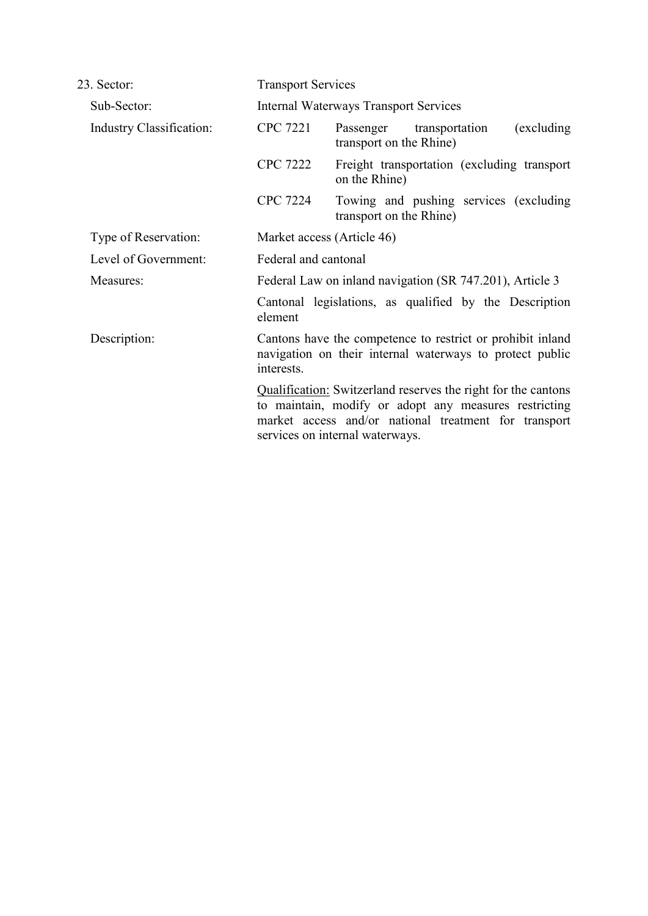| 23. Sector:                     | <b>Transport Services</b>                                                                                                            |                                                                                                                                                                                                                           |                                        |             |  |
|---------------------------------|--------------------------------------------------------------------------------------------------------------------------------------|---------------------------------------------------------------------------------------------------------------------------------------------------------------------------------------------------------------------------|----------------------------------------|-------------|--|
| Sub-Sector:                     | <b>Internal Waterways Transport Services</b>                                                                                         |                                                                                                                                                                                                                           |                                        |             |  |
| <b>Industry Classification:</b> | <b>CPC 7221</b>                                                                                                                      | Passenger transportation<br>transport on the Rhine)                                                                                                                                                                       |                                        | (excluding) |  |
|                                 | <b>CPC 7222</b>                                                                                                                      | Freight transportation (excluding transport)<br>on the Rhine)                                                                                                                                                             |                                        |             |  |
|                                 | <b>CPC 7224</b>                                                                                                                      | transport on the Rhine)                                                                                                                                                                                                   | Towing and pushing services (excluding |             |  |
| Type of Reservation:            | Market access (Article 46)                                                                                                           |                                                                                                                                                                                                                           |                                        |             |  |
| Level of Government:            | Federal and cantonal                                                                                                                 |                                                                                                                                                                                                                           |                                        |             |  |
| Measures:                       | Federal Law on inland navigation (SR 747.201), Article 3<br>Cantonal legislations, as qualified by the Description<br>element        |                                                                                                                                                                                                                           |                                        |             |  |
|                                 |                                                                                                                                      |                                                                                                                                                                                                                           |                                        |             |  |
| Description:                    | Cantons have the competence to restrict or prohibit inland<br>navigation on their internal waterways to protect public<br>interests. |                                                                                                                                                                                                                           |                                        |             |  |
|                                 |                                                                                                                                      | <b>Qualification:</b> Switzerland reserves the right for the cantons<br>to maintain, modify or adopt any measures restricting<br>market access and/or national treatment for transport<br>services on internal waterways. |                                        |             |  |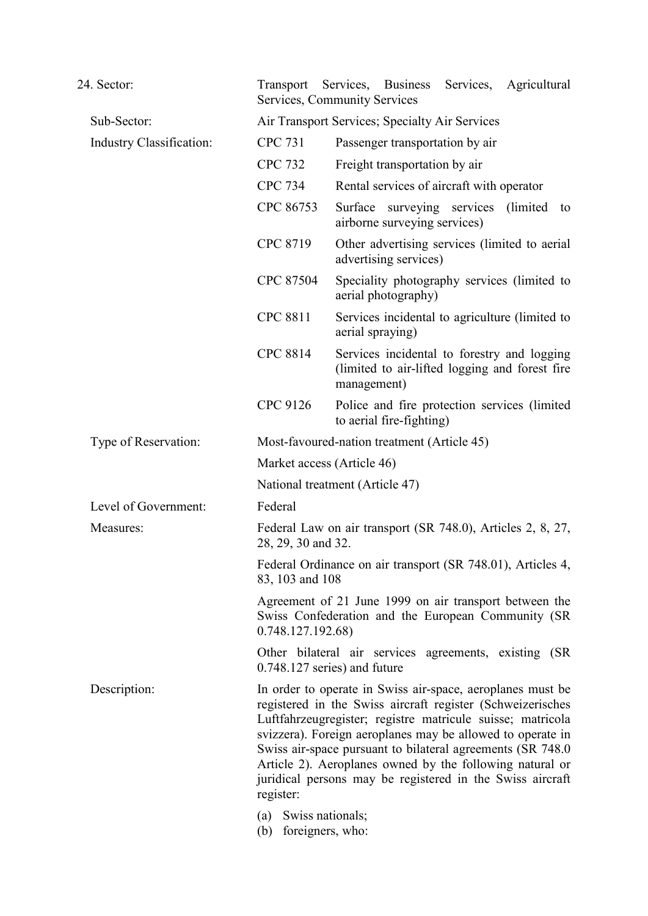| 24. Sector:              |                                                                                                                                                                                                                                                                                                                                                                                                                                                                                   | Transport Services, Business Services, Agricultural<br>Services, Community Services                          |  |  |
|--------------------------|-----------------------------------------------------------------------------------------------------------------------------------------------------------------------------------------------------------------------------------------------------------------------------------------------------------------------------------------------------------------------------------------------------------------------------------------------------------------------------------|--------------------------------------------------------------------------------------------------------------|--|--|
| Sub-Sector:              | Air Transport Services; Specialty Air Services                                                                                                                                                                                                                                                                                                                                                                                                                                    |                                                                                                              |  |  |
| Industry Classification: | <b>CPC 731</b>                                                                                                                                                                                                                                                                                                                                                                                                                                                                    | Passenger transportation by air                                                                              |  |  |
|                          | <b>CPC 732</b>                                                                                                                                                                                                                                                                                                                                                                                                                                                                    | Freight transportation by air                                                                                |  |  |
|                          | <b>CPC 734</b>                                                                                                                                                                                                                                                                                                                                                                                                                                                                    | Rental services of aircraft with operator                                                                    |  |  |
|                          | CPC 86753                                                                                                                                                                                                                                                                                                                                                                                                                                                                         | Surface surveying services (limited to<br>airborne surveying services)                                       |  |  |
|                          | CPC 8719                                                                                                                                                                                                                                                                                                                                                                                                                                                                          | Other advertising services (limited to aerial<br>advertising services)                                       |  |  |
|                          | CPC 87504                                                                                                                                                                                                                                                                                                                                                                                                                                                                         | Speciality photography services (limited to<br>aerial photography)                                           |  |  |
|                          | <b>CPC 8811</b>                                                                                                                                                                                                                                                                                                                                                                                                                                                                   | Services incidental to agriculture (limited to<br>aerial spraying)                                           |  |  |
|                          | <b>CPC 8814</b>                                                                                                                                                                                                                                                                                                                                                                                                                                                                   | Services incidental to forestry and logging<br>(limited to air-lifted logging and forest fire<br>management) |  |  |
|                          | CPC 9126                                                                                                                                                                                                                                                                                                                                                                                                                                                                          | Police and fire protection services (limited<br>to aerial fire-fighting)                                     |  |  |
| Type of Reservation:     |                                                                                                                                                                                                                                                                                                                                                                                                                                                                                   | Most-favoured-nation treatment (Article 45)                                                                  |  |  |
|                          |                                                                                                                                                                                                                                                                                                                                                                                                                                                                                   | Market access (Article 46)                                                                                   |  |  |
|                          |                                                                                                                                                                                                                                                                                                                                                                                                                                                                                   | National treatment (Article 47)                                                                              |  |  |
| Level of Government:     | Federal                                                                                                                                                                                                                                                                                                                                                                                                                                                                           |                                                                                                              |  |  |
| Measures:                | Federal Law on air transport (SR 748.0), Articles 2, 8, 27,<br>28, 29, 30 and 32.                                                                                                                                                                                                                                                                                                                                                                                                 |                                                                                                              |  |  |
|                          | 83, 103 and 108                                                                                                                                                                                                                                                                                                                                                                                                                                                                   | Federal Ordinance on air transport (SR 748.01), Articles 4,                                                  |  |  |
|                          | 0.748.127.192.68)                                                                                                                                                                                                                                                                                                                                                                                                                                                                 | Agreement of 21 June 1999 on air transport between the<br>Swiss Confederation and the European Community (SR |  |  |
|                          |                                                                                                                                                                                                                                                                                                                                                                                                                                                                                   | Other bilateral air services agreements, existing (SR<br>$0.748.127$ series) and future                      |  |  |
| Description:             | In order to operate in Swiss air-space, aeroplanes must be<br>registered in the Swiss aircraft register (Schweizerisches<br>Luftfahrzeugregister; registre matricule suisse; matricola<br>svizzera). Foreign aeroplanes may be allowed to operate in<br>Swiss air-space pursuant to bilateral agreements (SR 748.0)<br>Article 2). Aeroplanes owned by the following natural or<br>juridical persons may be registered in the Swiss aircraft<br>register:<br>(a) Swiss nationals; |                                                                                                              |  |  |
|                          | (b)                                                                                                                                                                                                                                                                                                                                                                                                                                                                               | foreigners, who:                                                                                             |  |  |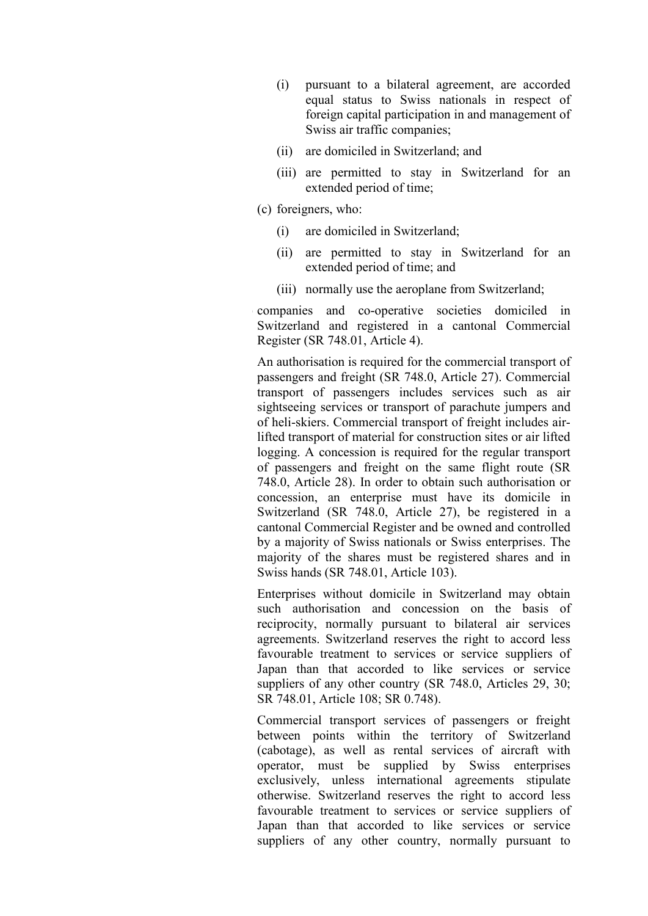- (i) pursuant to a bilateral agreement, are accorded equal status to Swiss nationals in respect of foreign capital participation in and management of Swiss air traffic companies;
- (ii) are domiciled in Switzerland; and
- (iii) are permitted to stay in Switzerland for an extended period of time;
- (c) foreigners, who:
	- (i) are domiciled in Switzerland;
	- (ii) are permitted to stay in Switzerland for an extended period of time; and
	- (iii) normally use the aeroplane from Switzerland;

companies and co-operative societies domiciled in Switzerland and registered in a cantonal Commercial Register (SR 748.01, Article 4).

An authorisation is required for the commercial transport of passengers and freight (SR 748.0, Article 27). Commercial transport of passengers includes services such as air sightseeing services or transport of parachute jumpers and of heli-skiers. Commercial transport of freight includes airlifted transport of material for construction sites or air lifted logging. A concession is required for the regular transport of passengers and freight on the same flight route (SR 748.0, Article 28). In order to obtain such authorisation or concession, an enterprise must have its domicile in Switzerland (SR 748.0, Article 27), be registered in a cantonal Commercial Register and be owned and controlled by a majority of Swiss nationals or Swiss enterprises. The majority of the shares must be registered shares and in Swiss hands (SR 748.01, Article 103).

Enterprises without domicile in Switzerland may obtain such authorisation and concession on the basis of reciprocity, normally pursuant to bilateral air services agreements. Switzerland reserves the right to accord less favourable treatment to services or service suppliers of Japan than that accorded to like services or service suppliers of any other country (SR 748.0, Articles 29, 30; SR 748.01, Article 108; SR 0.748).

Commercial transport services of passengers or freight between points within the territory of Switzerland (cabotage), as well as rental services of aircraft with operator, must be supplied by Swiss enterprises exclusively, unless international agreements stipulate otherwise. Switzerland reserves the right to accord less favourable treatment to services or service suppliers of Japan than that accorded to like services or service suppliers of any other country, normally pursuant to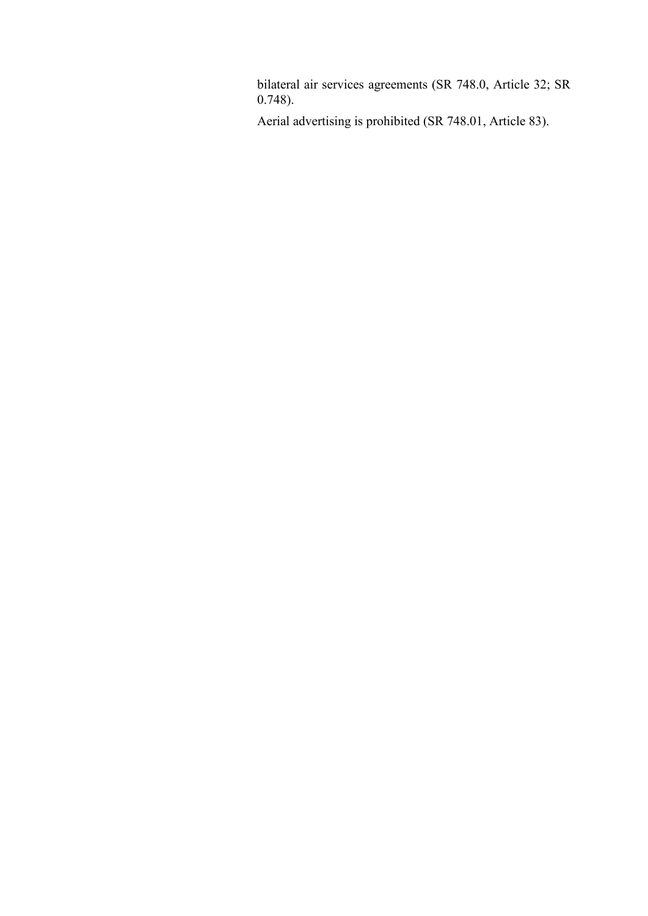bilateral air services agreements (SR 748.0, Article 32; SR 0.748).

Aerial advertising is prohibited (SR 748.01, Article 83).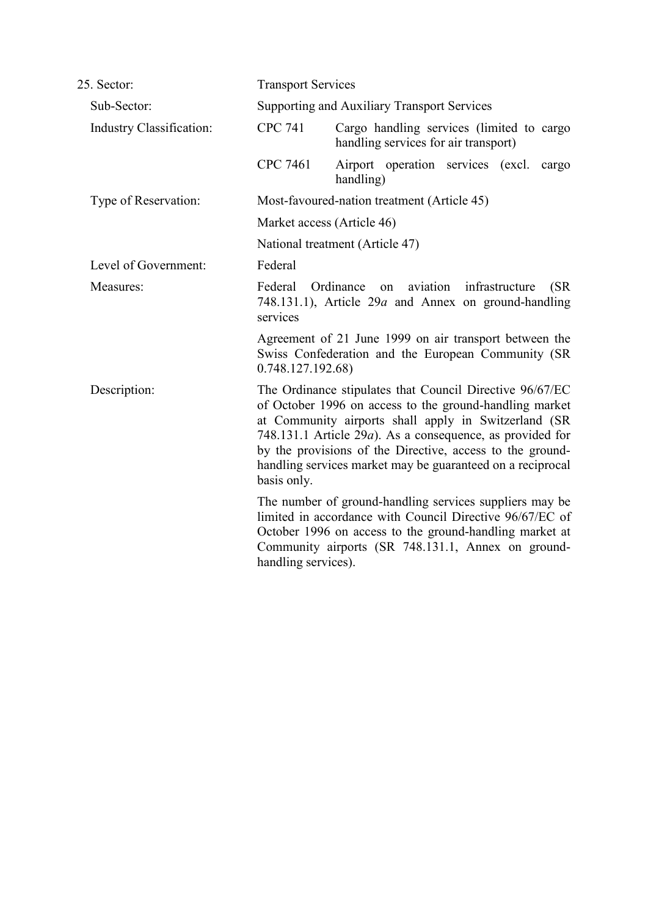| 25. Sector:                     | <b>Transport Services</b> |                                                                                                                                                                                                                                                                                                                                                                              |
|---------------------------------|---------------------------|------------------------------------------------------------------------------------------------------------------------------------------------------------------------------------------------------------------------------------------------------------------------------------------------------------------------------------------------------------------------------|
| Sub-Sector:                     |                           | <b>Supporting and Auxiliary Transport Services</b>                                                                                                                                                                                                                                                                                                                           |
| <b>Industry Classification:</b> | <b>CPC 741</b>            | Cargo handling services (limited to cargo<br>handling services for air transport)                                                                                                                                                                                                                                                                                            |
|                                 | <b>CPC 7461</b>           | Airport operation services (excl.<br>cargo<br>handling)                                                                                                                                                                                                                                                                                                                      |
| Type of Reservation:            |                           | Most-favoured-nation treatment (Article 45)                                                                                                                                                                                                                                                                                                                                  |
|                                 |                           | Market access (Article 46)                                                                                                                                                                                                                                                                                                                                                   |
|                                 |                           | National treatment (Article 47)                                                                                                                                                                                                                                                                                                                                              |
| Level of Government:            | Federal                   |                                                                                                                                                                                                                                                                                                                                                                              |
| Measures:                       | Federal<br>services       | Ordinance<br>aviation<br>infrastructure<br>(SR)<br>on<br>748.131.1), Article $29a$ and Annex on ground-handling                                                                                                                                                                                                                                                              |
|                                 | 0.748.127.192.68)         | Agreement of 21 June 1999 on air transport between the<br>Swiss Confederation and the European Community (SR                                                                                                                                                                                                                                                                 |
| Description:                    | basis only.               | The Ordinance stipulates that Council Directive 96/67/EC<br>of October 1996 on access to the ground-handling market<br>at Community airports shall apply in Switzerland (SR<br>748.131.1 Article 29 <i>a</i> ). As a consequence, as provided for<br>by the provisions of the Directive, access to the ground-<br>handling services market may be guaranteed on a reciprocal |
|                                 | handling services).       | The number of ground-handling services suppliers may be<br>limited in accordance with Council Directive 96/67/EC of<br>October 1996 on access to the ground-handling market at<br>Community airports (SR 748.131.1, Annex on ground-                                                                                                                                         |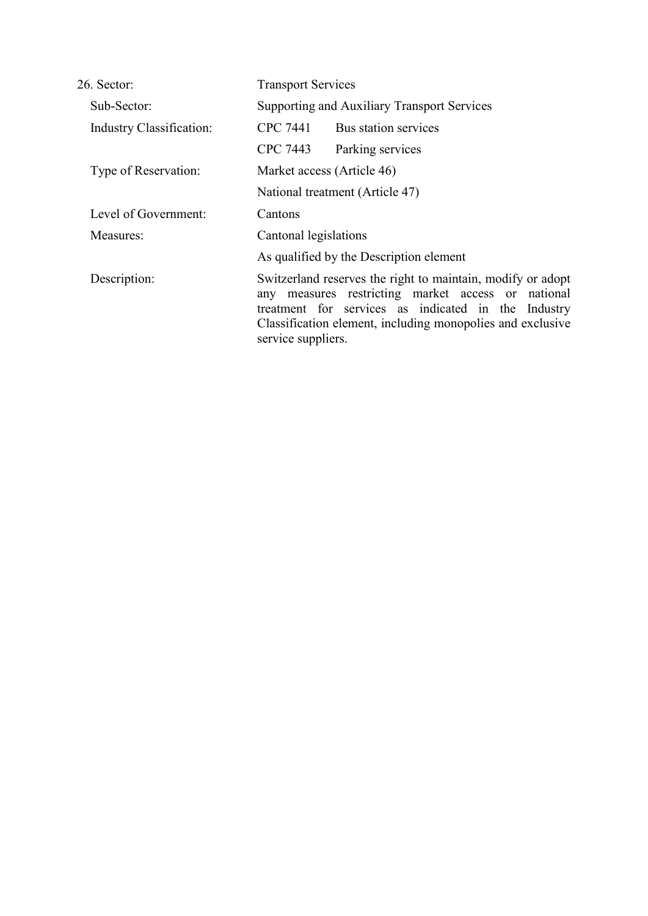| 26. Sector:                     | <b>Transport Services</b>                                                                                                                                                                                                                                    |  |
|---------------------------------|--------------------------------------------------------------------------------------------------------------------------------------------------------------------------------------------------------------------------------------------------------------|--|
| Sub-Sector:                     | Supporting and Auxiliary Transport Services                                                                                                                                                                                                                  |  |
| <b>Industry Classification:</b> | CPC 7441<br>Bus station services                                                                                                                                                                                                                             |  |
|                                 | CPC 7443<br>Parking services                                                                                                                                                                                                                                 |  |
| Type of Reservation:            | Market access (Article 46)                                                                                                                                                                                                                                   |  |
|                                 | National treatment (Article 47)                                                                                                                                                                                                                              |  |
| Level of Government:            | Cantons                                                                                                                                                                                                                                                      |  |
| Measures:                       | Cantonal legislations                                                                                                                                                                                                                                        |  |
|                                 | As qualified by the Description element                                                                                                                                                                                                                      |  |
| Description:                    | Switzerland reserves the right to maintain, modify or adopt<br>any measures restricting market access or national<br>treatment for services as indicated in the Industry<br>Classification element, including monopolies and exclusive<br>service suppliers. |  |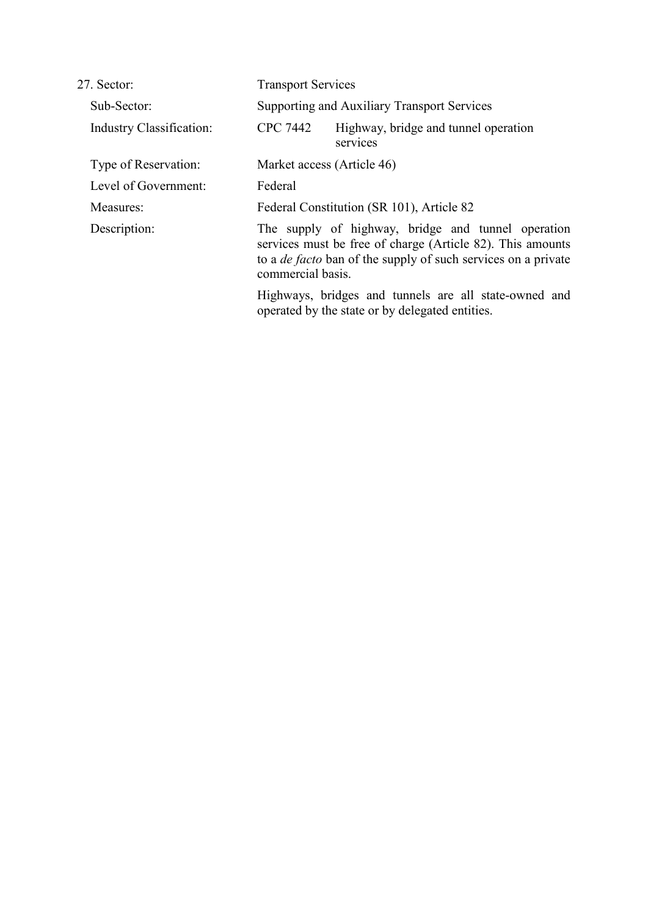| 27. Sector:                     | <b>Transport Services</b>                                                                                                                                                                                     |
|---------------------------------|---------------------------------------------------------------------------------------------------------------------------------------------------------------------------------------------------------------|
| Sub-Sector:                     | Supporting and Auxiliary Transport Services                                                                                                                                                                   |
| <b>Industry Classification:</b> | <b>CPC 7442</b><br>Highway, bridge and tunnel operation<br>services                                                                                                                                           |
| Type of Reservation:            | Market access (Article 46)                                                                                                                                                                                    |
| Level of Government:            | Federal                                                                                                                                                                                                       |
| Measures:                       | Federal Constitution (SR 101), Article 82                                                                                                                                                                     |
| Description:                    | The supply of highway, bridge and tunnel operation<br>services must be free of charge (Article 82). This amounts<br>to a <i>de facto</i> ban of the supply of such services on a private<br>commercial basis. |
|                                 | Highways, bridges and tunnels are all state-owned and<br>operated by the state or by delegated entities.                                                                                                      |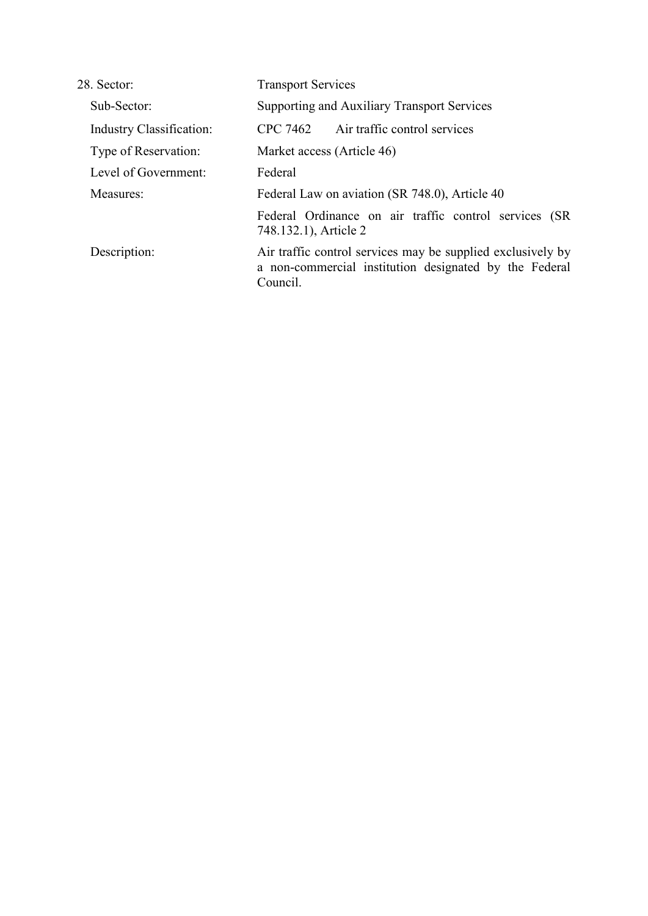| 28. Sector:                     | <b>Transport Services</b>                                                                                                         |
|---------------------------------|-----------------------------------------------------------------------------------------------------------------------------------|
| Sub-Sector:                     | Supporting and Auxiliary Transport Services                                                                                       |
| <b>Industry Classification:</b> | Air traffic control services<br>CPC 7462                                                                                          |
| Type of Reservation:            | Market access (Article 46)                                                                                                        |
| Level of Government:            | Federal                                                                                                                           |
| Measures:                       | Federal Law on aviation (SR 748.0), Article 40                                                                                    |
|                                 | Federal Ordinance on air traffic control services (SR<br>748.132.1), Article 2                                                    |
| Description:                    | Air traffic control services may be supplied exclusively by<br>a non-commercial institution designated by the Federal<br>Council. |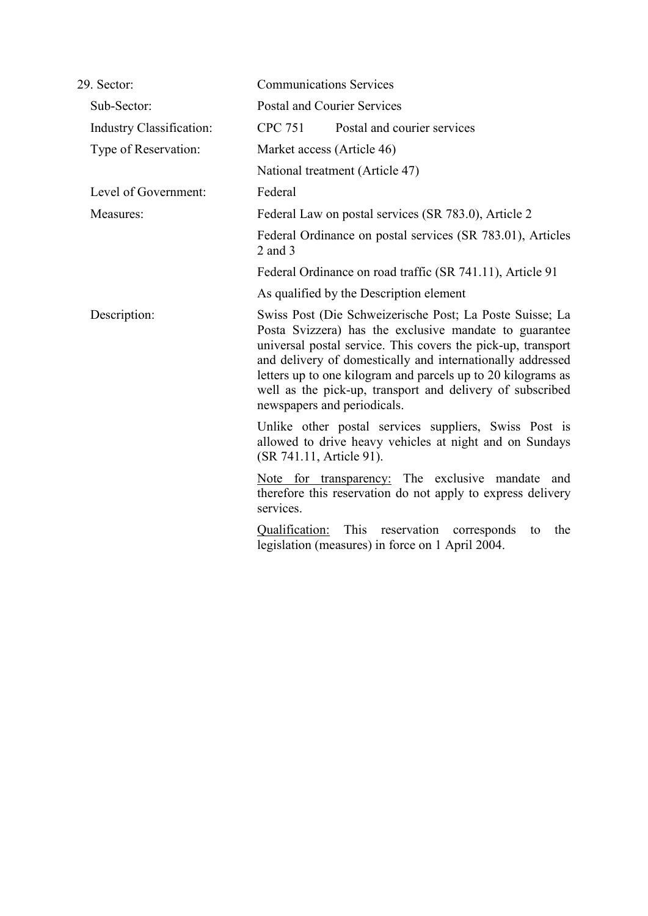| 29. Sector:              | <b>Communications Services</b>                                                                                                                                                                                                                                                                                                                                                                               |  |
|--------------------------|--------------------------------------------------------------------------------------------------------------------------------------------------------------------------------------------------------------------------------------------------------------------------------------------------------------------------------------------------------------------------------------------------------------|--|
| Sub-Sector:              | <b>Postal and Courier Services</b>                                                                                                                                                                                                                                                                                                                                                                           |  |
| Industry Classification: | <b>CPC 751</b><br>Postal and courier services                                                                                                                                                                                                                                                                                                                                                                |  |
| Type of Reservation:     | Market access (Article 46)                                                                                                                                                                                                                                                                                                                                                                                   |  |
|                          | National treatment (Article 47)                                                                                                                                                                                                                                                                                                                                                                              |  |
| Level of Government:     | Federal                                                                                                                                                                                                                                                                                                                                                                                                      |  |
| Measures:                | Federal Law on postal services (SR 783.0), Article 2                                                                                                                                                                                                                                                                                                                                                         |  |
|                          | Federal Ordinance on postal services (SR 783.01), Articles<br>$2$ and $3$                                                                                                                                                                                                                                                                                                                                    |  |
|                          | Federal Ordinance on road traffic (SR 741.11), Article 91                                                                                                                                                                                                                                                                                                                                                    |  |
|                          | As qualified by the Description element                                                                                                                                                                                                                                                                                                                                                                      |  |
| Description:             | Swiss Post (Die Schweizerische Post; La Poste Suisse; La<br>Posta Svizzera) has the exclusive mandate to guarantee<br>universal postal service. This covers the pick-up, transport<br>and delivery of domestically and internationally addressed<br>letters up to one kilogram and parcels up to 20 kilograms as<br>well as the pick-up, transport and delivery of subscribed<br>newspapers and periodicals. |  |
|                          | Unlike other postal services suppliers, Swiss Post is<br>allowed to drive heavy vehicles at night and on Sundays<br>(SR 741.11, Article 91).                                                                                                                                                                                                                                                                 |  |
|                          | Note for transparency: The exclusive mandate and<br>therefore this reservation do not apply to express delivery<br>services.                                                                                                                                                                                                                                                                                 |  |
|                          | Qualification:<br>This<br>reservation<br>the<br>corresponds<br>to<br>legislation (measures) in force on 1 April 2004.                                                                                                                                                                                                                                                                                        |  |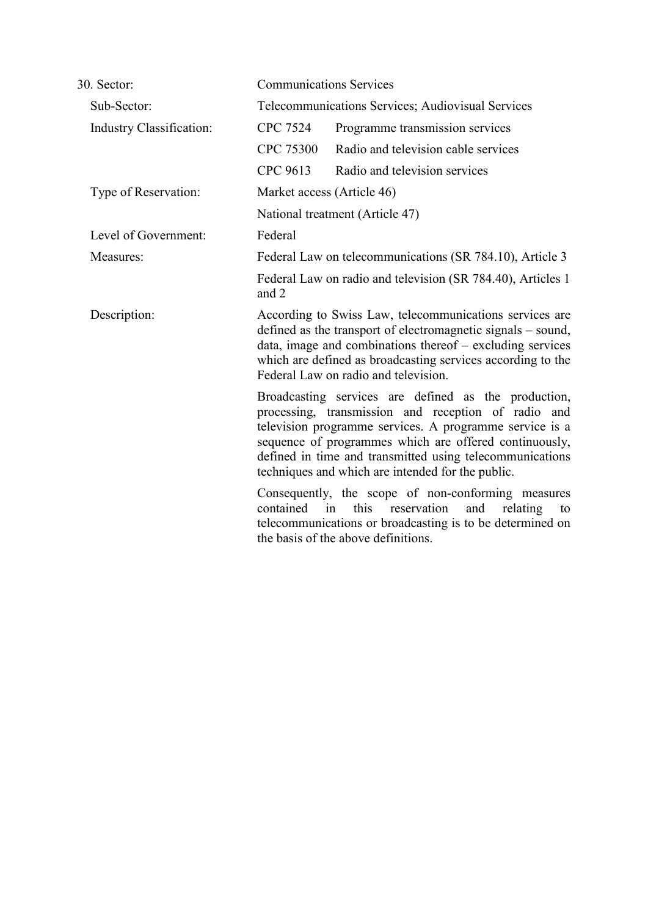| 30. Sector:                     |                 | <b>Communications Services</b>                                                                                                                                                                                                                                                                                                                    |  |
|---------------------------------|-----------------|---------------------------------------------------------------------------------------------------------------------------------------------------------------------------------------------------------------------------------------------------------------------------------------------------------------------------------------------------|--|
| Sub-Sector:                     |                 | Telecommunications Services; Audiovisual Services                                                                                                                                                                                                                                                                                                 |  |
| <b>Industry Classification:</b> | <b>CPC 7524</b> | Programme transmission services                                                                                                                                                                                                                                                                                                                   |  |
|                                 | CPC 75300       | Radio and television cable services                                                                                                                                                                                                                                                                                                               |  |
|                                 | CPC 9613        | Radio and television services                                                                                                                                                                                                                                                                                                                     |  |
| Type of Reservation:            |                 | Market access (Article 46)                                                                                                                                                                                                                                                                                                                        |  |
|                                 |                 | National treatment (Article 47)                                                                                                                                                                                                                                                                                                                   |  |
| Level of Government:            | Federal         |                                                                                                                                                                                                                                                                                                                                                   |  |
| Measures:                       |                 | Federal Law on telecommunications (SR 784.10), Article 3                                                                                                                                                                                                                                                                                          |  |
|                                 | and 2           | Federal Law on radio and television (SR 784.40), Articles 1                                                                                                                                                                                                                                                                                       |  |
| Description:                    |                 | According to Swiss Law, telecommunications services are<br>defined as the transport of electromagnetic signals – sound,<br>data, image and combinations thereof – excluding services<br>which are defined as broadcasting services according to the<br>Federal Law on radio and television.                                                       |  |
|                                 |                 | Broadcasting services are defined as the production,<br>processing, transmission and reception of radio and<br>television programme services. A programme service is a<br>sequence of programmes which are offered continuously,<br>defined in time and transmitted using telecommunications<br>techniques and which are intended for the public. |  |
|                                 | contained in    | Consequently, the scope of non-conforming measures<br>reservation<br>and<br>this<br>relating<br>to<br>telecommunications or broadcasting is to be determined on<br>the basis of the above definitions.                                                                                                                                            |  |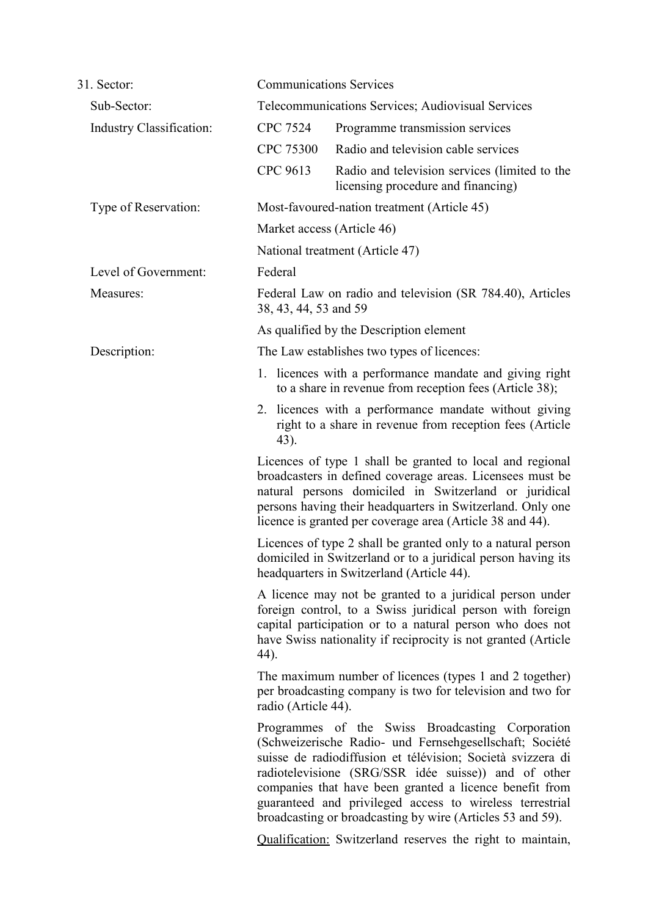| 31. Sector:              |                       | <b>Communications Services</b>                                                                                                                                                                                                                                                                                                                                                                                          |
|--------------------------|-----------------------|-------------------------------------------------------------------------------------------------------------------------------------------------------------------------------------------------------------------------------------------------------------------------------------------------------------------------------------------------------------------------------------------------------------------------|
| Sub-Sector:              |                       | Telecommunications Services; Audiovisual Services                                                                                                                                                                                                                                                                                                                                                                       |
| Industry Classification: | <b>CPC 7524</b>       | Programme transmission services                                                                                                                                                                                                                                                                                                                                                                                         |
|                          | CPC 75300             | Radio and television cable services                                                                                                                                                                                                                                                                                                                                                                                     |
|                          | CPC 9613              | Radio and television services (limited to the<br>licensing procedure and financing)                                                                                                                                                                                                                                                                                                                                     |
| Type of Reservation:     |                       | Most-favoured-nation treatment (Article 45)                                                                                                                                                                                                                                                                                                                                                                             |
|                          |                       | Market access (Article 46)                                                                                                                                                                                                                                                                                                                                                                                              |
|                          |                       | National treatment (Article 47)                                                                                                                                                                                                                                                                                                                                                                                         |
| Level of Government:     | Federal               |                                                                                                                                                                                                                                                                                                                                                                                                                         |
| Measures:                | 38, 43, 44, 53 and 59 | Federal Law on radio and television (SR 784.40), Articles                                                                                                                                                                                                                                                                                                                                                               |
|                          |                       | As qualified by the Description element                                                                                                                                                                                                                                                                                                                                                                                 |
| Description:             |                       | The Law establishes two types of licences:                                                                                                                                                                                                                                                                                                                                                                              |
|                          |                       | 1. licences with a performance mandate and giving right<br>to a share in revenue from reception fees (Article 38);                                                                                                                                                                                                                                                                                                      |
|                          | 43).                  | 2. licences with a performance mandate without giving<br>right to a share in revenue from reception fees (Article                                                                                                                                                                                                                                                                                                       |
|                          |                       | Licences of type 1 shall be granted to local and regional<br>broadcasters in defined coverage areas. Licensees must be<br>natural persons domiciled in Switzerland or juridical<br>persons having their headquarters in Switzerland. Only one<br>licence is granted per coverage area (Article 38 and 44).                                                                                                              |
|                          |                       | Licences of type 2 shall be granted only to a natural person<br>domiciled in Switzerland or to a juridical person having its<br>headquarters in Switzerland (Article 44).                                                                                                                                                                                                                                               |
|                          | 44).                  | A licence may not be granted to a juridical person under<br>foreign control, to a Swiss juridical person with foreign<br>capital participation or to a natural person who does not<br>have Swiss nationality if reciprocity is not granted (Article                                                                                                                                                                     |
|                          | radio (Article 44).   | The maximum number of licences (types 1 and 2 together)<br>per broadcasting company is two for television and two for                                                                                                                                                                                                                                                                                                   |
|                          |                       | Programmes of the Swiss Broadcasting Corporation<br>(Schweizerische Radio- und Fernsehgesellschaft; Société<br>suisse de radiodiffusion et télévision; Società svizzera di<br>radiotelevisione (SRG/SSR idée suisse)) and of other<br>companies that have been granted a licence benefit from<br>guaranteed and privileged access to wireless terrestrial<br>broadcasting or broadcasting by wire (Articles 53 and 59). |
|                          |                       | <b>Qualification:</b> Switzerland reserves the right to maintain,                                                                                                                                                                                                                                                                                                                                                       |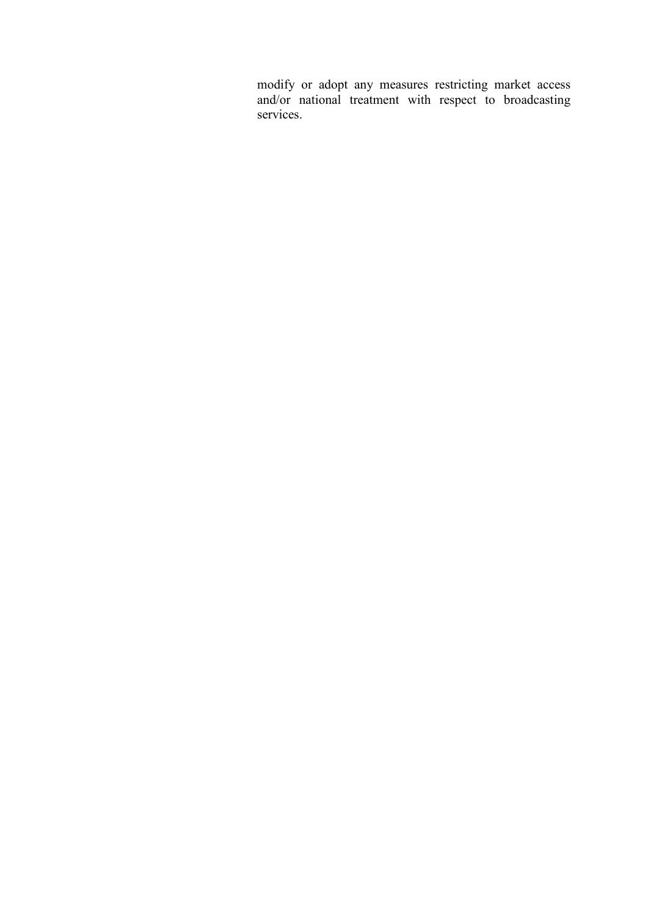modify or adopt any measures restricting market access and/or national treatment with respect to broadcasting services.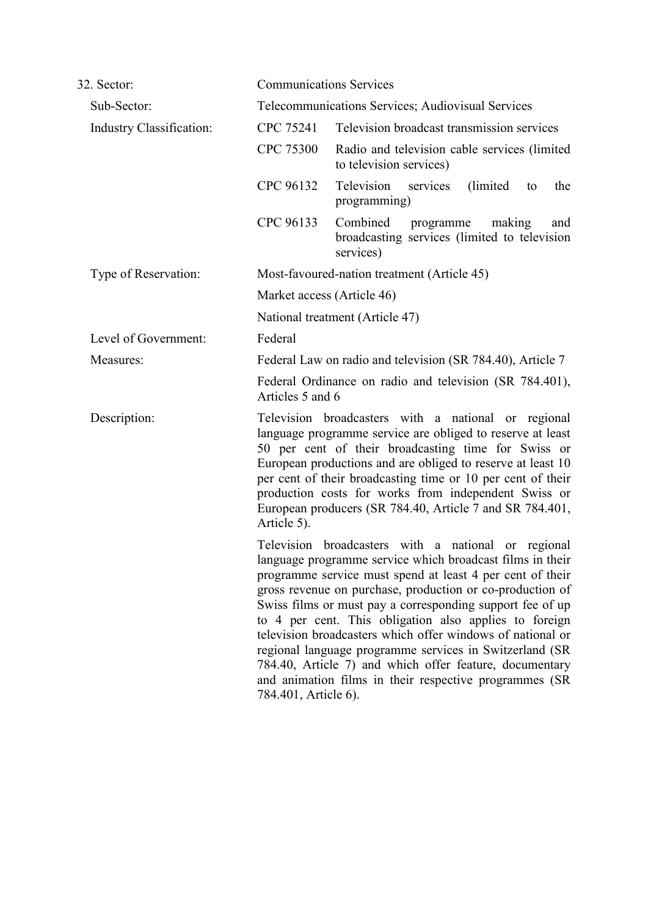| 32. Sector:              |                                                                                                                                                                                                                                                                                                                                                                                                                                           | <b>Communications Services</b>                                                                                                                                                                                                                                                                                                                                                                                                                                                                                                                                                                                  |
|--------------------------|-------------------------------------------------------------------------------------------------------------------------------------------------------------------------------------------------------------------------------------------------------------------------------------------------------------------------------------------------------------------------------------------------------------------------------------------|-----------------------------------------------------------------------------------------------------------------------------------------------------------------------------------------------------------------------------------------------------------------------------------------------------------------------------------------------------------------------------------------------------------------------------------------------------------------------------------------------------------------------------------------------------------------------------------------------------------------|
| Sub-Sector:              |                                                                                                                                                                                                                                                                                                                                                                                                                                           | Telecommunications Services; Audiovisual Services                                                                                                                                                                                                                                                                                                                                                                                                                                                                                                                                                               |
| Industry Classification: | CPC 75241                                                                                                                                                                                                                                                                                                                                                                                                                                 | Television broadcast transmission services                                                                                                                                                                                                                                                                                                                                                                                                                                                                                                                                                                      |
|                          | <b>CPC 75300</b>                                                                                                                                                                                                                                                                                                                                                                                                                          | Radio and television cable services (limited<br>to television services)                                                                                                                                                                                                                                                                                                                                                                                                                                                                                                                                         |
|                          | CPC 96132                                                                                                                                                                                                                                                                                                                                                                                                                                 | Television<br>(limited)<br>services<br>the<br>to<br>programming)                                                                                                                                                                                                                                                                                                                                                                                                                                                                                                                                                |
|                          | CPC 96133                                                                                                                                                                                                                                                                                                                                                                                                                                 | Combined programme<br>making<br>and<br>broadcasting services (limited to television<br>services)                                                                                                                                                                                                                                                                                                                                                                                                                                                                                                                |
| Type of Reservation:     | Most-favoured-nation treatment (Article 45)                                                                                                                                                                                                                                                                                                                                                                                               |                                                                                                                                                                                                                                                                                                                                                                                                                                                                                                                                                                                                                 |
|                          |                                                                                                                                                                                                                                                                                                                                                                                                                                           | Market access (Article 46)                                                                                                                                                                                                                                                                                                                                                                                                                                                                                                                                                                                      |
|                          |                                                                                                                                                                                                                                                                                                                                                                                                                                           | National treatment (Article 47)                                                                                                                                                                                                                                                                                                                                                                                                                                                                                                                                                                                 |
| Level of Government:     | Federal                                                                                                                                                                                                                                                                                                                                                                                                                                   |                                                                                                                                                                                                                                                                                                                                                                                                                                                                                                                                                                                                                 |
| Measures:                | Federal Law on radio and television (SR 784.40), Article 7                                                                                                                                                                                                                                                                                                                                                                                |                                                                                                                                                                                                                                                                                                                                                                                                                                                                                                                                                                                                                 |
|                          | Articles 5 and 6                                                                                                                                                                                                                                                                                                                                                                                                                          | Federal Ordinance on radio and television (SR 784.401),                                                                                                                                                                                                                                                                                                                                                                                                                                                                                                                                                         |
| Description:             | Television broadcasters with a national or regional<br>language programme service are obliged to reserve at least<br>50 per cent of their broadcasting time for Swiss or<br>European productions and are obliged to reserve at least 10<br>per cent of their broadcasting time or 10 per cent of their<br>production costs for works from independent Swiss or<br>European producers (SR 784.40, Article 7 and SR 784.401,<br>Article 5). |                                                                                                                                                                                                                                                                                                                                                                                                                                                                                                                                                                                                                 |
|                          | 784.401, Article 6).                                                                                                                                                                                                                                                                                                                                                                                                                      | Television broadcasters with a national or regional<br>language programme service which broadcast films in their<br>programme service must spend at least 4 per cent of their<br>gross revenue on purchase, production or co-production of<br>Swiss films or must pay a corresponding support fee of up<br>to 4 per cent. This obligation also applies to foreign<br>television broadcasters which offer windows of national or<br>regional language programme services in Switzerland (SR<br>784.40, Article 7) and which offer feature, documentary<br>and animation films in their respective programmes (SR |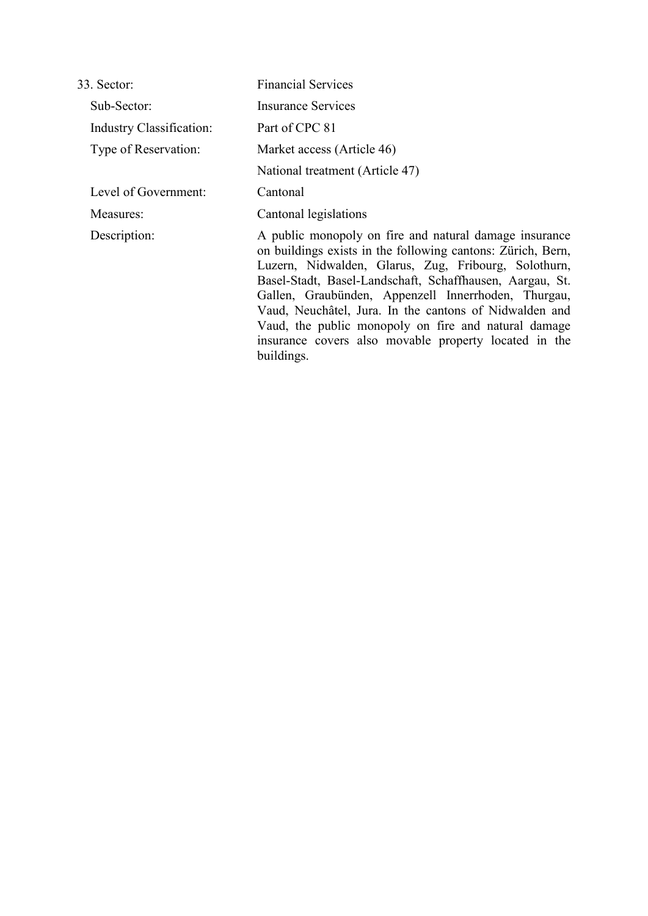| 33. Sector:                     | <b>Financial Services</b>                                                                                                                                                                                                                                                                                                                                                                                                                                                                 |
|---------------------------------|-------------------------------------------------------------------------------------------------------------------------------------------------------------------------------------------------------------------------------------------------------------------------------------------------------------------------------------------------------------------------------------------------------------------------------------------------------------------------------------------|
| Sub-Sector:                     | Insurance Services                                                                                                                                                                                                                                                                                                                                                                                                                                                                        |
| <b>Industry Classification:</b> | Part of CPC 81                                                                                                                                                                                                                                                                                                                                                                                                                                                                            |
| Type of Reservation:            | Market access (Article 46)                                                                                                                                                                                                                                                                                                                                                                                                                                                                |
|                                 | National treatment (Article 47)                                                                                                                                                                                                                                                                                                                                                                                                                                                           |
| Level of Government:            | Cantonal                                                                                                                                                                                                                                                                                                                                                                                                                                                                                  |
| Measures:                       | Cantonal legislations                                                                                                                                                                                                                                                                                                                                                                                                                                                                     |
| Description:                    | A public monopoly on fire and natural damage insurance<br>on buildings exists in the following cantons: Zürich, Bern,<br>Luzern, Nidwalden, Glarus, Zug, Fribourg, Solothurn,<br>Basel-Stadt, Basel-Landschaft, Schaffhausen, Aargau, St.<br>Gallen, Graubünden, Appenzell Innerrhoden, Thurgau,<br>Vaud, Neuchâtel, Jura. In the cantons of Nidwalden and<br>Vaud, the public monopoly on fire and natural damage<br>insurance covers also movable property located in the<br>buildings. |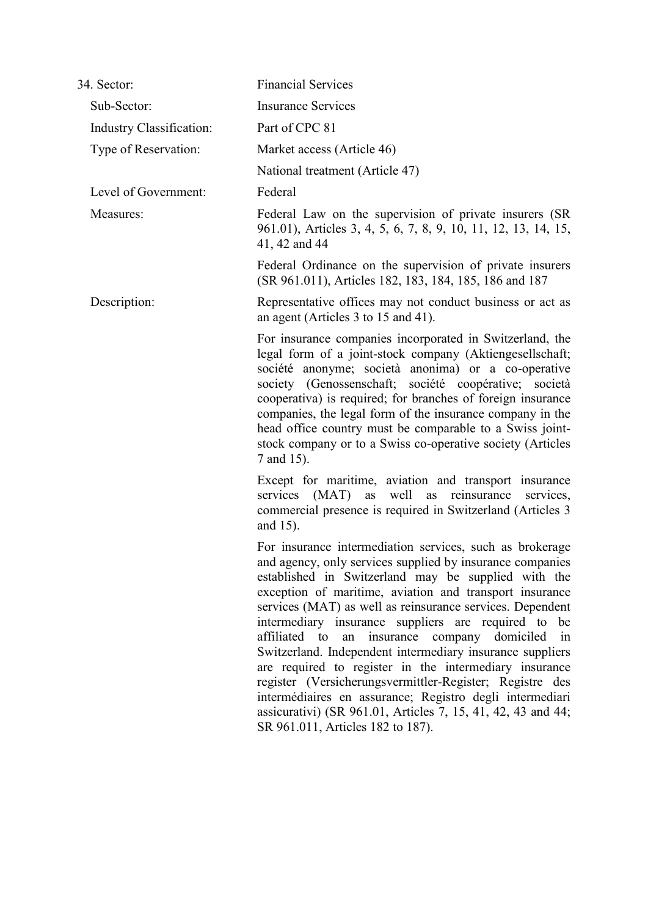| 34. Sector:                     | <b>Financial Services</b>                                                                                                                                                                                                                                                                                                                                                                                                                                                                                                                                                                                                                                                                                                                                          |
|---------------------------------|--------------------------------------------------------------------------------------------------------------------------------------------------------------------------------------------------------------------------------------------------------------------------------------------------------------------------------------------------------------------------------------------------------------------------------------------------------------------------------------------------------------------------------------------------------------------------------------------------------------------------------------------------------------------------------------------------------------------------------------------------------------------|
| Sub-Sector:                     | <b>Insurance Services</b>                                                                                                                                                                                                                                                                                                                                                                                                                                                                                                                                                                                                                                                                                                                                          |
| <b>Industry Classification:</b> | Part of CPC 81                                                                                                                                                                                                                                                                                                                                                                                                                                                                                                                                                                                                                                                                                                                                                     |
| Type of Reservation:            | Market access (Article 46)                                                                                                                                                                                                                                                                                                                                                                                                                                                                                                                                                                                                                                                                                                                                         |
|                                 | National treatment (Article 47)                                                                                                                                                                                                                                                                                                                                                                                                                                                                                                                                                                                                                                                                                                                                    |
| Level of Government:            | Federal                                                                                                                                                                                                                                                                                                                                                                                                                                                                                                                                                                                                                                                                                                                                                            |
| Measures:                       | Federal Law on the supervision of private insurers (SR)<br>961.01), Articles 3, 4, 5, 6, 7, 8, 9, 10, 11, 12, 13, 14, 15,<br>41, 42 and 44                                                                                                                                                                                                                                                                                                                                                                                                                                                                                                                                                                                                                         |
|                                 | Federal Ordinance on the supervision of private insurers<br>(SR 961.011), Articles 182, 183, 184, 185, 186 and 187                                                                                                                                                                                                                                                                                                                                                                                                                                                                                                                                                                                                                                                 |
| Description:                    | Representative offices may not conduct business or act as<br>an agent (Articles 3 to 15 and 41).                                                                                                                                                                                                                                                                                                                                                                                                                                                                                                                                                                                                                                                                   |
|                                 | For insurance companies incorporated in Switzerland, the<br>legal form of a joint-stock company (Aktiengesellschaft;<br>société anonyme; società anonima) or a co-operative<br>society (Genossenschaft; société coopérative; società<br>cooperativa) is required; for branches of foreign insurance<br>companies, the legal form of the insurance company in the<br>head office country must be comparable to a Swiss joint-<br>stock company or to a Swiss co-operative society (Articles<br>7 and 15).                                                                                                                                                                                                                                                           |
|                                 | Except for maritime, aviation and transport insurance<br>(MAT)<br>well<br>services<br>as<br>reinsurance<br>as<br>services,<br>commercial presence is required in Switzerland (Articles 3)<br>and 15).                                                                                                                                                                                                                                                                                                                                                                                                                                                                                                                                                              |
|                                 | For insurance intermediation services, such as brokerage<br>and agency, only services supplied by insurance companies<br>established in Switzerland may be supplied with the<br>exception of maritime, aviation and transport insurance<br>services (MAT) as well as reinsurance services. Dependent<br>intermediary insurance suppliers are required to be<br>affiliated to an insurance company domiciled in<br>Switzerland. Independent intermediary insurance suppliers<br>are required to register in the intermediary insurance<br>register (Versicherungsvermittler-Register; Registre des<br>intermédiaires en assurance; Registro degli intermediari<br>assicurativi) (SR 961.01, Articles 7, 15, 41, 42, 43 and 44;<br>SR 961.011, Articles 182 to 187). |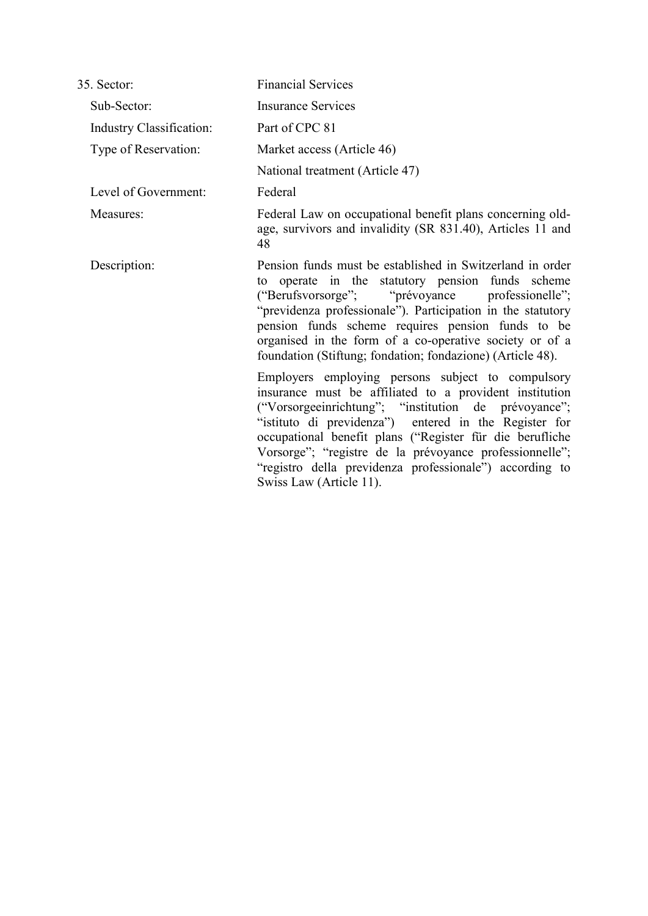| 35. Sector:                     | <b>Financial Services</b>                                                                                                                                                                                                                                                                                                                                                                                                                  |
|---------------------------------|--------------------------------------------------------------------------------------------------------------------------------------------------------------------------------------------------------------------------------------------------------------------------------------------------------------------------------------------------------------------------------------------------------------------------------------------|
| Sub-Sector:                     | <b>Insurance Services</b>                                                                                                                                                                                                                                                                                                                                                                                                                  |
| <b>Industry Classification:</b> | Part of CPC 81                                                                                                                                                                                                                                                                                                                                                                                                                             |
| Type of Reservation:            | Market access (Article 46)                                                                                                                                                                                                                                                                                                                                                                                                                 |
|                                 | National treatment (Article 47)                                                                                                                                                                                                                                                                                                                                                                                                            |
| Level of Government:            | Federal                                                                                                                                                                                                                                                                                                                                                                                                                                    |
| Measures:                       | Federal Law on occupational benefit plans concerning old-<br>age, survivors and invalidity (SR 831.40), Articles 11 and<br>48                                                                                                                                                                                                                                                                                                              |
| Description:                    | Pension funds must be established in Switzerland in order<br>to operate in the statutory pension funds scheme<br>("Berufsvorsorge"; "prévoyance professionelle";<br>"previdenza professionale"). Participation in the statutory<br>pension funds scheme requires pension funds to be<br>organised in the form of a co-operative society or of a<br>foundation (Stiftung; fondation; fondazione) (Article 48).                              |
|                                 | Employers employing persons subject to compulsory<br>insurance must be affiliated to a provident institution<br>("Vorsorgeeinrichtung"; "institution de prévoyance";<br>"istituto di previdenza") entered in the Register for<br>occupational benefit plans ("Register für die berufliche<br>Vorsorge"; "registre de la prévoyance professionnelle";<br>"registro della previdenza professionale") according to<br>Swiss Law (Article 11). |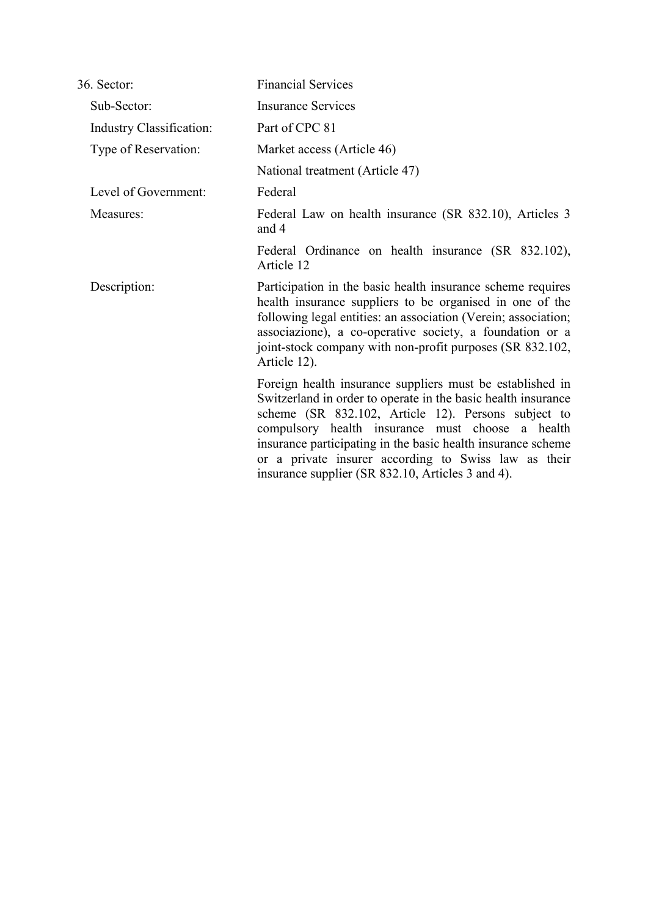| 36. Sector:                     | <b>Financial Services</b>                                                                                                                                                                                                                                                                                                                                                                                          |
|---------------------------------|--------------------------------------------------------------------------------------------------------------------------------------------------------------------------------------------------------------------------------------------------------------------------------------------------------------------------------------------------------------------------------------------------------------------|
| Sub-Sector:                     | <b>Insurance Services</b>                                                                                                                                                                                                                                                                                                                                                                                          |
| <b>Industry Classification:</b> | Part of CPC 81                                                                                                                                                                                                                                                                                                                                                                                                     |
| Type of Reservation:            | Market access (Article 46)                                                                                                                                                                                                                                                                                                                                                                                         |
|                                 | National treatment (Article 47)                                                                                                                                                                                                                                                                                                                                                                                    |
| Level of Government:            | Federal                                                                                                                                                                                                                                                                                                                                                                                                            |
| Measures:                       | Federal Law on health insurance (SR 832.10), Articles 3<br>and 4                                                                                                                                                                                                                                                                                                                                                   |
|                                 | Federal Ordinance on health insurance (SR 832.102),<br>Article 12                                                                                                                                                                                                                                                                                                                                                  |
| Description:                    | Participation in the basic health insurance scheme requires<br>health insurance suppliers to be organised in one of the<br>following legal entities: an association (Verein; association;<br>associazione), a co-operative society, a foundation or a<br>joint-stock company with non-profit purposes (SR 832.102,<br>Article 12).                                                                                 |
|                                 | Foreign health insurance suppliers must be established in<br>Switzerland in order to operate in the basic health insurance<br>scheme (SR 832.102, Article 12). Persons subject to<br>compulsory health insurance must choose a health<br>insurance participating in the basic health insurance scheme<br>or a private insurer according to Swiss law as their<br>insurance supplier (SR 832.10, Articles 3 and 4). |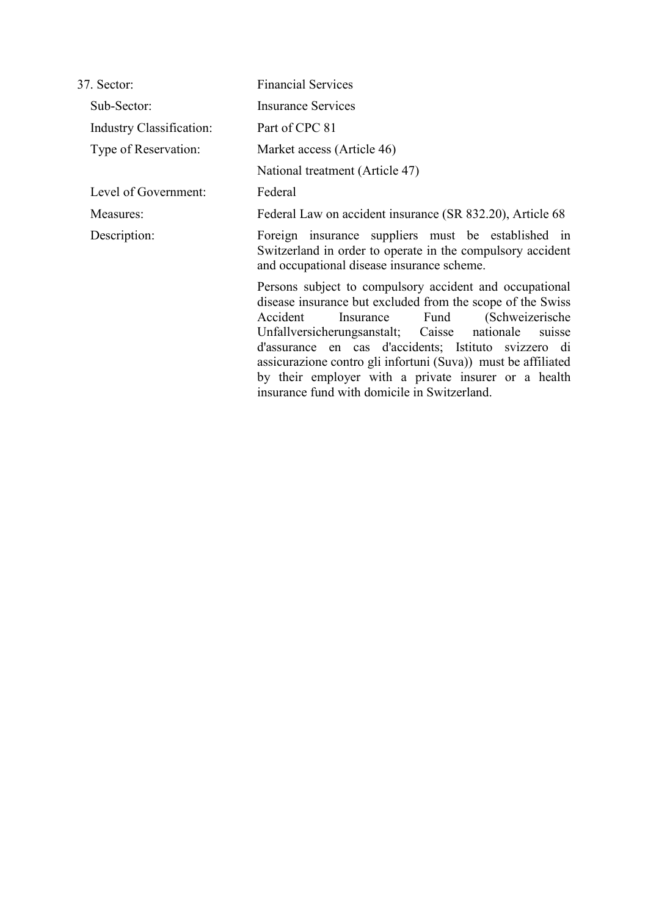| 37. Sector:                     | <b>Financial Services</b>                                                                                                                                                                                                                                                                                                                                                                                                                                             |  |  |
|---------------------------------|-----------------------------------------------------------------------------------------------------------------------------------------------------------------------------------------------------------------------------------------------------------------------------------------------------------------------------------------------------------------------------------------------------------------------------------------------------------------------|--|--|
| Sub-Sector:                     | <b>Insurance Services</b>                                                                                                                                                                                                                                                                                                                                                                                                                                             |  |  |
| <b>Industry Classification:</b> | Part of CPC 81                                                                                                                                                                                                                                                                                                                                                                                                                                                        |  |  |
| Type of Reservation:            | Market access (Article 46)                                                                                                                                                                                                                                                                                                                                                                                                                                            |  |  |
|                                 | National treatment (Article 47)                                                                                                                                                                                                                                                                                                                                                                                                                                       |  |  |
| Level of Government:            | Federal                                                                                                                                                                                                                                                                                                                                                                                                                                                               |  |  |
| Measures:                       | Federal Law on accident insurance (SR 832.20), Article 68                                                                                                                                                                                                                                                                                                                                                                                                             |  |  |
| Description:                    | Foreign insurance suppliers must be established in<br>Switzerland in order to operate in the compulsory accident<br>and occupational disease insurance scheme.                                                                                                                                                                                                                                                                                                        |  |  |
|                                 | Persons subject to compulsory accident and occupational<br>disease insurance but excluded from the scope of the Swiss<br>Accident<br>Fund<br>(Schweizerische)<br>Insurance<br>Unfallversicherungsanstalt; Caisse nationale<br>suisse<br>d'assurance en cas d'accidents; Istituto svizzero di<br>assicurazione contro gli infortuni (Suva)) must be affiliated<br>by their employer with a private insurer or a health<br>insurance fund with domicile in Switzerland. |  |  |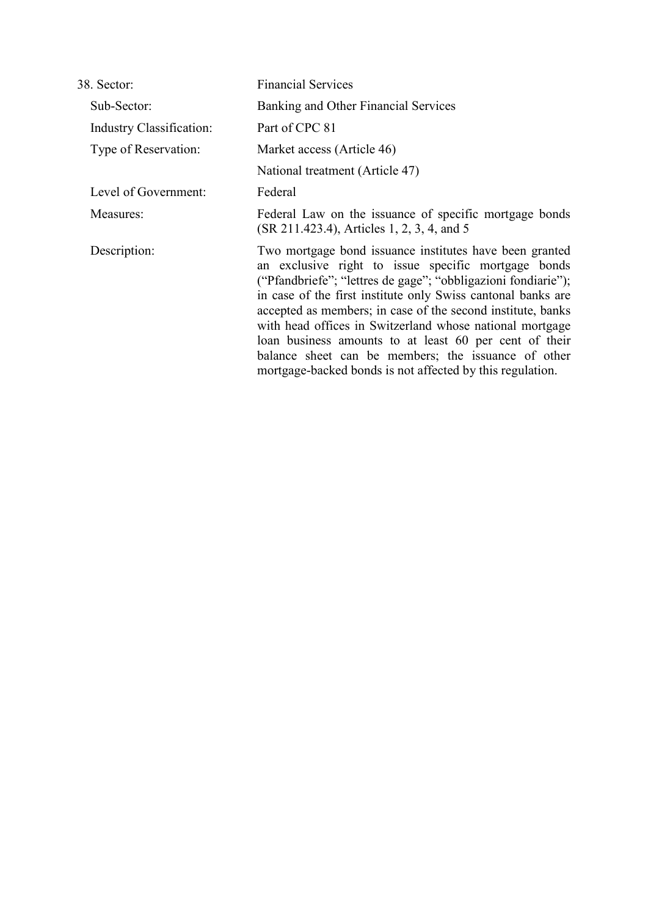| 38. Sector:              | <b>Financial Services</b>                                                                                                                                                                                                                                                                                                                                                                                                                                                                                                                                |
|--------------------------|----------------------------------------------------------------------------------------------------------------------------------------------------------------------------------------------------------------------------------------------------------------------------------------------------------------------------------------------------------------------------------------------------------------------------------------------------------------------------------------------------------------------------------------------------------|
| Sub-Sector:              | Banking and Other Financial Services                                                                                                                                                                                                                                                                                                                                                                                                                                                                                                                     |
| Industry Classification: | Part of CPC 81                                                                                                                                                                                                                                                                                                                                                                                                                                                                                                                                           |
| Type of Reservation:     | Market access (Article 46)                                                                                                                                                                                                                                                                                                                                                                                                                                                                                                                               |
|                          | National treatment (Article 47)                                                                                                                                                                                                                                                                                                                                                                                                                                                                                                                          |
| Level of Government:     | Federal                                                                                                                                                                                                                                                                                                                                                                                                                                                                                                                                                  |
| Measures:                | Federal Law on the issuance of specific mortgage bonds<br>(SR 211.423.4), Articles 1, 2, 3, 4, and 5                                                                                                                                                                                                                                                                                                                                                                                                                                                     |
| Description:             | Two mortgage bond issuance institutes have been granted<br>an exclusive right to issue specific mortgage bonds<br>("Pfandbriefe"; "lettres de gage"; "obbligazioni fondiarie");<br>in case of the first institute only Swiss cantonal banks are<br>accepted as members; in case of the second institute, banks<br>with head offices in Switzerland whose national mortgage<br>loan business amounts to at least 60 per cent of their<br>balance sheet can be members; the issuance of other<br>mortgage-backed bonds is not affected by this regulation. |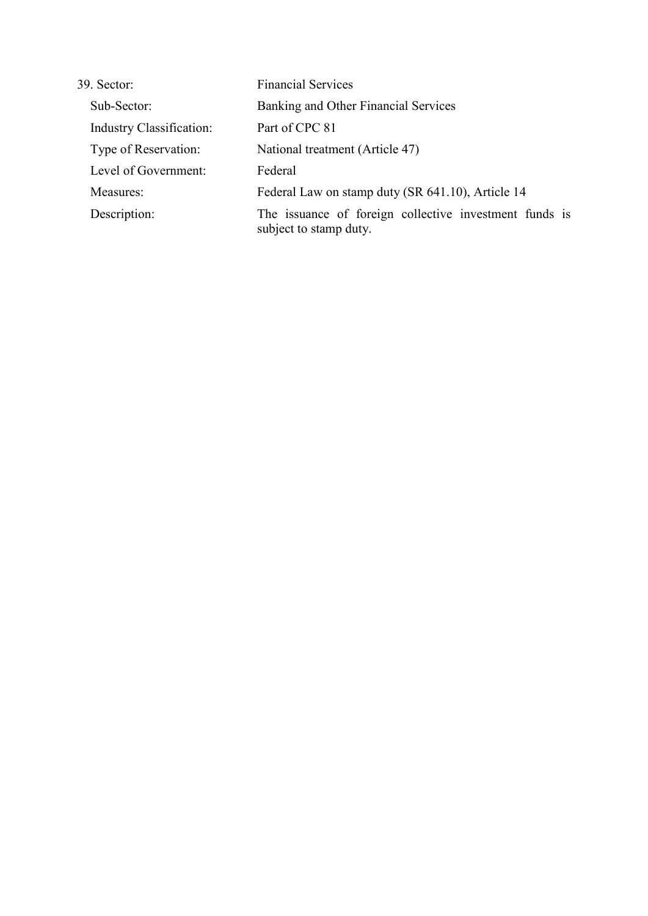| 39. Sector:                     | <b>Financial Services</b>                                                        |  |  |
|---------------------------------|----------------------------------------------------------------------------------|--|--|
| Sub-Sector:                     | Banking and Other Financial Services                                             |  |  |
| <b>Industry Classification:</b> | Part of CPC 81                                                                   |  |  |
| Type of Reservation:            | National treatment (Article 47)                                                  |  |  |
| Level of Government:            | Federal                                                                          |  |  |
| Measures:                       | Federal Law on stamp duty (SR 641.10), Article 14                                |  |  |
| Description:                    | The issuance of foreign collective investment funds is<br>subject to stamp duty. |  |  |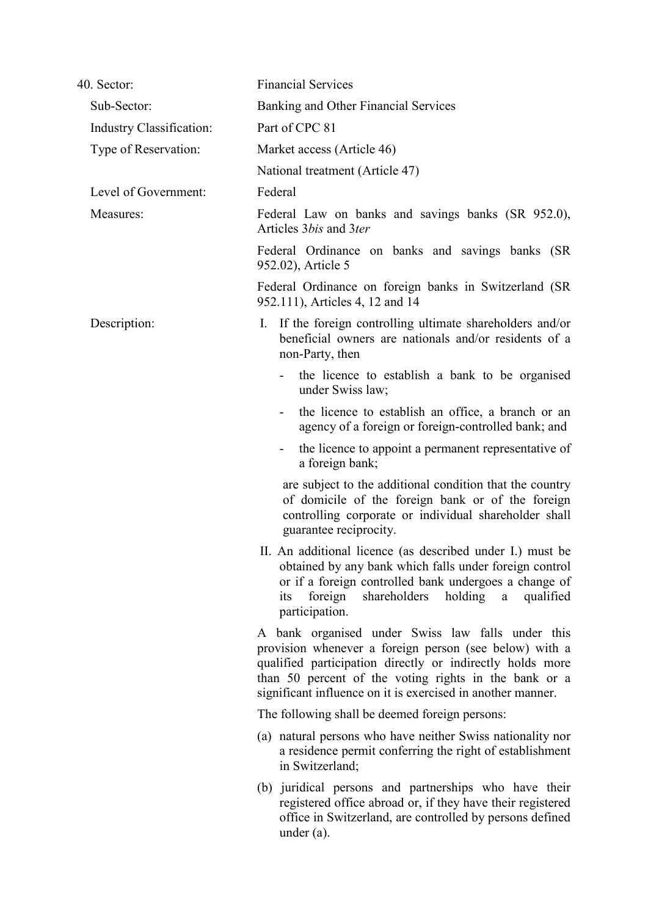| 40. Sector:              | <b>Financial Services</b>                                                                                                                                                                                                                                                                        |
|--------------------------|--------------------------------------------------------------------------------------------------------------------------------------------------------------------------------------------------------------------------------------------------------------------------------------------------|
| Sub-Sector:              | Banking and Other Financial Services                                                                                                                                                                                                                                                             |
| Industry Classification: | Part of CPC 81                                                                                                                                                                                                                                                                                   |
| Type of Reservation:     | Market access (Article 46)                                                                                                                                                                                                                                                                       |
|                          | National treatment (Article 47)                                                                                                                                                                                                                                                                  |
| Level of Government:     | Federal                                                                                                                                                                                                                                                                                          |
| Measures:                | Federal Law on banks and savings banks (SR 952.0),<br>Articles 3 <i>bis</i> and 3 <i>ter</i>                                                                                                                                                                                                     |
|                          | Federal Ordinance on banks and savings banks (SR<br>952.02), Article 5                                                                                                                                                                                                                           |
|                          | Federal Ordinance on foreign banks in Switzerland (SR)<br>952.111), Articles 4, 12 and 14                                                                                                                                                                                                        |
| Description:             | If the foreign controlling ultimate shareholders and/or<br>Ι.<br>beneficial owners are nationals and/or residents of a<br>non-Party, then                                                                                                                                                        |
|                          | the licence to establish a bank to be organised<br>under Swiss law;                                                                                                                                                                                                                              |
|                          | the licence to establish an office, a branch or an<br>$\qquad \qquad \blacksquare$<br>agency of a foreign or foreign-controlled bank; and                                                                                                                                                        |
|                          | the licence to appoint a permanent representative of<br>۰<br>a foreign bank;                                                                                                                                                                                                                     |
|                          | are subject to the additional condition that the country<br>of domicile of the foreign bank or of the foreign<br>controlling corporate or individual shareholder shall<br>guarantee reciprocity.                                                                                                 |
|                          | II. An additional licence (as described under I.) must be<br>obtained by any bank which falls under foreign control<br>or if a foreign controlled bank undergoes a change of<br>foreign<br>shareholders<br>holding<br>its<br>qualified<br>a<br>participation.                                    |
|                          | A bank organised under Swiss law falls under this<br>provision whenever a foreign person (see below) with a<br>qualified participation directly or indirectly holds more<br>than 50 percent of the voting rights in the bank or a<br>significant influence on it is exercised in another manner. |
|                          | The following shall be deemed foreign persons:                                                                                                                                                                                                                                                   |
|                          | (a) natural persons who have neither Swiss nationality nor<br>a residence permit conferring the right of establishment<br>in Switzerland;                                                                                                                                                        |
|                          | (b) juridical persons and partnerships who have their<br>registered office abroad or, if they have their registered<br>office in Switzerland, are controlled by persons defined<br>under $(a)$ .                                                                                                 |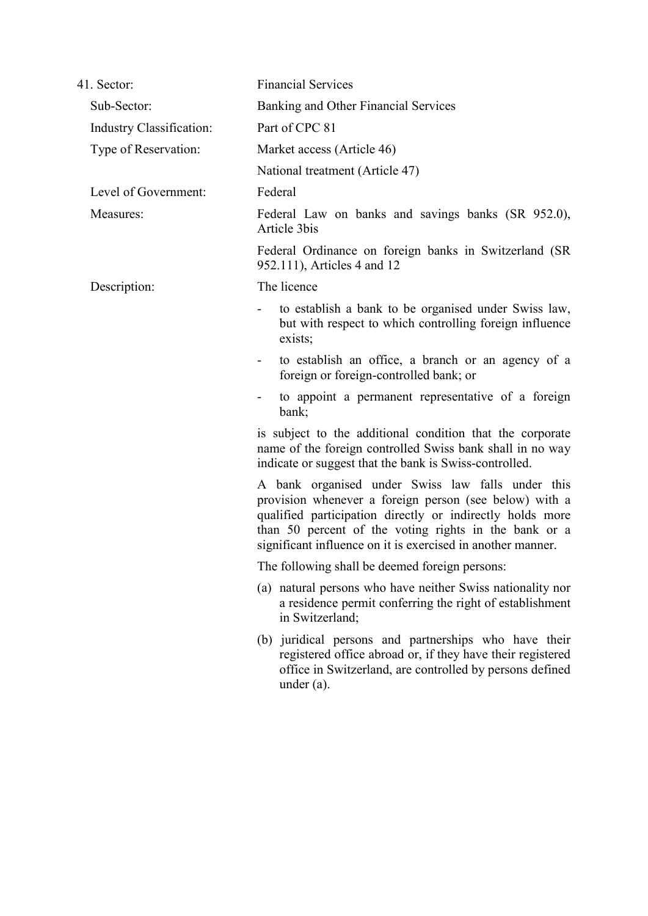| 41. Sector:                     | <b>Financial Services</b>                                                                                                                                                                                                                                                                        |  |  |
|---------------------------------|--------------------------------------------------------------------------------------------------------------------------------------------------------------------------------------------------------------------------------------------------------------------------------------------------|--|--|
| Sub-Sector:                     | Banking and Other Financial Services                                                                                                                                                                                                                                                             |  |  |
| <b>Industry Classification:</b> | Part of CPC 81                                                                                                                                                                                                                                                                                   |  |  |
| Type of Reservation:            | Market access (Article 46)                                                                                                                                                                                                                                                                       |  |  |
|                                 | National treatment (Article 47)                                                                                                                                                                                                                                                                  |  |  |
| Level of Government:            | Federal                                                                                                                                                                                                                                                                                          |  |  |
| Measures:                       | Federal Law on banks and savings banks (SR 952.0),<br>Article 3bis                                                                                                                                                                                                                               |  |  |
|                                 | Federal Ordinance on foreign banks in Switzerland (SR<br>952.111), Articles 4 and 12                                                                                                                                                                                                             |  |  |
| Description:                    | The licence                                                                                                                                                                                                                                                                                      |  |  |
|                                 | to establish a bank to be organised under Swiss law,<br>but with respect to which controlling foreign influence<br>exists;                                                                                                                                                                       |  |  |
|                                 | to establish an office, a branch or an agency of a<br>$\blacksquare$<br>foreign or foreign-controlled bank; or                                                                                                                                                                                   |  |  |
|                                 | to appoint a permanent representative of a foreign<br>bank;                                                                                                                                                                                                                                      |  |  |
|                                 | is subject to the additional condition that the corporate<br>name of the foreign controlled Swiss bank shall in no way<br>indicate or suggest that the bank is Swiss-controlled.                                                                                                                 |  |  |
|                                 | A bank organised under Swiss law falls under this<br>provision whenever a foreign person (see below) with a<br>qualified participation directly or indirectly holds more<br>than 50 percent of the voting rights in the bank or a<br>significant influence on it is exercised in another manner. |  |  |
|                                 | The following shall be deemed foreign persons:                                                                                                                                                                                                                                                   |  |  |
|                                 | (a) natural persons who have neither Swiss nationality nor<br>a residence permit conferring the right of establishment<br>in Switzerland;                                                                                                                                                        |  |  |
|                                 | (b) juridical persons and partnerships who have their<br>registered office abroad or, if they have their registered<br>office in Switzerland, are controlled by persons defined<br>under $(a)$ .                                                                                                 |  |  |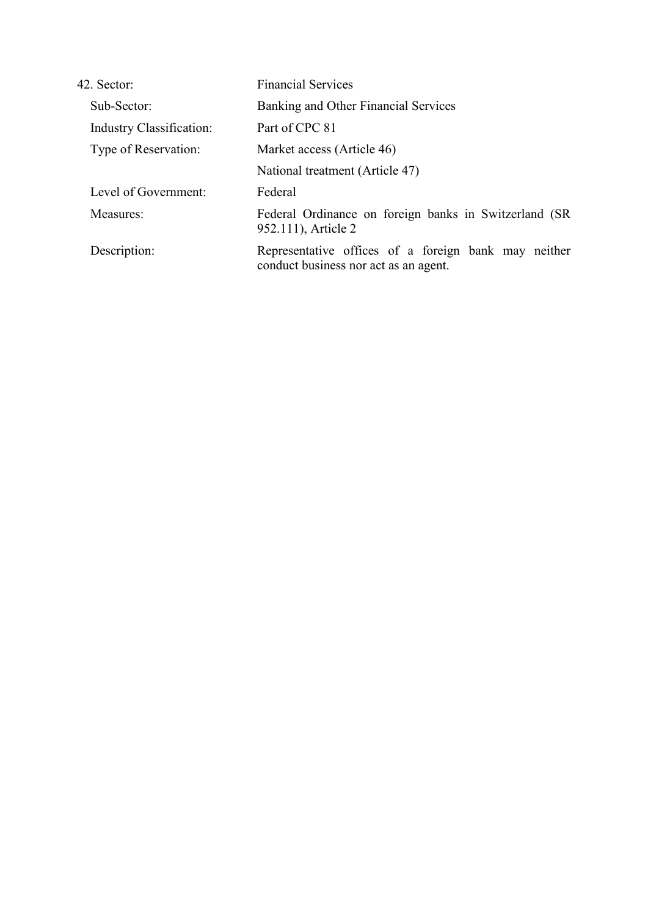| 42. Sector:              | <b>Financial Services</b>                                                                     |
|--------------------------|-----------------------------------------------------------------------------------------------|
| Sub-Sector:              | Banking and Other Financial Services                                                          |
| Industry Classification: | Part of CPC 81                                                                                |
| Type of Reservation:     | Market access (Article 46)                                                                    |
|                          | National treatment (Article 47)                                                               |
| Level of Government:     | Federal                                                                                       |
| Measures:                | Federal Ordinance on foreign banks in Switzerland (SR)<br>952.111), Article 2                 |
| Description:             | Representative offices of a foreign bank may neither<br>conduct business nor act as an agent. |
|                          |                                                                                               |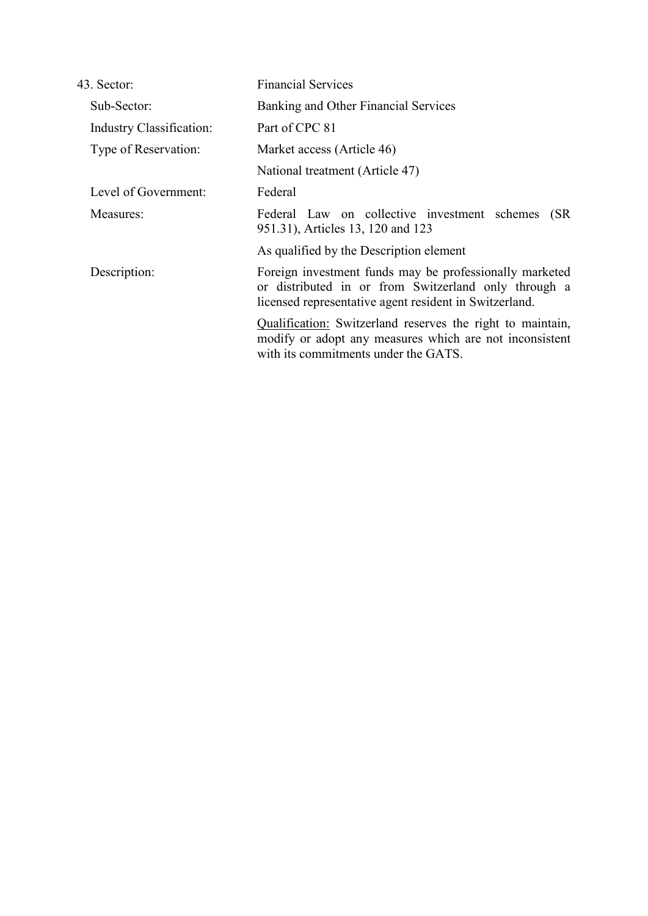| 43. Sector:                     | <b>Financial Services</b>                                                                                                                                                 |  |  |
|---------------------------------|---------------------------------------------------------------------------------------------------------------------------------------------------------------------------|--|--|
| Sub-Sector:                     | Banking and Other Financial Services                                                                                                                                      |  |  |
| <b>Industry Classification:</b> | Part of CPC 81                                                                                                                                                            |  |  |
| Type of Reservation:            | Market access (Article 46)                                                                                                                                                |  |  |
|                                 | National treatment (Article 47)                                                                                                                                           |  |  |
| Level of Government:            | Federal                                                                                                                                                                   |  |  |
| Measures:                       | Federal Law on collective investment schemes<br>(SR)<br>951.31), Articles 13, 120 and 123                                                                                 |  |  |
|                                 | As qualified by the Description element                                                                                                                                   |  |  |
| Description:                    | Foreign investment funds may be professionally marketed<br>or distributed in or from Switzerland only through a<br>licensed representative agent resident in Switzerland. |  |  |
|                                 | Qualification: Switzerland reserves the right to maintain,<br>modify or adopt any measures which are not inconsistent<br>with its commitments under the GATS.             |  |  |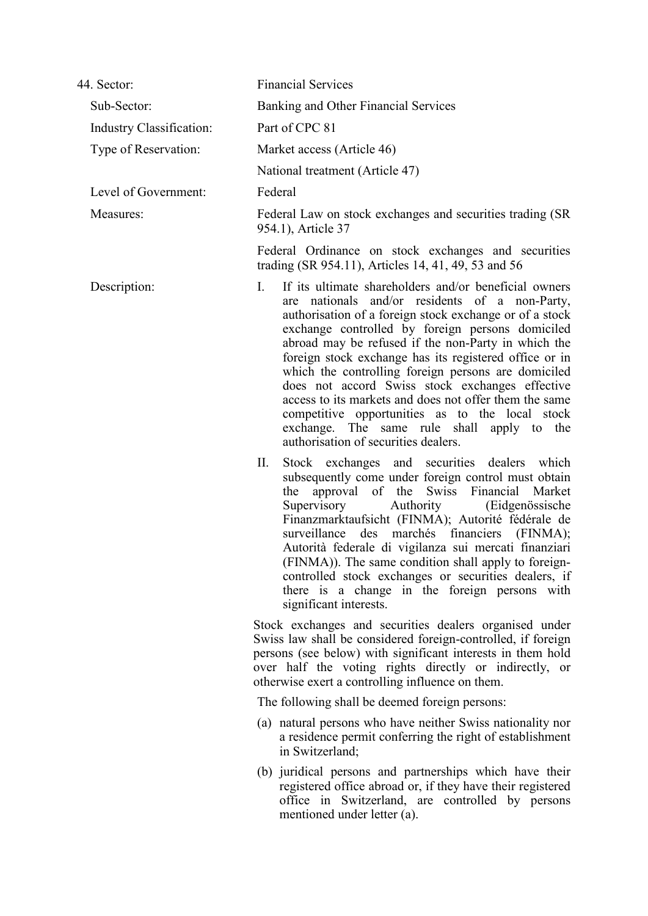| 44. Sector:              | <b>Financial Services</b>                                                                                                                                                                                                                                                                                                                                                                                                                                                                                                                                                                                                                                  |  |  |
|--------------------------|------------------------------------------------------------------------------------------------------------------------------------------------------------------------------------------------------------------------------------------------------------------------------------------------------------------------------------------------------------------------------------------------------------------------------------------------------------------------------------------------------------------------------------------------------------------------------------------------------------------------------------------------------------|--|--|
| Sub-Sector:              | Banking and Other Financial Services                                                                                                                                                                                                                                                                                                                                                                                                                                                                                                                                                                                                                       |  |  |
| Industry Classification: | Part of CPC 81                                                                                                                                                                                                                                                                                                                                                                                                                                                                                                                                                                                                                                             |  |  |
| Type of Reservation:     | Market access (Article 46)                                                                                                                                                                                                                                                                                                                                                                                                                                                                                                                                                                                                                                 |  |  |
|                          | National treatment (Article 47)                                                                                                                                                                                                                                                                                                                                                                                                                                                                                                                                                                                                                            |  |  |
| Level of Government:     | Federal                                                                                                                                                                                                                                                                                                                                                                                                                                                                                                                                                                                                                                                    |  |  |
| Measures:                | Federal Law on stock exchanges and securities trading (SR)<br>954.1), Article 37                                                                                                                                                                                                                                                                                                                                                                                                                                                                                                                                                                           |  |  |
|                          | Federal Ordinance on stock exchanges and securities<br>trading (SR 954.11), Articles 14, 41, 49, 53 and 56                                                                                                                                                                                                                                                                                                                                                                                                                                                                                                                                                 |  |  |
| Description:             | If its ultimate shareholders and/or beneficial owners<br>L.<br>are nationals and/or residents of a non-Party,<br>authorisation of a foreign stock exchange or of a stock<br>exchange controlled by foreign persons domiciled<br>abroad may be refused if the non-Party in which the<br>foreign stock exchange has its registered office or in<br>which the controlling foreign persons are domiciled<br>does not accord Swiss stock exchanges effective<br>access to its markets and does not offer them the same<br>competitive opportunities as to the local stock<br>exchange. The same rule shall apply to the<br>authorisation of securities dealers. |  |  |
|                          | П.<br>Stock exchanges and securities dealers which<br>subsequently come under foreign control must obtain<br>the approval of the Swiss Financial<br>Market<br>Supervisory<br>Authority<br>(Eidgenössische<br>Finanzmarktaufsicht (FINMA); Autorité fédérale de<br>des marchés financiers (FINMA);<br>surveillance<br>Autorità federale di vigilanza sui mercati finanziari<br>(FINMA)). The same condition shall apply to foreign-<br>controlled stock exchanges or securities dealers, if<br>there is a change in the foreign persons with<br>significant interests.                                                                                      |  |  |
|                          | Stock exchanges and securities dealers organised under<br>Swiss law shall be considered foreign-controlled, if foreign<br>persons (see below) with significant interests in them hold<br>over half the voting rights directly or indirectly, or<br>otherwise exert a controlling influence on them.                                                                                                                                                                                                                                                                                                                                                        |  |  |
|                          | The following shall be deemed foreign persons:                                                                                                                                                                                                                                                                                                                                                                                                                                                                                                                                                                                                             |  |  |
|                          | (a) natural persons who have neither Swiss nationality nor<br>a residence permit conferring the right of establishment<br>in Switzerland;                                                                                                                                                                                                                                                                                                                                                                                                                                                                                                                  |  |  |
|                          | (b) juridical persons and partnerships which have their<br>registered office abroad or, if they have their registered<br>office in Switzerland, are controlled by persons<br>mentioned under letter (a).                                                                                                                                                                                                                                                                                                                                                                                                                                                   |  |  |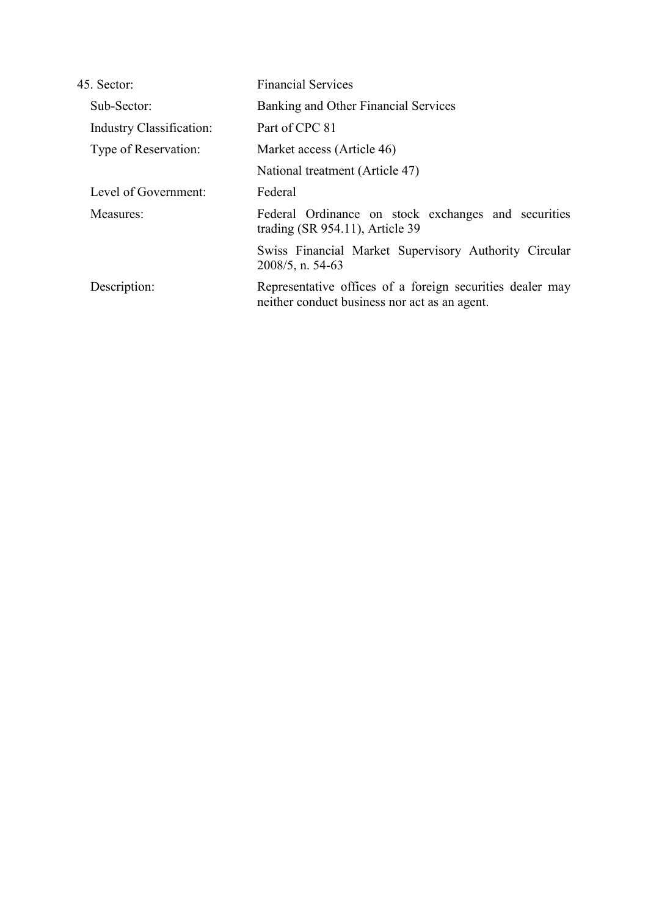| 45. Sector:                     | <b>Financial Services</b>                                                                                  |
|---------------------------------|------------------------------------------------------------------------------------------------------------|
| Sub-Sector:                     | Banking and Other Financial Services                                                                       |
| <b>Industry Classification:</b> | Part of CPC 81                                                                                             |
| Type of Reservation:            | Market access (Article 46)                                                                                 |
|                                 | National treatment (Article 47)                                                                            |
| Level of Government:            | Federal                                                                                                    |
| Measures:                       | Federal Ordinance on stock exchanges and securities<br>trading $(SR 954.11)$ , Article 39                  |
|                                 | Swiss Financial Market Supervisory Authority Circular<br>$2008/5$ , n. 54-63                               |
| Description:                    | Representative offices of a foreign securities dealer may<br>neither conduct business nor act as an agent. |
|                                 |                                                                                                            |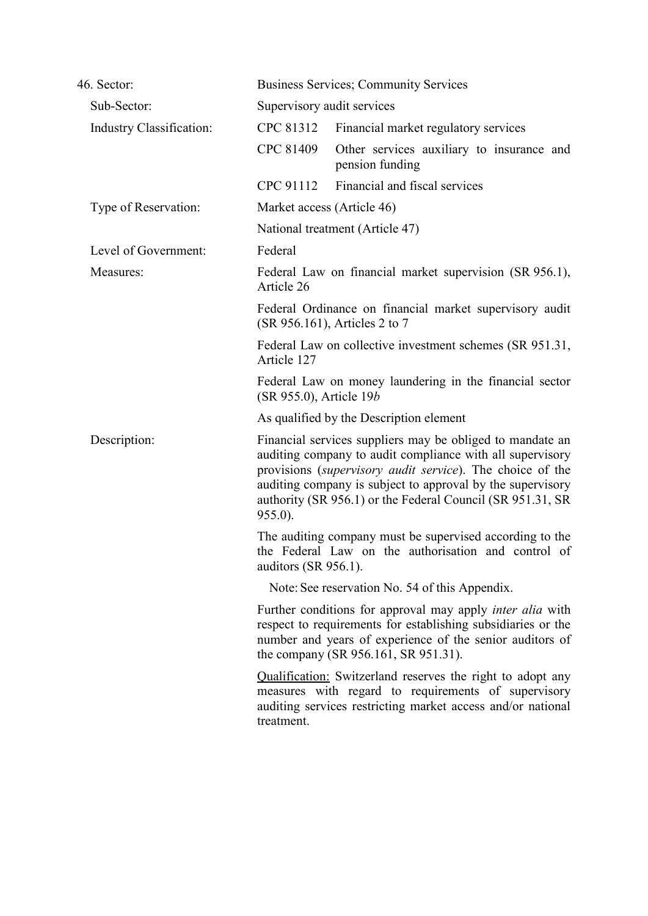| 46. Sector:                | <b>Business Services; Community Services</b>                                       |                                                                                                                                                                                                                                                                                                                 |
|----------------------------|------------------------------------------------------------------------------------|-----------------------------------------------------------------------------------------------------------------------------------------------------------------------------------------------------------------------------------------------------------------------------------------------------------------|
| Sub-Sector:                | Supervisory audit services                                                         |                                                                                                                                                                                                                                                                                                                 |
| Industry Classification:   | CPC 81312                                                                          | Financial market regulatory services                                                                                                                                                                                                                                                                            |
|                            | CPC 81409                                                                          | Other services auxiliary to insurance and<br>pension funding                                                                                                                                                                                                                                                    |
|                            | CPC 91112                                                                          | Financial and fiscal services                                                                                                                                                                                                                                                                                   |
| Type of Reservation:       | Market access (Article 46)                                                         |                                                                                                                                                                                                                                                                                                                 |
|                            |                                                                                    | National treatment (Article 47)                                                                                                                                                                                                                                                                                 |
| Level of Government:       | Federal                                                                            |                                                                                                                                                                                                                                                                                                                 |
| Measures:                  | Article 26                                                                         | Federal Law on financial market supervision (SR 956.1),                                                                                                                                                                                                                                                         |
|                            |                                                                                    | Federal Ordinance on financial market supervisory audit<br>(SR 956.161), Articles 2 to 7                                                                                                                                                                                                                        |
|                            | Federal Law on collective investment schemes (SR 951.31,<br>Article 127            |                                                                                                                                                                                                                                                                                                                 |
|                            | Federal Law on money laundering in the financial sector<br>(SR 955.0), Article 19b |                                                                                                                                                                                                                                                                                                                 |
|                            |                                                                                    | As qualified by the Description element                                                                                                                                                                                                                                                                         |
| Description:<br>$955.0$ ). |                                                                                    | Financial services suppliers may be obliged to mandate an<br>auditing company to audit compliance with all supervisory<br>provisions (supervisory audit service). The choice of the<br>auditing company is subject to approval by the supervisory<br>authority (SR 956.1) or the Federal Council (SR 951.31, SR |
|                            | auditors (SR 956.1).                                                               | The auditing company must be supervised according to the<br>the Federal Law on the authorisation and control of                                                                                                                                                                                                 |
|                            |                                                                                    | Note: See reservation No. 54 of this Appendix.                                                                                                                                                                                                                                                                  |
|                            |                                                                                    | Further conditions for approval may apply <i>inter alia</i> with<br>respect to requirements for establishing subsidiaries or the<br>number and years of experience of the senior auditors of<br>the company (SR 956.161, SR 951.31).                                                                            |
|                            | treatment.                                                                         | <b>Qualification:</b> Switzerland reserves the right to adopt any<br>measures with regard to requirements of supervisory<br>auditing services restricting market access and/or national                                                                                                                         |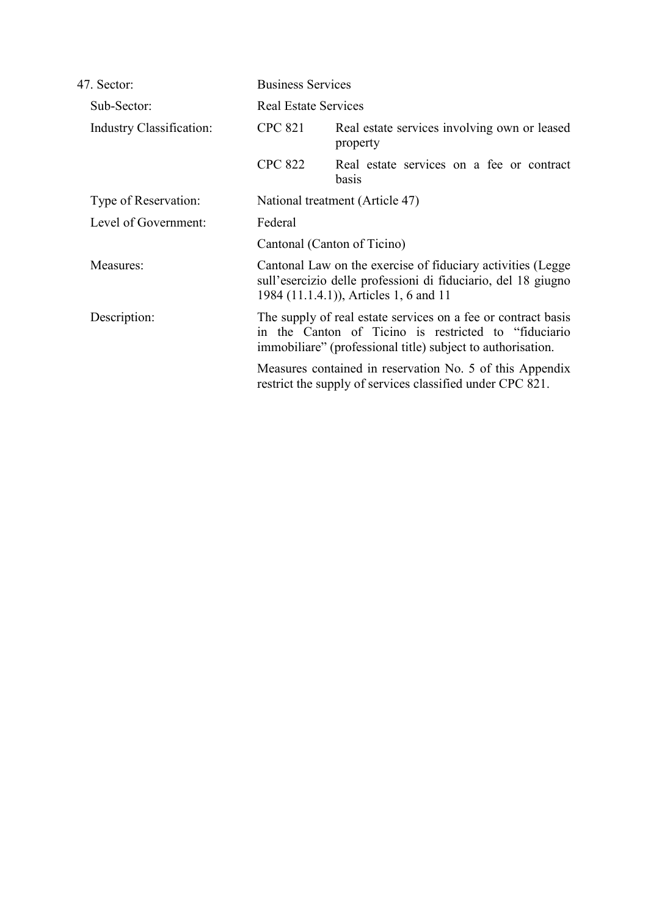| 47. Sector:                     |                                                                                                                                                                                       | <b>Business Services</b>                                                                                                                                               |  |
|---------------------------------|---------------------------------------------------------------------------------------------------------------------------------------------------------------------------------------|------------------------------------------------------------------------------------------------------------------------------------------------------------------------|--|
| Sub-Sector:                     |                                                                                                                                                                                       | <b>Real Estate Services</b>                                                                                                                                            |  |
| <b>Industry Classification:</b> | <b>CPC 821</b>                                                                                                                                                                        | Real estate services involving own or leased<br>property                                                                                                               |  |
|                                 | <b>CPC 822</b>                                                                                                                                                                        | Real estate services on a fee or contract<br>basis                                                                                                                     |  |
| Type of Reservation:            |                                                                                                                                                                                       | National treatment (Article 47)                                                                                                                                        |  |
| Level of Government:            | Federal                                                                                                                                                                               |                                                                                                                                                                        |  |
|                                 | Cantonal (Canton of Ticino)                                                                                                                                                           |                                                                                                                                                                        |  |
| Measures:                       |                                                                                                                                                                                       | Cantonal Law on the exercise of fiduciary activities (Legge<br>sull'esercizio delle professioni di fiduciario, del 18 giugno<br>1984 (11.1.4.1)), Articles 1, 6 and 11 |  |
| Description:                    | The supply of real estate services on a fee or contract basis<br>in the Canton of Ticino is restricted to "fiduciario"<br>immobiliare" (professional title) subject to authorisation. |                                                                                                                                                                        |  |
|                                 |                                                                                                                                                                                       | Measures contained in reservation No. 5 of this Appendix<br>restrict the supply of services classified under CPC 821.                                                  |  |
|                                 |                                                                                                                                                                                       |                                                                                                                                                                        |  |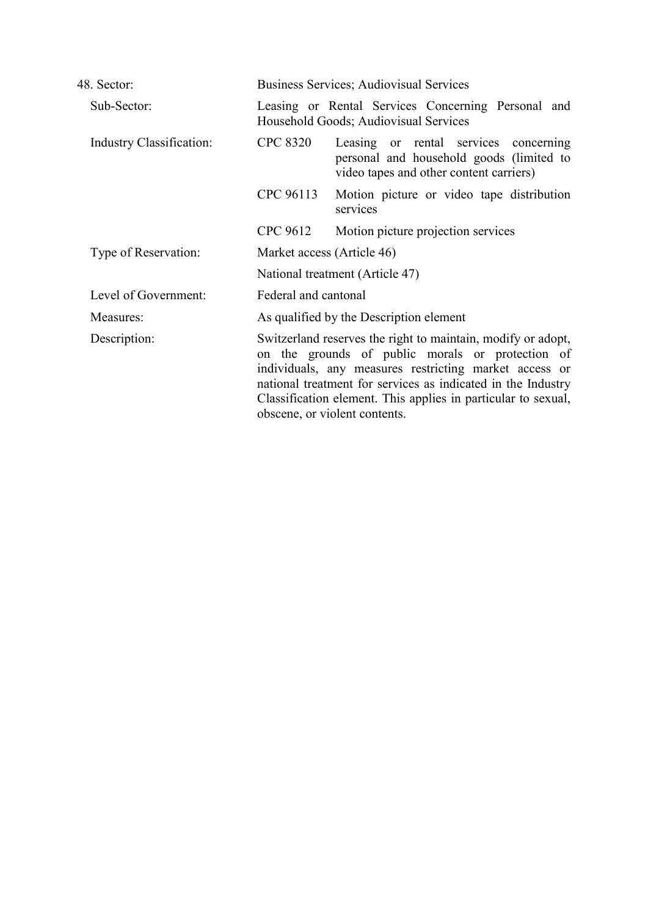| 48. Sector:              |                                                                                                                                                                                                                                                                                                                                              | <b>Business Services</b> ; Audiovisual Services                                                                              |  |
|--------------------------|----------------------------------------------------------------------------------------------------------------------------------------------------------------------------------------------------------------------------------------------------------------------------------------------------------------------------------------------|------------------------------------------------------------------------------------------------------------------------------|--|
| Sub-Sector:              | Leasing or Rental Services Concerning Personal and<br>Household Goods; Audiovisual Services                                                                                                                                                                                                                                                  |                                                                                                                              |  |
| Industry Classification: | <b>CPC 8320</b>                                                                                                                                                                                                                                                                                                                              | Leasing or rental services concerning<br>personal and household goods (limited to<br>video tapes and other content carriers) |  |
|                          | CPC 96113                                                                                                                                                                                                                                                                                                                                    | Motion picture or video tape distribution<br>services                                                                        |  |
|                          | CPC 9612                                                                                                                                                                                                                                                                                                                                     | Motion picture projection services                                                                                           |  |
| Type of Reservation:     |                                                                                                                                                                                                                                                                                                                                              | Market access (Article 46)                                                                                                   |  |
|                          |                                                                                                                                                                                                                                                                                                                                              | National treatment (Article 47)                                                                                              |  |
| Level of Government:     | Federal and cantonal                                                                                                                                                                                                                                                                                                                         |                                                                                                                              |  |
| Measures:                | As qualified by the Description element                                                                                                                                                                                                                                                                                                      |                                                                                                                              |  |
| Description:             | Switzerland reserves the right to maintain, modify or adopt,<br>on the grounds of public morals or protection of<br>individuals, any measures restricting market access or<br>national treatment for services as indicated in the Industry<br>Classification element. This applies in particular to sexual,<br>obscene, or violent contents. |                                                                                                                              |  |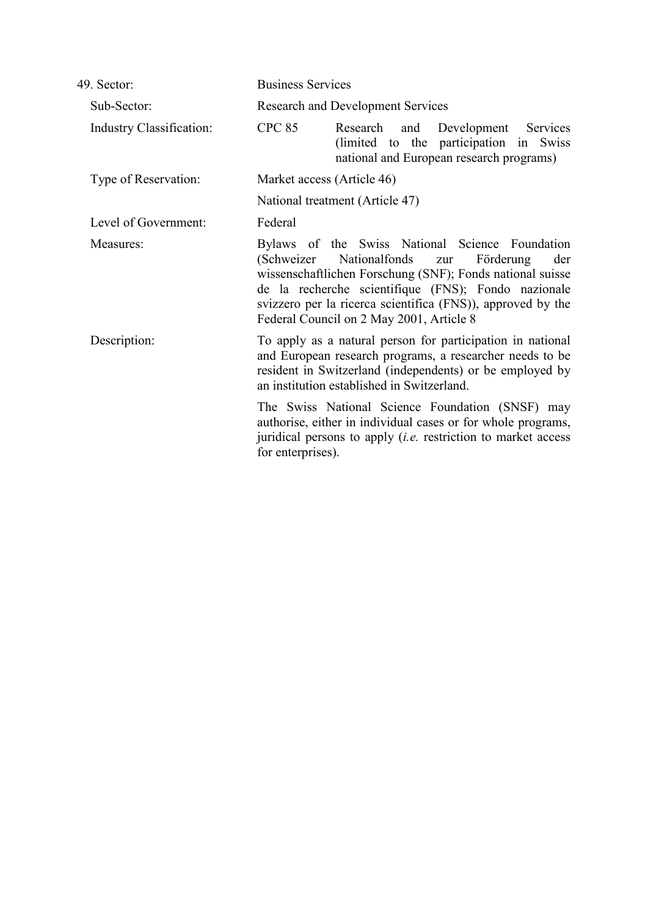| 49. Sector:                     | <b>Business Services</b>                                                                                                                                                                                                                                                                                                                  |  |  |
|---------------------------------|-------------------------------------------------------------------------------------------------------------------------------------------------------------------------------------------------------------------------------------------------------------------------------------------------------------------------------------------|--|--|
| Sub-Sector:                     | <b>Research and Development Services</b>                                                                                                                                                                                                                                                                                                  |  |  |
| <b>Industry Classification:</b> | <b>CPC 85</b><br>Research<br>and<br>Development<br>Services<br>(limited to the participation in Swiss)<br>national and European research programs)                                                                                                                                                                                        |  |  |
| Type of Reservation:            | Market access (Article 46)                                                                                                                                                                                                                                                                                                                |  |  |
|                                 | National treatment (Article 47)                                                                                                                                                                                                                                                                                                           |  |  |
| Level of Government:            | Federal                                                                                                                                                                                                                                                                                                                                   |  |  |
| Measures:                       | Bylaws of the Swiss National Science Foundation<br>Nationalfonds<br>(Schweizer)<br>Förderung<br>der<br>zur<br>wissenschaftlichen Forschung (SNF); Fonds national suisse<br>de la recherche scientifique (FNS); Fondo nazionale<br>svizzero per la ricerca scientifica (FNS)), approved by the<br>Federal Council on 2 May 2001, Article 8 |  |  |
| Description:                    | To apply as a natural person for participation in national<br>and European research programs, a researcher needs to be<br>resident in Switzerland (independents) or be employed by<br>an institution established in Switzerland.                                                                                                          |  |  |
|                                 | The Swiss National Science Foundation (SNSF) may<br>authorise, either in individual cases or for whole programs,<br>juridical persons to apply <i>(i.e.</i> restriction to market access<br>for enterprises).                                                                                                                             |  |  |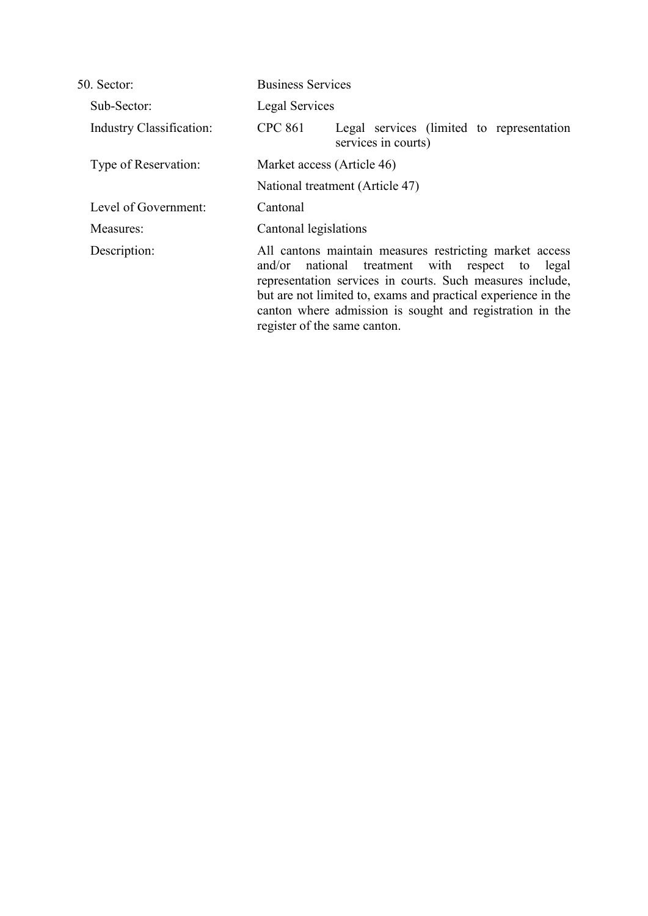| 50. Sector:                     | <b>Business Services</b>                                                                                                                                                                                                                                                                                                             |  |  |
|---------------------------------|--------------------------------------------------------------------------------------------------------------------------------------------------------------------------------------------------------------------------------------------------------------------------------------------------------------------------------------|--|--|
| Sub-Sector:                     | Legal Services                                                                                                                                                                                                                                                                                                                       |  |  |
| <b>Industry Classification:</b> | <b>CPC 861</b><br>Legal services (limited to representation<br>services in courts)                                                                                                                                                                                                                                                   |  |  |
| Type of Reservation:            | Market access (Article 46)<br>National treatment (Article 47)                                                                                                                                                                                                                                                                        |  |  |
|                                 |                                                                                                                                                                                                                                                                                                                                      |  |  |
| Level of Government:            | Cantonal                                                                                                                                                                                                                                                                                                                             |  |  |
| Measures:                       | Cantonal legislations                                                                                                                                                                                                                                                                                                                |  |  |
| Description:                    | All cantons maintain measures restricting market access<br>and/or national treatment with respect to legal<br>representation services in courts. Such measures include,<br>but are not limited to, exams and practical experience in the<br>canton where admission is sought and registration in the<br>register of the same canton. |  |  |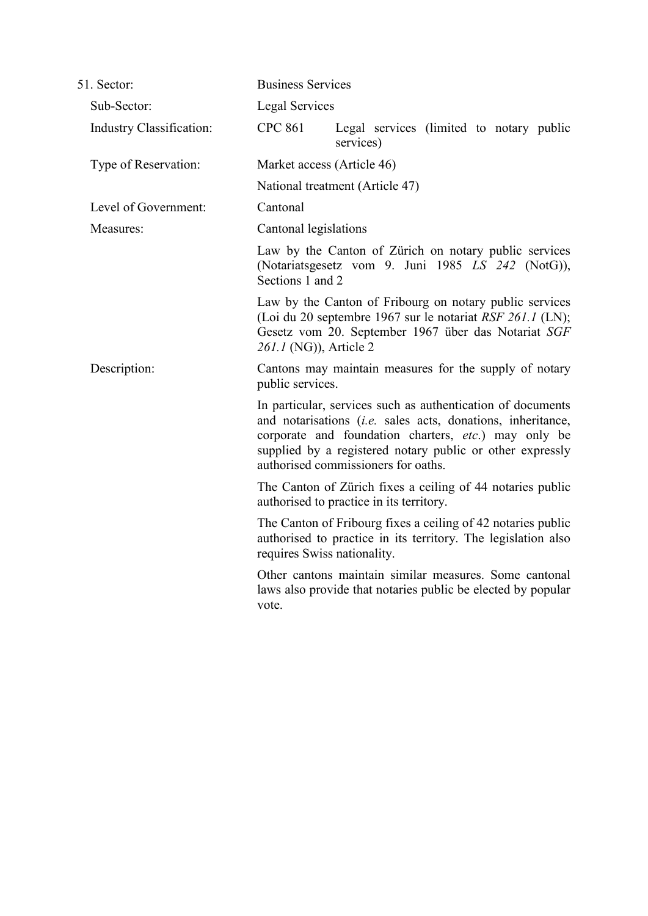| 51. Sector:              | <b>Business Services</b>                                                                                                                                                                                                                                                               |                                                                                                                                                                             |
|--------------------------|----------------------------------------------------------------------------------------------------------------------------------------------------------------------------------------------------------------------------------------------------------------------------------------|-----------------------------------------------------------------------------------------------------------------------------------------------------------------------------|
| Sub-Sector:              | <b>Legal Services</b>                                                                                                                                                                                                                                                                  |                                                                                                                                                                             |
| Industry Classification: | <b>CPC 861</b>                                                                                                                                                                                                                                                                         | Legal services (limited to notary public<br>services)                                                                                                                       |
| Type of Reservation:     | Market access (Article 46)<br>National treatment (Article 47)                                                                                                                                                                                                                          |                                                                                                                                                                             |
|                          |                                                                                                                                                                                                                                                                                        |                                                                                                                                                                             |
| Level of Government:     | Cantonal                                                                                                                                                                                                                                                                               |                                                                                                                                                                             |
| Measures:                | Cantonal legislations                                                                                                                                                                                                                                                                  |                                                                                                                                                                             |
|                          | Law by the Canton of Zürich on notary public services<br>(Notariatsgesetz vom 9. Juni 1985 LS 242 (NotG)),<br>Sections 1 and 2                                                                                                                                                         |                                                                                                                                                                             |
|                          | 261.1 (NG)), Article 2                                                                                                                                                                                                                                                                 | Law by the Canton of Fribourg on notary public services<br>(Loi du 20 septembre 1967 sur le notariat RSF 261.1 (LN);<br>Gesetz vom 20. September 1967 über das Notariat SGF |
| Description:             | public services.                                                                                                                                                                                                                                                                       | Cantons may maintain measures for the supply of notary                                                                                                                      |
|                          | In particular, services such as authentication of documents<br>and notarisations (i.e. sales acts, donations, inheritance,<br>corporate and foundation charters, etc.) may only be<br>supplied by a registered notary public or other expressly<br>authorised commissioners for oaths. |                                                                                                                                                                             |
|                          |                                                                                                                                                                                                                                                                                        | The Canton of Zürich fixes a ceiling of 44 notaries public<br>authorised to practice in its territory.                                                                      |
|                          | requires Swiss nationality.                                                                                                                                                                                                                                                            | The Canton of Fribourg fixes a ceiling of 42 notaries public<br>authorised to practice in its territory. The legislation also                                               |
|                          | vote.                                                                                                                                                                                                                                                                                  | Other cantons maintain similar measures. Some cantonal<br>laws also provide that notaries public be elected by popular                                                      |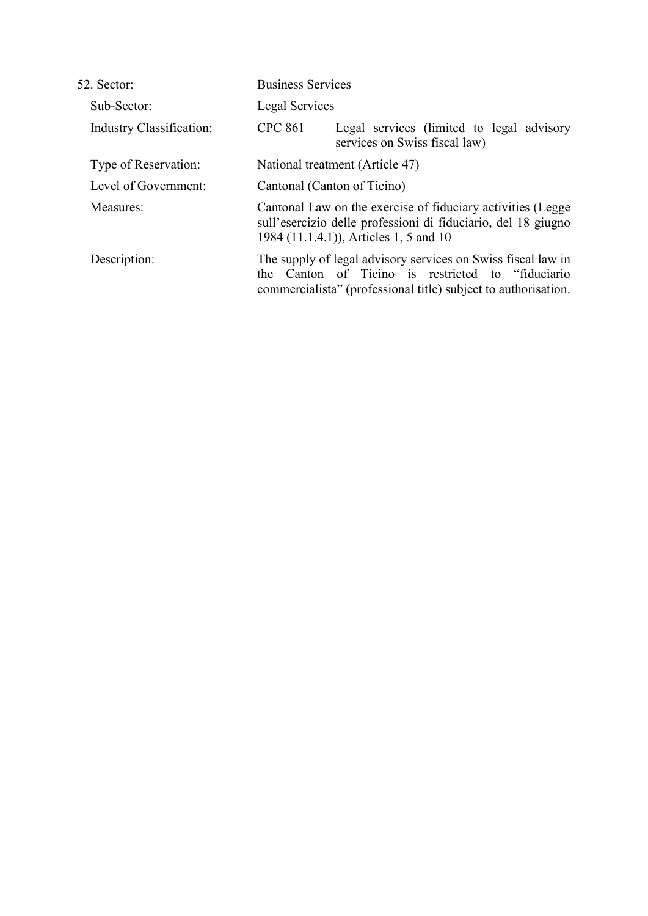| <b>Business Services</b>                                                                                                                                               |                                                                                                                                                                                  |  |
|------------------------------------------------------------------------------------------------------------------------------------------------------------------------|----------------------------------------------------------------------------------------------------------------------------------------------------------------------------------|--|
| <b>Legal Services</b>                                                                                                                                                  |                                                                                                                                                                                  |  |
| <b>CPC 861</b>                                                                                                                                                         | Legal services (limited to legal advisory<br>services on Swiss fiscal law)                                                                                                       |  |
| National treatment (Article 47)                                                                                                                                        |                                                                                                                                                                                  |  |
| Cantonal (Canton of Ticino)                                                                                                                                            |                                                                                                                                                                                  |  |
| Cantonal Law on the exercise of fiduciary activities (Legge<br>sull'esercizio delle professioni di fiduciario, del 18 giugno<br>1984 (11.1.4.1)), Articles 1, 5 and 10 |                                                                                                                                                                                  |  |
| the                                                                                                                                                                    | The supply of legal advisory services on Swiss fiscal law in<br>Canton of Ticino is restricted to "fiduciario"<br>commercialista" (professional title) subject to authorisation. |  |
|                                                                                                                                                                        |                                                                                                                                                                                  |  |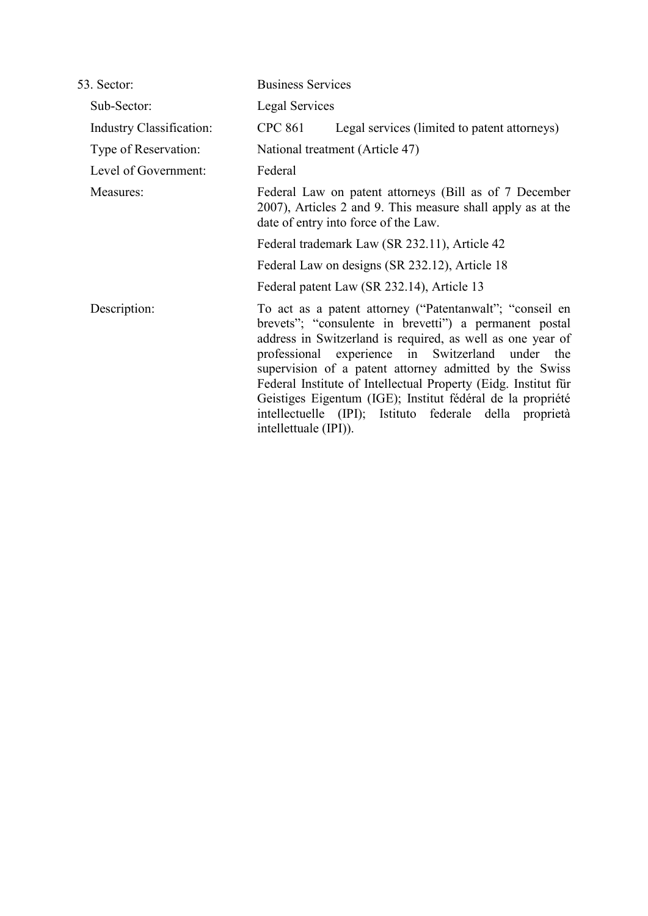| 53. Sector:              | <b>Business Services</b>                                                                                                                                                                                                                                                                                                                                                                                                                                                                                           |  |  |
|--------------------------|--------------------------------------------------------------------------------------------------------------------------------------------------------------------------------------------------------------------------------------------------------------------------------------------------------------------------------------------------------------------------------------------------------------------------------------------------------------------------------------------------------------------|--|--|
| Sub-Sector:              | Legal Services                                                                                                                                                                                                                                                                                                                                                                                                                                                                                                     |  |  |
| Industry Classification: | <b>CPC 861</b><br>Legal services (limited to patent attorneys)                                                                                                                                                                                                                                                                                                                                                                                                                                                     |  |  |
| Type of Reservation:     | National treatment (Article 47)                                                                                                                                                                                                                                                                                                                                                                                                                                                                                    |  |  |
| Level of Government:     | Federal                                                                                                                                                                                                                                                                                                                                                                                                                                                                                                            |  |  |
| Measures:                | Federal Law on patent attorneys (Bill as of 7 December<br>2007), Articles 2 and 9. This measure shall apply as at the<br>date of entry into force of the Law.                                                                                                                                                                                                                                                                                                                                                      |  |  |
|                          | Federal trademark Law (SR 232.11), Article 42                                                                                                                                                                                                                                                                                                                                                                                                                                                                      |  |  |
|                          | Federal Law on designs (SR 232.12), Article 18                                                                                                                                                                                                                                                                                                                                                                                                                                                                     |  |  |
|                          | Federal patent Law (SR 232.14), Article 13                                                                                                                                                                                                                                                                                                                                                                                                                                                                         |  |  |
| Description:             | To act as a patent attorney ("Patentanwalt"; "conseil en<br>brevets"; "consulente in brevetti") a permanent postal<br>address in Switzerland is required, as well as one year of<br>professional experience in Switzerland under the<br>supervision of a patent attorney admitted by the Swiss<br>Federal Institute of Intellectual Property (Eidg. Institut für<br>Geistiges Eigentum (IGE); Institut fédéral de la propriété<br>intellectuelle (IPI); Istituto federale della proprietà<br>intellettuale (IPI)). |  |  |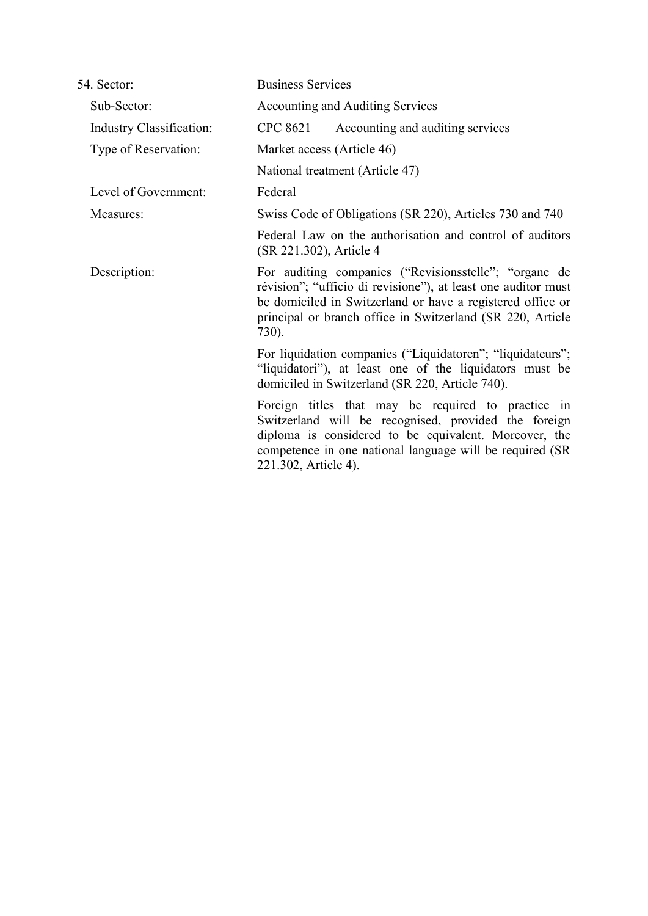| 54. Sector:                     | <b>Business Services</b>                                                                                                                                                                                                                                    |  |  |
|---------------------------------|-------------------------------------------------------------------------------------------------------------------------------------------------------------------------------------------------------------------------------------------------------------|--|--|
| Sub-Sector:                     | <b>Accounting and Auditing Services</b>                                                                                                                                                                                                                     |  |  |
| <b>Industry Classification:</b> | CPC 8621<br>Accounting and auditing services                                                                                                                                                                                                                |  |  |
| Type of Reservation:            | Market access (Article 46)                                                                                                                                                                                                                                  |  |  |
|                                 | National treatment (Article 47)                                                                                                                                                                                                                             |  |  |
| Level of Government:            | Federal                                                                                                                                                                                                                                                     |  |  |
| Measures:                       | Swiss Code of Obligations (SR 220), Articles 730 and 740                                                                                                                                                                                                    |  |  |
|                                 | Federal Law on the authorisation and control of auditors<br>(SR 221.302), Article 4                                                                                                                                                                         |  |  |
| Description:                    | For auditing companies ("Revisionsstelle"; "organe de<br>révision"; "ufficio di revisione"), at least one auditor must<br>be domiciled in Switzerland or have a registered office or<br>principal or branch office in Switzerland (SR 220, Article<br>730). |  |  |
|                                 | For liquidation companies ("Liquidatoren"; "liquidateurs";<br>"liquidatori"), at least one of the liquidators must be<br>domiciled in Switzerland (SR 220, Article 740).                                                                                    |  |  |
|                                 | Foreign titles that may be required to practice in<br>Switzerland will be recognised, provided the foreign<br>diploma is considered to be equivalent. Moreover, the<br>competence in one national language will be required (SR)<br>221.302, Article 4).    |  |  |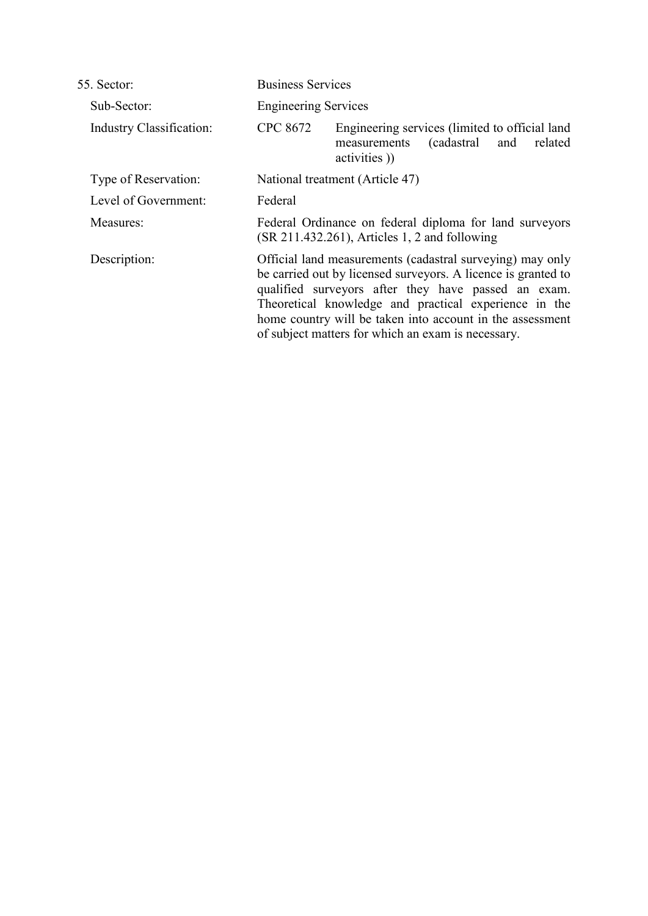| 55. Sector:                     | <b>Business Services</b>                                                                                                                                                                                                                                                                                                                                      |  |  |
|---------------------------------|---------------------------------------------------------------------------------------------------------------------------------------------------------------------------------------------------------------------------------------------------------------------------------------------------------------------------------------------------------------|--|--|
| Sub-Sector:                     | <b>Engineering Services</b>                                                                                                                                                                                                                                                                                                                                   |  |  |
| <b>Industry Classification:</b> | CPC 8672<br>Engineering services (limited to official land<br>(cadastral)<br>and<br>related<br>measurements<br>activities)                                                                                                                                                                                                                                    |  |  |
| Type of Reservation:            | National treatment (Article 47)                                                                                                                                                                                                                                                                                                                               |  |  |
| Level of Government:            | Federal                                                                                                                                                                                                                                                                                                                                                       |  |  |
| Measures:                       | Federal Ordinance on federal diploma for land surveyors<br>$(SR 211.432.261)$ , Articles 1, 2 and following                                                                                                                                                                                                                                                   |  |  |
| Description:                    | Official land measurements (cadastral surveying) may only<br>be carried out by licensed surveyors. A licence is granted to<br>qualified surveyors after they have passed an exam.<br>Theoretical knowledge and practical experience in the<br>home country will be taken into account in the assessment<br>of subject matters for which an exam is necessary. |  |  |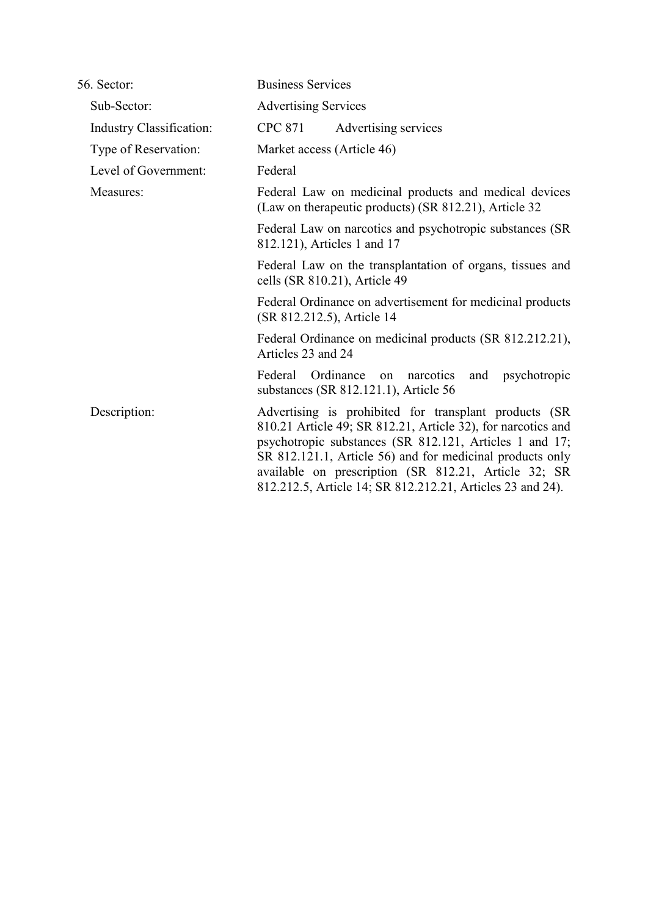| 56. Sector:                     | <b>Business Services</b>                                                                                                                                                                                                                                                                                                                                             |  |  |
|---------------------------------|----------------------------------------------------------------------------------------------------------------------------------------------------------------------------------------------------------------------------------------------------------------------------------------------------------------------------------------------------------------------|--|--|
| Sub-Sector:                     | <b>Advertising Services</b>                                                                                                                                                                                                                                                                                                                                          |  |  |
| <b>Industry Classification:</b> | CPC 871<br>Advertising services                                                                                                                                                                                                                                                                                                                                      |  |  |
| Type of Reservation:            | Market access (Article 46)                                                                                                                                                                                                                                                                                                                                           |  |  |
| Level of Government:            | Federal                                                                                                                                                                                                                                                                                                                                                              |  |  |
| Measures:                       | Federal Law on medicinal products and medical devices<br>(Law on therapeutic products) (SR 812.21), Article 32                                                                                                                                                                                                                                                       |  |  |
|                                 | Federal Law on narcotics and psychotropic substances (SR<br>812.121), Articles 1 and 17                                                                                                                                                                                                                                                                              |  |  |
|                                 | Federal Law on the transplantation of organs, tissues and<br>cells (SR 810.21), Article 49                                                                                                                                                                                                                                                                           |  |  |
|                                 | Federal Ordinance on advertisement for medicinal products<br>(SR 812.212.5), Article 14                                                                                                                                                                                                                                                                              |  |  |
|                                 | Federal Ordinance on medicinal products (SR 812.212.21),<br>Articles 23 and 24                                                                                                                                                                                                                                                                                       |  |  |
|                                 | Federal Ordinance<br>narcotics<br>and psychotropic<br>on<br>substances (SR 812.121.1), Article 56                                                                                                                                                                                                                                                                    |  |  |
| Description:                    | Advertising is prohibited for transplant products (SR)<br>810.21 Article 49; SR 812.21, Article 32), for narcotics and<br>psychotropic substances (SR 812.121, Articles 1 and 17;<br>SR 812.121.1, Article 56) and for medicinal products only<br>available on prescription (SR 812.21, Article 32; SR<br>812.212.5, Article 14; SR 812.212.21, Articles 23 and 24). |  |  |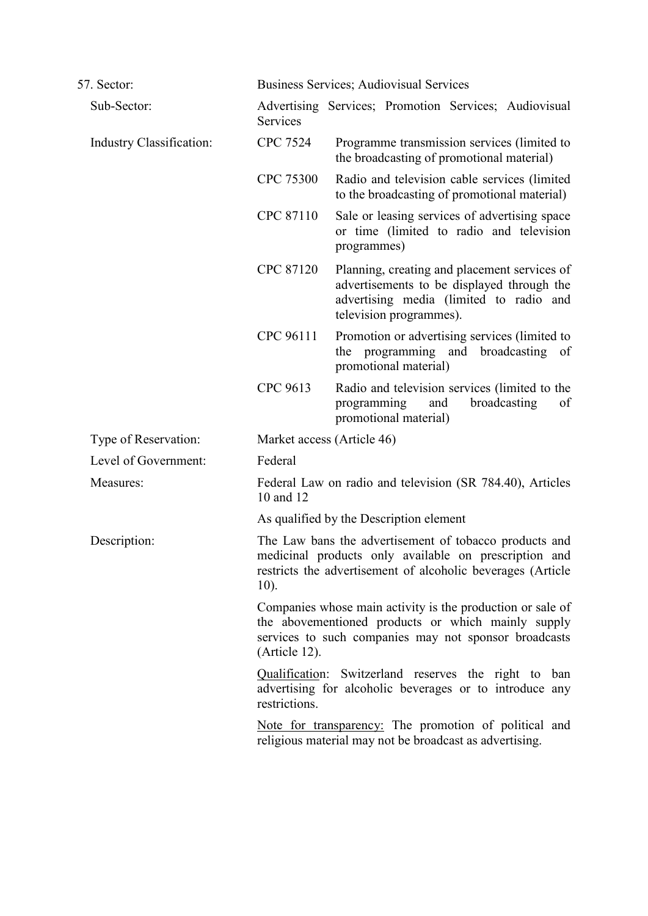| 57. Sector:              |                 | Business Services; Audiovisual Services                                                                                                                                        |  |  |
|--------------------------|-----------------|--------------------------------------------------------------------------------------------------------------------------------------------------------------------------------|--|--|
| Sub-Sector:              | Services        | Advertising Services; Promotion Services; Audiovisual                                                                                                                          |  |  |
| Industry Classification: | <b>CPC 7524</b> | Programme transmission services (limited to<br>the broadcasting of promotional material)                                                                                       |  |  |
|                          | CPC 75300       | Radio and television cable services (limited<br>to the broadcasting of promotional material)                                                                                   |  |  |
|                          | CPC 87110       | Sale or leasing services of advertising space<br>or time (limited to radio and television<br>programmes)                                                                       |  |  |
|                          | CPC 87120       | Planning, creating and placement services of<br>advertisements to be displayed through the<br>advertising media (limited to radio and<br>television programmes).               |  |  |
|                          | CPC 96111       | Promotion or advertising services (limited to<br>broadcasting<br>the<br>programming and<br>of<br>promotional material)                                                         |  |  |
|                          | CPC 9613        | Radio and television services (limited to the<br>broadcasting<br>programming<br>and<br>of<br>promotional material)                                                             |  |  |
| Type of Reservation:     |                 | Market access (Article 46)                                                                                                                                                     |  |  |
| Level of Government:     | Federal         |                                                                                                                                                                                |  |  |
| Measures:                | 10 and 12       | Federal Law on radio and television (SR 784.40), Articles                                                                                                                      |  |  |
|                          |                 | As qualified by the Description element                                                                                                                                        |  |  |
| Description:             | $10$ ).         | The Law bans the advertisement of tobacco products and<br>medicinal products only available on prescription and<br>restricts the advertisement of alcoholic beverages (Article |  |  |
|                          | (Article 12).   | Companies whose main activity is the production or sale of<br>the abovementioned products or which mainly supply<br>services to such companies may not sponsor broadcasts      |  |  |
|                          | restrictions.   | Qualification: Switzerland reserves the right to ban<br>advertising for alcoholic beverages or to introduce any                                                                |  |  |
|                          |                 | Note for transparency: The promotion of political and<br>religious material may not be broadcast as advertising.                                                               |  |  |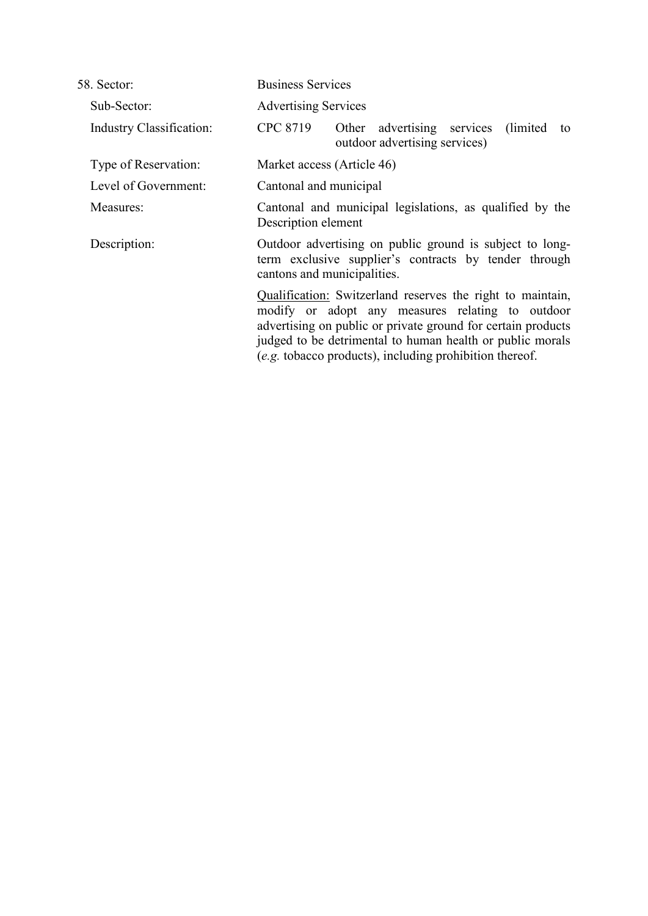| 58. Sector:                     | <b>Business Services</b>                                                                                                                         |                                                                                                                                                                                                                                                                                                        |
|---------------------------------|--------------------------------------------------------------------------------------------------------------------------------------------------|--------------------------------------------------------------------------------------------------------------------------------------------------------------------------------------------------------------------------------------------------------------------------------------------------------|
| Sub-Sector:                     | <b>Advertising Services</b>                                                                                                                      |                                                                                                                                                                                                                                                                                                        |
| <b>Industry Classification:</b> | CPC 8719                                                                                                                                         | Other advertising services (limited)<br>to<br>outdoor advertising services)                                                                                                                                                                                                                            |
| Type of Reservation:            | Market access (Article 46)                                                                                                                       |                                                                                                                                                                                                                                                                                                        |
| Level of Government:            | Cantonal and municipal                                                                                                                           |                                                                                                                                                                                                                                                                                                        |
| Measures:                       | Cantonal and municipal legislations, as qualified by the<br>Description element                                                                  |                                                                                                                                                                                                                                                                                                        |
| Description:                    | Outdoor advertising on public ground is subject to long-<br>term exclusive supplier's contracts by tender through<br>cantons and municipalities. |                                                                                                                                                                                                                                                                                                        |
|                                 |                                                                                                                                                  | Qualification: Switzerland reserves the right to maintain,<br>modify or adopt any measures relating to outdoor<br>advertising on public or private ground for certain products<br>judged to be detrimental to human health or public morals<br>(e.g. tobacco products), including prohibition thereof. |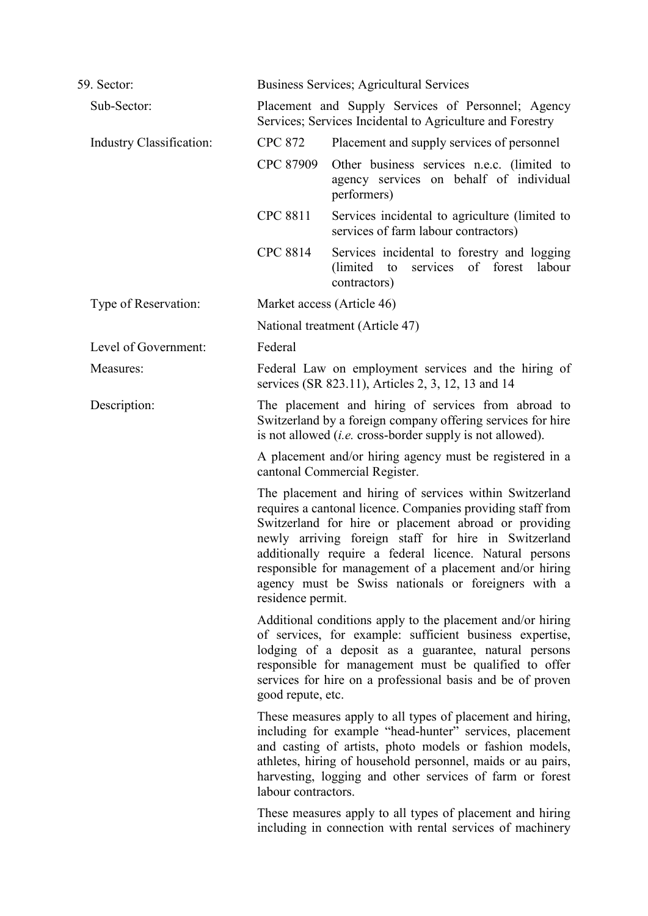| 59. Sector:              |                                                                                           | Business Services; Agricultural Services                                                                                                                                                                                                                                                                                                                                                                             |  |
|--------------------------|-------------------------------------------------------------------------------------------|----------------------------------------------------------------------------------------------------------------------------------------------------------------------------------------------------------------------------------------------------------------------------------------------------------------------------------------------------------------------------------------------------------------------|--|
| Sub-Sector:              |                                                                                           | Placement and Supply Services of Personnel; Agency<br>Services; Services Incidental to Agriculture and Forestry                                                                                                                                                                                                                                                                                                      |  |
| Industry Classification: | <b>CPC 872</b>                                                                            | Placement and supply services of personnel                                                                                                                                                                                                                                                                                                                                                                           |  |
|                          | CPC 87909                                                                                 | Other business services n.e.c. (limited to<br>agency services on behalf of individual<br>performers)                                                                                                                                                                                                                                                                                                                 |  |
|                          | <b>CPC 8811</b>                                                                           | Services incidental to agriculture (limited to<br>services of farm labour contractors)                                                                                                                                                                                                                                                                                                                               |  |
|                          | <b>CPC 8814</b>                                                                           | Services incidental to forestry and logging<br>services of forest<br>(limited)<br>to<br>labour<br>contractors)                                                                                                                                                                                                                                                                                                       |  |
| Type of Reservation:     |                                                                                           | Market access (Article 46)                                                                                                                                                                                                                                                                                                                                                                                           |  |
|                          |                                                                                           | National treatment (Article 47)                                                                                                                                                                                                                                                                                                                                                                                      |  |
| Level of Government:     | Federal                                                                                   |                                                                                                                                                                                                                                                                                                                                                                                                                      |  |
| Measures:                |                                                                                           | Federal Law on employment services and the hiring of<br>services (SR 823.11), Articles 2, 3, 12, 13 and 14                                                                                                                                                                                                                                                                                                           |  |
| Description:             |                                                                                           | The placement and hiring of services from abroad to<br>Switzerland by a foreign company offering services for hire<br>is not allowed <i>(i.e.</i> cross-border supply is not allowed).                                                                                                                                                                                                                               |  |
|                          | A placement and/or hiring agency must be registered in a<br>cantonal Commercial Register. |                                                                                                                                                                                                                                                                                                                                                                                                                      |  |
|                          | residence permit.                                                                         | The placement and hiring of services within Switzerland<br>requires a cantonal licence. Companies providing staff from<br>Switzerland for hire or placement abroad or providing<br>newly arriving foreign staff for hire in Switzerland<br>additionally require a federal licence. Natural persons<br>responsible for management of a placement and/or hiring<br>agency must be Swiss nationals or foreigners with a |  |
|                          | good repute, etc.                                                                         | Additional conditions apply to the placement and/or hiring<br>of services, for example: sufficient business expertise,<br>lodging of a deposit as a guarantee, natural persons<br>responsible for management must be qualified to offer<br>services for hire on a professional basis and be of proven                                                                                                                |  |
|                          | labour contractors.                                                                       | These measures apply to all types of placement and hiring,<br>including for example "head-hunter" services, placement<br>and casting of artists, photo models or fashion models,<br>athletes, hiring of household personnel, maids or au pairs,<br>harvesting, logging and other services of farm or forest                                                                                                          |  |
|                          |                                                                                           | These measures apply to all types of placement and hiring<br>including in connection with rental services of machinery                                                                                                                                                                                                                                                                                               |  |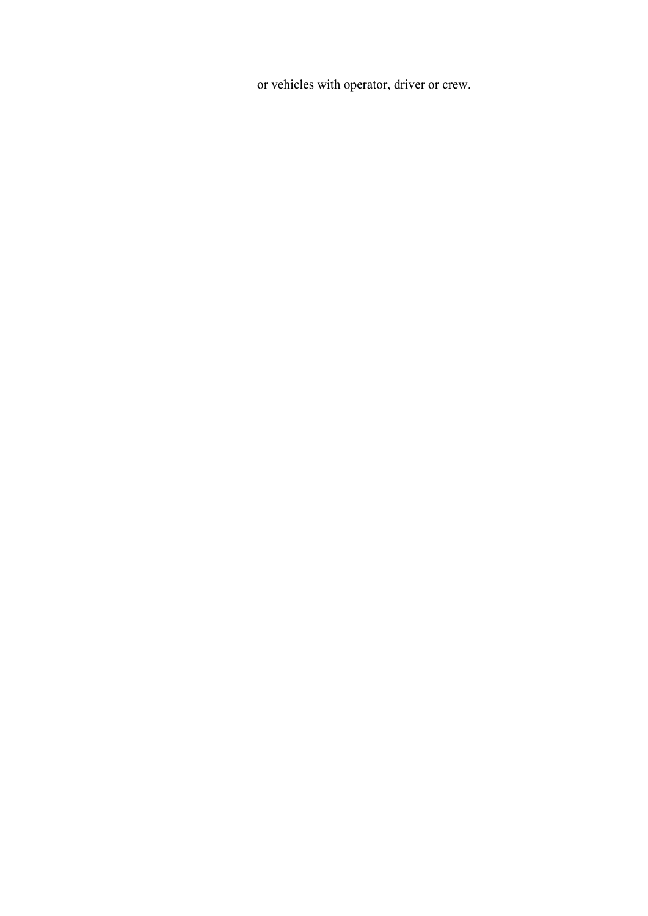or vehicles with operator, driver or crew.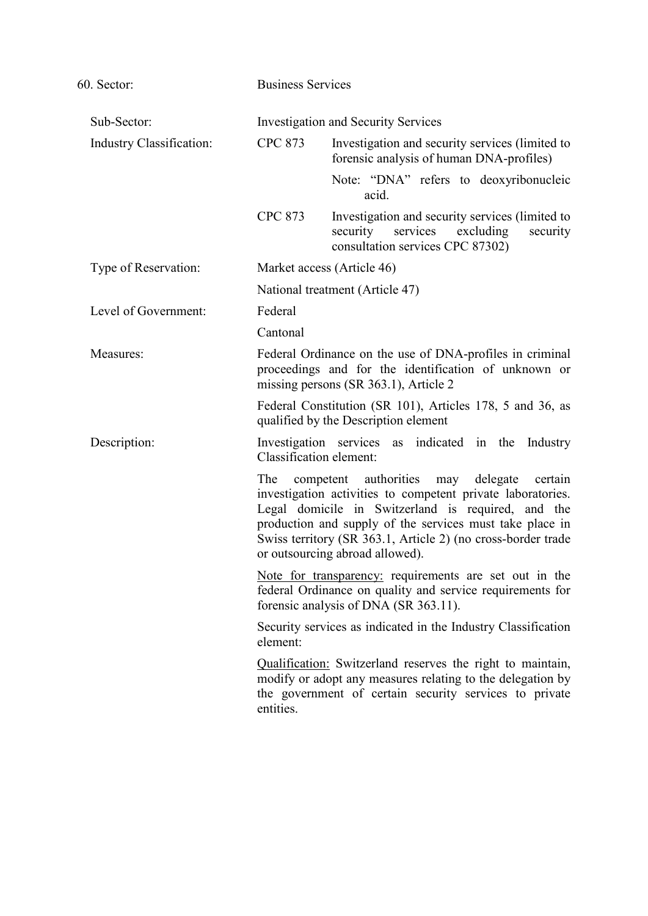| 60. Sector:              |                         | <b>Business Services</b>                                                                                                                                                                                                                                                                                                                |  |
|--------------------------|-------------------------|-----------------------------------------------------------------------------------------------------------------------------------------------------------------------------------------------------------------------------------------------------------------------------------------------------------------------------------------|--|
| Sub-Sector:              |                         | <b>Investigation and Security Services</b>                                                                                                                                                                                                                                                                                              |  |
| Industry Classification: | <b>CPC 873</b>          | Investigation and security services (limited to<br>forensic analysis of human DNA-profiles)                                                                                                                                                                                                                                             |  |
|                          |                         | Note: "DNA" refers to deoxyribonucleic<br>acid.                                                                                                                                                                                                                                                                                         |  |
|                          | <b>CPC 873</b>          | Investigation and security services (limited to<br>security services<br>excluding<br>security<br>consultation services CPC 87302)                                                                                                                                                                                                       |  |
| Type of Reservation:     |                         | Market access (Article 46)                                                                                                                                                                                                                                                                                                              |  |
|                          |                         | National treatment (Article 47)                                                                                                                                                                                                                                                                                                         |  |
| Level of Government:     | Federal                 |                                                                                                                                                                                                                                                                                                                                         |  |
|                          | Cantonal                |                                                                                                                                                                                                                                                                                                                                         |  |
| Measures:                |                         | Federal Ordinance on the use of DNA-profiles in criminal<br>proceedings and for the identification of unknown or<br>missing persons (SR 363.1), Article 2                                                                                                                                                                               |  |
|                          |                         | Federal Constitution (SR 101), Articles 178, 5 and 36, as<br>qualified by the Description element                                                                                                                                                                                                                                       |  |
| Description:             | Classification element: | Investigation services as indicated in the<br>Industry                                                                                                                                                                                                                                                                                  |  |
|                          | The                     | competent authorities<br>delegate<br>may<br>certain<br>investigation activities to competent private laboratories.<br>Legal domicile in Switzerland is required, and the<br>production and supply of the services must take place in<br>Swiss territory (SR 363.1, Article 2) (no cross-border trade<br>or outsourcing abroad allowed). |  |
|                          |                         | Note for transparency: requirements are set out in the<br>federal Ordinance on quality and service requirements for<br>forensic analysis of DNA (SR 363.11).                                                                                                                                                                            |  |
|                          | element:                | Security services as indicated in the Industry Classification                                                                                                                                                                                                                                                                           |  |
|                          | entities.               | Qualification: Switzerland reserves the right to maintain,<br>modify or adopt any measures relating to the delegation by<br>the government of certain security services to private                                                                                                                                                      |  |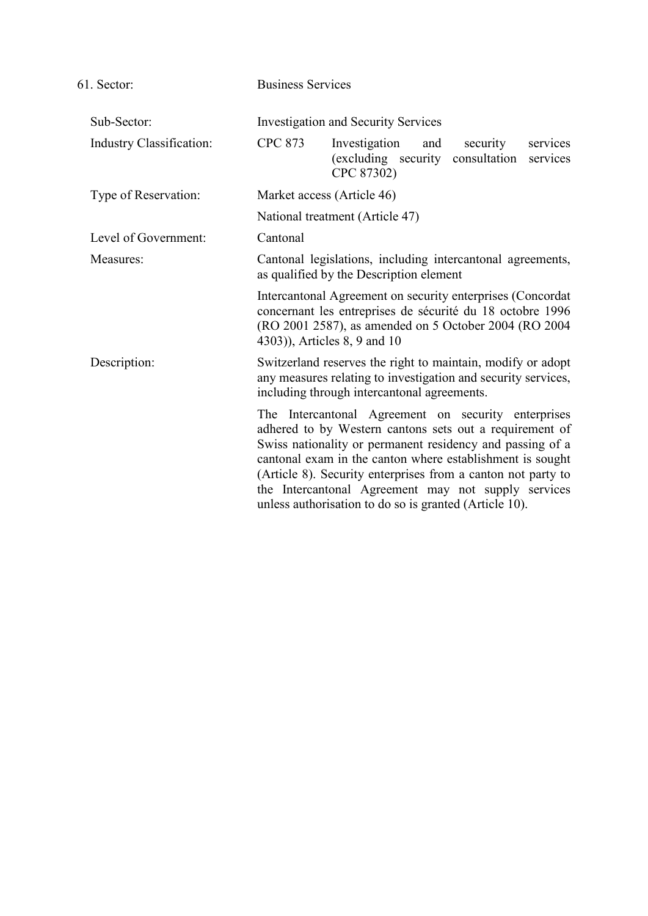| 61. Sector:                     | <b>Business Services</b>                                                                              |                                                                                                                                                                                                                                                                                                                                                                                                                           |     |          |                      |
|---------------------------------|-------------------------------------------------------------------------------------------------------|---------------------------------------------------------------------------------------------------------------------------------------------------------------------------------------------------------------------------------------------------------------------------------------------------------------------------------------------------------------------------------------------------------------------------|-----|----------|----------------------|
| Sub-Sector:                     |                                                                                                       | <b>Investigation and Security Services</b>                                                                                                                                                                                                                                                                                                                                                                                |     |          |                      |
| <b>Industry Classification:</b> | <b>CPC 873</b>                                                                                        | Investigation<br>(excluding security consultation<br>CPC 87302)                                                                                                                                                                                                                                                                                                                                                           | and | security | services<br>services |
| Type of Reservation:            | Market access (Article 46)                                                                            |                                                                                                                                                                                                                                                                                                                                                                                                                           |     |          |                      |
|                                 |                                                                                                       | National treatment (Article 47)                                                                                                                                                                                                                                                                                                                                                                                           |     |          |                      |
| Level of Government:            | Cantonal                                                                                              |                                                                                                                                                                                                                                                                                                                                                                                                                           |     |          |                      |
| Measures:                       | Cantonal legislations, including intercantonal agreements,<br>as qualified by the Description element |                                                                                                                                                                                                                                                                                                                                                                                                                           |     |          |                      |
|                                 | 4303)), Articles 8, 9 and 10                                                                          | Intercantonal Agreement on security enterprises (Concordat<br>concernant les entreprises de sécurité du 18 octobre 1996<br>(RO 2001 2587), as amended on 5 October 2004 (RO 2004                                                                                                                                                                                                                                          |     |          |                      |
| Description:                    |                                                                                                       | Switzerland reserves the right to maintain, modify or adopt<br>any measures relating to investigation and security services,<br>including through intercantonal agreements.                                                                                                                                                                                                                                               |     |          |                      |
|                                 |                                                                                                       | The Intercantonal Agreement on security enterprises<br>adhered to by Western cantons sets out a requirement of<br>Swiss nationality or permanent residency and passing of a<br>cantonal exam in the canton where establishment is sought<br>(Article 8). Security enterprises from a canton not party to<br>the Intercantonal Agreement may not supply services<br>unless authorisation to do so is granted (Article 10). |     |          |                      |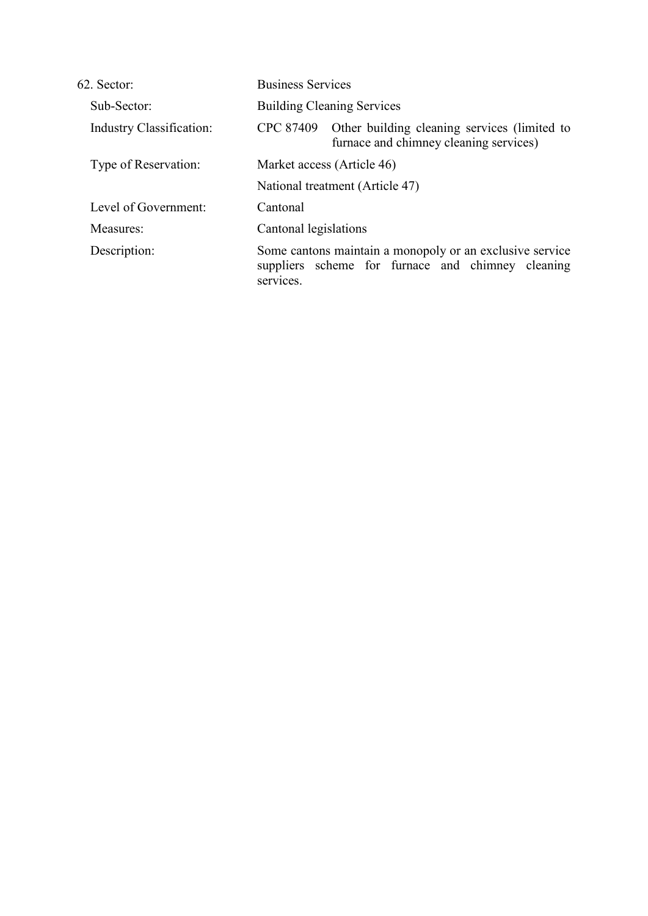| 62. Sector:                     | <b>Business Services</b>                                                                                                   |  |
|---------------------------------|----------------------------------------------------------------------------------------------------------------------------|--|
| Sub-Sector:                     | <b>Building Cleaning Services</b>                                                                                          |  |
| <b>Industry Classification:</b> | Other building cleaning services (limited to<br>CPC 87409<br>furnace and chimney cleaning services)                        |  |
| Type of Reservation:            | Market access (Article 46)                                                                                                 |  |
|                                 | National treatment (Article 47)                                                                                            |  |
| Level of Government:            | Cantonal                                                                                                                   |  |
| Measures:                       | Cantonal legislations                                                                                                      |  |
| Description:                    | Some cantons maintain a monopoly or an exclusive service<br>suppliers scheme for furnace and chimney cleaning<br>services. |  |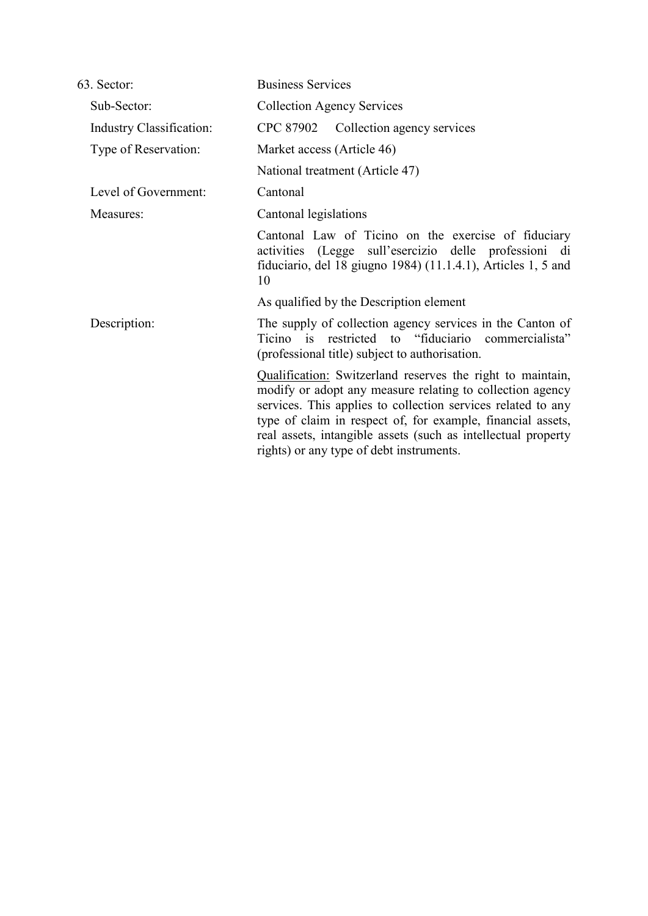| 63. Sector:                     | <b>Business Services</b>                                                                                                                                                                                                                                                                                                                                            |  |  |
|---------------------------------|---------------------------------------------------------------------------------------------------------------------------------------------------------------------------------------------------------------------------------------------------------------------------------------------------------------------------------------------------------------------|--|--|
| Sub-Sector:                     | <b>Collection Agency Services</b>                                                                                                                                                                                                                                                                                                                                   |  |  |
| <b>Industry Classification:</b> | CPC 87902 Collection agency services                                                                                                                                                                                                                                                                                                                                |  |  |
| Type of Reservation:            | Market access (Article 46)                                                                                                                                                                                                                                                                                                                                          |  |  |
|                                 | National treatment (Article 47)                                                                                                                                                                                                                                                                                                                                     |  |  |
| Level of Government:            | Cantonal                                                                                                                                                                                                                                                                                                                                                            |  |  |
| Measures:                       | Cantonal legislations                                                                                                                                                                                                                                                                                                                                               |  |  |
|                                 | Cantonal Law of Ticino on the exercise of fiduciary<br>activities (Legge sull'esercizio delle professioni di<br>fiduciario, del 18 giugno 1984) (11.1.4.1), Articles 1, 5 and<br>10                                                                                                                                                                                 |  |  |
|                                 | As qualified by the Description element                                                                                                                                                                                                                                                                                                                             |  |  |
| Description:                    | The supply of collection agency services in the Canton of<br>Ticino is restricted to "fiduciario commercialista"<br>(professional title) subject to authorization.                                                                                                                                                                                                  |  |  |
|                                 | Qualification: Switzerland reserves the right to maintain,<br>modify or adopt any measure relating to collection agency<br>services. This applies to collection services related to any<br>type of claim in respect of, for example, financial assets,<br>real assets, intangible assets (such as intellectual property<br>rights) or any type of debt instruments. |  |  |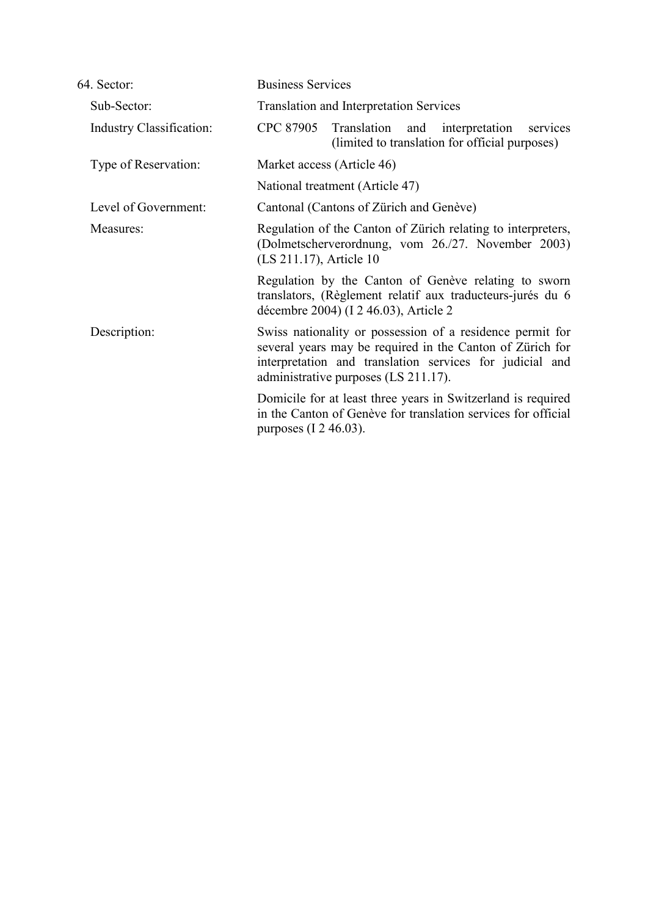| 64. Sector:                     | <b>Business Services</b>                                                                                                                                                                                                   |  |  |
|---------------------------------|----------------------------------------------------------------------------------------------------------------------------------------------------------------------------------------------------------------------------|--|--|
| Sub-Sector:                     | <b>Translation and Interpretation Services</b>                                                                                                                                                                             |  |  |
| <b>Industry Classification:</b> | CPC 87905 Translation and interpretation<br>services<br>(limited to translation for official purposes)                                                                                                                     |  |  |
| Type of Reservation:            | Market access (Article 46)                                                                                                                                                                                                 |  |  |
|                                 | National treatment (Article 47)                                                                                                                                                                                            |  |  |
| Level of Government:            | Cantonal (Cantons of Zürich and Genève)                                                                                                                                                                                    |  |  |
| Measures:                       | Regulation of the Canton of Zürich relating to interpreters,<br>(Dolmetscherverordnung, vom 26./27. November 2003)<br>(LS 211.17), Article 10                                                                              |  |  |
|                                 | Regulation by the Canton of Genève relating to sworn<br>translators, (Règlement relatif aux traducteurs-jurés du 6<br>décembre 2004) (I 2 46.03), Article 2                                                                |  |  |
| Description:                    | Swiss nationality or possession of a residence permit for<br>several years may be required in the Canton of Zürich for<br>interpretation and translation services for judicial and<br>administrative purposes (LS 211.17). |  |  |
|                                 | Domicile for at least three years in Switzerland is required<br>in the Canton of Genève for translation services for official<br>purposes $(1\ 2\ 46.03)$ .                                                                |  |  |
|                                 |                                                                                                                                                                                                                            |  |  |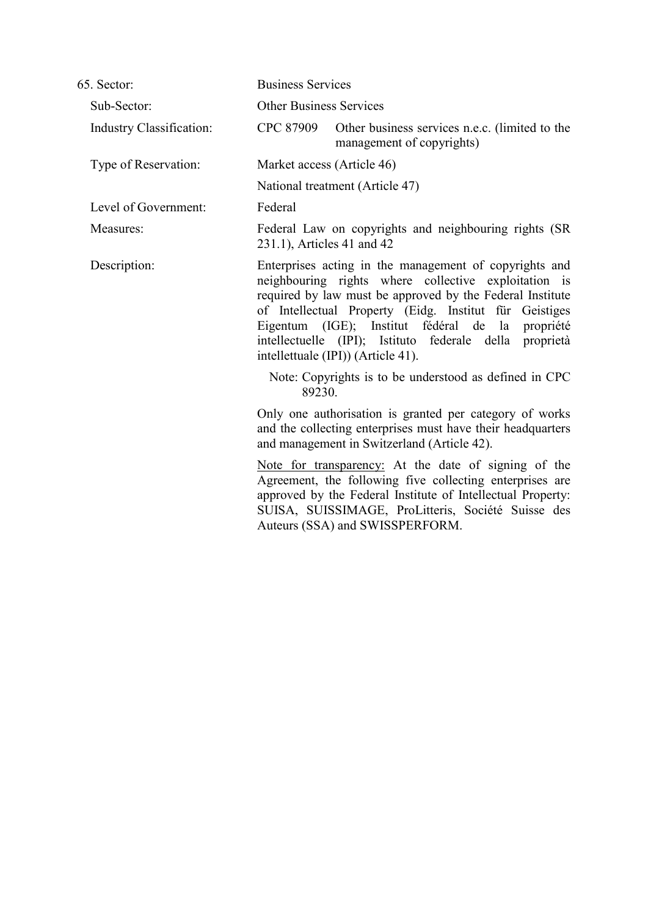| 65. Sector:              |                            | <b>Business Services</b>                                                                                                                                                                                                                                                                                                                                                                      |  |
|--------------------------|----------------------------|-----------------------------------------------------------------------------------------------------------------------------------------------------------------------------------------------------------------------------------------------------------------------------------------------------------------------------------------------------------------------------------------------|--|
| Sub-Sector:              |                            | <b>Other Business Services</b>                                                                                                                                                                                                                                                                                                                                                                |  |
| Industry Classification: | CPC 87909                  | Other business services n.e.c. (limited to the<br>management of copyrights)                                                                                                                                                                                                                                                                                                                   |  |
| Type of Reservation:     |                            | Market access (Article 46)                                                                                                                                                                                                                                                                                                                                                                    |  |
|                          |                            | National treatment (Article 47)                                                                                                                                                                                                                                                                                                                                                               |  |
| Level of Government:     | Federal                    |                                                                                                                                                                                                                                                                                                                                                                                               |  |
| Measures:                | 231.1), Articles 41 and 42 | Federal Law on copyrights and neighbouring rights (SR                                                                                                                                                                                                                                                                                                                                         |  |
| Description:             |                            | Enterprises acting in the management of copyrights and<br>neighbouring rights where collective exploitation is<br>required by law must be approved by the Federal Institute<br>of Intellectual Property (Eidg. Institut für Geistiges<br>Eigentum (IGE); Institut fédéral de la<br>propriété<br>intellectuelle (IPI); Istituto federale della proprietà<br>intellettuale (IPI)) (Article 41). |  |
|                          | 89230.                     | Note: Copyrights is to be understood as defined in CPC                                                                                                                                                                                                                                                                                                                                        |  |
|                          |                            | Only one authorisation is granted per category of works<br>and the collecting enterprises must have their headquarters<br>and management in Switzerland (Article 42).                                                                                                                                                                                                                         |  |
|                          |                            | Note for transparency: At the date of signing of the<br>Agreement, the following five collecting enterprises are<br>approved by the Federal Institute of Intellectual Property:<br>SUISA, SUISSIMAGE, ProLitteris, Société Suisse des<br>Auteurs (SSA) and SWISSPERFORM.                                                                                                                      |  |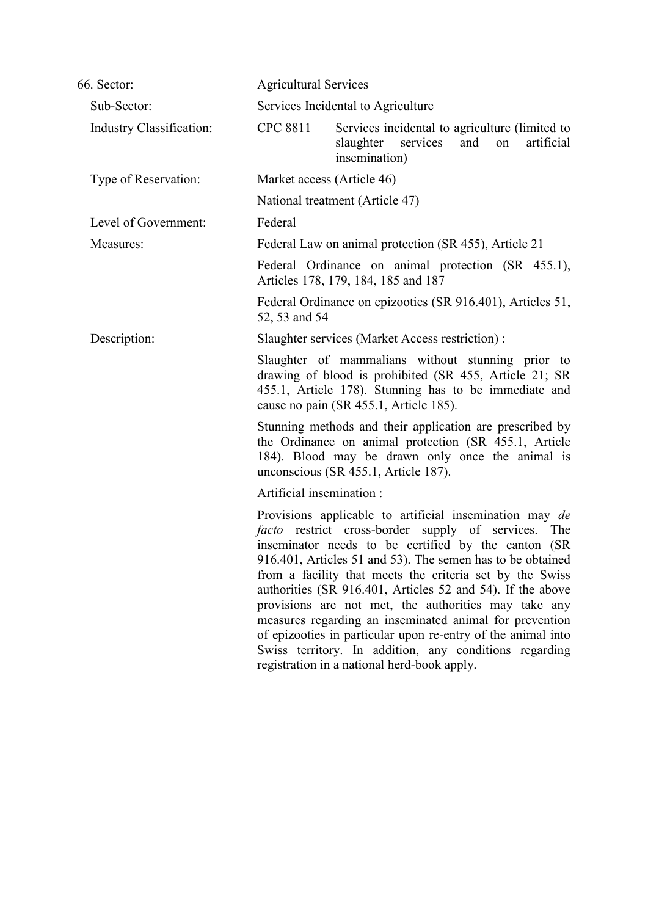| 66. Sector:              | <b>Agricultural Services</b>                                                                                                                                                                                                                                                                                                                                                                                                                                                                                                                                                                                                                                        |  |
|--------------------------|---------------------------------------------------------------------------------------------------------------------------------------------------------------------------------------------------------------------------------------------------------------------------------------------------------------------------------------------------------------------------------------------------------------------------------------------------------------------------------------------------------------------------------------------------------------------------------------------------------------------------------------------------------------------|--|
| Sub-Sector:              | Services Incidental to Agriculture                                                                                                                                                                                                                                                                                                                                                                                                                                                                                                                                                                                                                                  |  |
| Industry Classification: | <b>CPC 8811</b><br>Services incidental to agriculture (limited to<br>slaughter<br>artificial<br>and<br>services<br>on<br>insemination)                                                                                                                                                                                                                                                                                                                                                                                                                                                                                                                              |  |
| Type of Reservation:     | Market access (Article 46)                                                                                                                                                                                                                                                                                                                                                                                                                                                                                                                                                                                                                                          |  |
|                          | National treatment (Article 47)                                                                                                                                                                                                                                                                                                                                                                                                                                                                                                                                                                                                                                     |  |
| Level of Government:     | Federal                                                                                                                                                                                                                                                                                                                                                                                                                                                                                                                                                                                                                                                             |  |
| Measures:                | Federal Law on animal protection (SR 455), Article 21                                                                                                                                                                                                                                                                                                                                                                                                                                                                                                                                                                                                               |  |
|                          | Federal Ordinance on animal protection (SR 455.1),<br>Articles 178, 179, 184, 185 and 187                                                                                                                                                                                                                                                                                                                                                                                                                                                                                                                                                                           |  |
|                          | Federal Ordinance on epizooties (SR 916.401), Articles 51,<br>52, 53 and 54                                                                                                                                                                                                                                                                                                                                                                                                                                                                                                                                                                                         |  |
| Description:             | Slaughter services (Market Access restriction):                                                                                                                                                                                                                                                                                                                                                                                                                                                                                                                                                                                                                     |  |
|                          | Slaughter of mammalians without stunning prior to<br>drawing of blood is prohibited (SR 455, Article 21; SR<br>455.1, Article 178). Stunning has to be immediate and<br>cause no pain (SR 455.1, Article 185).                                                                                                                                                                                                                                                                                                                                                                                                                                                      |  |
|                          | Stunning methods and their application are prescribed by<br>the Ordinance on animal protection (SR 455.1, Article<br>184). Blood may be drawn only once the animal is<br>unconscious (SR 455.1, Article 187).                                                                                                                                                                                                                                                                                                                                                                                                                                                       |  |
|                          | Artificial insemination:                                                                                                                                                                                                                                                                                                                                                                                                                                                                                                                                                                                                                                            |  |
|                          | Provisions applicable to artificial insemination may de<br><i>facto</i> restrict cross-border supply of services.<br>The<br>inseminator needs to be certified by the canton (SR<br>916.401, Articles 51 and 53). The semen has to be obtained<br>from a facility that meets the criteria set by the Swiss<br>authorities (SR 916.401, Articles 52 and 54). If the above<br>provisions are not met, the authorities may take any<br>measures regarding an inseminated animal for prevention<br>of epizooties in particular upon re-entry of the animal into<br>Swiss territory. In addition, any conditions regarding<br>registration in a national herd-book apply. |  |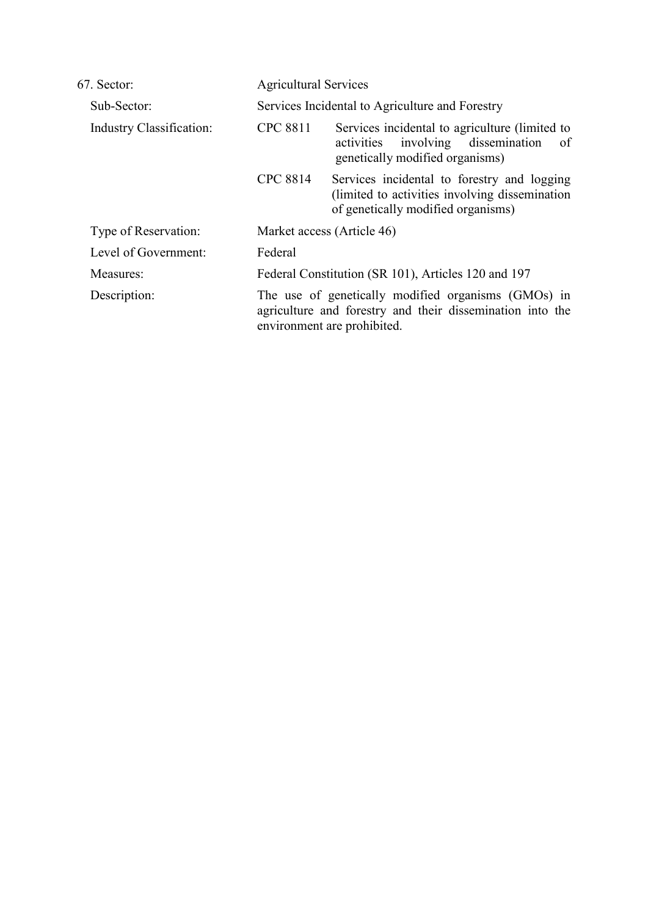| 67. Sector:                     | <b>Agricultural Services</b>                    |                                                                                                                                                 |  |
|---------------------------------|-------------------------------------------------|-------------------------------------------------------------------------------------------------------------------------------------------------|--|
| Sub-Sector:                     | Services Incidental to Agriculture and Forestry |                                                                                                                                                 |  |
| <b>Industry Classification:</b> | <b>CPC 8811</b>                                 | Services incidental to agriculture (limited to<br>involving dissemination<br>of<br>activities<br>genetically modified organisms)                |  |
|                                 | <b>CPC 8814</b>                                 | Services incidental to forestry and logging<br>(limited to activities involving dissemination)<br>of genetically modified organisms)            |  |
| Type of Reservation:            |                                                 | Market access (Article 46)                                                                                                                      |  |
| Level of Government:            | Federal                                         |                                                                                                                                                 |  |
| Measures:                       |                                                 | Federal Constitution (SR 101), Articles 120 and 197                                                                                             |  |
| Description:                    |                                                 | The use of genetically modified organisms (GMOs) in<br>agriculture and forestry and their dissemination into the<br>environment are prohibited. |  |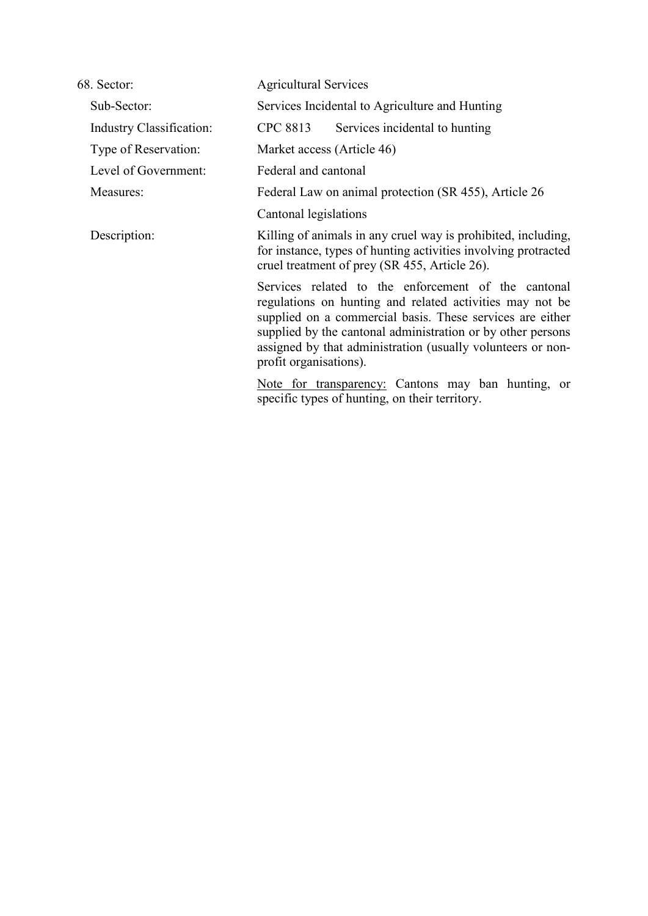| 68. Sector:                     | <b>Agricultural Services</b>                                                                                                                                                                                                                                                                                                         |  |  |
|---------------------------------|--------------------------------------------------------------------------------------------------------------------------------------------------------------------------------------------------------------------------------------------------------------------------------------------------------------------------------------|--|--|
| Sub-Sector:                     | Services Incidental to Agriculture and Hunting                                                                                                                                                                                                                                                                                       |  |  |
| <b>Industry Classification:</b> | <b>CPC 8813</b><br>Services incidental to hunting                                                                                                                                                                                                                                                                                    |  |  |
| Type of Reservation:            | Market access (Article 46)                                                                                                                                                                                                                                                                                                           |  |  |
| Level of Government:            | Federal and cantonal                                                                                                                                                                                                                                                                                                                 |  |  |
| Measures:                       | Federal Law on animal protection (SR 455), Article 26                                                                                                                                                                                                                                                                                |  |  |
|                                 | Cantonal legislations                                                                                                                                                                                                                                                                                                                |  |  |
| Description:                    | Killing of animals in any cruel way is prohibited, including,<br>for instance, types of hunting activities involving protracted<br>cruel treatment of prey (SR 455, Article 26).                                                                                                                                                     |  |  |
|                                 | Services related to the enforcement of the cantonal<br>regulations on hunting and related activities may not be<br>supplied on a commercial basis. These services are either<br>supplied by the cantonal administration or by other persons<br>assigned by that administration (usually volunteers or non-<br>profit organisations). |  |  |
|                                 | Note for transparency: Cantons may ban hunting, or<br>specific types of hunting, on their territory.                                                                                                                                                                                                                                 |  |  |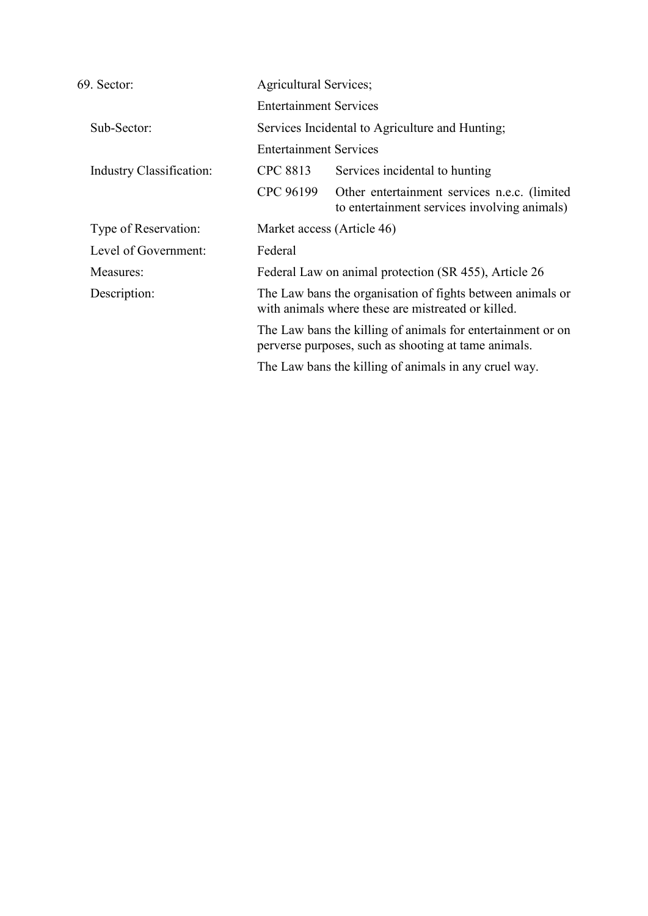| 69. Sector:              | Agricultural Services;                          |                                                                                                                     |
|--------------------------|-------------------------------------------------|---------------------------------------------------------------------------------------------------------------------|
|                          | <b>Entertainment Services</b>                   |                                                                                                                     |
| Sub-Sector:              | Services Incidental to Agriculture and Hunting; |                                                                                                                     |
|                          | <b>Entertainment Services</b>                   |                                                                                                                     |
| Industry Classification: | CPC 8813                                        | Services incidental to hunting                                                                                      |
|                          | CPC 96199                                       | Other entertainment services n.e.c. (limited<br>to entertainment services involving animals)                        |
| Type of Reservation:     | Market access (Article 46)                      |                                                                                                                     |
| Level of Government:     | Federal                                         |                                                                                                                     |
| Measures:                |                                                 | Federal Law on animal protection (SR 455), Article 26                                                               |
| Description:             |                                                 | The Law bans the organisation of fights between animals or<br>with animals where these are mistreated or killed.    |
|                          |                                                 | The Law bans the killing of animals for entertainment or on<br>perverse purposes, such as shooting at tame animals. |
|                          |                                                 | The Law bans the killing of animals in any cruel way.                                                               |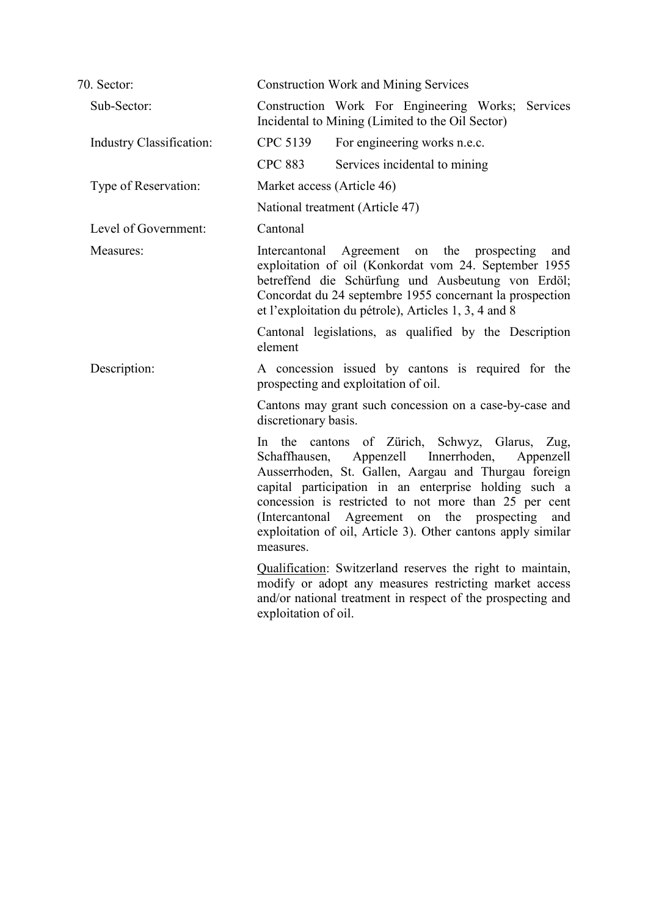| 70. Sector:                     | <b>Construction Work and Mining Services</b>                                                                                                                                                                                                                                                                                                                                                                                  |  |  |
|---------------------------------|-------------------------------------------------------------------------------------------------------------------------------------------------------------------------------------------------------------------------------------------------------------------------------------------------------------------------------------------------------------------------------------------------------------------------------|--|--|
| Sub-Sector:                     | Construction Work For Engineering Works; Services<br>Incidental to Mining (Limited to the Oil Sector)                                                                                                                                                                                                                                                                                                                         |  |  |
| <b>Industry Classification:</b> | CPC 5139<br>For engineering works n.e.c.                                                                                                                                                                                                                                                                                                                                                                                      |  |  |
|                                 | <b>CPC 883</b><br>Services incidental to mining                                                                                                                                                                                                                                                                                                                                                                               |  |  |
| Type of Reservation:            | Market access (Article 46)                                                                                                                                                                                                                                                                                                                                                                                                    |  |  |
|                                 | National treatment (Article 47)                                                                                                                                                                                                                                                                                                                                                                                               |  |  |
| Level of Government:            | Cantonal                                                                                                                                                                                                                                                                                                                                                                                                                      |  |  |
| Measures:                       | Agreement on the prospecting<br>Intercantonal<br>and<br>exploitation of oil (Konkordat vom 24. September 1955<br>betreffend die Schürfung und Ausbeutung von Erdöl;<br>Concordat du 24 septembre 1955 concernant la prospection<br>et l'exploitation du pétrole), Articles 1, 3, 4 and 8                                                                                                                                      |  |  |
|                                 | Cantonal legislations, as qualified by the Description<br>element                                                                                                                                                                                                                                                                                                                                                             |  |  |
| Description:                    | A concession issued by cantons is required for the<br>prospecting and exploitation of oil.                                                                                                                                                                                                                                                                                                                                    |  |  |
|                                 | Cantons may grant such concession on a case-by-case and<br>discretionary basis.                                                                                                                                                                                                                                                                                                                                               |  |  |
|                                 | cantons of Zürich, Schwyz, Glarus, Zug,<br>In the<br>Appenzell Innerrhoden,<br>Schaffhausen,<br>Appenzell<br>Ausserrhoden, St. Gallen, Aargau and Thurgau foreign<br>capital participation in an enterprise holding such a<br>concession is restricted to not more than 25 per cent<br>Agreement on the<br>prospecting<br>(Intercantonal)<br>and<br>exploitation of oil, Article 3). Other cantons apply similar<br>measures. |  |  |
|                                 | Qualification: Switzerland reserves the right to maintain,<br>modify or adopt any measures restricting market access<br>and/or national treatment in respect of the prospecting and<br>exploitation of oil.                                                                                                                                                                                                                   |  |  |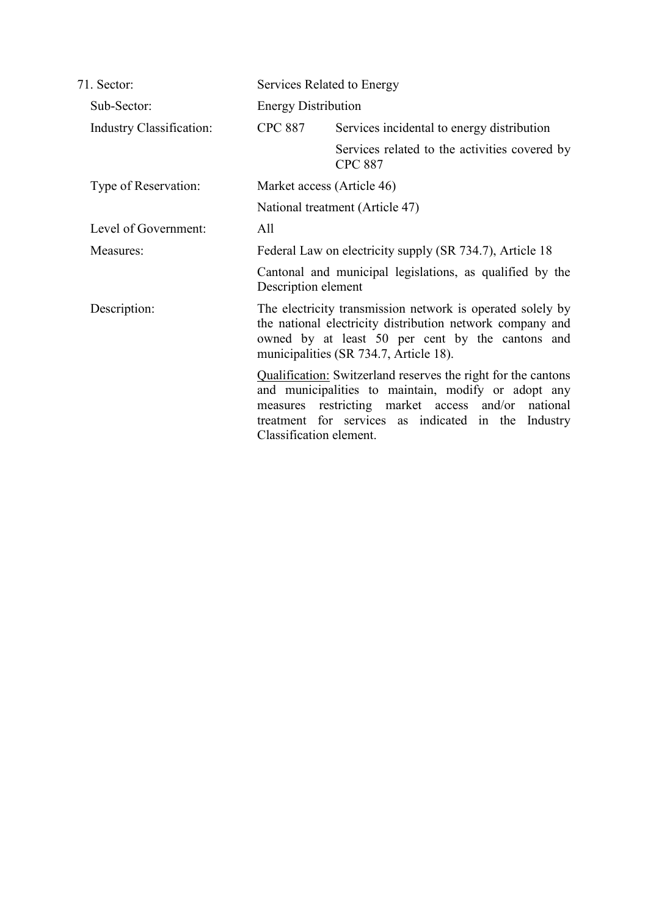| 71. Sector:              | Services Related to Energy                               |                                                                                                                                                                                                                                      |
|--------------------------|----------------------------------------------------------|--------------------------------------------------------------------------------------------------------------------------------------------------------------------------------------------------------------------------------------|
| Sub-Sector:              | <b>Energy Distribution</b>                               |                                                                                                                                                                                                                                      |
| Industry Classification: | <b>CPC 887</b>                                           | Services incidental to energy distribution                                                                                                                                                                                           |
|                          |                                                          | Services related to the activities covered by<br><b>CPC 887</b>                                                                                                                                                                      |
| Type of Reservation:     | Market access (Article 46)                               |                                                                                                                                                                                                                                      |
|                          |                                                          | National treatment (Article 47)                                                                                                                                                                                                      |
| Level of Government:     | All                                                      |                                                                                                                                                                                                                                      |
| Measures:                | Federal Law on electricity supply (SR 734.7), Article 18 |                                                                                                                                                                                                                                      |
|                          | Description element                                      | Cantonal and municipal legislations, as qualified by the                                                                                                                                                                             |
| Description:             |                                                          | The electricity transmission network is operated solely by<br>the national electricity distribution network company and<br>owned by at least 50 per cent by the cantons and<br>municipalities (SR 734.7, Article 18).                |
|                          | Classification element.                                  | Qualification: Switzerland reserves the right for the cantons<br>and municipalities to maintain, modify or adopt any<br>measures restricting market access and/or national<br>treatment for services as indicated in the<br>Industry |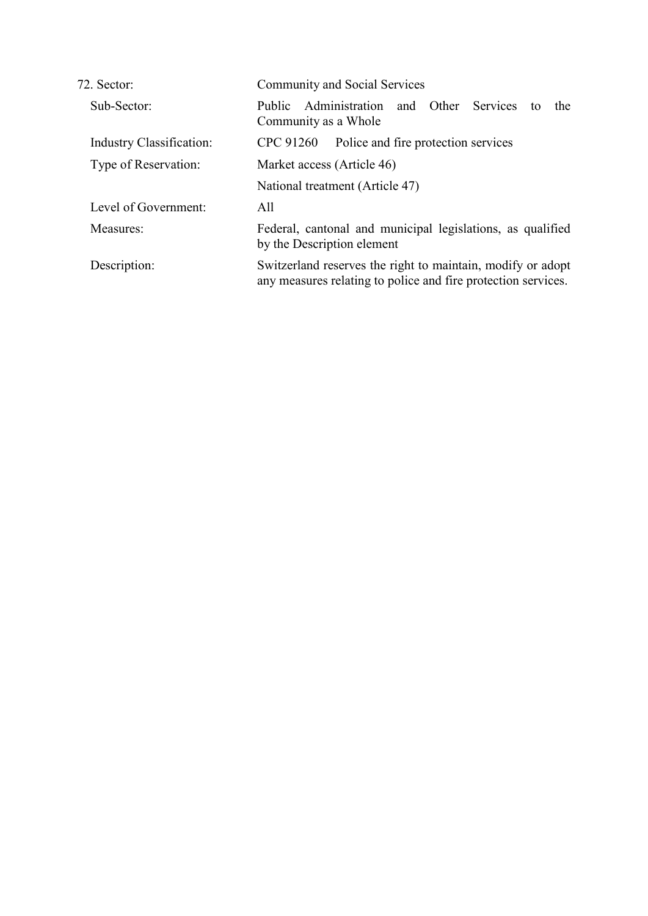| 72. Sector:                     | <b>Community and Social Services</b>                                                                                         |  |  |
|---------------------------------|------------------------------------------------------------------------------------------------------------------------------|--|--|
| Sub-Sector:                     | Administration<br>and Other Services<br>Public<br>the<br>tο<br>Community as a Whole                                          |  |  |
| <b>Industry Classification:</b> | Police and fire protection services<br>CPC 91260                                                                             |  |  |
| Type of Reservation:            | Market access (Article 46)                                                                                                   |  |  |
|                                 | National treatment (Article 47)                                                                                              |  |  |
| Level of Government:            | All                                                                                                                          |  |  |
| Measures:                       | Federal, cantonal and municipal legislations, as qualified<br>by the Description element                                     |  |  |
| Description:                    | Switzerland reserves the right to maintain, modify or adopt<br>any measures relating to police and fire protection services. |  |  |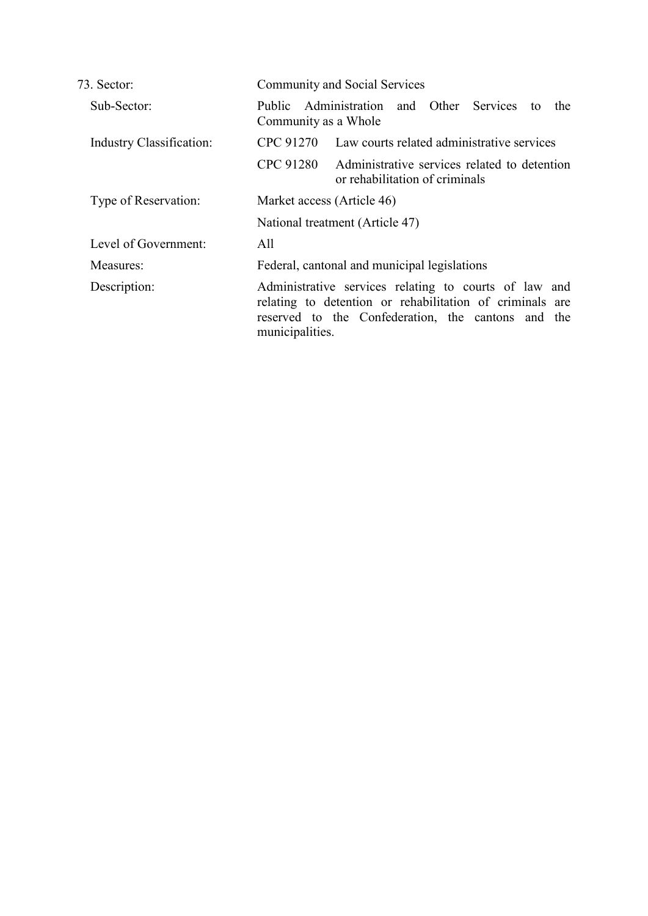| 73. Sector:                     | <b>Community and Social Services</b>                                                                                                                                                       |
|---------------------------------|--------------------------------------------------------------------------------------------------------------------------------------------------------------------------------------------|
| Sub-Sector:                     | Administration and Other Services<br>Public<br>the<br>to<br>Community as a Whole                                                                                                           |
| <b>Industry Classification:</b> | CPC 91270<br>Law courts related administrative services                                                                                                                                    |
|                                 | <b>CPC 91280</b><br>Administrative services related to detention<br>or rehabilitation of criminals                                                                                         |
| Type of Reservation:            | Market access (Article 46)                                                                                                                                                                 |
|                                 | National treatment (Article 47)                                                                                                                                                            |
| Level of Government:            | All                                                                                                                                                                                        |
| Measures:                       | Federal, cantonal and municipal legislations                                                                                                                                               |
| Description:                    | Administrative services relating to courts of law and<br>relating to detention or rehabilitation of criminals are<br>reserved to the Confederation, the cantons and the<br>municipalities. |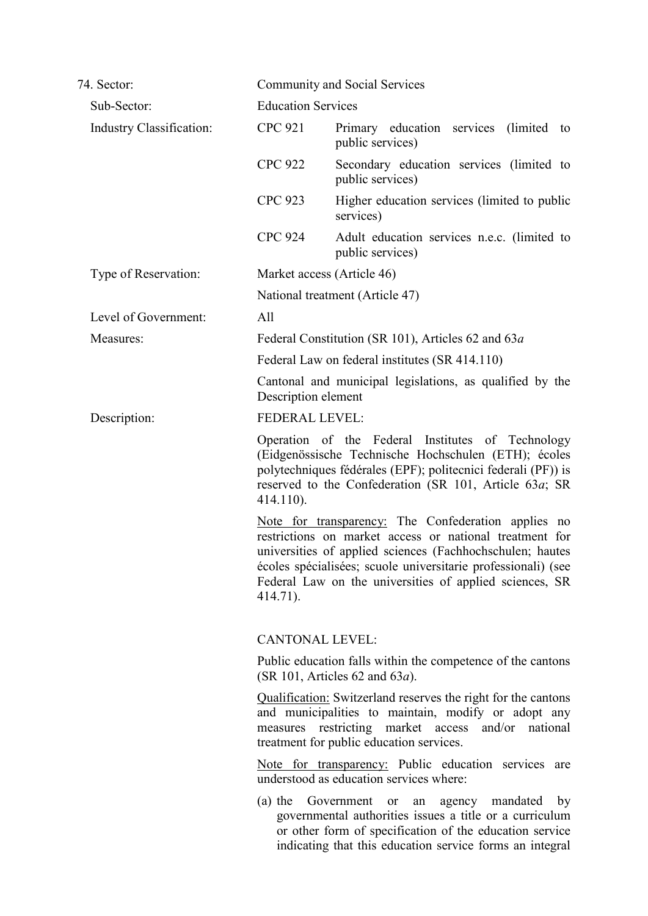| 74. Sector:              | <b>Community and Social Services</b>                                                                                                                                                                                                                                                                                |
|--------------------------|---------------------------------------------------------------------------------------------------------------------------------------------------------------------------------------------------------------------------------------------------------------------------------------------------------------------|
| Sub-Sector:              | <b>Education Services</b>                                                                                                                                                                                                                                                                                           |
| Industry Classification: | <b>CPC 921</b><br>Primary education services (limited<br>to<br>public services)                                                                                                                                                                                                                                     |
|                          | <b>CPC 922</b><br>Secondary education services (limited to<br>public services)                                                                                                                                                                                                                                      |
|                          | <b>CPC 923</b><br>Higher education services (limited to public<br>services)                                                                                                                                                                                                                                         |
|                          | <b>CPC 924</b><br>Adult education services n.e.c. (limited to<br>public services)                                                                                                                                                                                                                                   |
| Type of Reservation:     | Market access (Article 46)                                                                                                                                                                                                                                                                                          |
|                          | National treatment (Article 47)                                                                                                                                                                                                                                                                                     |
| Level of Government:     | All                                                                                                                                                                                                                                                                                                                 |
| Measures:                | Federal Constitution (SR 101), Articles 62 and 63a                                                                                                                                                                                                                                                                  |
|                          | Federal Law on federal institutes (SR 414.110)                                                                                                                                                                                                                                                                      |
|                          | Cantonal and municipal legislations, as qualified by the<br>Description element                                                                                                                                                                                                                                     |
| Description:             | <b>FEDERAL LEVEL:</b>                                                                                                                                                                                                                                                                                               |
|                          | Operation of the Federal Institutes of Technology<br>(Eidgenössische Technische Hochschulen (ETH); écoles<br>polytechniques fédérales (EPF); politecnici federali (PF)) is<br>reserved to the Confederation (SR 101, Article 63 <i>a</i> ; SR<br>$414.110$ ).                                                       |
|                          | Note for transparency: The Confederation applies no<br>restrictions on market access or national treatment for<br>universities of applied sciences (Fachhochschulen; hautes<br>écoles spécialisées; scuole universitarie professionali) (see<br>Federal Law on the universities of applied sciences, SR<br>414.71). |
|                          | <b>CANTONAL LEVEL:</b>                                                                                                                                                                                                                                                                                              |
|                          | Public education falls within the competence of the cantons<br>(SR 101, Articles 62 and $63a$ ).                                                                                                                                                                                                                    |
|                          | <b>Qualification:</b> Switzerland reserves the right for the cantons<br>and municipalities to maintain, modify or adopt any<br>measures restricting market access and/or national<br>treatment for public education services.                                                                                       |
|                          | Note for transparency: Public education services are<br>understood as education services where:                                                                                                                                                                                                                     |
|                          | $(a)$ the<br>Government<br>agency mandated<br>or<br>an<br>by<br>governmental authorities issues a title or a curriculum<br>or other form of specification of the education service<br>indicating that this education service forms an integral                                                                      |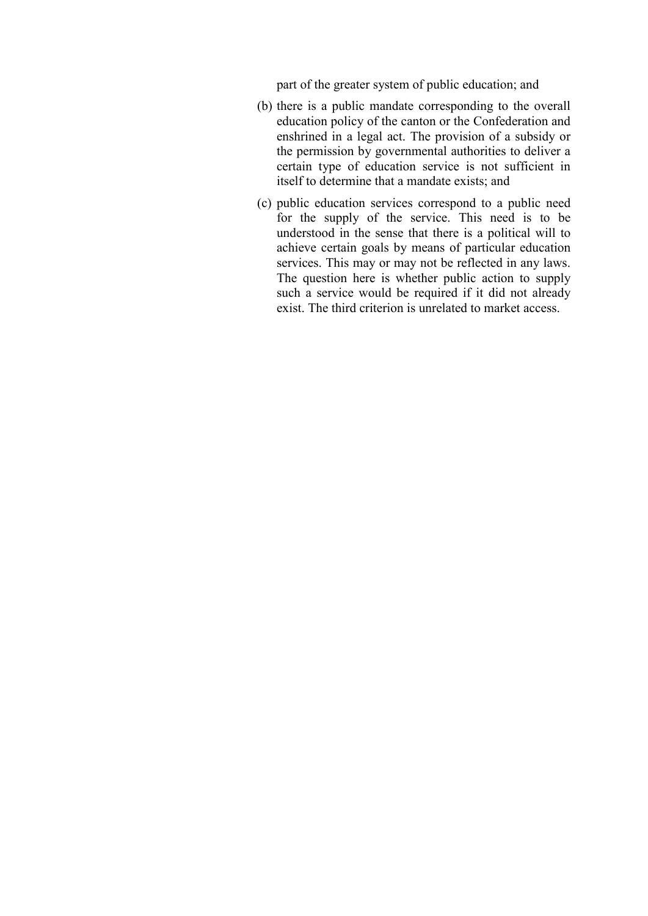part of the greater system of public education; and

- (b) there is a public mandate corresponding to the overall education policy of the canton or the Confederation and enshrined in a legal act. The provision of a subsidy or the permission by governmental authorities to deliver a certain type of education service is not sufficient in itself to determine that a mandate exists; and
- (c) public education services correspond to a public need for the supply of the service. This need is to be understood in the sense that there is a political will to achieve certain goals by means of particular education services. This may or may not be reflected in any laws. The question here is whether public action to supply such a service would be required if it did not already exist. The third criterion is unrelated to market access.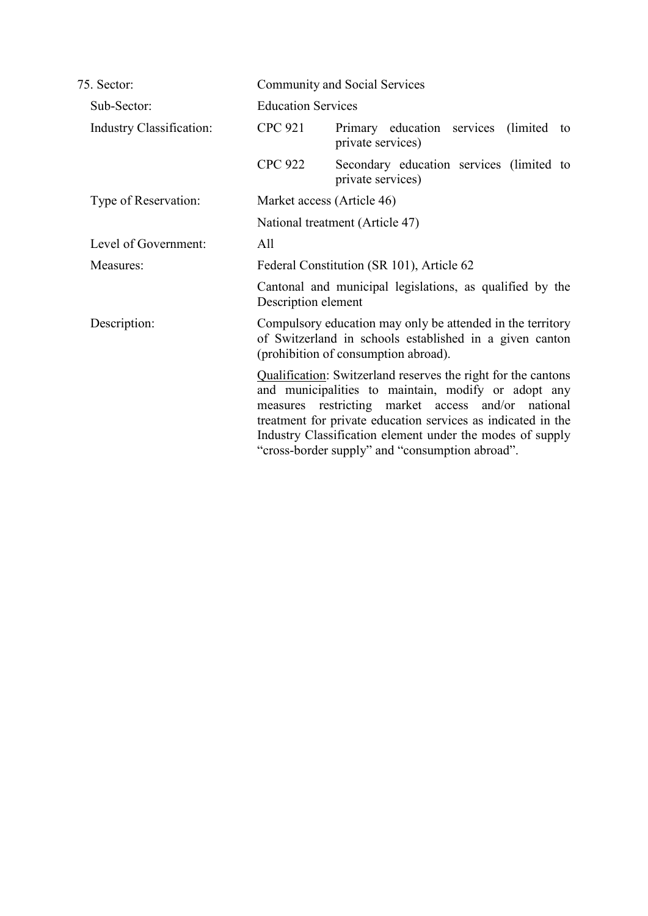| 75. Sector:                     | Community and Social Services                                                                                                                                                                                                                                                                                                                              |  |
|---------------------------------|------------------------------------------------------------------------------------------------------------------------------------------------------------------------------------------------------------------------------------------------------------------------------------------------------------------------------------------------------------|--|
| Sub-Sector:                     | <b>Education Services</b>                                                                                                                                                                                                                                                                                                                                  |  |
| <b>Industry Classification:</b> | <b>CPC 921</b><br>Primary education services (limited<br>to<br>private services)                                                                                                                                                                                                                                                                           |  |
|                                 | <b>CPC 922</b><br>Secondary education services (limited to<br>private services)                                                                                                                                                                                                                                                                            |  |
| Type of Reservation:            | Market access (Article 46)                                                                                                                                                                                                                                                                                                                                 |  |
|                                 | National treatment (Article 47)                                                                                                                                                                                                                                                                                                                            |  |
| Level of Government:            | All                                                                                                                                                                                                                                                                                                                                                        |  |
| Measures:                       | Federal Constitution (SR 101), Article 62                                                                                                                                                                                                                                                                                                                  |  |
|                                 | Cantonal and municipal legislations, as qualified by the<br>Description element                                                                                                                                                                                                                                                                            |  |
| Description:                    | Compulsory education may only be attended in the territory<br>of Switzerland in schools established in a given canton<br>(prohibition of consumption abroad).                                                                                                                                                                                              |  |
|                                 | Qualification: Switzerland reserves the right for the cantons<br>and municipalities to maintain, modify or adopt any<br>measures restricting market access and/or national<br>treatment for private education services as indicated in the<br>Industry Classification element under the modes of supply<br>"cross-border supply" and "consumption abroad". |  |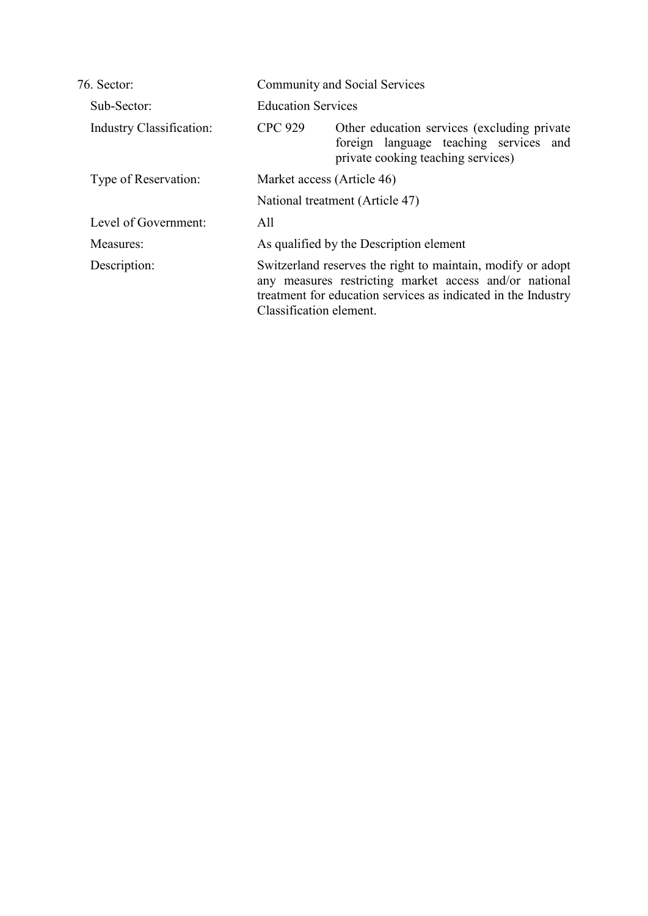| 76 Sector                       | <b>Community and Social Services</b> |                                                                                                                                                                                        |  |
|---------------------------------|--------------------------------------|----------------------------------------------------------------------------------------------------------------------------------------------------------------------------------------|--|
| Sub-Sector:                     |                                      | <b>Education Services</b>                                                                                                                                                              |  |
| <b>Industry Classification:</b> | <b>CPC 929</b>                       | Other education services (excluding private)<br>foreign language teaching services and<br>private cooking teaching services)                                                           |  |
| Type of Reservation:            |                                      | Market access (Article 46)                                                                                                                                                             |  |
|                                 |                                      | National treatment (Article 47)                                                                                                                                                        |  |
| Level of Government:            | All                                  |                                                                                                                                                                                        |  |
| Measures:                       |                                      | As qualified by the Description element                                                                                                                                                |  |
| Description:                    | Classification element.              | Switzerland reserves the right to maintain, modify or adopt<br>any measures restricting market access and/or national<br>treatment for education services as indicated in the Industry |  |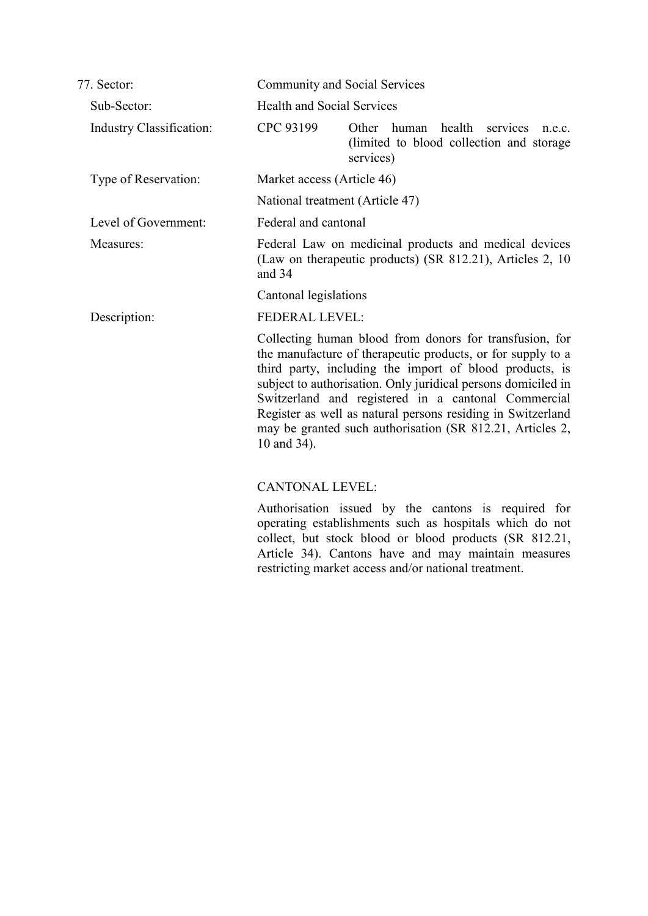| 77. Sector:                     |                                   | Community and Social Services                                                                                                                                                                                                                                                                                                                                                                                                         |
|---------------------------------|-----------------------------------|---------------------------------------------------------------------------------------------------------------------------------------------------------------------------------------------------------------------------------------------------------------------------------------------------------------------------------------------------------------------------------------------------------------------------------------|
| Sub-Sector:                     | <b>Health and Social Services</b> |                                                                                                                                                                                                                                                                                                                                                                                                                                       |
| <b>Industry Classification:</b> | CPC 93199                         | Other human<br>health<br>services<br>n.e.c.<br>(limited to blood collection and storage<br>services)                                                                                                                                                                                                                                                                                                                                  |
| Type of Reservation:            | Market access (Article 46)        |                                                                                                                                                                                                                                                                                                                                                                                                                                       |
|                                 |                                   | National treatment (Article 47)                                                                                                                                                                                                                                                                                                                                                                                                       |
| Level of Government:            | Federal and cantonal              |                                                                                                                                                                                                                                                                                                                                                                                                                                       |
| Measures:                       | and 34                            | Federal Law on medicinal products and medical devices<br>(Law on therapeutic products) (SR 812.21), Articles 2, 10                                                                                                                                                                                                                                                                                                                    |
|                                 | Cantonal legislations             |                                                                                                                                                                                                                                                                                                                                                                                                                                       |
| Description:                    | <b>FEDERAL LEVEL:</b>             |                                                                                                                                                                                                                                                                                                                                                                                                                                       |
|                                 | 10 and 34).                       | Collecting human blood from donors for transfusion, for<br>the manufacture of therapeutic products, or for supply to a<br>third party, including the import of blood products, is<br>subject to authorisation. Only juridical persons domiciled in<br>Switzerland and registered in a cantonal Commercial<br>Register as well as natural persons residing in Switzerland<br>may be granted such authorisation (SR 812.21, Articles 2, |
|                                 | <b>CANTONAL LEVEL:</b>            |                                                                                                                                                                                                                                                                                                                                                                                                                                       |

Authorisation issued by the cantons is required for operating establishments such as hospitals which do not collect, but stock blood or blood products (SR 812.21, Article 34). Cantons have and may maintain measures restricting market access and/or national treatment.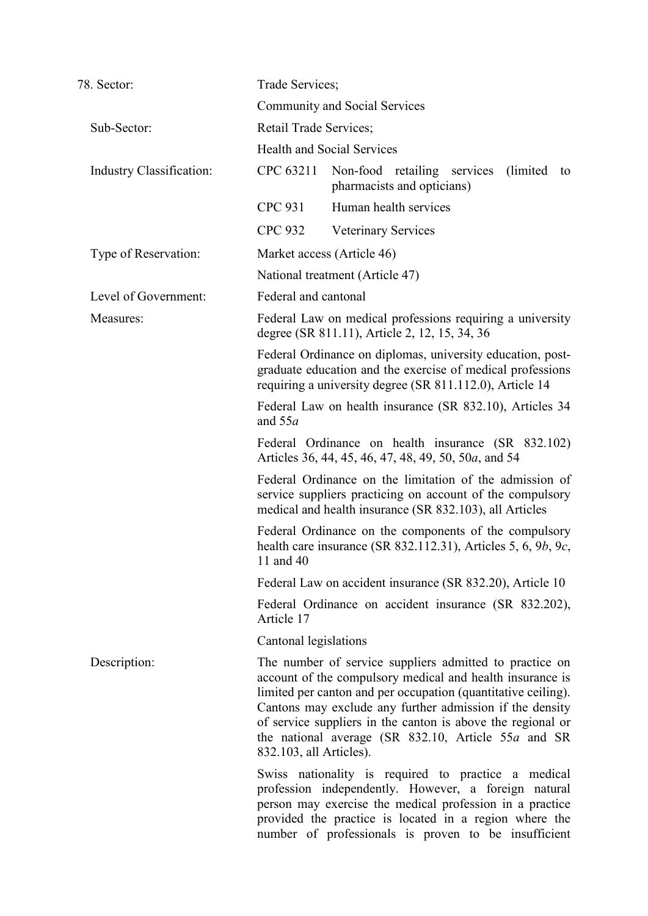| 78. Sector:                     | Trade Services;                                                                                                                                                                                                                                                                                                                                                                                    |  |
|---------------------------------|----------------------------------------------------------------------------------------------------------------------------------------------------------------------------------------------------------------------------------------------------------------------------------------------------------------------------------------------------------------------------------------------------|--|
|                                 | <b>Community and Social Services</b>                                                                                                                                                                                                                                                                                                                                                               |  |
| Sub-Sector:                     | Retail Trade Services;                                                                                                                                                                                                                                                                                                                                                                             |  |
|                                 | <b>Health and Social Services</b>                                                                                                                                                                                                                                                                                                                                                                  |  |
| <b>Industry Classification:</b> | CPC 63211<br>Non-food retailing services<br>(limited)<br>to<br>pharmacists and opticians)                                                                                                                                                                                                                                                                                                          |  |
|                                 | <b>CPC 931</b><br>Human health services                                                                                                                                                                                                                                                                                                                                                            |  |
|                                 | <b>CPC 932</b><br><b>Veterinary Services</b>                                                                                                                                                                                                                                                                                                                                                       |  |
| Type of Reservation:            | Market access (Article 46)                                                                                                                                                                                                                                                                                                                                                                         |  |
|                                 | National treatment (Article 47)                                                                                                                                                                                                                                                                                                                                                                    |  |
| Level of Government:            | Federal and cantonal                                                                                                                                                                                                                                                                                                                                                                               |  |
| Measures:                       | Federal Law on medical professions requiring a university<br>degree (SR 811.11), Article 2, 12, 15, 34, 36                                                                                                                                                                                                                                                                                         |  |
|                                 | Federal Ordinance on diplomas, university education, post-<br>graduate education and the exercise of medical professions<br>requiring a university degree (SR 811.112.0), Article 14                                                                                                                                                                                                               |  |
|                                 | Federal Law on health insurance (SR 832.10), Articles 34<br>and $55a$                                                                                                                                                                                                                                                                                                                              |  |
|                                 | Federal Ordinance on health insurance (SR 832.102)<br>Articles 36, 44, 45, 46, 47, 48, 49, 50, 50a, and 54                                                                                                                                                                                                                                                                                         |  |
|                                 | Federal Ordinance on the limitation of the admission of<br>service suppliers practicing on account of the compulsory<br>medical and health insurance (SR 832.103), all Articles                                                                                                                                                                                                                    |  |
|                                 | Federal Ordinance on the components of the compulsory<br>health care insurance (SR $832.112.31$ ), Articles 5, 6, 9b, 9c,<br>11 and 40                                                                                                                                                                                                                                                             |  |
|                                 | Federal Law on accident insurance (SR 832.20), Article 10                                                                                                                                                                                                                                                                                                                                          |  |
|                                 | Federal Ordinance on accident insurance (SR 832.202),<br>Article 17                                                                                                                                                                                                                                                                                                                                |  |
|                                 | Cantonal legislations                                                                                                                                                                                                                                                                                                                                                                              |  |
| Description:                    | The number of service suppliers admitted to practice on<br>account of the compulsory medical and health insurance is<br>limited per canton and per occupation (quantitative ceiling).<br>Cantons may exclude any further admission if the density<br>of service suppliers in the canton is above the regional or<br>the national average (SR 832.10, Article 55a and SR<br>832.103, all Articles). |  |
|                                 | Swiss nationality is required to practice a medical<br>profession independently. However, a foreign natural<br>person may exercise the medical profession in a practice<br>provided the practice is located in a region where the<br>number of professionals is proven to be insufficient                                                                                                          |  |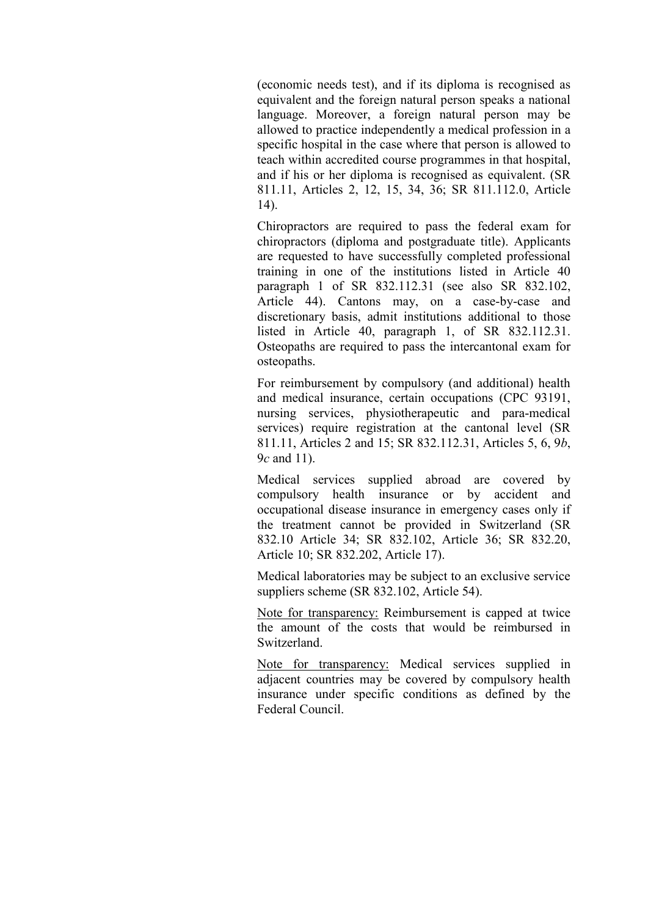(economic needs test), and if its diploma is recognised as equivalent and the foreign natural person speaks a national language. Moreover, a foreign natural person may be allowed to practice independently a medical profession in a specific hospital in the case where that person is allowed to teach within accredited course programmes in that hospital, and if his or her diploma is recognised as equivalent. (SR 811.11, Articles 2, 12, 15, 34, 36; SR 811.112.0, Article 14).

Chiropractors are required to pass the federal exam for chiropractors (diploma and postgraduate title). Applicants are requested to have successfully completed professional training in one of the institutions listed in Article 40 paragraph 1 of SR 832.112.31 (see also SR 832.102, Article 44). Cantons may, on a case-by-case and discretionary basis, admit institutions additional to those listed in Article 40, paragraph 1, of SR 832.112.31. Osteopaths are required to pass the intercantonal exam for osteopaths.

For reimbursement by compulsory (and additional) health and medical insurance, certain occupations (CPC 93191, nursing services, physiotherapeutic and para-medical services) require registration at the cantonal level (SR 811.11, Articles 2 and 15; SR 832.112.31, Articles 5, 6, 9*b*, 9*c* and 11).

Medical services supplied abroad are covered by compulsory health insurance or by accident and occupational disease insurance in emergency cases only if the treatment cannot be provided in Switzerland (SR 832.10 Article 34; SR 832.102, Article 36; SR 832.20, Article 10; SR 832.202, Article 17).

Medical laboratories may be subject to an exclusive service suppliers scheme (SR 832.102, Article 54).

Note for transparency: Reimbursement is capped at twice the amount of the costs that would be reimbursed in Switzerland.

Note for transparency: Medical services supplied in adjacent countries may be covered by compulsory health insurance under specific conditions as defined by the Federal Council.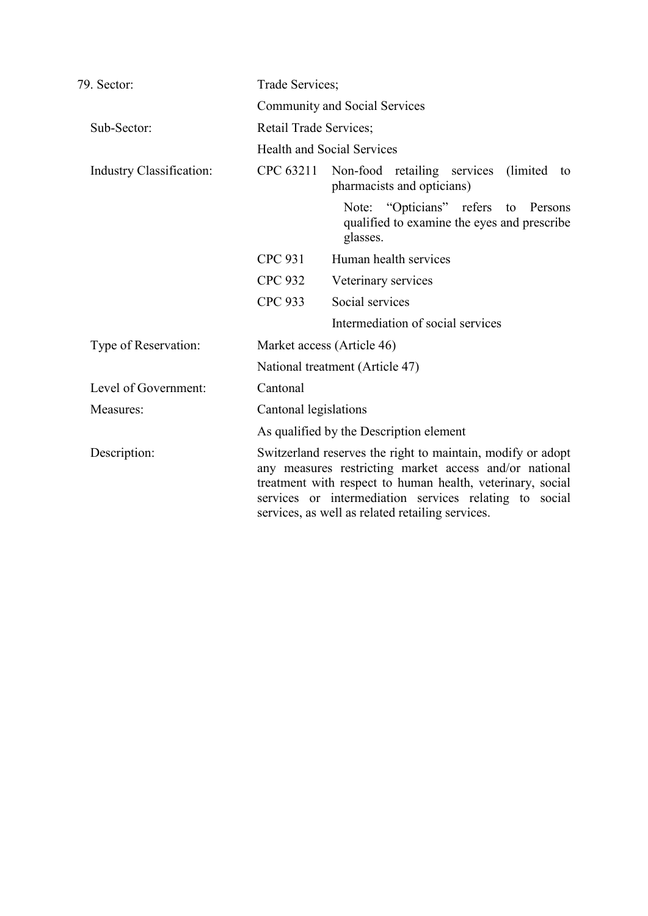| 79. Sector:                     | Trade Services;        |                                                                                                                                                                                                                                                                                                   |
|---------------------------------|------------------------|---------------------------------------------------------------------------------------------------------------------------------------------------------------------------------------------------------------------------------------------------------------------------------------------------|
|                                 |                        | <b>Community and Social Services</b>                                                                                                                                                                                                                                                              |
| Sub-Sector:                     | Retail Trade Services; |                                                                                                                                                                                                                                                                                                   |
|                                 |                        | <b>Health and Social Services</b>                                                                                                                                                                                                                                                                 |
| <b>Industry Classification:</b> | CPC 63211              | Non-food retailing services (limited)<br>to<br>pharmacists and opticians)                                                                                                                                                                                                                         |
|                                 |                        | Note: "Opticians" refers to Persons<br>qualified to examine the eyes and prescribe<br>glasses.                                                                                                                                                                                                    |
|                                 | <b>CPC 931</b>         | Human health services                                                                                                                                                                                                                                                                             |
|                                 | <b>CPC 932</b>         | Veterinary services                                                                                                                                                                                                                                                                               |
|                                 | <b>CPC 933</b>         | Social services                                                                                                                                                                                                                                                                                   |
|                                 |                        | Intermediation of social services                                                                                                                                                                                                                                                                 |
| Type of Reservation:            |                        | Market access (Article 46)                                                                                                                                                                                                                                                                        |
|                                 |                        | National treatment (Article 47)                                                                                                                                                                                                                                                                   |
| Level of Government:            | Cantonal               |                                                                                                                                                                                                                                                                                                   |
| Measures:                       | Cantonal legislations  |                                                                                                                                                                                                                                                                                                   |
|                                 |                        | As qualified by the Description element                                                                                                                                                                                                                                                           |
| Description:                    |                        | Switzerland reserves the right to maintain, modify or adopt<br>any measures restricting market access and/or national<br>treatment with respect to human health, veterinary, social<br>services or intermediation services relating to social<br>services, as well as related retailing services. |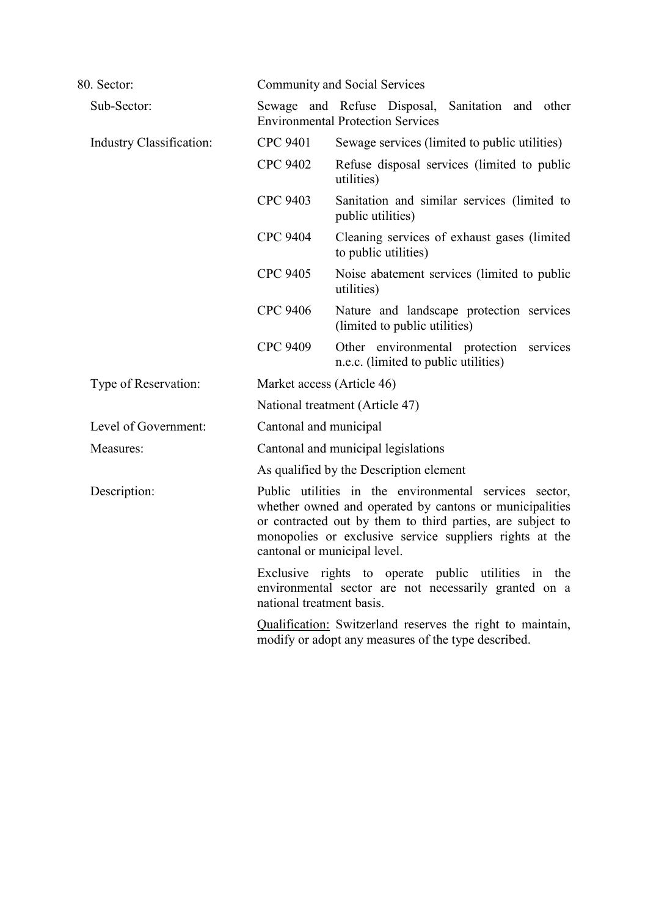| 80. Sector:                     |                           | <b>Community and Social Services</b>                                                                                                                                                                                                                                       |
|---------------------------------|---------------------------|----------------------------------------------------------------------------------------------------------------------------------------------------------------------------------------------------------------------------------------------------------------------------|
| Sub-Sector:                     |                           | Sewage and Refuse Disposal, Sanitation and other<br><b>Environmental Protection Services</b>                                                                                                                                                                               |
| <b>Industry Classification:</b> | <b>CPC 9401</b>           | Sewage services (limited to public utilities)                                                                                                                                                                                                                              |
|                                 | <b>CPC 9402</b>           | Refuse disposal services (limited to public<br>utilities)                                                                                                                                                                                                                  |
|                                 | CPC 9403                  | Sanitation and similar services (limited to<br>public utilities)                                                                                                                                                                                                           |
|                                 | <b>CPC 9404</b>           | Cleaning services of exhaust gases (limited<br>to public utilities)                                                                                                                                                                                                        |
|                                 | <b>CPC 9405</b>           | Noise abatement services (limited to public<br>utilities)                                                                                                                                                                                                                  |
|                                 | <b>CPC 9406</b>           | Nature and landscape protection services<br>(limited to public utilities)                                                                                                                                                                                                  |
|                                 | <b>CPC 9409</b>           | Other environmental protection services<br>n.e.c. (limited to public utilities)                                                                                                                                                                                            |
| Type of Reservation:            |                           | Market access (Article 46)                                                                                                                                                                                                                                                 |
|                                 |                           | National treatment (Article 47)                                                                                                                                                                                                                                            |
| Level of Government:            | Cantonal and municipal    |                                                                                                                                                                                                                                                                            |
| Measures:                       |                           | Cantonal and municipal legislations                                                                                                                                                                                                                                        |
|                                 |                           | As qualified by the Description element                                                                                                                                                                                                                                    |
| Description:                    |                           | Public utilities in the environmental services sector,<br>whether owned and operated by cantons or municipalities<br>or contracted out by them to third parties, are subject to<br>monopolies or exclusive service suppliers rights at the<br>cantonal or municipal level. |
|                                 | national treatment basis. | Exclusive rights to operate public utilities in the<br>environmental sector are not necessarily granted on a                                                                                                                                                               |
|                                 |                           | Qualification: Switzerland reserves the right to maintain,<br>modify or adopt any measures of the type described.                                                                                                                                                          |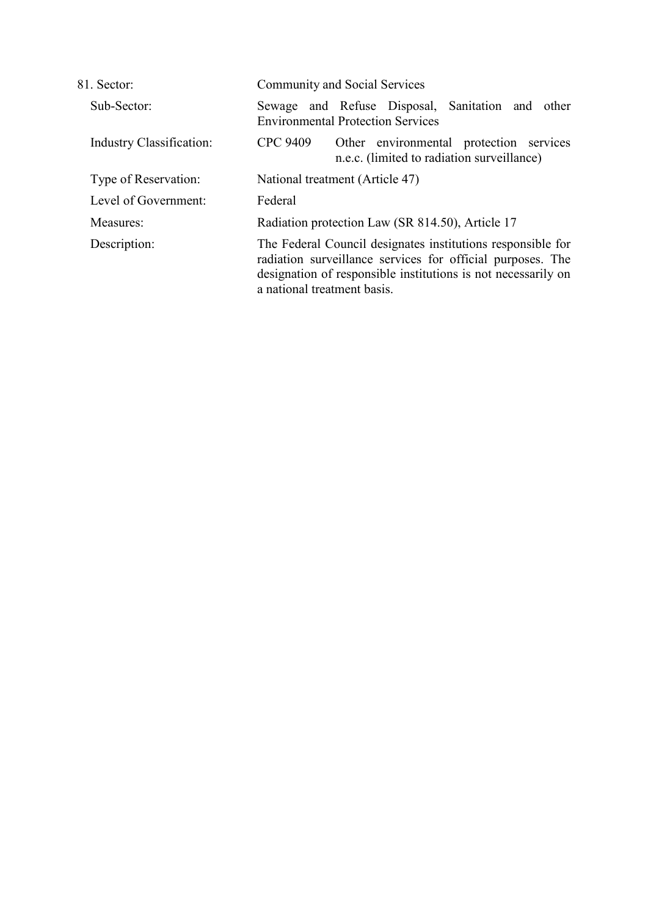| 81. Sector:              | <b>Community and Social Services</b>                                                                                                                                                                                      |
|--------------------------|---------------------------------------------------------------------------------------------------------------------------------------------------------------------------------------------------------------------------|
| Sub-Sector:              | and Refuse Disposal, Sanitation and other<br>Sewage<br><b>Environmental Protection Services</b>                                                                                                                           |
| Industry Classification: | CPC 9409<br>Other environmental protection services<br>n.e.c. (limited to radiation surveillance)                                                                                                                         |
| Type of Reservation:     | National treatment (Article 47)                                                                                                                                                                                           |
| Level of Government:     | Federal                                                                                                                                                                                                                   |
| Measures:                | Radiation protection Law (SR 814.50), Article 17                                                                                                                                                                          |
| Description:             | The Federal Council designates institutions responsible for<br>radiation surveillance services for official purposes. The<br>designation of responsible institutions is not necessarily on<br>a national treatment basis. |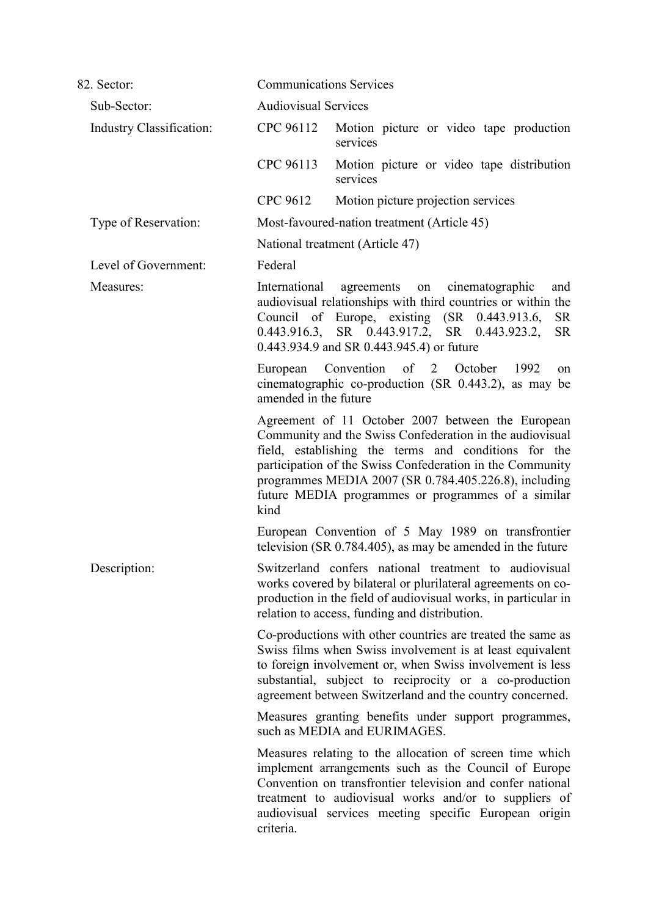| 82. Sector:              | <b>Communications Services</b>                                                                                                                                                                                                                                                                                                                            |
|--------------------------|-----------------------------------------------------------------------------------------------------------------------------------------------------------------------------------------------------------------------------------------------------------------------------------------------------------------------------------------------------------|
| Sub-Sector:              | <b>Audiovisual Services</b>                                                                                                                                                                                                                                                                                                                               |
| Industry Classification: | CPC 96112<br>Motion picture or video tape production<br>services                                                                                                                                                                                                                                                                                          |
|                          | CPC 96113<br>Motion picture or video tape distribution<br>services                                                                                                                                                                                                                                                                                        |
|                          | CPC 9612<br>Motion picture projection services                                                                                                                                                                                                                                                                                                            |
| Type of Reservation:     | Most-favoured-nation treatment (Article 45)                                                                                                                                                                                                                                                                                                               |
|                          | National treatment (Article 47)                                                                                                                                                                                                                                                                                                                           |
| Level of Government:     | Federal                                                                                                                                                                                                                                                                                                                                                   |
| Measures:                | International<br>agreements on<br>cinematographic<br>and<br>audiovisual relationships with third countries or within the<br>Council of Europe, existing (SR 0.443.913.6,<br><b>SR</b><br>0.443.916.3, SR 0.443.917.2, SR 0.443.923.2,<br><b>SR</b><br>0.443.934.9 and SR 0.443.945.4) or future                                                           |
|                          | Convention of 2 October<br>1992<br>European<br>on<br>cinematographic co-production (SR 0.443.2), as may be<br>amended in the future                                                                                                                                                                                                                       |
|                          | Agreement of 11 October 2007 between the European<br>Community and the Swiss Confederation in the audiovisual<br>field, establishing the terms and conditions for the<br>participation of the Swiss Confederation in the Community<br>programmes MEDIA 2007 (SR 0.784.405.226.8), including<br>future MEDIA programmes or programmes of a similar<br>kind |
|                          | European Convention of 5 May 1989 on transfrontier<br>television (SR $0.784.405$ ), as may be amended in the future                                                                                                                                                                                                                                       |
| Description:             | Switzerland confers national treatment to audiovisual<br>works covered by bilateral or plurilateral agreements on co-<br>production in the field of audiovisual works, in particular in<br>relation to access, funding and distribution.                                                                                                                  |
|                          | Co-productions with other countries are treated the same as<br>Swiss films when Swiss involvement is at least equivalent<br>to foreign involvement or, when Swiss involvement is less<br>substantial, subject to reciprocity or a co-production<br>agreement between Switzerland and the country concerned.                                               |
|                          | Measures granting benefits under support programmes,<br>such as MEDIA and EURIMAGES.                                                                                                                                                                                                                                                                      |
|                          | Measures relating to the allocation of screen time which<br>implement arrangements such as the Council of Europe<br>Convention on transfrontier television and confer national<br>treatment to audiovisual works and/or to suppliers of<br>audiovisual services meeting specific European origin<br>criteria.                                             |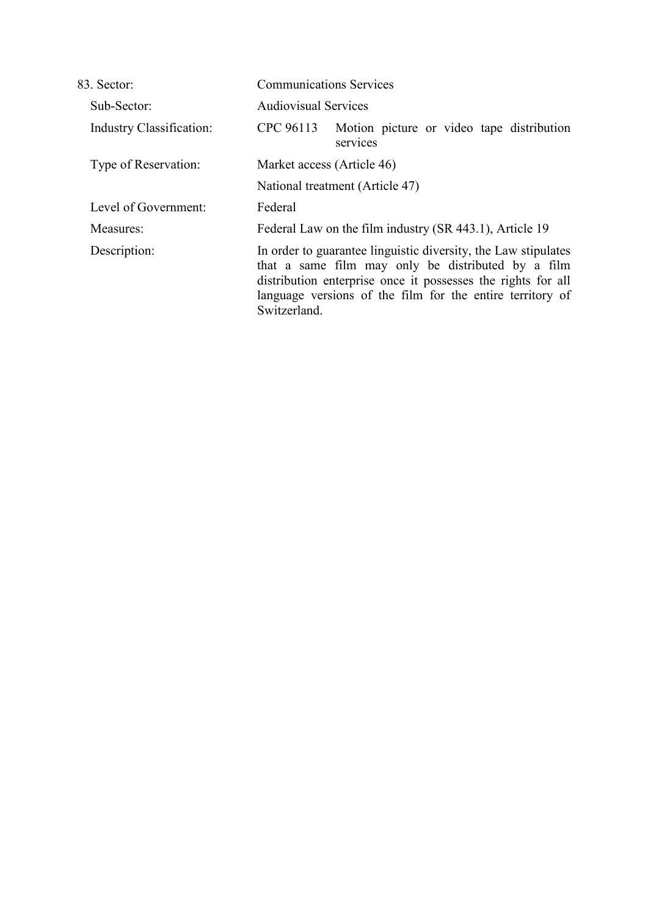| 83. Sector:                     | <b>Communications Services</b>                                                                                                                                                                                                                                    |  |
|---------------------------------|-------------------------------------------------------------------------------------------------------------------------------------------------------------------------------------------------------------------------------------------------------------------|--|
| Sub-Sector:                     | <b>Audiovisual Services</b>                                                                                                                                                                                                                                       |  |
| <b>Industry Classification:</b> | Motion picture or video tape distribution<br>CPC 96113<br>services                                                                                                                                                                                                |  |
| Type of Reservation:            | Market access (Article 46)<br>National treatment (Article 47)                                                                                                                                                                                                     |  |
|                                 |                                                                                                                                                                                                                                                                   |  |
| Level of Government:            | Federal                                                                                                                                                                                                                                                           |  |
| Measures:                       | Federal Law on the film industry (SR 443.1), Article 19                                                                                                                                                                                                           |  |
| Description:                    | In order to guarantee linguistic diversity, the Law stipulates<br>that a same film may only be distributed by a film<br>distribution enterprise once it possesses the rights for all<br>language versions of the film for the entire territory of<br>Switzerland. |  |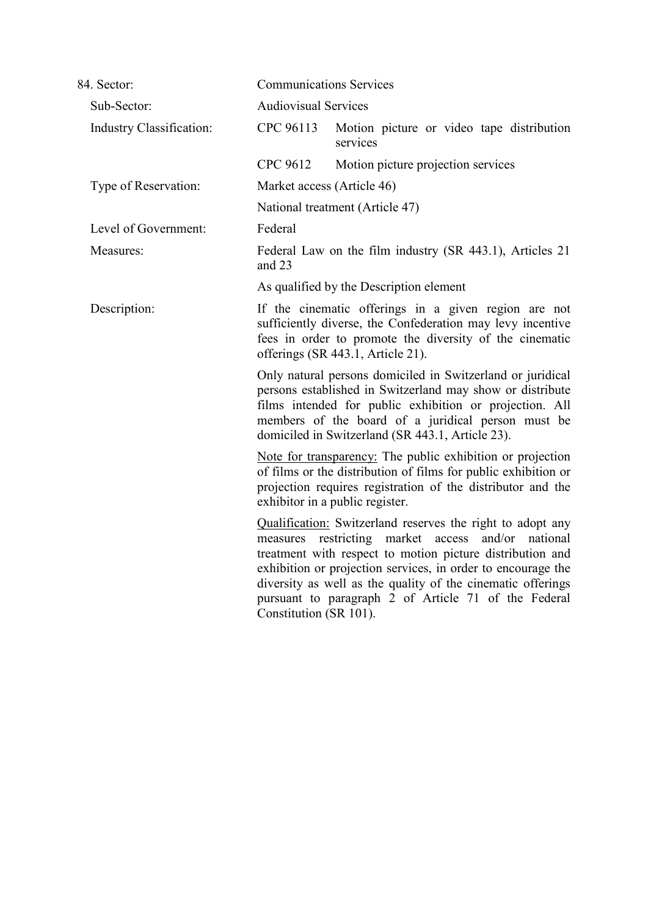| 84. Sector:                     | <b>Communications Services</b>                                                                                                                                                                                                                                                                                                                                                                                 |                                                          |  |  |
|---------------------------------|----------------------------------------------------------------------------------------------------------------------------------------------------------------------------------------------------------------------------------------------------------------------------------------------------------------------------------------------------------------------------------------------------------------|----------------------------------------------------------|--|--|
| Sub-Sector:                     |                                                                                                                                                                                                                                                                                                                                                                                                                | <b>Audiovisual Services</b>                              |  |  |
| <b>Industry Classification:</b> | CPC 96113                                                                                                                                                                                                                                                                                                                                                                                                      | Motion picture or video tape distribution<br>services    |  |  |
|                                 | CPC 9612                                                                                                                                                                                                                                                                                                                                                                                                       | Motion picture projection services                       |  |  |
| Type of Reservation:            |                                                                                                                                                                                                                                                                                                                                                                                                                | Market access (Article 46)                               |  |  |
|                                 |                                                                                                                                                                                                                                                                                                                                                                                                                | National treatment (Article 47)                          |  |  |
| Level of Government:            | Federal                                                                                                                                                                                                                                                                                                                                                                                                        |                                                          |  |  |
| Measures:                       | and 23                                                                                                                                                                                                                                                                                                                                                                                                         | Federal Law on the film industry (SR 443.1), Articles 21 |  |  |
|                                 |                                                                                                                                                                                                                                                                                                                                                                                                                | As qualified by the Description element                  |  |  |
| Description:                    | If the cinematic offerings in a given region are not<br>sufficiently diverse, the Confederation may levy incentive<br>fees in order to promote the diversity of the cinematic<br>offerings (SR 443.1, Article 21).                                                                                                                                                                                             |                                                          |  |  |
|                                 | Only natural persons domiciled in Switzerland or juridical<br>persons established in Switzerland may show or distribute<br>films intended for public exhibition or projection. All<br>members of the board of a juridical person must be<br>domiciled in Switzerland (SR 443.1, Article 23).                                                                                                                   |                                                          |  |  |
|                                 | Note for transparency: The public exhibition or projection<br>of films or the distribution of films for public exhibition or<br>projection requires registration of the distributor and the<br>exhibitor in a public register.                                                                                                                                                                                 |                                                          |  |  |
|                                 | <b>Qualification:</b> Switzerland reserves the right to adopt any<br>measures restricting market<br>and/or<br>access<br>national<br>treatment with respect to motion picture distribution and<br>exhibition or projection services, in order to encourage the<br>diversity as well as the quality of the cinematic offerings<br>pursuant to paragraph 2 of Article 71 of the Federal<br>Constitution (SR 101). |                                                          |  |  |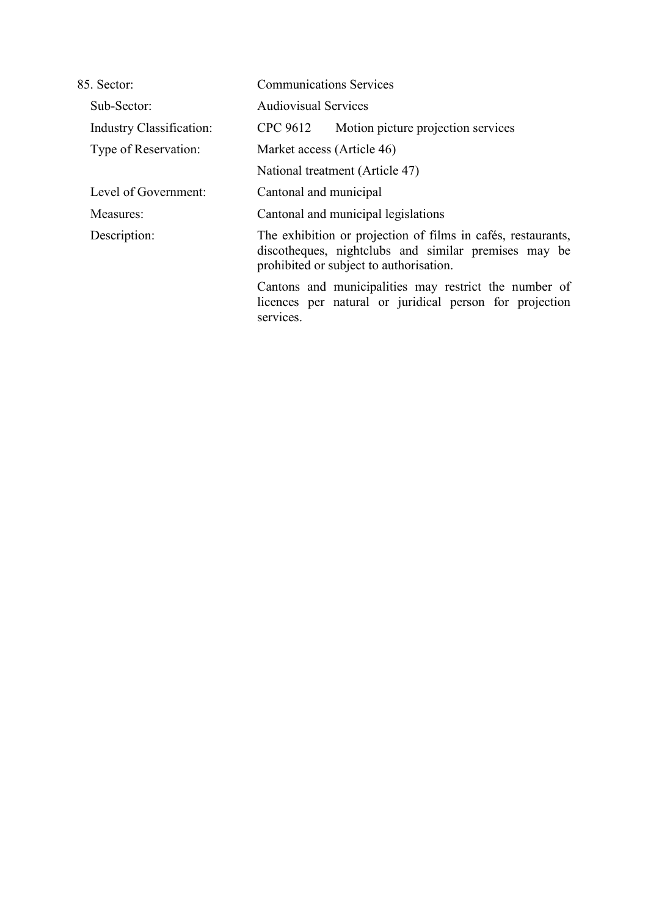| 85. Sector:                     | <b>Communications Services</b>                                                                                                                                  |  |
|---------------------------------|-----------------------------------------------------------------------------------------------------------------------------------------------------------------|--|
| Sub-Sector:                     | <b>Audiovisual Services</b>                                                                                                                                     |  |
| <b>Industry Classification:</b> | Motion picture projection services<br>CPC 9612                                                                                                                  |  |
| Type of Reservation:            | Market access (Article 46)<br>National treatment (Article 47)                                                                                                   |  |
|                                 |                                                                                                                                                                 |  |
| Level of Government:            | Cantonal and municipal                                                                                                                                          |  |
| Measures:                       | Cantonal and municipal legislations                                                                                                                             |  |
| Description:                    | The exhibition or projection of films in cafés, restaurants,<br>discotheques, nightclubs and similar premises may be<br>prohibited or subject to authorization. |  |
|                                 | Cantons and municipalities may restrict the number of<br>licences per natural or juridical person for projection<br>services.                                   |  |
|                                 |                                                                                                                                                                 |  |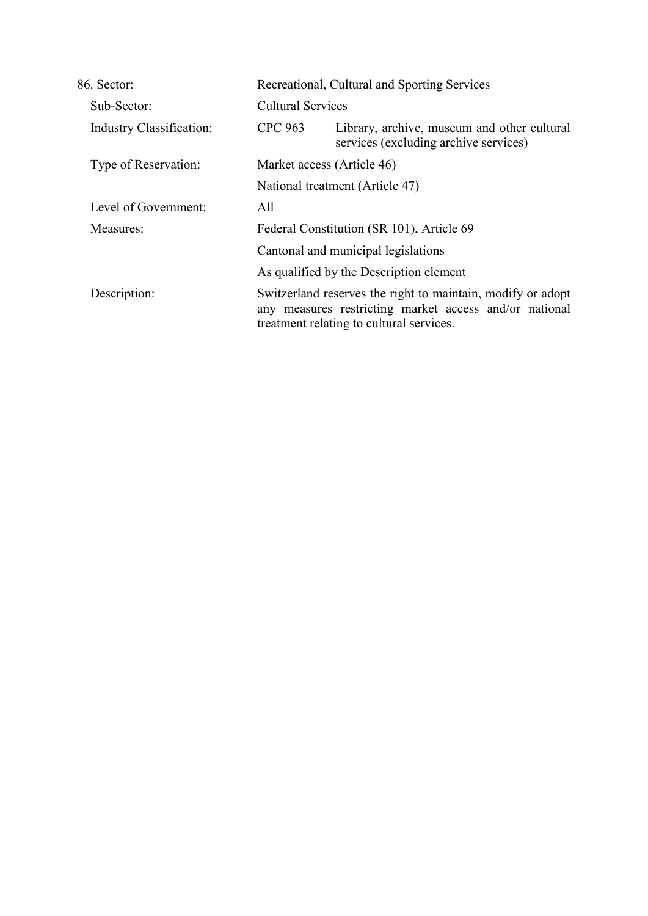| 86. Sector:                     |                                                               | Recreational, Cultural and Sporting Services                                                                                                                      |  |  |
|---------------------------------|---------------------------------------------------------------|-------------------------------------------------------------------------------------------------------------------------------------------------------------------|--|--|
| Sub-Sector:                     |                                                               | <b>Cultural Services</b>                                                                                                                                          |  |  |
| <b>Industry Classification:</b> | <b>CPC 963</b>                                                | Library, archive, museum and other cultural<br>services (excluding archive services)                                                                              |  |  |
| Type of Reservation:            | Market access (Article 46)<br>National treatment (Article 47) |                                                                                                                                                                   |  |  |
|                                 |                                                               |                                                                                                                                                                   |  |  |
| Level of Government:            | All                                                           |                                                                                                                                                                   |  |  |
| Measures:                       |                                                               | Federal Constitution (SR 101), Article 69                                                                                                                         |  |  |
|                                 |                                                               | Cantonal and municipal legislations                                                                                                                               |  |  |
|                                 | As qualified by the Description element                       |                                                                                                                                                                   |  |  |
| Description:                    |                                                               | Switzerland reserves the right to maintain, modify or adopt<br>any measures restricting market access and/or national<br>treatment relating to cultural services. |  |  |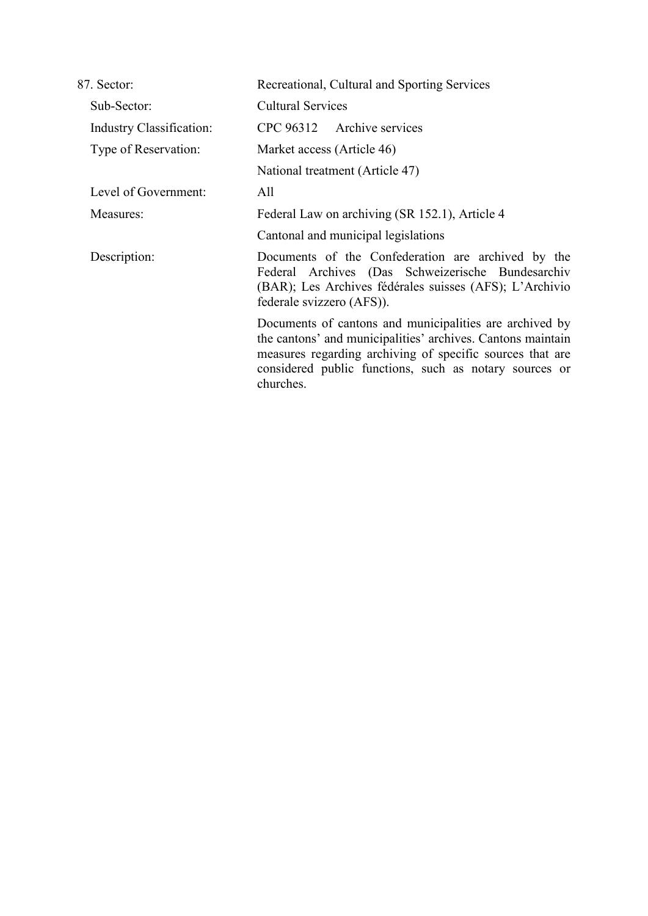| 87. Sector:                     | Recreational, Cultural and Sporting Services                                                                                                                                                                                                               |  |
|---------------------------------|------------------------------------------------------------------------------------------------------------------------------------------------------------------------------------------------------------------------------------------------------------|--|
| Sub-Sector:                     | <b>Cultural Services</b>                                                                                                                                                                                                                                   |  |
| <b>Industry Classification:</b> | CPC 96312 Archive services                                                                                                                                                                                                                                 |  |
| Type of Reservation:            | Market access (Article 46)                                                                                                                                                                                                                                 |  |
|                                 | National treatment (Article 47)                                                                                                                                                                                                                            |  |
| Level of Government:            | All                                                                                                                                                                                                                                                        |  |
| Measures:                       | Federal Law on archiving (SR 152.1), Article 4                                                                                                                                                                                                             |  |
|                                 | Cantonal and municipal legislations                                                                                                                                                                                                                        |  |
| Description:                    | Documents of the Confederation are archived by the<br>Federal Archives (Das Schweizerische Bundesarchiv<br>(BAR); Les Archives fédérales suisses (AFS); L'Archivio<br>federale svizzero (AFS)).                                                            |  |
|                                 | Documents of cantons and municipalities are archived by<br>the cantons' and municipalities' archives. Cantons maintain<br>measures regarding archiving of specific sources that are<br>considered public functions, such as notary sources or<br>churches. |  |
|                                 |                                                                                                                                                                                                                                                            |  |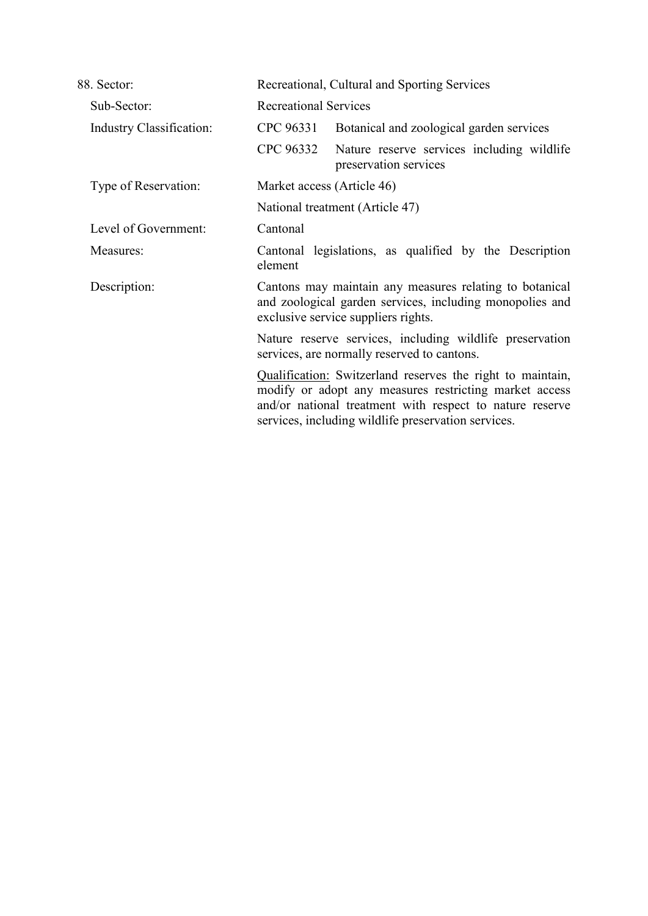| 88. Sector:                     | Recreational, Cultural and Sporting Services                                                                                                               |                                                                                                                                                                                                                                         |
|---------------------------------|------------------------------------------------------------------------------------------------------------------------------------------------------------|-----------------------------------------------------------------------------------------------------------------------------------------------------------------------------------------------------------------------------------------|
| Sub-Sector:                     | <b>Recreational Services</b>                                                                                                                               |                                                                                                                                                                                                                                         |
| <b>Industry Classification:</b> | CPC 96331                                                                                                                                                  | Botanical and zoological garden services                                                                                                                                                                                                |
|                                 | CPC 96332                                                                                                                                                  | Nature reserve services including wildlife<br>preservation services                                                                                                                                                                     |
| Type of Reservation:            | Market access (Article 46)<br>National treatment (Article 47)                                                                                              |                                                                                                                                                                                                                                         |
|                                 |                                                                                                                                                            |                                                                                                                                                                                                                                         |
| Level of Government:            | Cantonal                                                                                                                                                   |                                                                                                                                                                                                                                         |
| Measures:                       | element                                                                                                                                                    | Cantonal legislations, as qualified by the Description                                                                                                                                                                                  |
| Description:                    | Cantons may maintain any measures relating to botanical<br>and zoological garden services, including monopolies and<br>exclusive service suppliers rights. |                                                                                                                                                                                                                                         |
|                                 | Nature reserve services, including wildlife preservation<br>services, are normally reserved to cantons.                                                    |                                                                                                                                                                                                                                         |
|                                 |                                                                                                                                                            | Qualification: Switzerland reserves the right to maintain,<br>modify or adopt any measures restricting market access<br>and/or national treatment with respect to nature reserve<br>services, including wildlife preservation services. |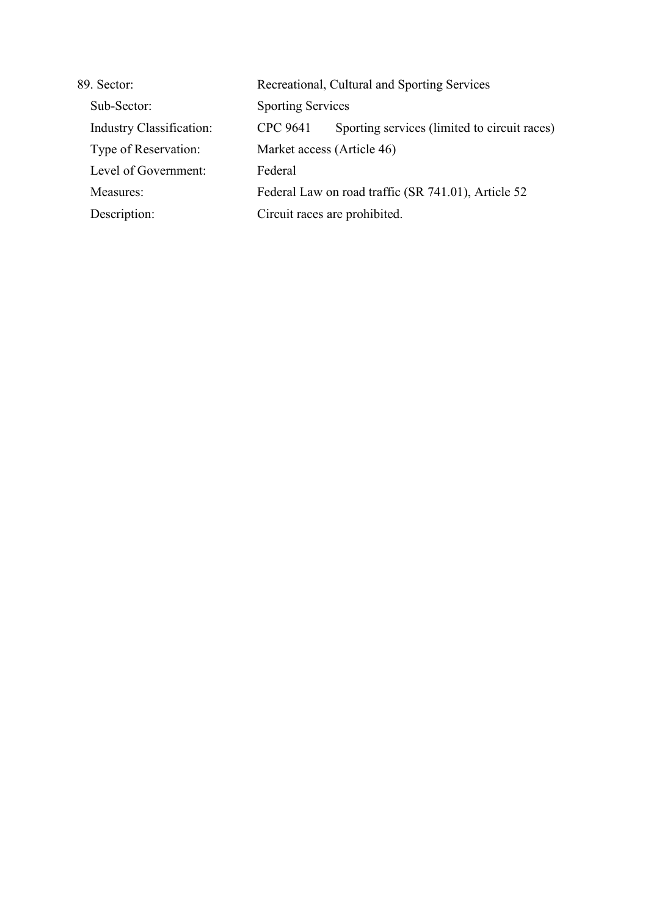| 89. Sector:                     | Recreational, Cultural and Sporting Services        |                                              |  |
|---------------------------------|-----------------------------------------------------|----------------------------------------------|--|
| Sub-Sector:                     |                                                     | <b>Sporting Services</b>                     |  |
| <b>Industry Classification:</b> | CPC 9641                                            | Sporting services (limited to circuit races) |  |
| Type of Reservation:            | Market access (Article 46)                          |                                              |  |
| Level of Government:            | Federal                                             |                                              |  |
| Measures:                       | Federal Law on road traffic (SR 741.01), Article 52 |                                              |  |
| Description:                    | Circuit races are prohibited.                       |                                              |  |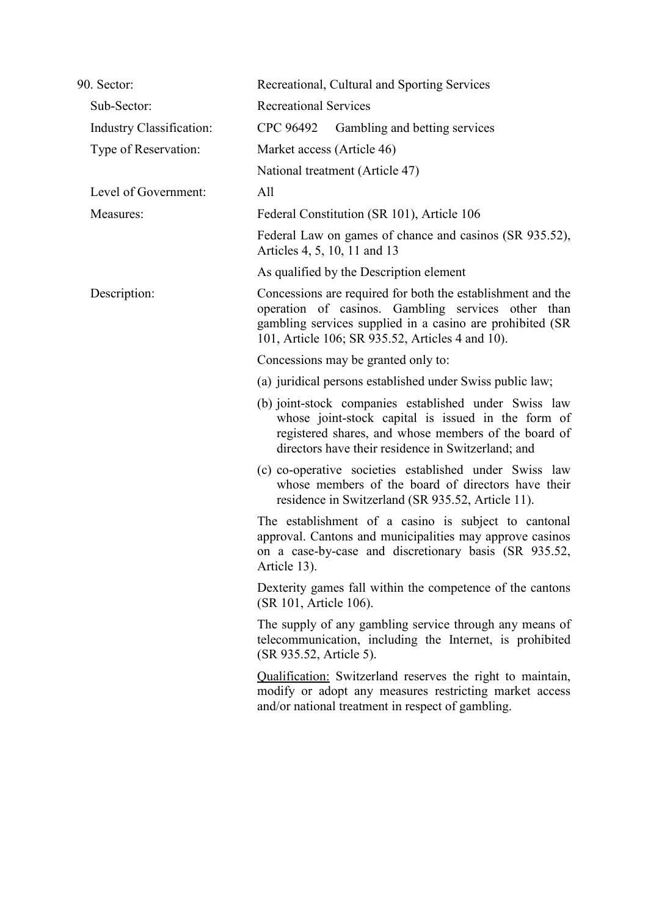| 90. Sector:                     | Recreational, Cultural and Sporting Services                                                                                                                                                                                       |  |  |
|---------------------------------|------------------------------------------------------------------------------------------------------------------------------------------------------------------------------------------------------------------------------------|--|--|
| Sub-Sector:                     | <b>Recreational Services</b>                                                                                                                                                                                                       |  |  |
| <b>Industry Classification:</b> | CPC 96492<br>Gambling and betting services                                                                                                                                                                                         |  |  |
| Type of Reservation:            | Market access (Article 46)                                                                                                                                                                                                         |  |  |
|                                 | National treatment (Article 47)                                                                                                                                                                                                    |  |  |
| Level of Government:            | All                                                                                                                                                                                                                                |  |  |
| Measures:                       | Federal Constitution (SR 101), Article 106                                                                                                                                                                                         |  |  |
|                                 | Federal Law on games of chance and casinos (SR 935.52),<br>Articles 4, 5, 10, 11 and 13                                                                                                                                            |  |  |
|                                 | As qualified by the Description element                                                                                                                                                                                            |  |  |
| Description:                    | Concessions are required for both the establishment and the<br>operation of casinos. Gambling services other than<br>gambling services supplied in a casino are prohibited (SR<br>101, Article 106; SR 935.52, Articles 4 and 10). |  |  |
|                                 | Concessions may be granted only to:                                                                                                                                                                                                |  |  |
|                                 | (a) juridical persons established under Swiss public law;                                                                                                                                                                          |  |  |
|                                 | (b) joint-stock companies established under Swiss law<br>whose joint-stock capital is issued in the form of<br>registered shares, and whose members of the board of<br>directors have their residence in Switzerland; and          |  |  |
|                                 | (c) co-operative societies established under Swiss law<br>whose members of the board of directors have their<br>residence in Switzerland (SR 935.52, Article 11).                                                                  |  |  |
|                                 | The establishment of a casino is subject to cantonal<br>approval. Cantons and municipalities may approve casinos<br>on a case-by-case and discretionary basis (SR 935.52,<br>Article 13).                                          |  |  |
|                                 | Dexterity games fall within the competence of the cantons<br>(SR 101, Article 106).                                                                                                                                                |  |  |
|                                 | The supply of any gambling service through any means of<br>telecommunication, including the Internet, is prohibited<br>(SR 935.52, Article 5).                                                                                     |  |  |
|                                 | <b>Qualification:</b> Switzerland reserves the right to maintain,<br>modify or adopt any measures restricting market access<br>and/or national treatment in respect of gambling.                                                   |  |  |
|                                 |                                                                                                                                                                                                                                    |  |  |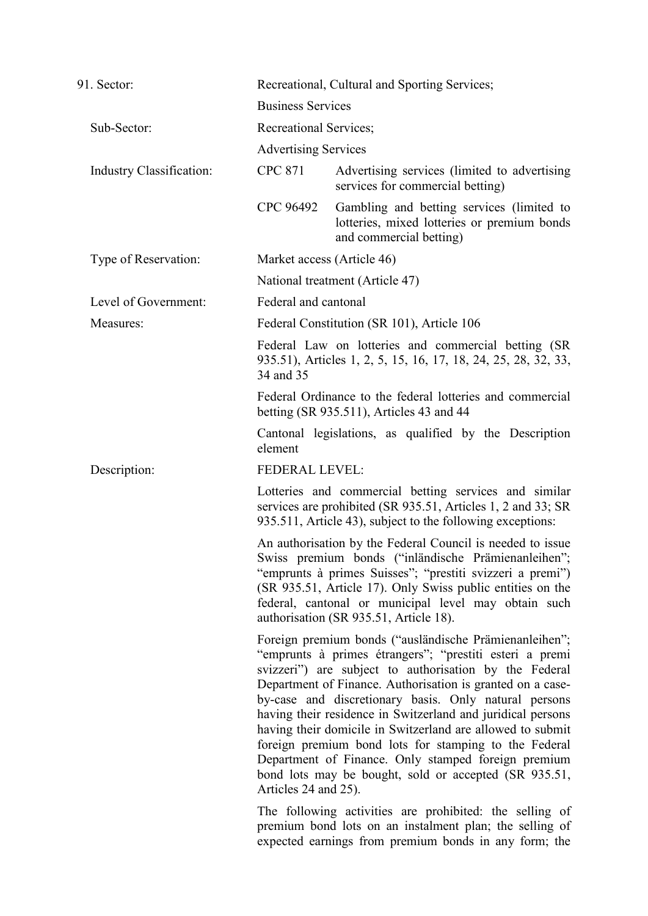| 91. Sector:              |                                                                                                                                                                                     | Recreational, Cultural and Sporting Services;                                                                                                                                                                                                                                                                                                                                                                                                                                                                                                                                                            |  |  |
|--------------------------|-------------------------------------------------------------------------------------------------------------------------------------------------------------------------------------|----------------------------------------------------------------------------------------------------------------------------------------------------------------------------------------------------------------------------------------------------------------------------------------------------------------------------------------------------------------------------------------------------------------------------------------------------------------------------------------------------------------------------------------------------------------------------------------------------------|--|--|
|                          |                                                                                                                                                                                     | <b>Business Services</b>                                                                                                                                                                                                                                                                                                                                                                                                                                                                                                                                                                                 |  |  |
| Sub-Sector:              | Recreational Services;                                                                                                                                                              |                                                                                                                                                                                                                                                                                                                                                                                                                                                                                                                                                                                                          |  |  |
|                          | <b>Advertising Services</b>                                                                                                                                                         |                                                                                                                                                                                                                                                                                                                                                                                                                                                                                                                                                                                                          |  |  |
| Industry Classification: | <b>CPC 871</b>                                                                                                                                                                      | Advertising services (limited to advertising<br>services for commercial betting)                                                                                                                                                                                                                                                                                                                                                                                                                                                                                                                         |  |  |
|                          | CPC 96492                                                                                                                                                                           | Gambling and betting services (limited to<br>lotteries, mixed lotteries or premium bonds<br>and commercial betting)                                                                                                                                                                                                                                                                                                                                                                                                                                                                                      |  |  |
| Type of Reservation:     |                                                                                                                                                                                     | Market access (Article 46)                                                                                                                                                                                                                                                                                                                                                                                                                                                                                                                                                                               |  |  |
|                          |                                                                                                                                                                                     | National treatment (Article 47)                                                                                                                                                                                                                                                                                                                                                                                                                                                                                                                                                                          |  |  |
| Level of Government:     | Federal and cantonal                                                                                                                                                                |                                                                                                                                                                                                                                                                                                                                                                                                                                                                                                                                                                                                          |  |  |
| Measures:                |                                                                                                                                                                                     | Federal Constitution (SR 101), Article 106                                                                                                                                                                                                                                                                                                                                                                                                                                                                                                                                                               |  |  |
|                          | 34 and 35                                                                                                                                                                           | Federal Law on lotteries and commercial betting (SR<br>935.51), Articles 1, 2, 5, 15, 16, 17, 18, 24, 25, 28, 32, 33,                                                                                                                                                                                                                                                                                                                                                                                                                                                                                    |  |  |
|                          | Federal Ordinance to the federal lotteries and commercial<br>betting (SR 935.511), Articles 43 and 44                                                                               |                                                                                                                                                                                                                                                                                                                                                                                                                                                                                                                                                                                                          |  |  |
|                          | element                                                                                                                                                                             | Cantonal legislations, as qualified by the Description                                                                                                                                                                                                                                                                                                                                                                                                                                                                                                                                                   |  |  |
| Description:             | <b>FEDERAL LEVEL:</b>                                                                                                                                                               |                                                                                                                                                                                                                                                                                                                                                                                                                                                                                                                                                                                                          |  |  |
|                          | Lotteries and commercial betting services and similar<br>services are prohibited (SR 935.51, Articles 1, 2 and 33; SR<br>935.511, Article 43), subject to the following exceptions: |                                                                                                                                                                                                                                                                                                                                                                                                                                                                                                                                                                                                          |  |  |
|                          |                                                                                                                                                                                     | An authorisation by the Federal Council is needed to issue<br>Swiss premium bonds ("inländische Prämienanleihen";<br>"emprunts à primes Suisses"; "prestiti svizzeri a premi")<br>(SR 935.51, Article 17). Only Swiss public entities on the<br>federal, cantonal or municipal level may obtain such<br>authorisation (SR 935.51, Article 18).                                                                                                                                                                                                                                                           |  |  |
|                          | Articles 24 and 25).                                                                                                                                                                | Foreign premium bonds ("ausländische Prämienanleihen";<br>"emprunts à primes étrangers"; "prestiti esteri a premi<br>svizzeri") are subject to authorisation by the Federal<br>Department of Finance. Authorisation is granted on a case-<br>by-case and discretionary basis. Only natural persons<br>having their residence in Switzerland and juridical persons<br>having their domicile in Switzerland are allowed to submit<br>foreign premium bond lots for stamping to the Federal<br>Department of Finance. Only stamped foreign premium<br>bond lots may be bought, sold or accepted (SR 935.51, |  |  |
|                          |                                                                                                                                                                                     | The following activities are prohibited: the selling of<br>premium bond lots on an instalment plan; the selling of<br>expected earnings from premium bonds in any form; the                                                                                                                                                                                                                                                                                                                                                                                                                              |  |  |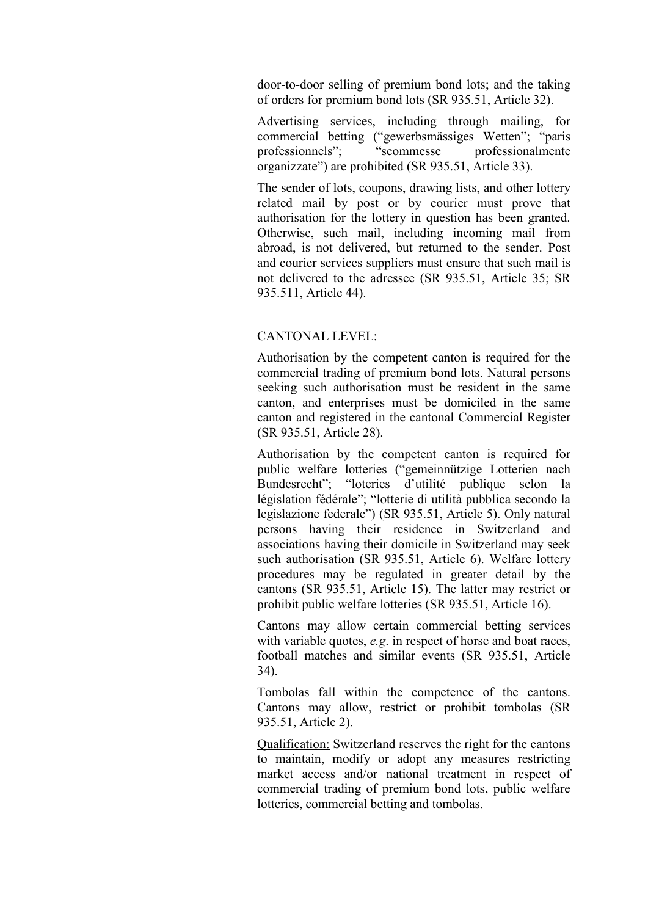door-to-door selling of premium bond lots; and the taking of orders for premium bond lots (SR 935.51, Article 32).

Advertising services, including through mailing, for commercial betting ("gewerbsmässiges Wetten"; "paris professionnels"; "scommesse professionalmente organizzate") are prohibited (SR 935.51, Article 33).

The sender of lots, coupons, drawing lists, and other lottery related mail by post or by courier must prove that authorisation for the lottery in question has been granted. Otherwise, such mail, including incoming mail from abroad, is not delivered, but returned to the sender. Post and courier services suppliers must ensure that such mail is not delivered to the adressee (SR 935.51, Article 35; SR 935.511, Article 44).

## CANTONAL LEVEL:

Authorisation by the competent canton is required for the commercial trading of premium bond lots. Natural persons seeking such authorisation must be resident in the same canton, and enterprises must be domiciled in the same canton and registered in the cantonal Commercial Register (SR 935.51, Article 28).

Authorisation by the competent canton is required for public welfare lotteries ("gemeinnützige Lotterien nach Bundesrecht"; "loteries d'utilité publique selon la législation fédérale"; "lotterie di utilità pubblica secondo la legislazione federale") (SR 935.51, Article 5). Only natural persons having their residence in Switzerland and associations having their domicile in Switzerland may seek such authorisation (SR 935.51, Article 6). Welfare lottery procedures may be regulated in greater detail by the cantons (SR 935.51, Article 15). The latter may restrict or prohibit public welfare lotteries (SR 935.51, Article 16).

Cantons may allow certain commercial betting services with variable quotes, *e.g*. in respect of horse and boat races, football matches and similar events (SR 935.51, Article 34).

Tombolas fall within the competence of the cantons. Cantons may allow, restrict or prohibit tombolas (SR 935.51, Article 2).

Qualification: Switzerland reserves the right for the cantons to maintain, modify or adopt any measures restricting market access and/or national treatment in respect of commercial trading of premium bond lots, public welfare lotteries, commercial betting and tombolas.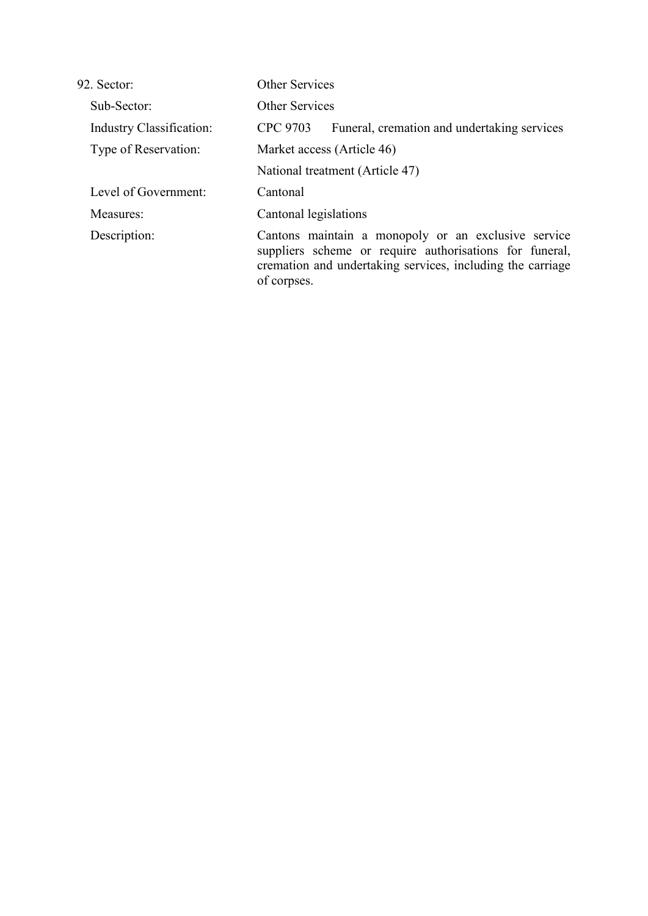| 92. Sector:                     | Other Services<br><b>Other Services</b>                                                                                                                                                     |  |
|---------------------------------|---------------------------------------------------------------------------------------------------------------------------------------------------------------------------------------------|--|
| Sub-Sector:                     |                                                                                                                                                                                             |  |
| <b>Industry Classification:</b> | CPC 9703<br>Funeral, cremation and undertaking services                                                                                                                                     |  |
| Type of Reservation:            | Market access (Article 46)                                                                                                                                                                  |  |
|                                 | National treatment (Article 47)                                                                                                                                                             |  |
| Level of Government:            | Cantonal                                                                                                                                                                                    |  |
| Measures:                       | Cantonal legislations                                                                                                                                                                       |  |
| Description:                    | Cantons maintain a monopoly or an exclusive service<br>suppliers scheme or require authorisations for funeral,<br>cremation and undertaking services, including the carriage<br>of corpses. |  |
|                                 |                                                                                                                                                                                             |  |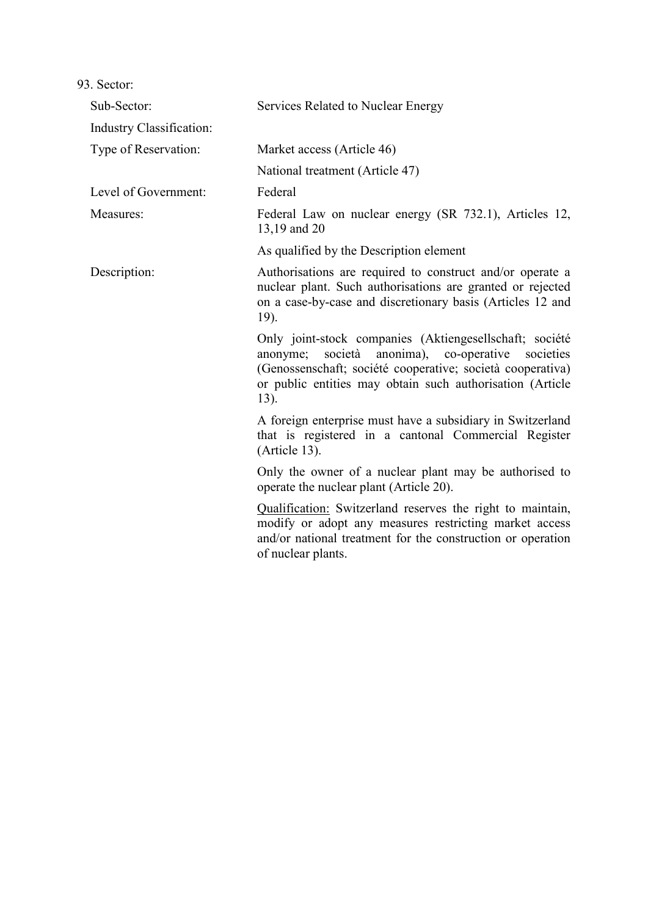| Sub-Sector:                     | Services Related to Nuclear Energy                                                                                                                                                                                                                 |  |
|---------------------------------|----------------------------------------------------------------------------------------------------------------------------------------------------------------------------------------------------------------------------------------------------|--|
| <b>Industry Classification:</b> |                                                                                                                                                                                                                                                    |  |
| Type of Reservation:            | Market access (Article 46)                                                                                                                                                                                                                         |  |
|                                 | National treatment (Article 47)                                                                                                                                                                                                                    |  |
| Level of Government:            | Federal                                                                                                                                                                                                                                            |  |
| Measures:                       | Federal Law on nuclear energy (SR 732.1), Articles 12,<br>13,19 and 20                                                                                                                                                                             |  |
|                                 | As qualified by the Description element                                                                                                                                                                                                            |  |
| Description:                    | Authorisations are required to construct and/or operate a<br>nuclear plant. Such authorisations are granted or rejected<br>on a case-by-case and discretionary basis (Articles 12 and<br>19).                                                      |  |
|                                 | Only joint-stock companies (Aktiengesellschaft; société<br>anonyme; società anonima), co-operative<br>societies<br>(Genossenschaft; société cooperative; società cooperativa)<br>or public entities may obtain such authorisation (Article<br>13). |  |
|                                 | A foreign enterprise must have a subsidiary in Switzerland<br>that is registered in a cantonal Commercial Register<br>(Article 13).                                                                                                                |  |
|                                 | Only the owner of a nuclear plant may be authorised to<br>operate the nuclear plant (Article 20).                                                                                                                                                  |  |
|                                 | Qualification: Switzerland reserves the right to maintain,<br>modify or adopt any measures restricting market access<br>and/or national treatment for the construction or operation<br>of nuclear plants.                                          |  |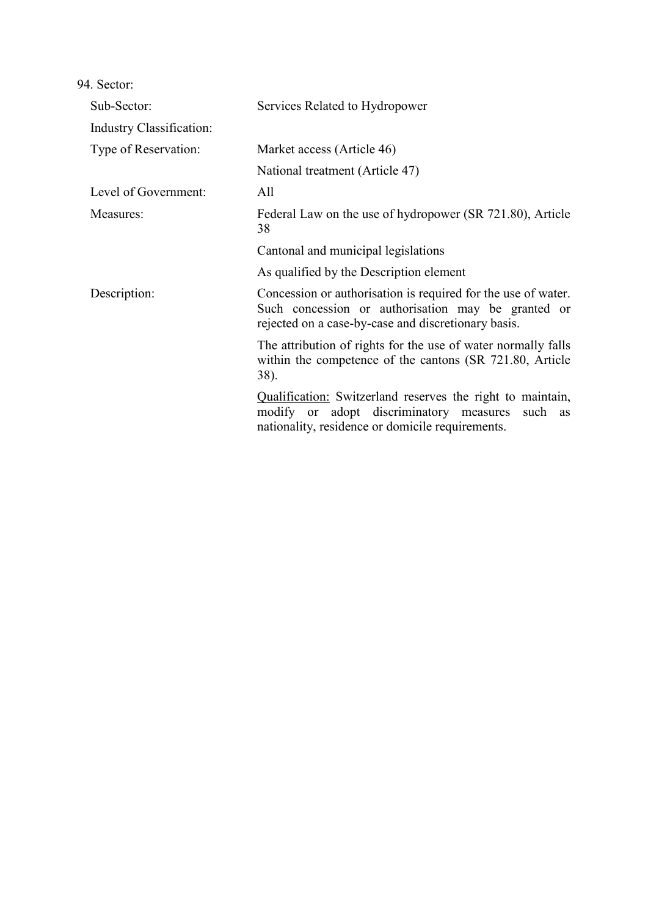| Sub-Sector:              | Services Related to Hydropower                                                                                                                                             |  |
|--------------------------|----------------------------------------------------------------------------------------------------------------------------------------------------------------------------|--|
| Industry Classification: |                                                                                                                                                                            |  |
| Type of Reservation:     | Market access (Article 46)                                                                                                                                                 |  |
|                          | National treatment (Article 47)                                                                                                                                            |  |
| Level of Government:     | All                                                                                                                                                                        |  |
| Measures:                | Federal Law on the use of hydropower (SR 721.80), Article<br>38                                                                                                            |  |
|                          | Cantonal and municipal legislations                                                                                                                                        |  |
|                          | As qualified by the Description element                                                                                                                                    |  |
| Description:             | Concession or authorisation is required for the use of water.<br>Such concession or authorisation may be granted or<br>rejected on a case-by-case and discretionary basis. |  |
|                          | The attribution of rights for the use of water normally falls<br>within the competence of the cantons (SR 721.80, Article<br>38).                                          |  |
|                          | Qualification: Switzerland reserves the right to maintain,<br>modify or adopt discriminatory measures<br>such as<br>nationality, residence or domicile requirements.       |  |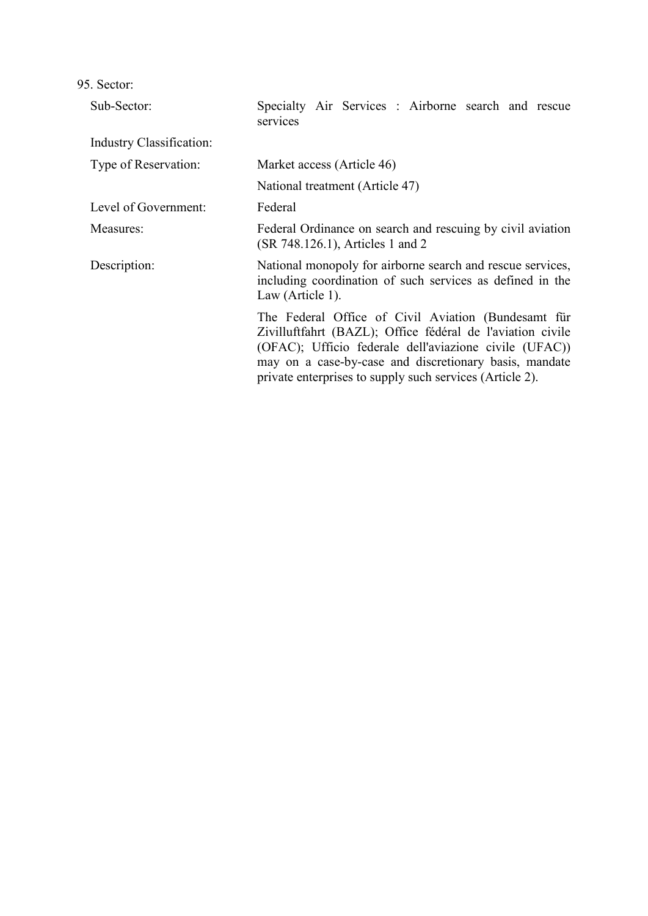| Sub-Sector:                                                                                                                                                 | Specialty Air Services : Airborne search and rescue<br>services                                                                                                                                                                                                                                   |  |  |
|-------------------------------------------------------------------------------------------------------------------------------------------------------------|---------------------------------------------------------------------------------------------------------------------------------------------------------------------------------------------------------------------------------------------------------------------------------------------------|--|--|
| <b>Industry Classification:</b>                                                                                                                             |                                                                                                                                                                                                                                                                                                   |  |  |
| Type of Reservation:                                                                                                                                        | Market access (Article 46)                                                                                                                                                                                                                                                                        |  |  |
|                                                                                                                                                             | National treatment (Article 47)                                                                                                                                                                                                                                                                   |  |  |
| Level of Government:                                                                                                                                        | Federal                                                                                                                                                                                                                                                                                           |  |  |
| Measures:                                                                                                                                                   | Federal Ordinance on search and rescuing by civil aviation<br>(SR 748.126.1), Articles 1 and 2                                                                                                                                                                                                    |  |  |
| National monopoly for airborne search and rescue services,<br>Description:<br>including coordination of such services as defined in the<br>Law (Article 1). |                                                                                                                                                                                                                                                                                                   |  |  |
|                                                                                                                                                             | The Federal Office of Civil Aviation (Bundesamt für<br>Zivilluftfahrt (BAZL); Office fédéral de l'aviation civile<br>(OFAC); Ufficio federale dell'aviazione civile (UFAC))<br>may on a case-by-case and discretionary basis, mandate<br>private enterprises to supply such services (Article 2). |  |  |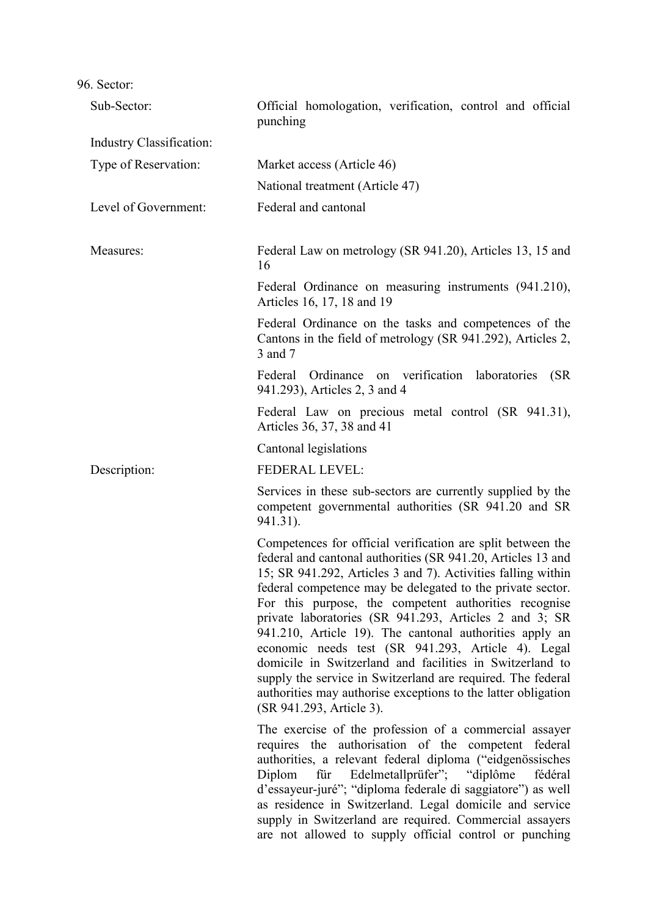| Sub-Sector:              | Official homologation, verification, control and official<br>punching                                                                                                                                                                                                                                                                                                                                                                                                                                                                                                                                                                                                                                                 |
|--------------------------|-----------------------------------------------------------------------------------------------------------------------------------------------------------------------------------------------------------------------------------------------------------------------------------------------------------------------------------------------------------------------------------------------------------------------------------------------------------------------------------------------------------------------------------------------------------------------------------------------------------------------------------------------------------------------------------------------------------------------|
| Industry Classification: |                                                                                                                                                                                                                                                                                                                                                                                                                                                                                                                                                                                                                                                                                                                       |
| Type of Reservation:     | Market access (Article 46)                                                                                                                                                                                                                                                                                                                                                                                                                                                                                                                                                                                                                                                                                            |
|                          | National treatment (Article 47)                                                                                                                                                                                                                                                                                                                                                                                                                                                                                                                                                                                                                                                                                       |
| Level of Government:     | Federal and cantonal                                                                                                                                                                                                                                                                                                                                                                                                                                                                                                                                                                                                                                                                                                  |
| Measures:                | Federal Law on metrology (SR 941.20), Articles 13, 15 and<br>16                                                                                                                                                                                                                                                                                                                                                                                                                                                                                                                                                                                                                                                       |
|                          | Federal Ordinance on measuring instruments (941.210),<br>Articles 16, 17, 18 and 19                                                                                                                                                                                                                                                                                                                                                                                                                                                                                                                                                                                                                                   |
|                          | Federal Ordinance on the tasks and competences of the<br>Cantons in the field of metrology (SR 941.292), Articles 2,<br>3 and 7                                                                                                                                                                                                                                                                                                                                                                                                                                                                                                                                                                                       |
|                          | Federal Ordinance on verification laboratories<br>(SR)<br>941.293), Articles 2, 3 and 4                                                                                                                                                                                                                                                                                                                                                                                                                                                                                                                                                                                                                               |
|                          | Federal Law on precious metal control (SR 941.31),<br>Articles 36, 37, 38 and 41                                                                                                                                                                                                                                                                                                                                                                                                                                                                                                                                                                                                                                      |
|                          | Cantonal legislations                                                                                                                                                                                                                                                                                                                                                                                                                                                                                                                                                                                                                                                                                                 |
| Description:             | FEDERAL LEVEL:                                                                                                                                                                                                                                                                                                                                                                                                                                                                                                                                                                                                                                                                                                        |
|                          | Services in these sub-sectors are currently supplied by the<br>competent governmental authorities (SR 941.20 and SR<br>941.31).                                                                                                                                                                                                                                                                                                                                                                                                                                                                                                                                                                                       |
|                          | Competences for official verification are split between the<br>federal and cantonal authorities (SR 941.20, Articles 13 and<br>15; SR 941.292, Articles 3 and 7). Activities falling within<br>federal competence may be delegated to the private sector.<br>For this purpose, the competent authorities recognise<br>private laboratories (SR 941.293, Articles 2 and 3; SR<br>941.210, Article 19). The cantonal authorities apply an<br>economic needs test (SR 941.293, Article 4). Legal<br>domicile in Switzerland and facilities in Switzerland to<br>supply the service in Switzerland are required. The federal<br>authorities may authorise exceptions to the latter obligation<br>(SR 941.293, Article 3). |
|                          | The exercise of the profession of a commercial assayer<br>requires the authorisation of the competent<br>federal<br>authorities, a relevant federal diploma ("eidgenössisches<br>für Edelmetallprüfer";<br>"diplôme"<br>Diplom<br>fédéral<br>d'essayeur-juré"; "diploma federale di saggiatore") as well<br>as residence in Switzerland. Legal domicile and service<br>supply in Switzerland are required. Commercial assayers<br>are not allowed to supply official control or punching                                                                                                                                                                                                                              |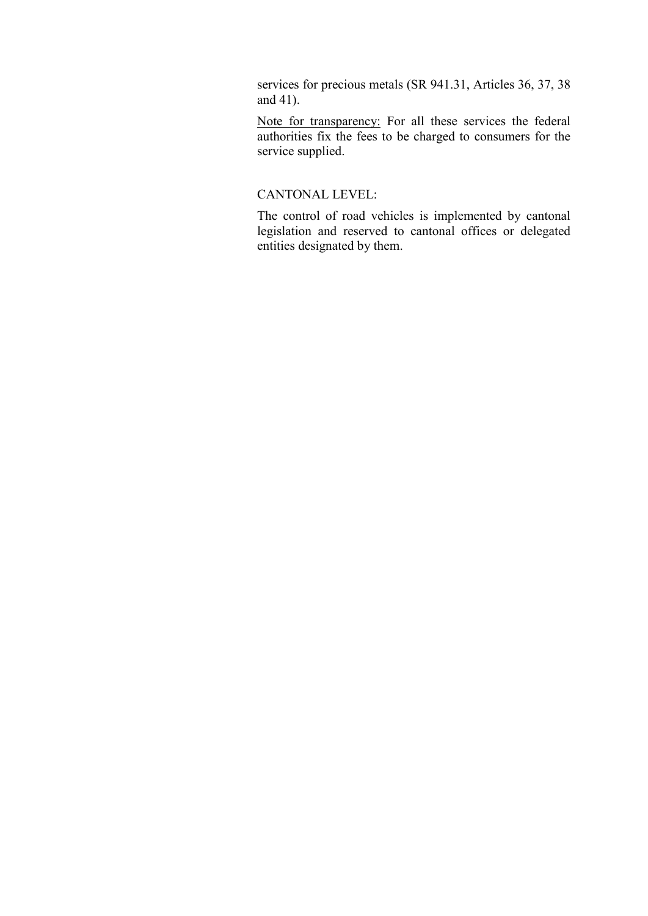services for precious metals (SR 941.31, Articles 36, 37, 38 and 41).

Note for transparency: For all these services the federal authorities fix the fees to be charged to consumers for the service supplied.

## CANTONAL LEVEL:

The control of road vehicles is implemented by cantonal legislation and reserved to cantonal offices or delegated entities designated by them.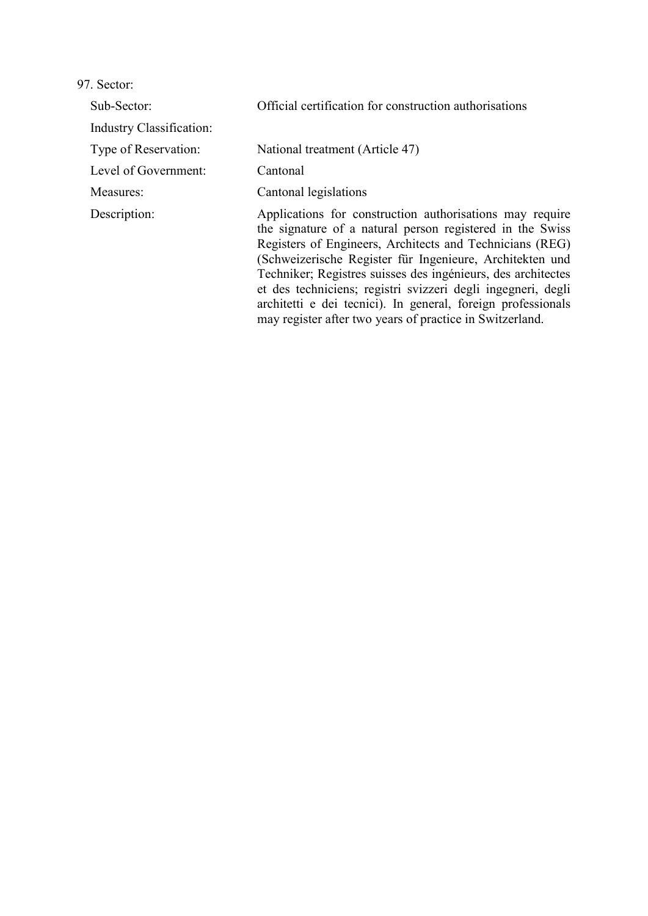Sub-Sector: Official certification for construction authorisations

Industry Classification:

Level of Government: Cantonal

Type of Reservation: National treatment (Article 47)

Measures: Cantonal legislations

Description: Applications for construction authorisations may require the signature of a natural person registered in the Swiss Registers of Engineers, Architects and Technicians (REG) (Schweizerische Register für Ingenieure, Architekten und Techniker; Registres suisses des ingénieurs, des architectes et des techniciens; registri svizzeri degli ingegneri, degli architetti e dei tecnici). In general, foreign professionals may register after two years of practice in Switzerland.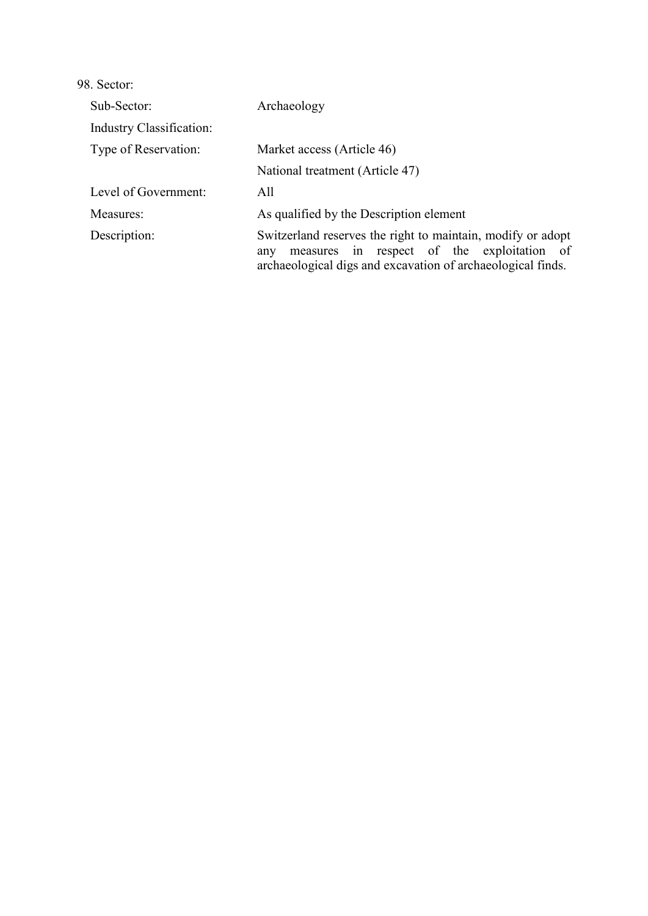| Sub-Sector:                     | Archaeology                                                                                                                                                                     |  |
|---------------------------------|---------------------------------------------------------------------------------------------------------------------------------------------------------------------------------|--|
| <b>Industry Classification:</b> |                                                                                                                                                                                 |  |
| Type of Reservation:            | Market access (Article 46)                                                                                                                                                      |  |
|                                 | National treatment (Article 47)                                                                                                                                                 |  |
| Level of Government:            | All                                                                                                                                                                             |  |
| Measures:                       | As qualified by the Description element                                                                                                                                         |  |
| Description:                    | Switzerland reserves the right to maintain, modify or adopt<br>measures in respect of the exploitation of<br>any<br>archaeological digs and excavation of archaeological finds. |  |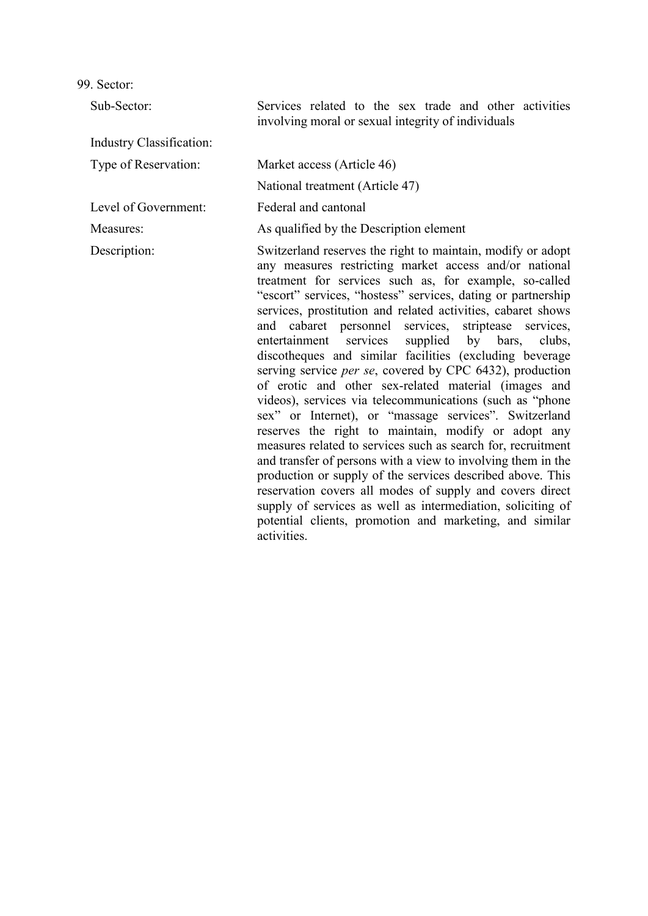Sub-Sector: Services related to the sex trade and other activities involving moral or sexual integrity of individuals Industry Classification: Type of Reservation: Market access (Article 46) National treatment (Article 47) Level of Government: Federal and cantonal Measures: As qualified by the Description element Description: Switzerland reserves the right to maintain, modify or adopt any measures restricting market access and/or national treatment for services such as, for example, so-called "escort" services, "hostess" services, dating or partnership services, prostitution and related activities, cabaret shows and cabaret personnel services, striptease services, entertainment services supplied by bars, clubs, discotheques and similar facilities (excluding beverage serving service *per se*, covered by CPC 6432), production of erotic and other sex-related material (images and videos), services via telecommunications (such as "phone sex" or Internet), or "massage services". Switzerland reserves the right to maintain, modify or adopt any measures related to services such as search for, recruitment and transfer of persons with a view to involving them in the production or supply of the services described above. This reservation covers all modes of supply and covers direct supply of services as well as intermediation, soliciting of potential clients, promotion and marketing, and similar activities.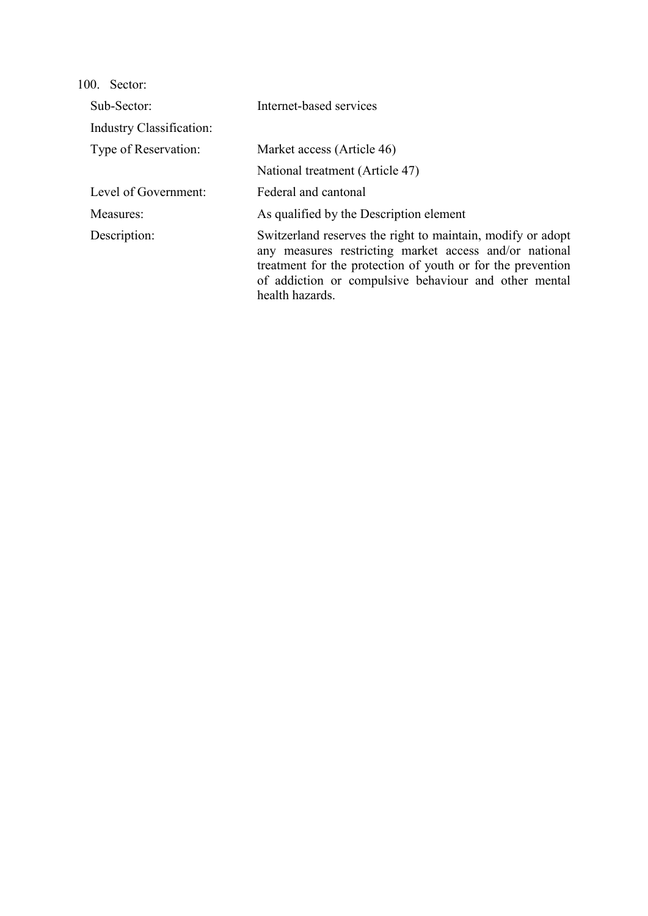| 100. Sector:             |                                                                                                                                                                                                                                                                  |
|--------------------------|------------------------------------------------------------------------------------------------------------------------------------------------------------------------------------------------------------------------------------------------------------------|
| Sub-Sector:              | Internet-based services                                                                                                                                                                                                                                          |
| Industry Classification: |                                                                                                                                                                                                                                                                  |
| Type of Reservation:     | Market access (Article 46)                                                                                                                                                                                                                                       |
|                          | National treatment (Article 47)                                                                                                                                                                                                                                  |
| Level of Government:     | Federal and cantonal                                                                                                                                                                                                                                             |
| Measures:                | As qualified by the Description element                                                                                                                                                                                                                          |
| Description:             | Switzerland reserves the right to maintain, modify or adopt<br>any measures restricting market access and/or national<br>treatment for the protection of youth or for the prevention<br>of addiction or compulsive behaviour and other mental<br>health hazards. |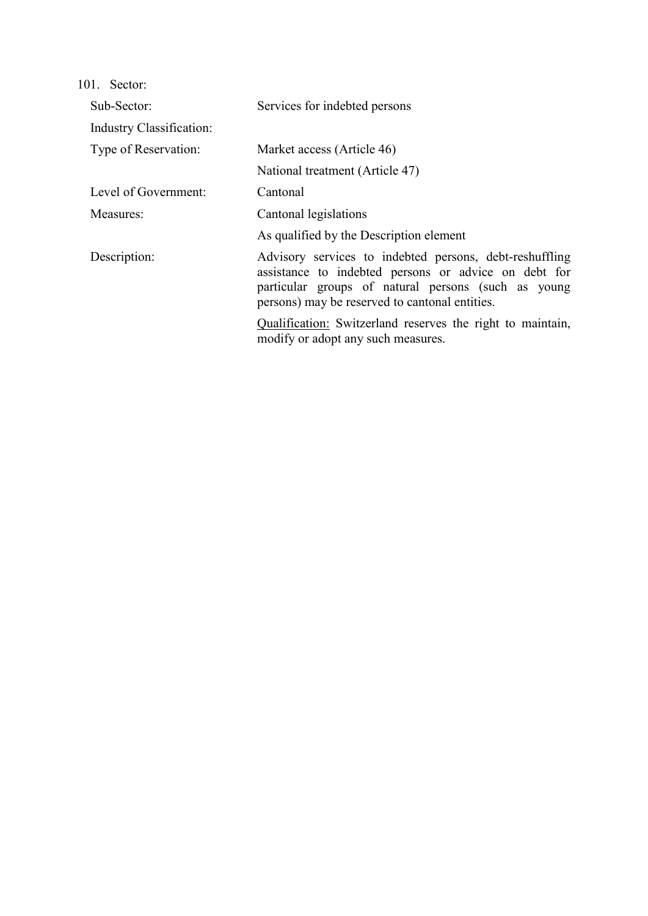| Sub-Sector:                     | Services for indebted persons                                                                                                                                                                                            |  |
|---------------------------------|--------------------------------------------------------------------------------------------------------------------------------------------------------------------------------------------------------------------------|--|
| <b>Industry Classification:</b> |                                                                                                                                                                                                                          |  |
| Type of Reservation:            | Market access (Article 46)                                                                                                                                                                                               |  |
|                                 | National treatment (Article 47)                                                                                                                                                                                          |  |
| Level of Government:            | Cantonal                                                                                                                                                                                                                 |  |
| Measures:                       | Cantonal legislations                                                                                                                                                                                                    |  |
|                                 | As qualified by the Description element                                                                                                                                                                                  |  |
| Description:                    | Advisory services to indebted persons, debt-reshuffling<br>assistance to indebted persons or advice on debt for<br>particular groups of natural persons (such as young<br>persons) may be reserved to cantonal entities. |  |
|                                 | Qualification: Switzerland reserves the right to maintain,<br>modify or adopt any such measures.                                                                                                                         |  |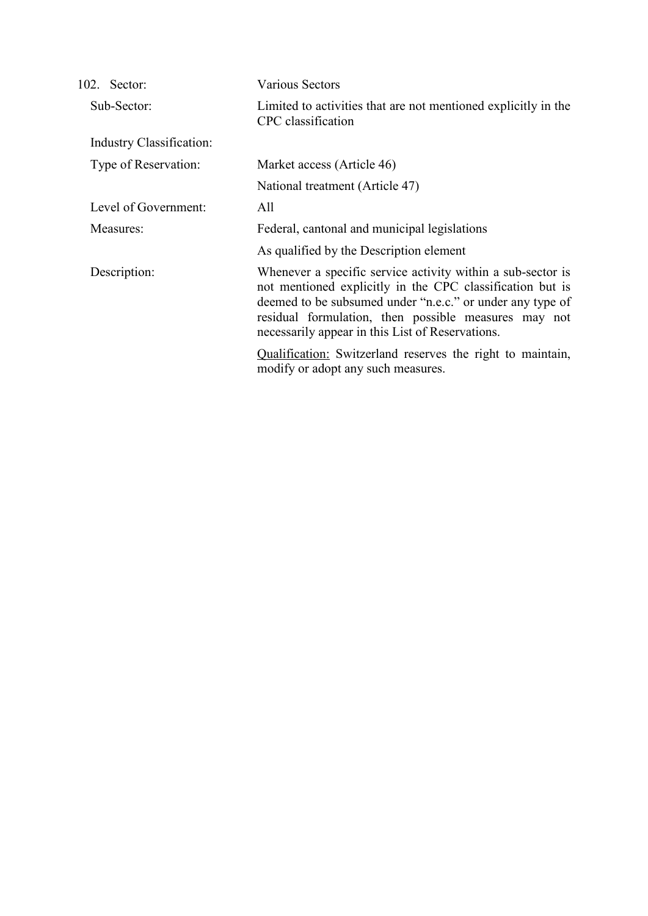| 102. Sector:             | <b>Various Sectors</b>                                                                                                                                                                                                                                                                            |
|--------------------------|---------------------------------------------------------------------------------------------------------------------------------------------------------------------------------------------------------------------------------------------------------------------------------------------------|
| Sub-Sector:              | Limited to activities that are not mentioned explicitly in the<br>CPC classification                                                                                                                                                                                                              |
| Industry Classification: |                                                                                                                                                                                                                                                                                                   |
| Type of Reservation:     | Market access (Article 46)                                                                                                                                                                                                                                                                        |
|                          | National treatment (Article 47)                                                                                                                                                                                                                                                                   |
| Level of Government:     | All                                                                                                                                                                                                                                                                                               |
| Measures:                | Federal, cantonal and municipal legislations                                                                                                                                                                                                                                                      |
|                          | As qualified by the Description element                                                                                                                                                                                                                                                           |
| Description:             | Whenever a specific service activity within a sub-sector is<br>not mentioned explicitly in the CPC classification but is<br>deemed to be subsumed under "n.e.c." or under any type of<br>residual formulation, then possible measures may not<br>necessarily appear in this List of Reservations. |
|                          | Qualification: Switzerland reserves the right to maintain,<br>modify or adopt any such measures.                                                                                                                                                                                                  |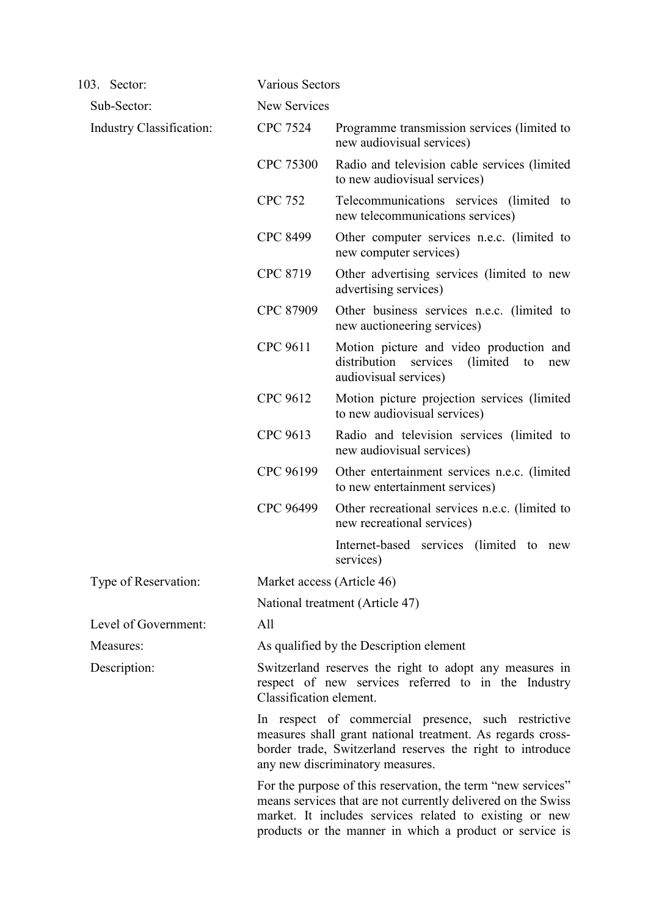| 103. Sector:             |                 | <b>Various Sectors</b>                                                                                                                                                                                                                             |  |  |
|--------------------------|-----------------|----------------------------------------------------------------------------------------------------------------------------------------------------------------------------------------------------------------------------------------------------|--|--|
| Sub-Sector:              |                 | New Services                                                                                                                                                                                                                                       |  |  |
| Industry Classification: | <b>CPC 7524</b> | Programme transmission services (limited to<br>new audiovisual services)                                                                                                                                                                           |  |  |
|                          | CPC 75300       | Radio and television cable services (limited<br>to new audiovisual services)                                                                                                                                                                       |  |  |
|                          | <b>CPC 752</b>  | Telecommunications services (limited to<br>new telecommunications services)                                                                                                                                                                        |  |  |
|                          | <b>CPC 8499</b> | Other computer services n.e.c. (limited to<br>new computer services)                                                                                                                                                                               |  |  |
|                          | CPC 8719        | Other advertising services (limited to new<br>advertising services)                                                                                                                                                                                |  |  |
|                          | CPC 87909       | Other business services n.e.c. (limited to<br>new auctioneering services)                                                                                                                                                                          |  |  |
|                          | CPC 9611        | Motion picture and video production and<br>distribution<br>services<br>(limited)<br>to<br>new<br>audiovisual services)                                                                                                                             |  |  |
|                          | CPC 9612        | Motion picture projection services (limited<br>to new audiovisual services)                                                                                                                                                                        |  |  |
|                          | CPC 9613        | Radio and television services (limited to<br>new audiovisual services)                                                                                                                                                                             |  |  |
|                          | CPC 96199       | Other entertainment services n.e.c. (limited<br>to new entertainment services)                                                                                                                                                                     |  |  |
|                          | CPC 96499       | Other recreational services n.e.c. (limited to<br>new recreational services)                                                                                                                                                                       |  |  |
|                          |                 | Internet-based services (limited to new<br>services)                                                                                                                                                                                               |  |  |
| Type of Reservation:     |                 | Market access (Article 46)                                                                                                                                                                                                                         |  |  |
|                          |                 | National treatment (Article 47)                                                                                                                                                                                                                    |  |  |
| Level of Government:     | All             |                                                                                                                                                                                                                                                    |  |  |
| Measures:                |                 | As qualified by the Description element                                                                                                                                                                                                            |  |  |
| Description:             |                 | Switzerland reserves the right to adopt any measures in<br>respect of new services referred to in the Industry<br>Classification element.                                                                                                          |  |  |
|                          |                 | In respect of commercial presence, such restrictive<br>measures shall grant national treatment. As regards cross-<br>border trade, Switzerland reserves the right to introduce<br>any new discriminatory measures.                                 |  |  |
|                          |                 | For the purpose of this reservation, the term "new services"<br>means services that are not currently delivered on the Swiss<br>market. It includes services related to existing or new<br>products or the manner in which a product or service is |  |  |
|                          |                 |                                                                                                                                                                                                                                                    |  |  |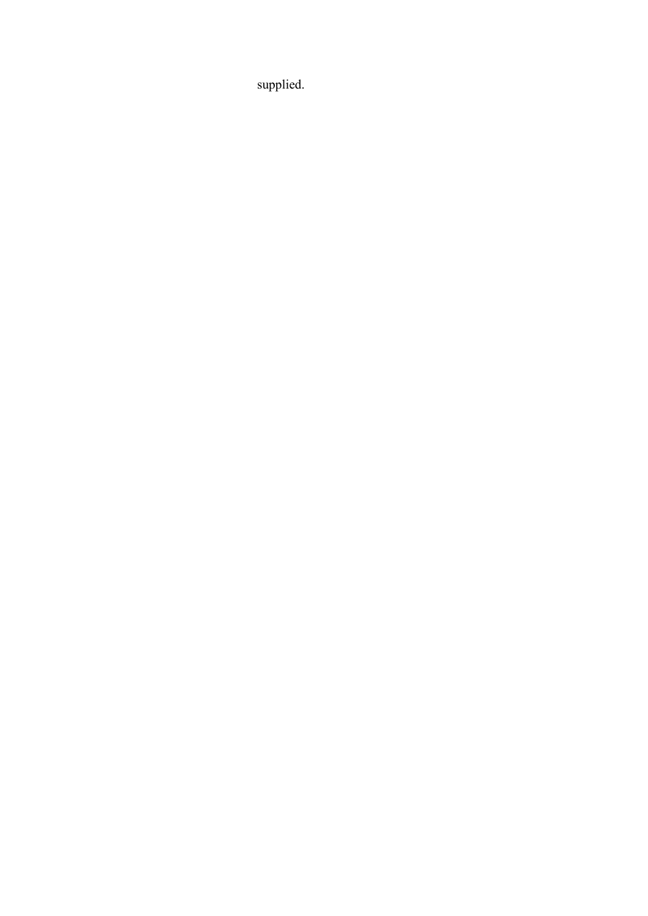supplied.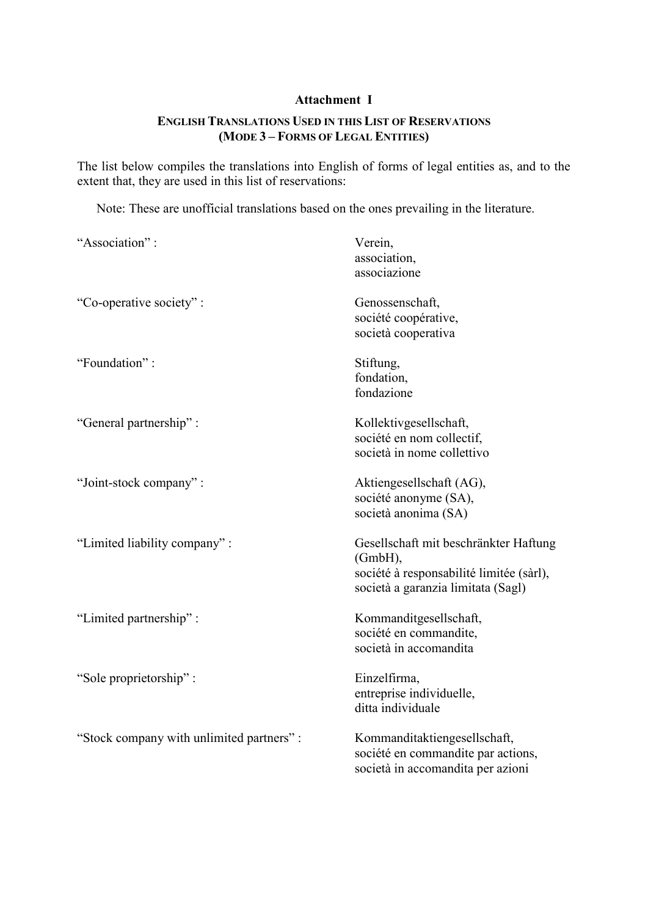## **Attachment I**

# **ENGLISH TRANSLATIONS USED IN THIS LIST OF RESERVATIONS (MODE 3 – FORMS OF LEGAL ENTITIES)**

The list below compiles the translations into English of forms of legal entities as, and to the extent that, they are used in this list of reservations:

Note: These are unofficial translations based on the ones prevailing in the literature.

| "Association":                           | Verein,<br>association,<br>associazione                                                                                            |
|------------------------------------------|------------------------------------------------------------------------------------------------------------------------------------|
| "Co-operative society":                  | Genossenschaft,<br>société coopérative,<br>società cooperativa                                                                     |
| "Foundation":                            | Stiftung,<br>fondation,<br>fondazione                                                                                              |
| "General partnership":                   | Kollektivgesellschaft,<br>société en nom collectif,<br>società in nome collettivo                                                  |
| "Joint-stock company":                   | Aktiengesellschaft (AG),<br>société anonyme (SA),<br>società anonima (SA)                                                          |
| "Limited liability company":             | Gesellschaft mit beschränkter Haftung<br>(GmbH),<br>société à responsabilité limitée (sàrl),<br>società a garanzia limitata (Sagl) |
| "Limited partnership":                   | Kommanditgesellschaft,<br>société en commandite,<br>società in accomandita                                                         |
| "Sole proprietorship":                   | Einzelfirma,<br>entreprise individuelle,<br>ditta individuale                                                                      |
| "Stock company with unlimited partners": | Kommanditaktiengesellschaft,<br>société en commandite par actions,<br>società in accomandita per azioni                            |